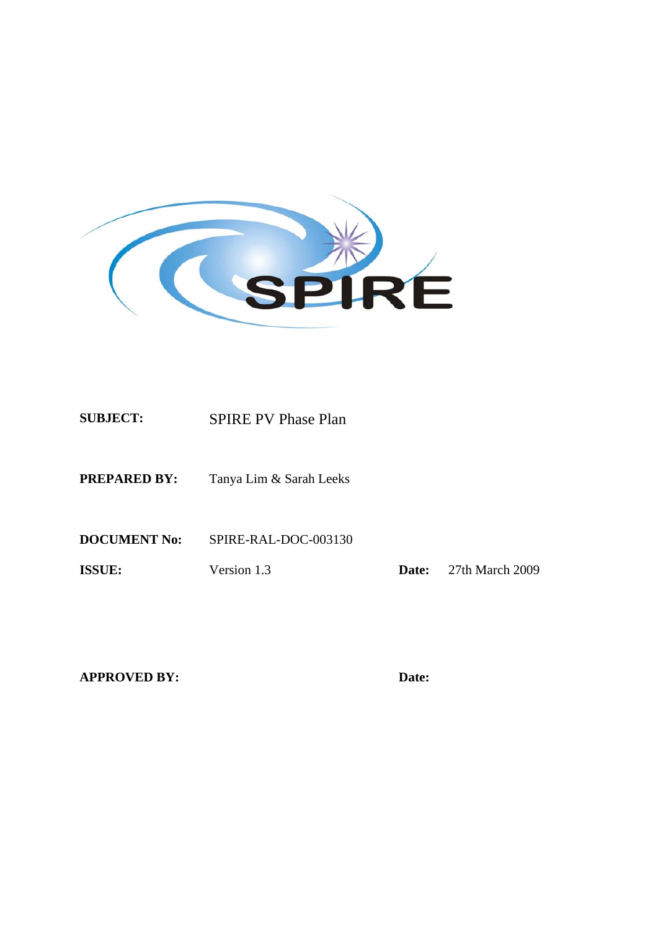

**SUBJECT:** SPIRE PV Phase Plan

**PREPARED BY:** Tanya Lim & Sarah Leeks

**DOCUMENT No:** SPIRE-RAL-DOC-003130

**ISSUE:** Version 1.3 **Date:** 27th March 2009

**APPROVED BY: Date:**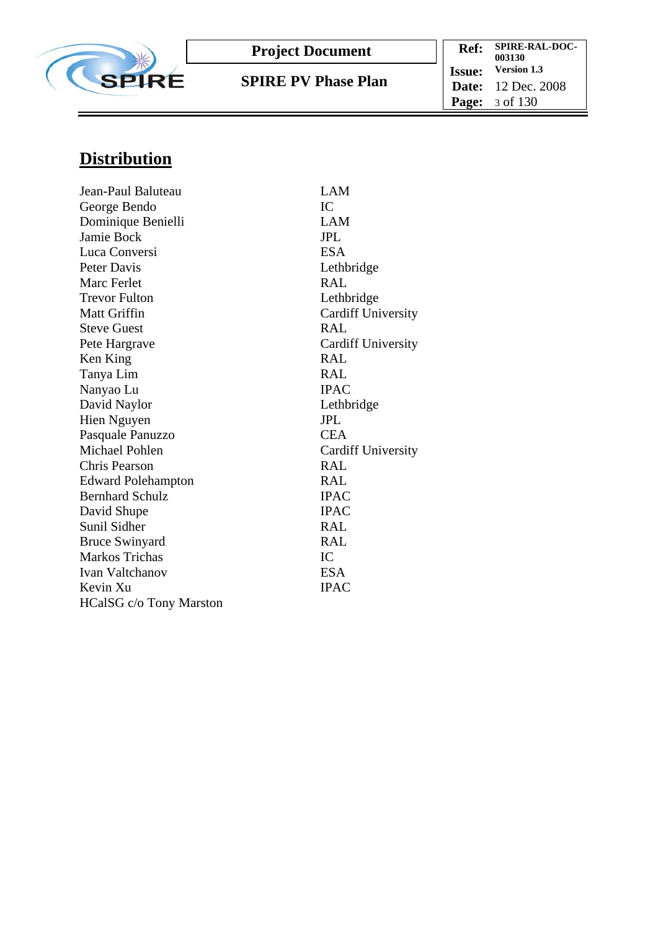

# **Distribution**

Jean-Paul Baluteau LAM George Bendo IC Dominique Benielli LAM Jamie Bock JPL Luca Conversi ESA Peter Davis Lethbridge Marc Ferlet RAL Trevor Fulton Lethbridge Matt Griffin Cardiff University Steve Guest RAL Pete Hargrave Cardiff University Ken King RAL Tanya Lim RAL Nanyao Lu IPAC David Naylor Lethbridge Hien Nguyen JPL Pasquale Panuzzo CEA Michael Pohlen Cardiff University Chris Pearson RAL Edward Polehampton RAL Bernhard Schulz **IPAC** David Shupe IPAC Sunil Sidher RAL Bruce Swinyard RAL Markos Trichas **IC** Ivan Valtchanov ESA Kevin Xu IPAC HCalSG c/o Tony Marston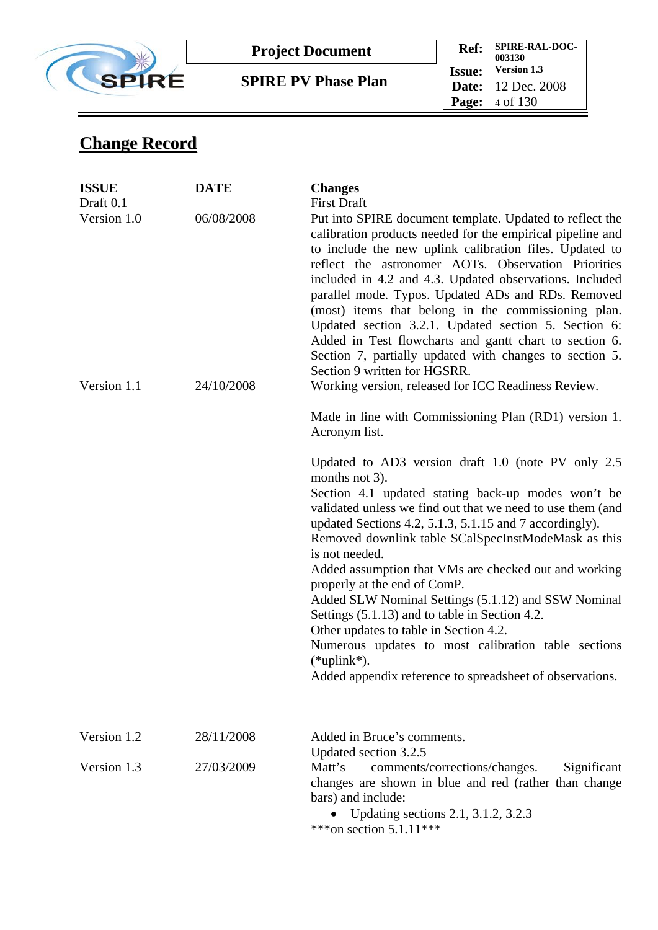

# **Change Record**

| <b>ISSUE</b><br>Draft 0.1 | <b>DATE</b> | <b>Changes</b><br><b>First Draft</b>                                                                                                                                                                                                                                                                                                                                                                                                                                                                                                                                                                                                                                                                          |
|---------------------------|-------------|---------------------------------------------------------------------------------------------------------------------------------------------------------------------------------------------------------------------------------------------------------------------------------------------------------------------------------------------------------------------------------------------------------------------------------------------------------------------------------------------------------------------------------------------------------------------------------------------------------------------------------------------------------------------------------------------------------------|
| Version 1.0               | 06/08/2008  | Put into SPIRE document template. Updated to reflect the<br>calibration products needed for the empirical pipeline and<br>to include the new uplink calibration files. Updated to<br>reflect the astronomer AOTs. Observation Priorities<br>included in 4.2 and 4.3. Updated observations. Included<br>parallel mode. Typos. Updated ADs and RDs. Removed<br>(most) items that belong in the commissioning plan.<br>Updated section 3.2.1. Updated section 5. Section 6:<br>Added in Test flowcharts and gantt chart to section 6.<br>Section 7, partially updated with changes to section 5.<br>Section 9 written for HGSRR.                                                                                 |
| Version 1.1               | 24/10/2008  | Working version, released for ICC Readiness Review.                                                                                                                                                                                                                                                                                                                                                                                                                                                                                                                                                                                                                                                           |
|                           |             | Made in line with Commissioning Plan (RD1) version 1.<br>Acronym list.                                                                                                                                                                                                                                                                                                                                                                                                                                                                                                                                                                                                                                        |
|                           |             | Updated to AD3 version draft 1.0 (note PV only 2.5)<br>months not 3).<br>Section 4.1 updated stating back-up modes won't be<br>validated unless we find out that we need to use them (and<br>updated Sections 4.2, 5.1.3, 5.1.15 and 7 accordingly).<br>Removed downlink table SCalSpecInstModeMask as this<br>is not needed.<br>Added assumption that VMs are checked out and working<br>properly at the end of ComP.<br>Added SLW Nominal Settings (5.1.12) and SSW Nominal<br>Settings (5.1.13) and to table in Section 4.2.<br>Other updates to table in Section 4.2.<br>Numerous updates to most calibration table sections<br>$(*uplink*).$<br>Added appendix reference to spreadsheet of observations. |
| Version 1.2               | 28/11/2008  | Added in Bruce's comments.                                                                                                                                                                                                                                                                                                                                                                                                                                                                                                                                                                                                                                                                                    |
| Version 1.3               | 27/03/2009  | Updated section 3.2.5<br>Matt's<br>comments/corrections/changes.<br>Significant<br>changes are shown in blue and red (rather than change<br>bars) and include:<br>Updating sections 2.1, 3.1.2, 3.2.3<br>***on section $5.1.11$ ***                                                                                                                                                                                                                                                                                                                                                                                                                                                                           |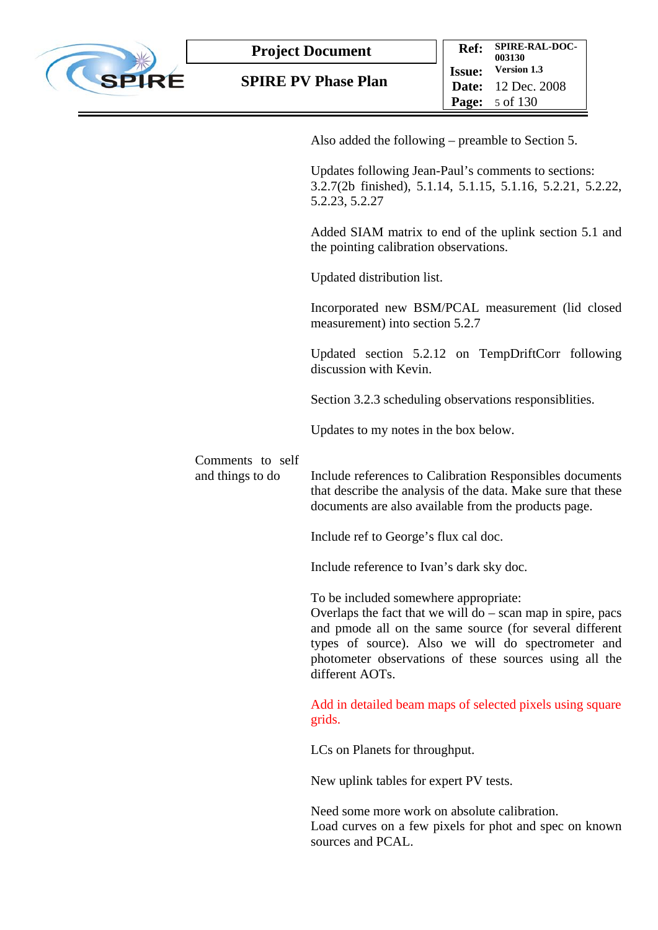

Also added the following – preamble to Section 5. Updates following Jean-Paul's comments to sections: 3.2.7(2b finished), 5.1.14, 5.1.15, 5.1.16, 5.2.21, 5.2.22, 5.2.23, 5.2.27 Added SIAM matrix to end of the uplink section 5.1 and the pointing calibration observations. Updated distribution list. Incorporated new BSM/PCAL measurement (lid closed measurement) into section 5.2.7 Updated section 5.2.12 on TempDriftCorr following discussion with Kevin. Section 3.2.3 scheduling observations responsiblities. Updates to my notes in the box below. Comments to self and things to do Include references to Calibration Responsibles documents that describe the analysis of the data. Make sure that these documents are also available from the products page. Include ref to George's flux cal doc. Include reference to Ivan's dark sky doc. To be included somewhere appropriate: Overlaps the fact that we will do – scan map in spire, pacs and pmode all on the same source (for several different types of source). Also we will do spectrometer and photometer observations of these sources using all the different AOTs. Add in detailed beam maps of selected pixels using square grids. LCs on Planets for throughput. New uplink tables for expert PV tests. Need some more work on absolute calibration. Load curves on a few pixels for phot and spec on known sources and PCAL.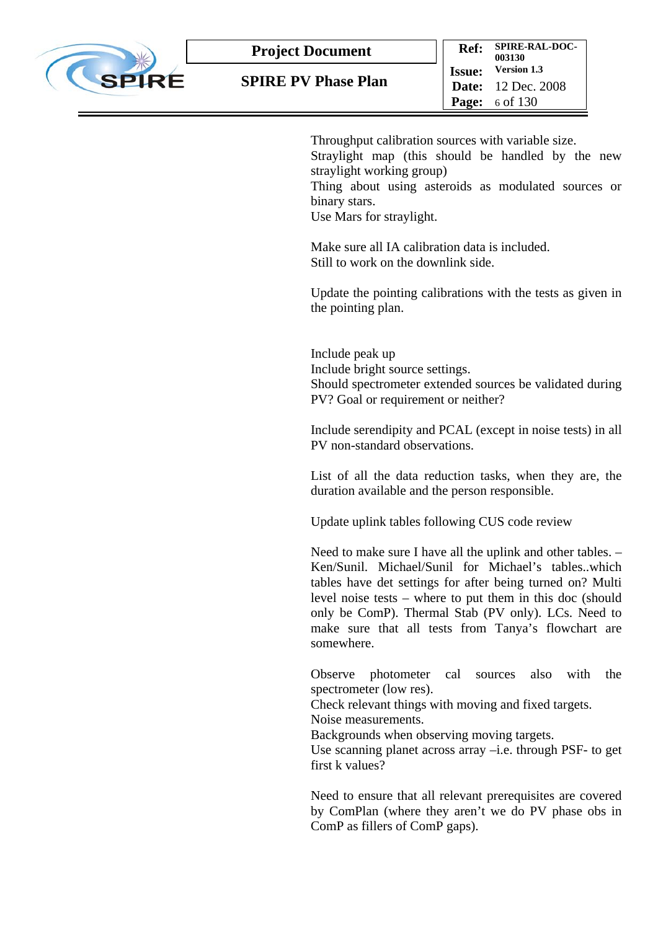

Throughput calibration sources with variable size. Straylight map (this should be handled by the new straylight working group) Thing about using asteroids as modulated sources or binary stars.

Use Mars for straylight.

Make sure all IA calibration data is included. Still to work on the downlink side.

Update the pointing calibrations with the tests as given in the pointing plan.

Include peak up Include bright source settings. Should spectrometer extended sources be validated during PV? Goal or requirement or neither?

Include serendipity and PCAL (except in noise tests) in all PV non-standard observations.

List of all the data reduction tasks, when they are, the duration available and the person responsible.

Update uplink tables following CUS code review

Need to make sure I have all the uplink and other tables. – Ken/Sunil. Michael/Sunil for Michael's tables..which tables have det settings for after being turned on? Multi level noise tests – where to put them in this doc (should only be ComP). Thermal Stab (PV only). LCs. Need to make sure that all tests from Tanya's flowchart are somewhere.

Observe photometer cal sources also with the spectrometer (low res).

Check relevant things with moving and fixed targets.

Noise measurements.

Backgrounds when observing moving targets.

Use scanning planet across array –i.e. through PSF- to get first k values?

Need to ensure that all relevant prerequisites are covered by ComPlan (where they aren't we do PV phase obs in ComP as fillers of ComP gaps).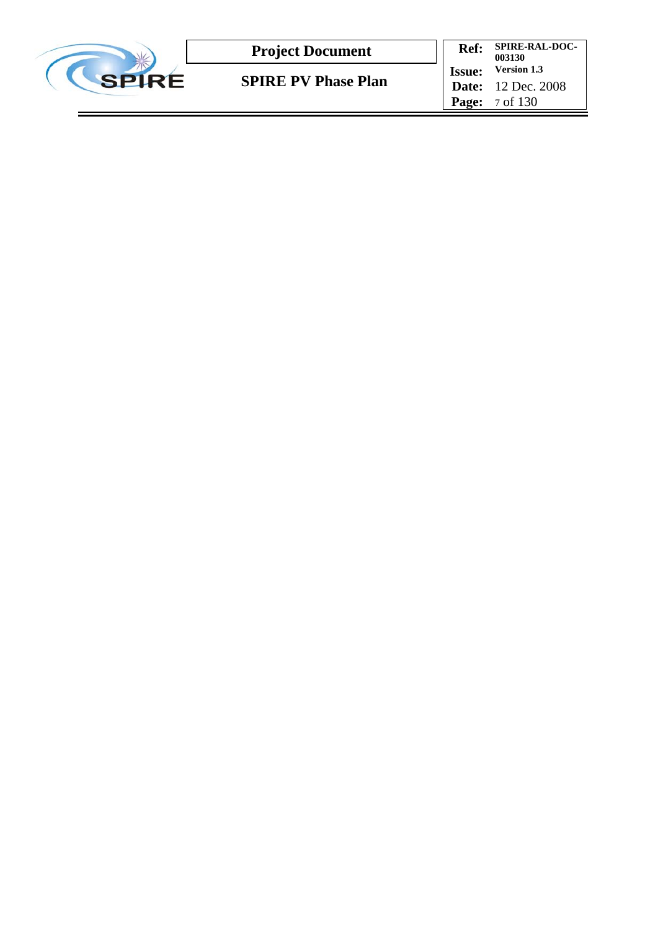

**Ref: SPIRE-RAL-DOC-003130 Issue:** Version 1.3<br> **Date:** 12 Dec. 2 **Date:** 12 Dec. 2008 **Page:**  7 of 130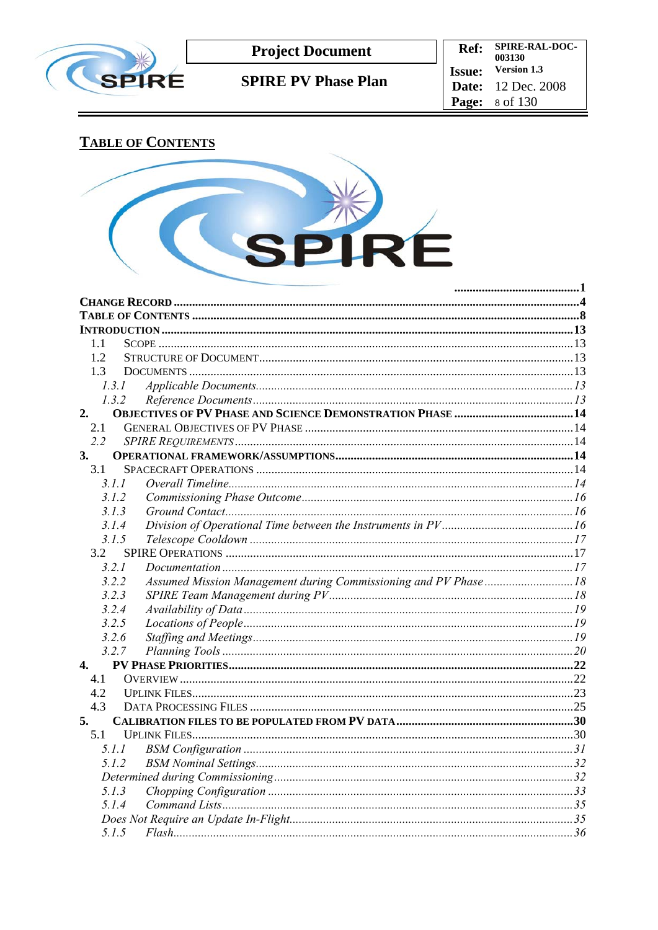

# **TABLE OF CONTENTS**



| 1.1            |  |
|----------------|--|
| 1.2            |  |
| 1.3            |  |
| 1.3.1          |  |
| 1.3.2          |  |
| 2.             |  |
| 2.1            |  |
| 2.2            |  |
| 3.             |  |
| 3.1            |  |
| 3.1.1          |  |
| 3.1.2          |  |
| 3.1.3          |  |
| 3.1.4          |  |
| 3.1.5          |  |
| 3.2            |  |
| 3.2.1          |  |
| 3.2.2          |  |
| 3.2.3          |  |
| 3.2.4          |  |
| 3.2.5          |  |
| 3.2.6          |  |
| 3.2.7          |  |
| $\mathbf{4}$ . |  |
| 4.1            |  |
| 4.2            |  |
| 4.3            |  |
| 5.             |  |
| 5.1            |  |
| 5.1.1          |  |
| 5.1.2          |  |
|                |  |
| 5.1.3          |  |
| 5.1.4          |  |
|                |  |
| 5.1.5          |  |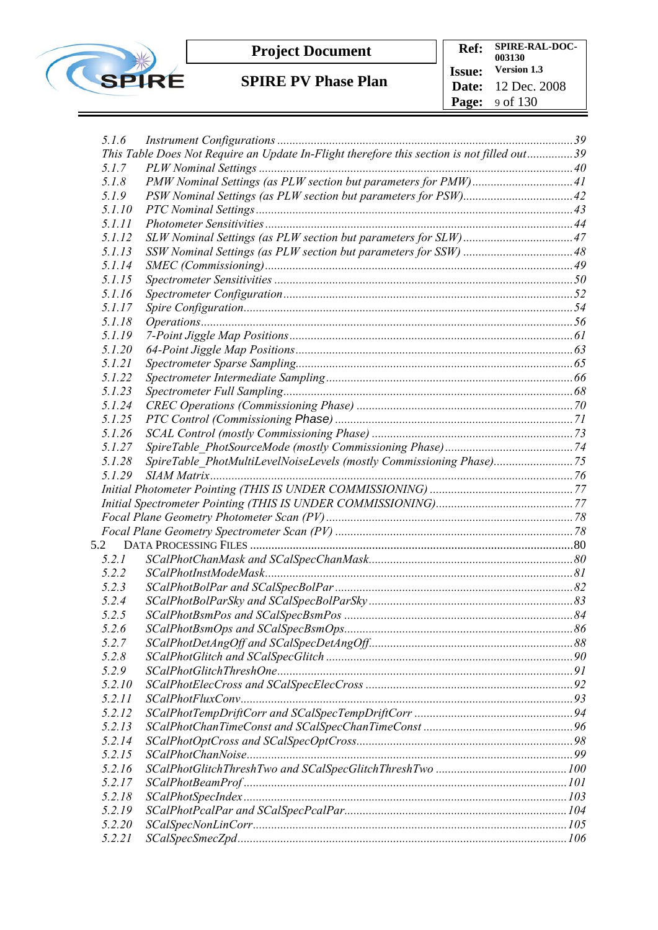

**Ref: SPIRE-RAL-DOC-003130 Issue:** Version 1.3<br> **Date:** 12 Dec. 2 **Date:** 12 Dec. 2008<br>**Page:** 9 of 130 **Page:** 9 of 130

| 5.1.6  |                                                                                            |  |
|--------|--------------------------------------------------------------------------------------------|--|
|        | This Table Does Not Require an Update In-Flight therefore this section is not filled out39 |  |
| 5.1.7  |                                                                                            |  |
| 5.1.8  | PMW Nominal Settings (as PLW section but parameters for PMW)41                             |  |
| 5.1.9  |                                                                                            |  |
| 5.1.10 |                                                                                            |  |
| 5.1.11 |                                                                                            |  |
| 5.1.12 |                                                                                            |  |
| 5.1.13 |                                                                                            |  |
| 5.1.14 |                                                                                            |  |
| 5.1.15 |                                                                                            |  |
| 5.1.16 |                                                                                            |  |
| 5.1.17 |                                                                                            |  |
| 5.1.18 |                                                                                            |  |
| 5.1.19 |                                                                                            |  |
| 5.1.20 |                                                                                            |  |
| 5.1.21 |                                                                                            |  |
| 5.1.22 |                                                                                            |  |
| 5.1.23 |                                                                                            |  |
|        |                                                                                            |  |
| 5.1.24 |                                                                                            |  |
| 5.1.25 |                                                                                            |  |
| 5.1.26 |                                                                                            |  |
| 5.1.27 |                                                                                            |  |
| 5.1.28 | SpireTable PhotMultiLevelNoiseLevels (mostly Commissioning Phase)75                        |  |
| 5.1.29 |                                                                                            |  |
|        |                                                                                            |  |
|        |                                                                                            |  |
|        |                                                                                            |  |
|        |                                                                                            |  |
| 5.2    |                                                                                            |  |
| 5.2.1  |                                                                                            |  |
| 5.2.2  |                                                                                            |  |
| 5.2.3  |                                                                                            |  |
| 5.2.4  |                                                                                            |  |
| 5.2.5  |                                                                                            |  |
| 5.2.6  |                                                                                            |  |
| 5.2.7  |                                                                                            |  |
| 5.2.8  |                                                                                            |  |
| 5.2.9  |                                                                                            |  |
| 5.2.10 |                                                                                            |  |
| 5.2.11 |                                                                                            |  |
| 5.2.12 |                                                                                            |  |
| 5.2.13 |                                                                                            |  |
| 5.2.14 |                                                                                            |  |
| 5.2.15 |                                                                                            |  |
| 5.2.16 |                                                                                            |  |
| 5.2.17 |                                                                                            |  |
| 5.2.18 |                                                                                            |  |
| 5.2.19 |                                                                                            |  |
| 5.2.20 |                                                                                            |  |
| 5.2.21 |                                                                                            |  |
|        |                                                                                            |  |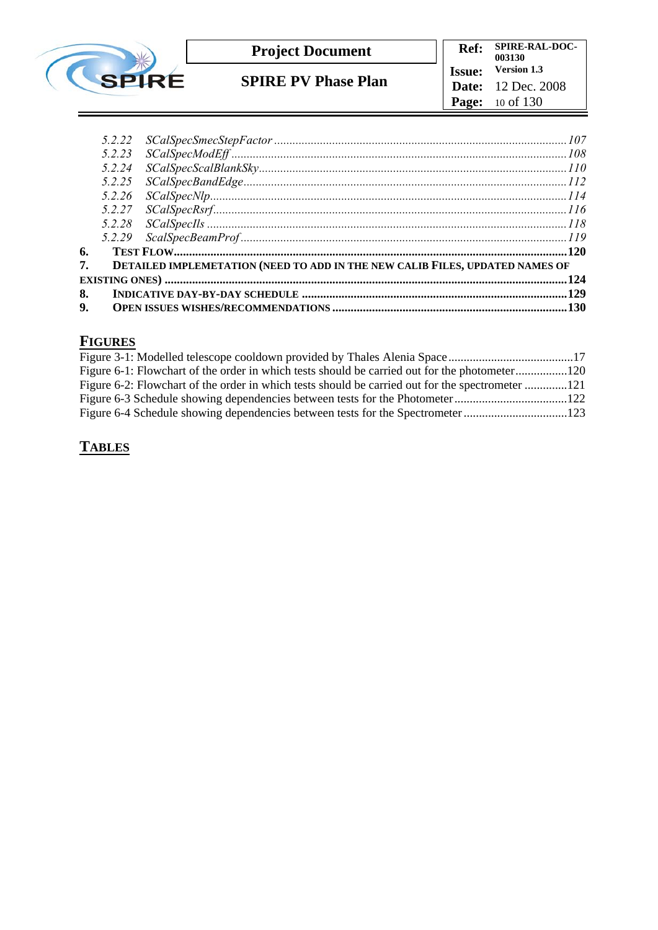

**Ref: SPIRE-RAL-DOC-003130 Issue:** Version 1.3<br>**Date:** 12 Dec. 2 **Date:** 12 Dec. 2008<br>**Page:** 10 of 130 **Page:** 10 of 130

|    | 5.2.23 |                                                                                 |  |
|----|--------|---------------------------------------------------------------------------------|--|
|    | 5.2.24 |                                                                                 |  |
|    | 5.2.25 |                                                                                 |  |
|    | 5.2.26 |                                                                                 |  |
|    |        |                                                                                 |  |
|    |        |                                                                                 |  |
|    |        |                                                                                 |  |
| 6. |        |                                                                                 |  |
|    |        | 7. DETAILED IMPLEMETATION (NEED TO ADD IN THE NEW CALIB FILES, UPDATED NAMES OF |  |
|    |        |                                                                                 |  |
| 8. |        |                                                                                 |  |
| 9. |        |                                                                                 |  |
|    |        |                                                                                 |  |

# **FIGURES**

| Figure 6-1: Flowchart of the order in which tests should be carried out for the photometer120    |  |
|--------------------------------------------------------------------------------------------------|--|
| Figure 6-2: Flowchart of the order in which tests should be carried out for the spectrometer 121 |  |
|                                                                                                  |  |
| Figure 6-4 Schedule showing dependencies between tests for the Spectrometer 123                  |  |

# **TABLES**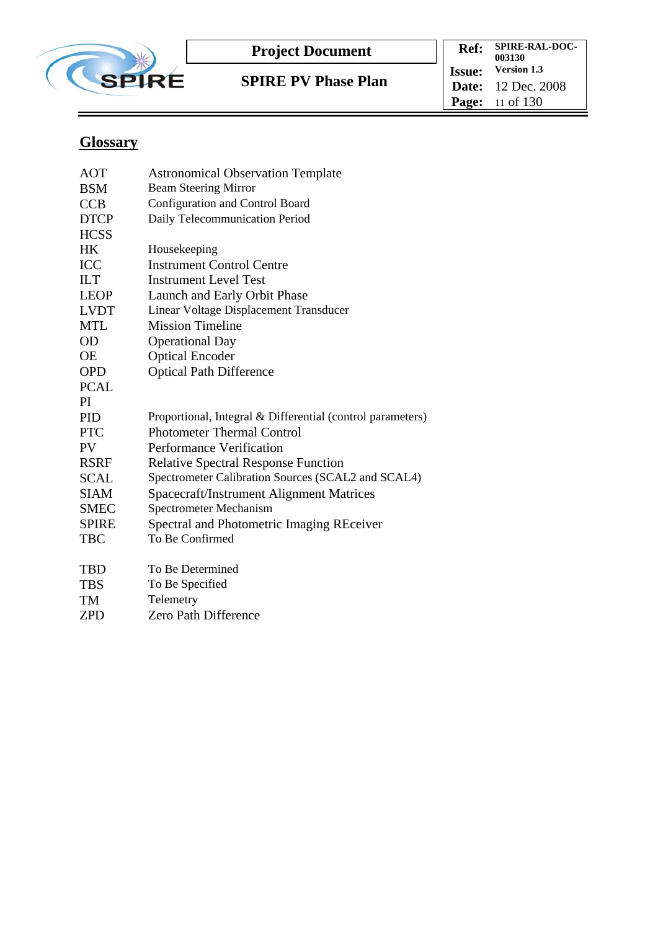

**Ref: SPIRE-RAL-DOC-003130 Issue:** Version 1.3<br> **Date:** 12 Dec. 2 **Date:** 12 Dec. 2008<br>**Page:** 11 of 130 **Page:** 11 of 130

# **Glossary**

| <b>AOT</b>   | <b>Astronomical Observation Template</b>                   |
|--------------|------------------------------------------------------------|
| <b>BSM</b>   | <b>Beam Steering Mirror</b>                                |
| <b>CCB</b>   | Configuration and Control Board                            |
| <b>DTCP</b>  | Daily Telecommunication Period                             |
| <b>HCSS</b>  |                                                            |
| HK           | Housekeeping                                               |
| ICC          | <b>Instrument Control Centre</b>                           |
| <b>ILT</b>   | <b>Instrument Level Test</b>                               |
| <b>LEOP</b>  | Launch and Early Orbit Phase                               |
| <b>LVDT</b>  | Linear Voltage Displacement Transducer                     |
| <b>MTL</b>   | <b>Mission Timeline</b>                                    |
| <b>OD</b>    | <b>Operational Day</b>                                     |
| ОE           | <b>Optical Encoder</b>                                     |
| <b>OPD</b>   | <b>Optical Path Difference</b>                             |
| <b>PCAL</b>  |                                                            |
| PI           |                                                            |
| <b>PID</b>   | Proportional, Integral & Differential (control parameters) |
| <b>PTC</b>   | <b>Photometer Thermal Control</b>                          |
| PV           | <b>Performance Verification</b>                            |
| <b>RSRF</b>  | <b>Relative Spectral Response Function</b>                 |
| <b>SCAL</b>  | Spectrometer Calibration Sources (SCAL2 and SCAL4)         |
| <b>SIAM</b>  | <b>Spacecraft/Instrument Alignment Matrices</b>            |
| <b>SMEC</b>  | <b>Spectrometer Mechanism</b>                              |
| <b>SPIRE</b> | <b>Spectral and Photometric Imaging REceiver</b>           |
| <b>TBC</b>   | To Be Confirmed                                            |
| <b>TBD</b>   | To Be Determined                                           |
| <b>TBS</b>   | To Be Specified                                            |
| TM           | Telemetry                                                  |
| <b>ZPD</b>   | <b>Zero Path Difference</b>                                |
|              |                                                            |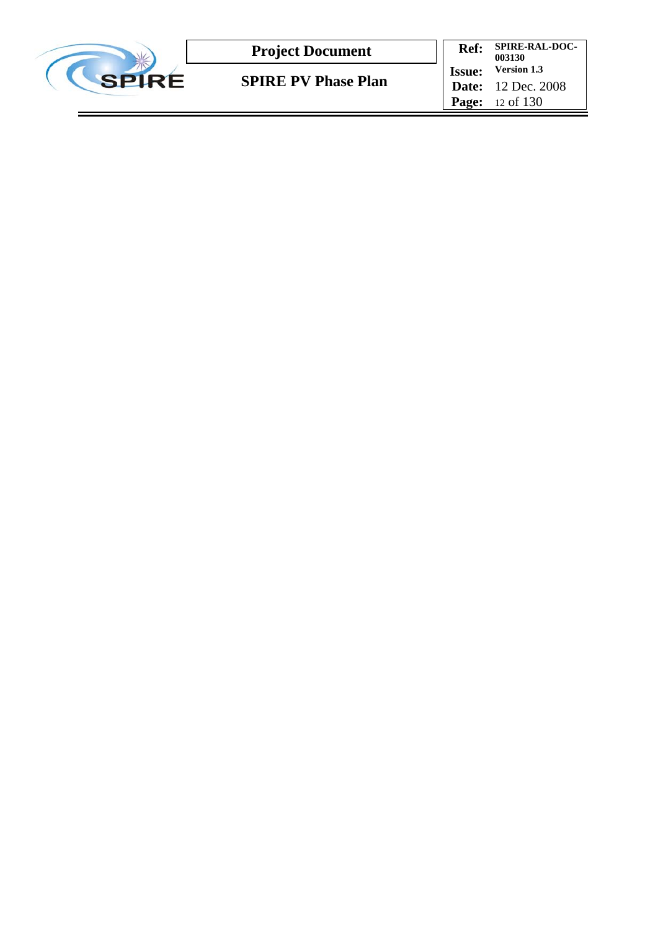

**Ref: SPIRE-RAL-DOC-003130 Issue:** Version 1.3<br> **Date:** 12 Dec. 2 **Date:** 12 Dec. 2008<br>**Page:** 12 of 130 **Page:** 12 of 130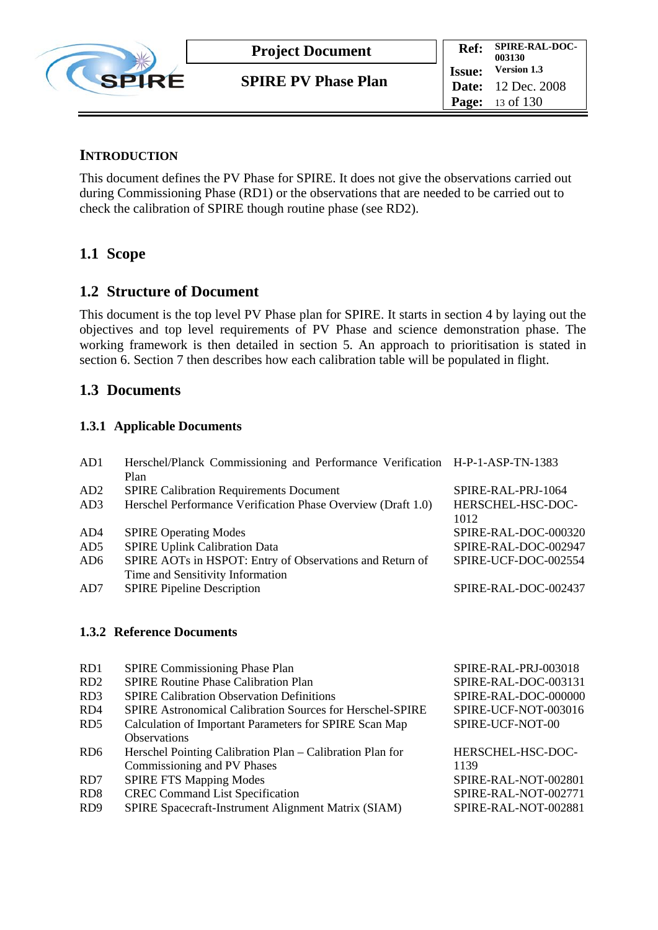

**Ref: SPIRE-RAL-DOC-003130 Issue: Version 1.3 Date:** 12 Dec. 2008 **Page:** 13 of 130

## **INTRODUCTION**

This document defines the PV Phase for SPIRE. It does not give the observations carried out during Commissioning Phase (RD1) or the observations that are needed to be carried out to check the calibration of SPIRE though routine phase (see RD2).

# **1.1 Scope**

# **1.2 Structure of Document**

This document is the top level PV Phase plan for SPIRE. It starts in section 4 by laying out the objectives and top level requirements of PV Phase and science demonstration phase. The working framework is then detailed in section 5. An approach to prioritisation is stated in section 6. Section 7 then describes how each calibration table will be populated in flight.

# **1.3 Documents**

### **1.3.1 Applicable Documents**

| AD1             | Herschel/Planck Commissioning and Performance Verification H-P-1-ASP-TN-1383<br>Plan |                           |
|-----------------|--------------------------------------------------------------------------------------|---------------------------|
| AD <sub>2</sub> | <b>SPIRE Calibration Requirements Document</b>                                       | SPIRE-RAL-PRJ-1064        |
| AD <sub>3</sub> | Herschel Performance Verification Phase Overview (Draft 1.0)                         | HERSCHEL-HSC-DOC-<br>1012 |
| AD4             | <b>SPIRE Operating Modes</b>                                                         | SPIRE-RAL-DOC-000320      |
| AD <sub>5</sub> | <b>SPIRE Uplink Calibration Data</b>                                                 | SPIRE-RAL-DOC-002947      |
| AD <sub>6</sub> | SPIRE AOTs in HSPOT: Entry of Observations and Return of                             | SPIRE-UCF-DOC-002554      |
|                 | Time and Sensitivity Information                                                     |                           |
| AD7             | <b>SPIRE Pipeline Description</b>                                                    | SPIRE-RAL-DOC-002437      |
|                 | <b>1.3.2 Reference Documents</b>                                                     |                           |
|                 |                                                                                      |                           |
| RD1             | <b>SPIRE Commissioning Phase Plan</b>                                                | SPIRE-RAL-PRJ-003018      |
| RD2             | <b>SPIRE Routine Phase Calibration Plan</b>                                          | SPIRE-RAL-DOC-003131      |
| RD <sub>3</sub> | <b>SPIRE Calibration Observation Definitions</b>                                     | SPIRE-RAL-DOC-000000      |
| RD4             | <b>SPIRE Astronomical Calibration Sources for Herschel-SPIRE</b>                     | SPIRE-UCF-NOT-003016      |
| RD <sub>5</sub> | Calculation of Important Parameters for SPIRE Scan Map                               | SPIRE-UCF-NOT-00          |
|                 | <b>Observations</b>                                                                  |                           |
| RD <sub>6</sub> | Herschel Pointing Calibration Plan - Calibration Plan for                            | HERSCHEL-HSC-DOC-         |
|                 | Commissioning and PV Phases                                                          | 1139                      |
| RD7             | <b>SPIRE FTS Mapping Modes</b>                                                       | SPIRE-RAL-NOT-002801      |
| RD <sub>8</sub> | <b>CREC Command List Specification</b>                                               | SPIRE-RAL-NOT-002771      |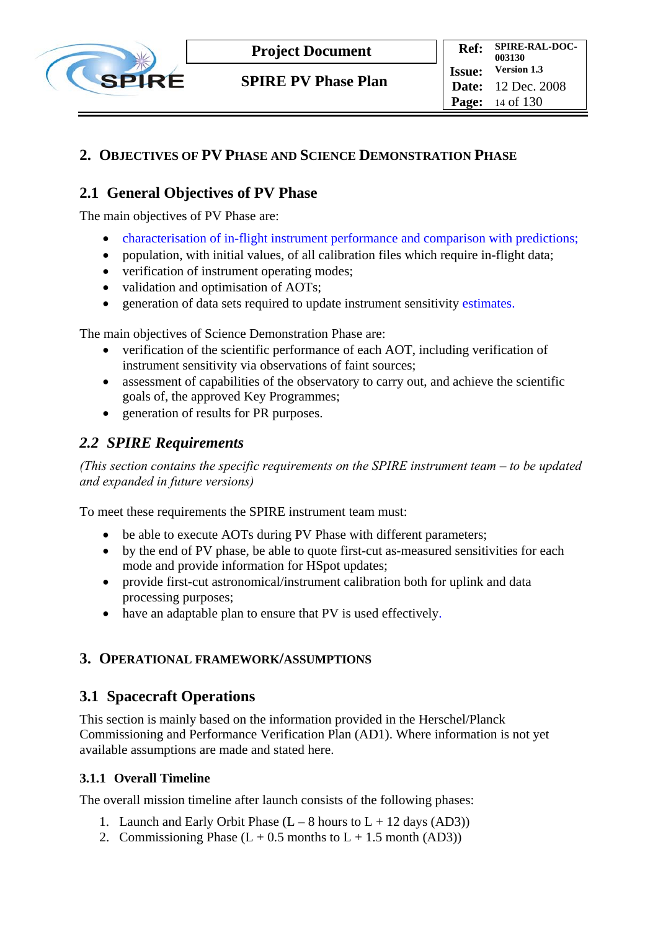

# **2. OBJECTIVES OF PV PHASE AND SCIENCE DEMONSTRATION PHASE**

# **2.1 General Objectives of PV Phase**

The main objectives of PV Phase are:

- characterisation of in-flight instrument performance and comparison with predictions;
- population, with initial values, of all calibration files which require in-flight data;
- verification of instrument operating modes;
- validation and optimisation of AOTs;
- generation of data sets required to update instrument sensitivity estimates.

The main objectives of Science Demonstration Phase are:

- verification of the scientific performance of each AOT, including verification of instrument sensitivity via observations of faint sources;
- assessment of capabilities of the observatory to carry out, and achieve the scientific goals of, the approved Key Programmes;
- generation of results for PR purposes.

# *2.2 SPIRE Requirements*

*(This section contains the specific requirements on the SPIRE instrument team – to be updated and expanded in future versions)* 

To meet these requirements the SPIRE instrument team must:

- be able to execute AOTs during PV Phase with different parameters;
- by the end of PV phase, be able to quote first-cut as-measured sensitivities for each mode and provide information for HSpot updates;
- provide first-cut astronomical/instrument calibration both for uplink and data processing purposes;
- have an adaptable plan to ensure that PV is used effectively.

# **3. OPERATIONAL FRAMEWORK/ASSUMPTIONS**

# **3.1 Spacecraft Operations**

This section is mainly based on the information provided in the Herschel/Planck Commissioning and Performance Verification Plan (AD1). Where information is not yet available assumptions are made and stated here.

### **3.1.1 Overall Timeline**

The overall mission timeline after launch consists of the following phases:

- 1. Launch and Early Orbit Phase  $(L 8$  hours to  $L + 12$  days  $(AD3)$ )
- 2. Commissioning Phase  $(L + 0.5 \text{ months to } L + 1.5 \text{ month (AD3)})$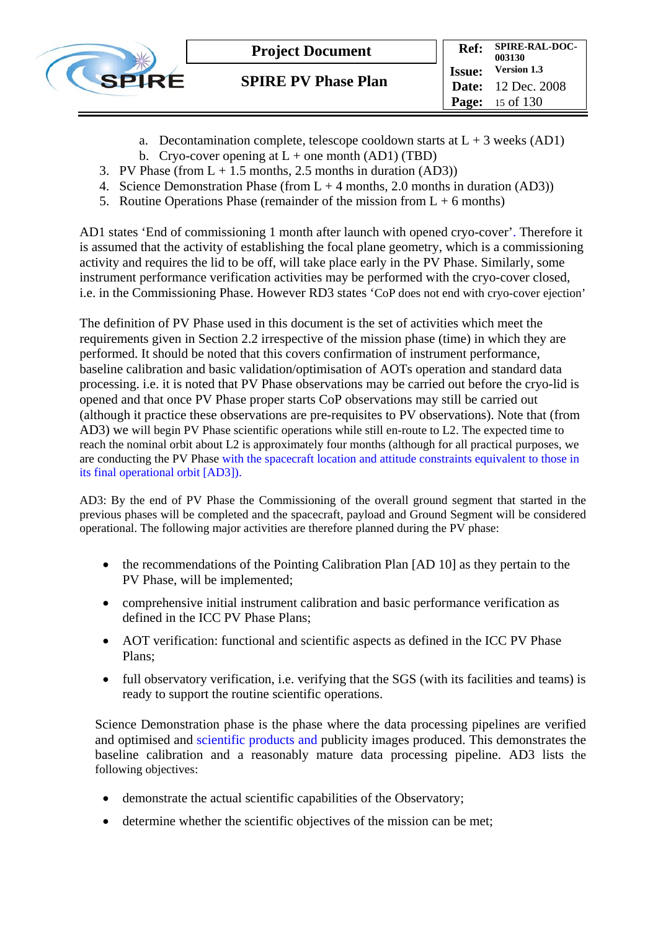

- a. Decontamination complete, telescope cooldown starts at  $L + 3$  weeks (AD1)
- b. Cryo-cover opening at  $L$  + one month (AD1) (TBD)
- 3. PV Phase (from  $L + 1.5$  months, 2.5 months in duration (AD3))
- 4. Science Demonstration Phase (from  $L + 4$  months, 2.0 months in duration (AD3))
- 5. Routine Operations Phase (remainder of the mission from  $L + 6$  months)

AD1 states 'End of commissioning 1 month after launch with opened cryo-cover'. Therefore it is assumed that the activity of establishing the focal plane geometry, which is a commissioning activity and requires the lid to be off, will take place early in the PV Phase. Similarly, some instrument performance verification activities may be performed with the cryo-cover closed, i.e. in the Commissioning Phase. However RD3 states 'CoP does not end with cryo-cover ejection'

The definition of PV Phase used in this document is the set of activities which meet the requirements given in Section 2.2 irrespective of the mission phase (time) in which they are performed. It should be noted that this covers confirmation of instrument performance, baseline calibration and basic validation/optimisation of AOTs operation and standard data processing. i.e. it is noted that PV Phase observations may be carried out before the cryo-lid is opened and that once PV Phase proper starts CoP observations may still be carried out (although it practice these observations are pre-requisites to PV observations). Note that (from AD3) we will begin PV Phase scientific operations while still en-route to L2. The expected time to reach the nominal orbit about L2 is approximately four months (although for all practical purposes, we are conducting the PV Phase with the spacecraft location and attitude constraints equivalent to those in its final operational orbit [AD3]).

AD3: By the end of PV Phase the Commissioning of the overall ground segment that started in the previous phases will be completed and the spacecraft, payload and Ground Segment will be considered operational. The following major activities are therefore planned during the PV phase:

- the recommendations of the Pointing Calibration Plan [AD 10] as they pertain to the PV Phase, will be implemented;
- comprehensive initial instrument calibration and basic performance verification as defined in the ICC PV Phase Plans;
- AOT verification: functional and scientific aspects as defined in the ICC PV Phase Plans;
- full observatory verification, i.e. verifying that the SGS (with its facilities and teams) is ready to support the routine scientific operations.

Science Demonstration phase is the phase where the data processing pipelines are verified and optimised and scientific products and publicity images produced. This demonstrates the baseline calibration and a reasonably mature data processing pipeline. AD3 lists the following objectives:

- demonstrate the actual scientific capabilities of the Observatory;
- determine whether the scientific objectives of the mission can be met;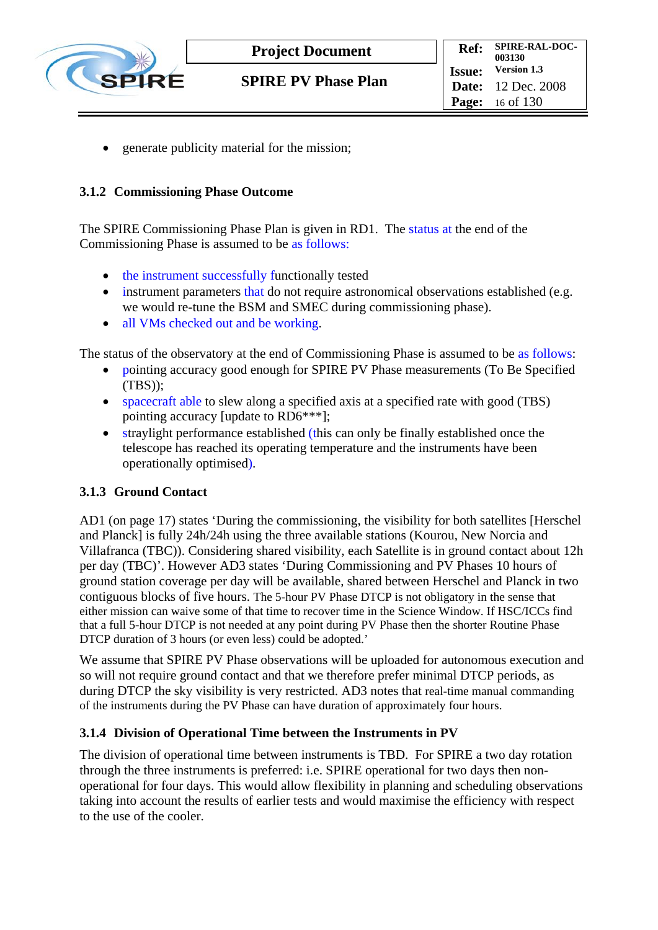

• generate publicity material for the mission;

### **3.1.2 Commissioning Phase Outcome**

The SPIRE Commissioning Phase Plan is given in RD1. The status at the end of the Commissioning Phase is assumed to be as follows:

- the instrument successfully functionally tested
- instrument parameters that do not require astronomical observations established (e.g. we would re-tune the BSM and SMEC during commissioning phase).
- all VMs checked out and be working.

The status of the observatory at the end of Commissioning Phase is assumed to be as follows:

- pointing accuracy good enough for SPIRE PV Phase measurements (To Be Specified  $(TBS)$ :
- spacecraft able to slew along a specified axis at a specified rate with good (TBS) pointing accuracy [update to RD6\*\*\*];
- straylight performance established (this can only be finally established once the telescope has reached its operating temperature and the instruments have been operationally optimised).

### **3.1.3 Ground Contact**

AD1 (on page 17) states 'During the commissioning, the visibility for both satellites [Herschel and Planck] is fully 24h/24h using the three available stations (Kourou, New Norcia and Villafranca (TBC)). Considering shared visibility, each Satellite is in ground contact about 12h per day (TBC)'. However AD3 states 'During Commissioning and PV Phases 10 hours of ground station coverage per day will be available, shared between Herschel and Planck in two contiguous blocks of five hours. The 5-hour PV Phase DTCP is not obligatory in the sense that either mission can waive some of that time to recover time in the Science Window. If HSC/ICCs find that a full 5-hour DTCP is not needed at any point during PV Phase then the shorter Routine Phase DTCP duration of 3 hours (or even less) could be adopted.'

We assume that SPIRE PV Phase observations will be uploaded for autonomous execution and so will not require ground contact and that we therefore prefer minimal DTCP periods, as during DTCP the sky visibility is very restricted. AD3 notes that real-time manual commanding of the instruments during the PV Phase can have duration of approximately four hours.

#### **3.1.4 Division of Operational Time between the Instruments in PV**

The division of operational time between instruments is TBD. For SPIRE a two day rotation through the three instruments is preferred: i.e. SPIRE operational for two days then nonoperational for four days. This would allow flexibility in planning and scheduling observations taking into account the results of earlier tests and would maximise the efficiency with respect to the use of the cooler.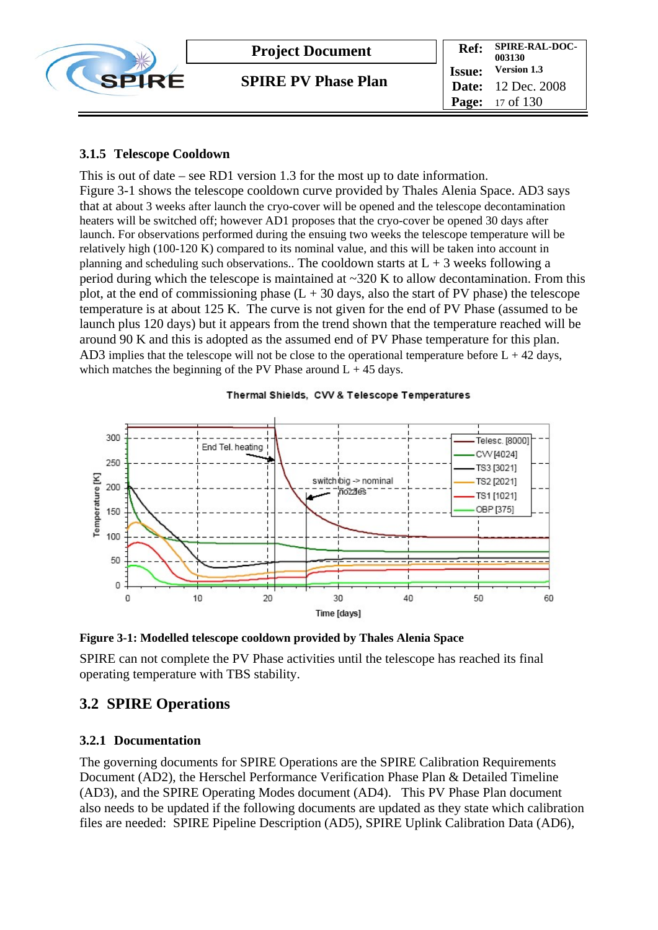

**Ref: SPIRE-RAL-DOC-003130 Issue: Version 1.3 Date:** 12 Dec. 2008 **Page:** 17 of 130

# **3.1.5 Telescope Cooldown**

This is out of date – see RD1 version 1.3 for the most up to date information. Figure 3-1 shows the telescope cooldown curve provided by Thales Alenia Space. AD3 says that at about 3 weeks after launch the cryo-cover will be opened and the telescope decontamination heaters will be switched off; however AD1 proposes that the cryo-cover be opened 30 days after launch. For observations performed during the ensuing two weeks the telescope temperature will be relatively high (100-120 K) compared to its nominal value, and this will be taken into account in planning and scheduling such observations.. The cooldown starts at  $L + 3$  weeks following a period during which the telescope is maintained at ~320 K to allow decontamination. From this plot, at the end of commissioning phase  $(L + 30 \text{ days}, \text{ also the start of PV phase})$  the telescope temperature is at about 125 K. The curve is not given for the end of PV Phase (assumed to be launch plus 120 days) but it appears from the trend shown that the temperature reached will be around 90 K and this is adopted as the assumed end of PV Phase temperature for this plan. AD3 implies that the telescope will not be close to the operational temperature before  $L + 42$  days, which matches the beginning of the PV Phase around  $L + 45$  days.



#### Thermal Shields, CVV & Telescope Temperatures

#### **Figure 3-1: Modelled telescope cooldown provided by Thales Alenia Space**

SPIRE can not complete the PV Phase activities until the telescope has reached its final operating temperature with TBS stability.

# **3.2 SPIRE Operations**

### **3.2.1 Documentation**

The governing documents for SPIRE Operations are the SPIRE Calibration Requirements Document (AD2), the Herschel Performance Verification Phase Plan & Detailed Timeline (AD3), and the SPIRE Operating Modes document (AD4). This PV Phase Plan document also needs to be updated if the following documents are updated as they state which calibration files are needed: SPIRE Pipeline Description (AD5), SPIRE Uplink Calibration Data (AD6),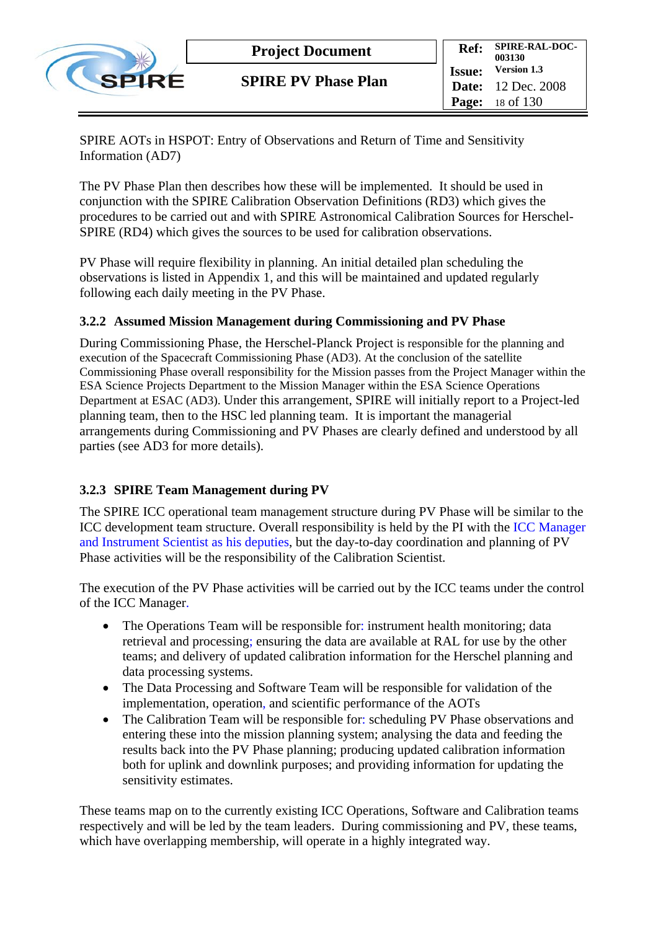

SPIRE AOTs in HSPOT: Entry of Observations and Return of Time and Sensitivity Information (AD7)

The PV Phase Plan then describes how these will be implemented. It should be used in conjunction with the SPIRE Calibration Observation Definitions (RD3) which gives the procedures to be carried out and with SPIRE Astronomical Calibration Sources for Herschel-SPIRE (RD4) which gives the sources to be used for calibration observations.

PV Phase will require flexibility in planning. An initial detailed plan scheduling the observations is listed in Appendix 1, and this will be maintained and updated regularly following each daily meeting in the PV Phase.

### **3.2.2 Assumed Mission Management during Commissioning and PV Phase**

During Commissioning Phase, the Herschel-Planck Project is responsible for the planning and execution of the Spacecraft Commissioning Phase (AD3). At the conclusion of the satellite Commissioning Phase overall responsibility for the Mission passes from the Project Manager within the ESA Science Projects Department to the Mission Manager within the ESA Science Operations Department at ESAC (AD3). Under this arrangement, SPIRE will initially report to a Project-led planning team, then to the HSC led planning team. It is important the managerial arrangements during Commissioning and PV Phases are clearly defined and understood by all parties (see AD3 for more details).

### **3.2.3 SPIRE Team Management during PV**

The SPIRE ICC operational team management structure during PV Phase will be similar to the ICC development team structure. Overall responsibility is held by the PI with the ICC Manager and Instrument Scientist as his deputies, but the day-to-day coordination and planning of PV Phase activities will be the responsibility of the Calibration Scientist.

The execution of the PV Phase activities will be carried out by the ICC teams under the control of the ICC Manager.

- The Operations Team will be responsible for: instrument health monitoring; data retrieval and processing; ensuring the data are available at RAL for use by the other teams; and delivery of updated calibration information for the Herschel planning and data processing systems.
- The Data Processing and Software Team will be responsible for validation of the implementation, operation, and scientific performance of the AOTs
- The Calibration Team will be responsible for: scheduling PV Phase observations and entering these into the mission planning system; analysing the data and feeding the results back into the PV Phase planning; producing updated calibration information both for uplink and downlink purposes; and providing information for updating the sensitivity estimates.

These teams map on to the currently existing ICC Operations, Software and Calibration teams respectively and will be led by the team leaders. During commissioning and PV, these teams, which have overlapping membership, will operate in a highly integrated way.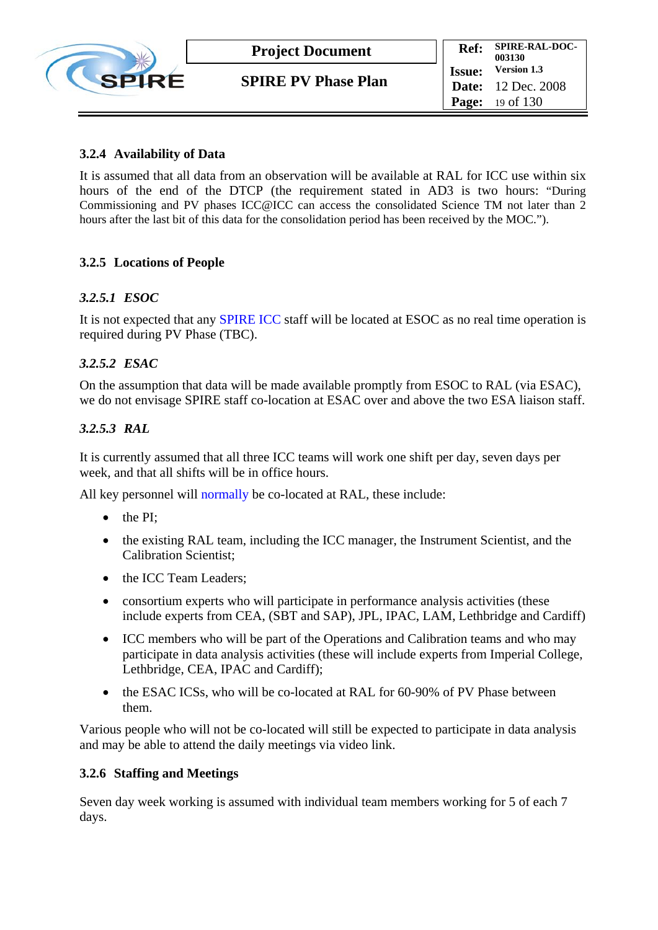

**Ref: SPIRE-RAL-DOC-003130 Issue: Version 1.3 Date:** 12 Dec. 2008 **Page:** 19 of 130

## **3.2.4 Availability of Data**

It is assumed that all data from an observation will be available at RAL for ICC use within six hours of the end of the DTCP (the requirement stated in AD3 is two hours: "During Commissioning and PV phases ICC@ICC can access the consolidated Science TM not later than 2 hours after the last bit of this data for the consolidation period has been received by the MOC.").

### **3.2.5 Locations of People**

## *3.2.5.1 ESOC*

It is not expected that any SPIRE ICC staff will be located at ESOC as no real time operation is required during PV Phase (TBC).

## *3.2.5.2 ESAC*

On the assumption that data will be made available promptly from ESOC to RAL (via ESAC), we do not envisage SPIRE staff co-location at ESAC over and above the two ESA liaison staff.

## *3.2.5.3 RAL*

It is currently assumed that all three ICC teams will work one shift per day, seven days per week, and that all shifts will be in office hours.

All key personnel will normally be co-located at RAL, these include:

- the PI:
- the existing RAL team, including the ICC manager, the Instrument Scientist, and the Calibration Scientist;
- the ICC Team Leaders:
- consortium experts who will participate in performance analysis activities (these include experts from CEA, (SBT and SAP), JPL, IPAC, LAM, Lethbridge and Cardiff)
- ICC members who will be part of the Operations and Calibration teams and who may participate in data analysis activities (these will include experts from Imperial College, Lethbridge, CEA, IPAC and Cardiff);
- the ESAC ICSs, who will be co-located at RAL for 60-90% of PV Phase between them.

Various people who will not be co-located will still be expected to participate in data analysis and may be able to attend the daily meetings via video link.

### **3.2.6 Staffing and Meetings**

Seven day week working is assumed with individual team members working for 5 of each 7 days.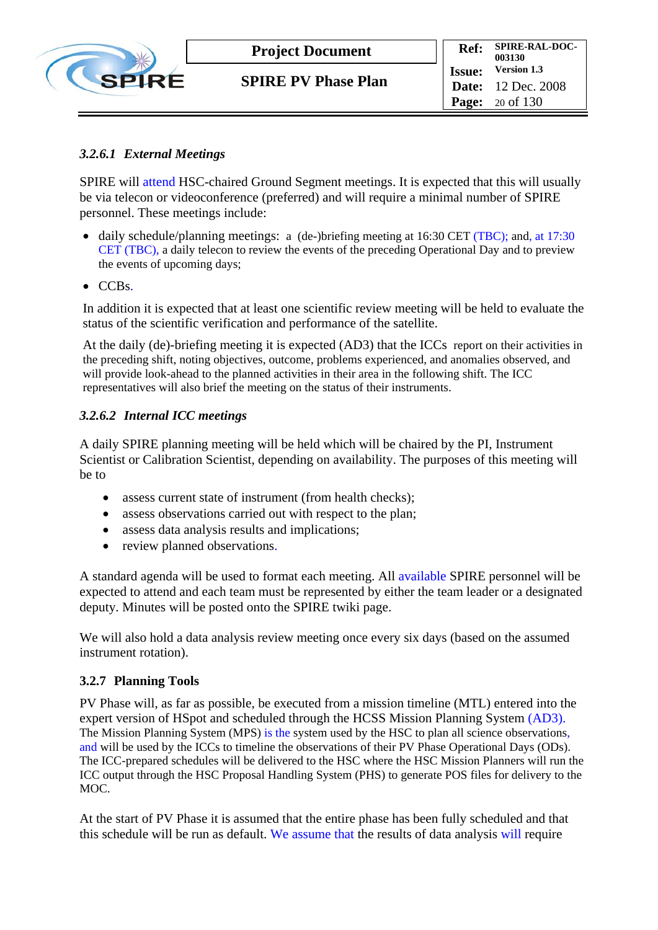

### *3.2.6.1 External Meetings*

SPIRE will attend HSC-chaired Ground Segment meetings. It is expected that this will usually be via telecon or videoconference (preferred) and will require a minimal number of SPIRE personnel. These meetings include:

- daily schedule/planning meetings: a (de-)briefing meeting at 16:30 CET (TBC); and, at 17:30 CET (TBC), a daily telecon to review the events of the preceding Operational Day and to preview the events of upcoming days;
- CCBs.

In addition it is expected that at least one scientific review meeting will be held to evaluate the status of the scientific verification and performance of the satellite.

At the daily (de)-briefing meeting it is expected (AD3) that the ICCs report on their activities in the preceding shift, noting objectives, outcome, problems experienced, and anomalies observed, and will provide look-ahead to the planned activities in their area in the following shift. The ICC representatives will also brief the meeting on the status of their instruments.

## *3.2.6.2 Internal ICC meetings*

A daily SPIRE planning meeting will be held which will be chaired by the PI, Instrument Scientist or Calibration Scientist, depending on availability. The purposes of this meeting will be to

- assess current state of instrument (from health checks);
- assess observations carried out with respect to the plan;
- assess data analysis results and implications;
- review planned observations.

A standard agenda will be used to format each meeting. All available SPIRE personnel will be expected to attend and each team must be represented by either the team leader or a designated deputy. Minutes will be posted onto the SPIRE twiki page.

We will also hold a data analysis review meeting once every six days (based on the assumed instrument rotation).

### **3.2.7 Planning Tools**

PV Phase will, as far as possible, be executed from a mission timeline (MTL) entered into the expert version of HSpot and scheduled through the HCSS Mission Planning System (AD3). The Mission Planning System (MPS) is the system used by the HSC to plan all science observations, and will be used by the ICCs to timeline the observations of their PV Phase Operational Days (ODs). The ICC-prepared schedules will be delivered to the HSC where the HSC Mission Planners will run the ICC output through the HSC Proposal Handling System (PHS) to generate POS files for delivery to the MOC.

At the start of PV Phase it is assumed that the entire phase has been fully scheduled and that this schedule will be run as default. We assume that the results of data analysis will require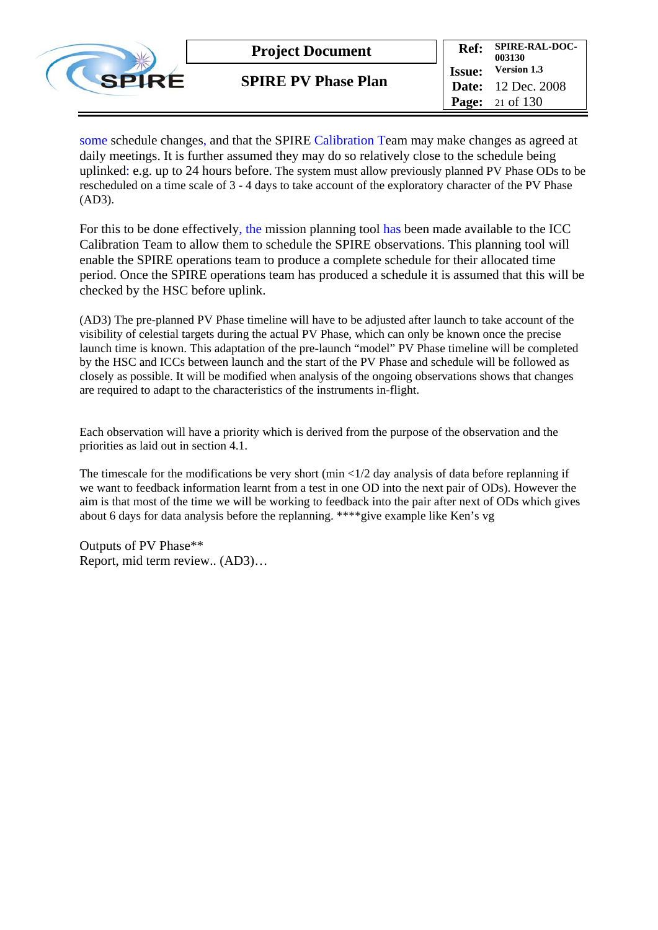

some schedule changes, and that the SPIRE Calibration Team may make changes as agreed at daily meetings. It is further assumed they may do so relatively close to the schedule being uplinked: e.g. up to 24 hours before. The system must allow previously planned PV Phase ODs to be rescheduled on a time scale of 3 - 4 days to take account of the exploratory character of the PV Phase (AD3).

For this to be done effectively, the mission planning tool has been made available to the ICC Calibration Team to allow them to schedule the SPIRE observations. This planning tool will enable the SPIRE operations team to produce a complete schedule for their allocated time period. Once the SPIRE operations team has produced a schedule it is assumed that this will be checked by the HSC before uplink.

(AD3) The pre-planned PV Phase timeline will have to be adjusted after launch to take account of the visibility of celestial targets during the actual PV Phase, which can only be known once the precise launch time is known. This adaptation of the pre-launch "model" PV Phase timeline will be completed by the HSC and ICCs between launch and the start of the PV Phase and schedule will be followed as closely as possible. It will be modified when analysis of the ongoing observations shows that changes are required to adapt to the characteristics of the instruments in-flight.

Each observation will have a priority which is derived from the purpose of the observation and the priorities as laid out in section 4.1.

The timescale for the modifications be very short (min  $\langle 1/2 \rangle$  day analysis of data before replanning if we want to feedback information learnt from a test in one OD into the next pair of ODs). However the aim is that most of the time we will be working to feedback into the pair after next of ODs which gives about 6 days for data analysis before the replanning. \*\*\*\*give example like Ken's vg

Outputs of PV Phase\*\* Report, mid term review.. (AD3)…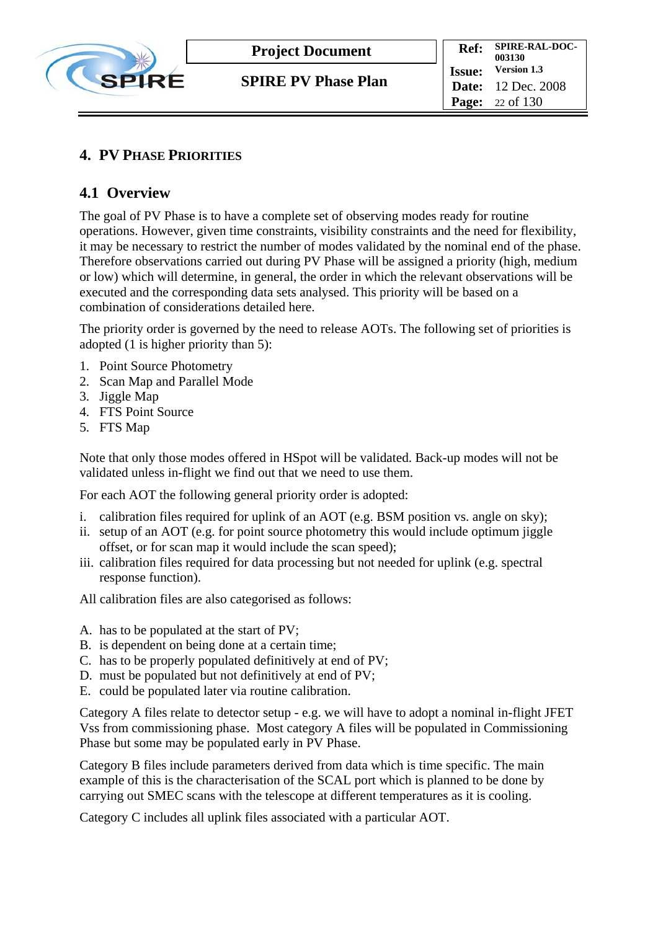

# **4. PV PHASE PRIORITIES**

# **4.1 Overview**

The goal of PV Phase is to have a complete set of observing modes ready for routine operations. However, given time constraints, visibility constraints and the need for flexibility, it may be necessary to restrict the number of modes validated by the nominal end of the phase. Therefore observations carried out during PV Phase will be assigned a priority (high, medium or low) which will determine, in general, the order in which the relevant observations will be executed and the corresponding data sets analysed. This priority will be based on a combination of considerations detailed here.

The priority order is governed by the need to release AOTs. The following set of priorities is adopted (1 is higher priority than 5):

- 1. Point Source Photometry
- 2. Scan Map and Parallel Mode
- 3. Jiggle Map
- 4. FTS Point Source
- 5. FTS Map

Note that only those modes offered in HSpot will be validated. Back-up modes will not be validated unless in-flight we find out that we need to use them.

For each AOT the following general priority order is adopted:

- i. calibration files required for uplink of an AOT (e.g. BSM position vs. angle on sky);
- ii. setup of an AOT (e.g. for point source photometry this would include optimum jiggle offset, or for scan map it would include the scan speed);
- iii. calibration files required for data processing but not needed for uplink (e.g. spectral response function).

All calibration files are also categorised as follows:

- A. has to be populated at the start of PV;
- B. is dependent on being done at a certain time;
- C. has to be properly populated definitively at end of PV;
- D. must be populated but not definitively at end of PV;
- E. could be populated later via routine calibration.

Category A files relate to detector setup - e.g. we will have to adopt a nominal in-flight JFET Vss from commissioning phase. Most category A files will be populated in Commissioning Phase but some may be populated early in PV Phase.

Category B files include parameters derived from data which is time specific. The main example of this is the characterisation of the SCAL port which is planned to be done by carrying out SMEC scans with the telescope at different temperatures as it is cooling.

Category C includes all uplink files associated with a particular AOT.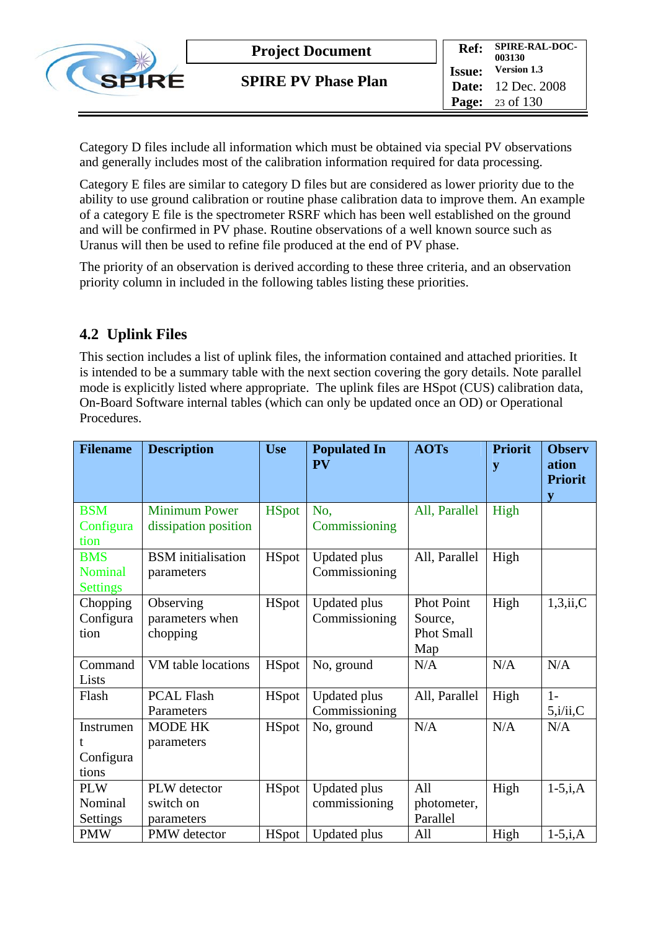

Category D files include all information which must be obtained via special PV observations and generally includes most of the calibration information required for data processing.

Category E files are similar to category D files but are considered as lower priority due to the ability to use ground calibration or routine phase calibration data to improve them. An example of a category E file is the spectrometer RSRF which has been well established on the ground and will be confirmed in PV phase. Routine observations of a well known source such as Uranus will then be used to refine file produced at the end of PV phase.

The priority of an observation is derived according to these three criteria, and an observation priority column in included in the following tables listing these priorities.

# **4.2 Uplink Files**

This section includes a list of uplink files, the information contained and attached priorities. It is intended to be a summary table with the next section covering the gory details. Note parallel mode is explicitly listed where appropriate. The uplink files are HSpot (CUS) calibration data, On-Board Software internal tables (which can only be updated once an OD) or Operational Procedures.

| <b>Filename</b>                                 | <b>Description</b>                           | <b>Use</b>    | <b>Populated In</b><br><b>PV</b>     | <b>AOTs</b>                                              | <b>Priorit</b><br>y | <b>Observ</b><br>ation<br><b>Priorit</b> |
|-------------------------------------------------|----------------------------------------------|---------------|--------------------------------------|----------------------------------------------------------|---------------------|------------------------------------------|
|                                                 |                                              |               |                                      |                                                          |                     | V                                        |
| <b>BSM</b><br>Configura<br>tion                 | <b>Minimum Power</b><br>dissipation position | <b>HSpot</b>  | No.<br>Commissioning                 | All, Parallel                                            | High                |                                          |
| <b>BMS</b><br><b>Nominal</b><br><b>Settings</b> | <b>BSM</b> initialisation<br>parameters      | <b>HSpot</b>  | <b>Updated plus</b><br>Commissioning | All, Parallel                                            | High                |                                          |
| Chopping<br>Configura<br>tion                   | Observing<br>parameters when<br>chopping     | <b>HSpot</b>  | <b>Updated plus</b><br>Commissioning | <b>Phot Point</b><br>Source,<br><b>Phot Small</b><br>Map | High                | 1,3,ii,C                                 |
| Command<br>Lists                                | VM table locations                           | <b>HSpot</b>  | No, ground                           | N/A                                                      | N/A                 | N/A                                      |
| Flash                                           | <b>PCAL Flash</b><br>Parameters              | <b>H</b> Spot | <b>Updated plus</b><br>Commissioning | All, Parallel                                            | High                | $1-$<br>5, i/ii, C                       |
| Instrumen<br>t.<br>Configura<br>tions           | <b>MODE HK</b><br>parameters                 | <b>HSpot</b>  | No, ground                           | N/A                                                      | N/A                 | N/A                                      |
| <b>PLW</b><br>Nominal<br>Settings               | PLW detector<br>switch on<br>parameters      | <b>HSpot</b>  | <b>Updated plus</b><br>commissioning | All<br>photometer,<br>Parallel                           | High                | $1-5,i,A$                                |
| <b>PMW</b>                                      | PMW detector                                 | <b>HSpot</b>  | Updated plus                         | All                                                      | High                | $1 - 5$ , i, A                           |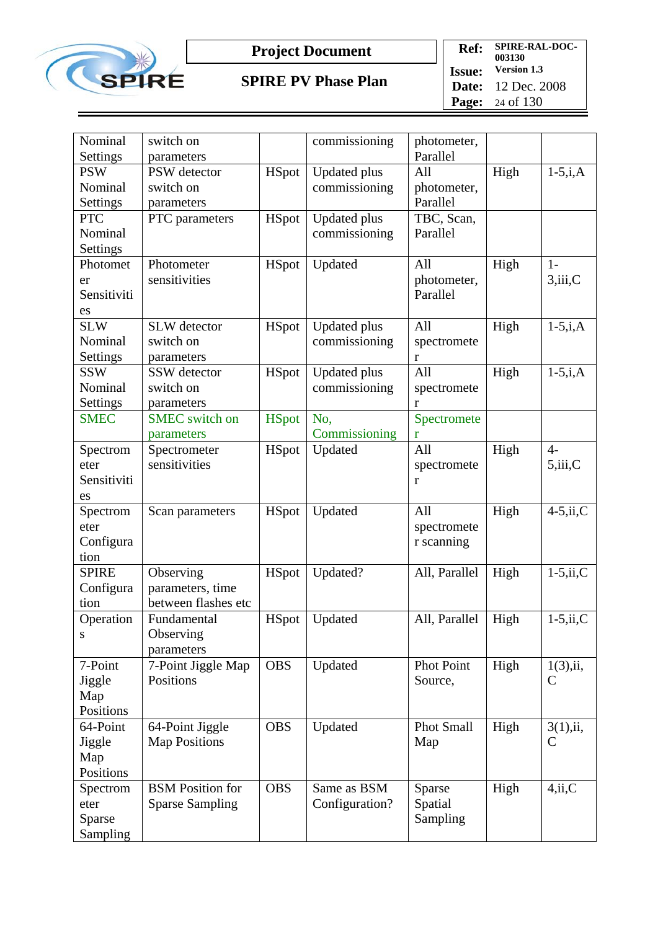

# **SPIRE PV Phase Plan**

**Ref: SPIRE-RAL-DOC-003130 Issue:** Version 1.3<br> **Date:** 12 Dec. 2 **Date:** 12 Dec. 2008<br>**Page:** 24 of 130 **Page:** 24 of 130

| Nominal                | switch on                  |              | commissioning       | photometer,       |      |               |
|------------------------|----------------------------|--------------|---------------------|-------------------|------|---------------|
| Settings               | parameters                 |              |                     | Parallel          |      |               |
| <b>PSW</b>             | PSW detector               | <b>HSpot</b> | <b>Updated plus</b> | All               | High | $1-5,i,A$     |
| Nominal                | switch on                  |              | commissioning       | photometer,       |      |               |
| Settings               | parameters                 |              |                     | Parallel          |      |               |
| <b>PTC</b>             | PTC parameters             | <b>HSpot</b> | <b>Updated plus</b> | TBC, Scan,        |      |               |
| Nominal                |                            |              | commissioning       | Parallel          |      |               |
| Settings               |                            |              |                     |                   |      |               |
| Photomet               | Photometer                 | <b>HSpot</b> | Updated             | All               | High | $1-$          |
| er                     | sensitivities              |              |                     | photometer,       |      | 3,iii,C       |
| Sensitiviti            |                            |              |                     | Parallel          |      |               |
| es<br><b>SLW</b>       |                            |              |                     |                   |      |               |
|                        | SLW detector               | <b>HSpot</b> | <b>Updated plus</b> | All               | High | $1-5,i,A$     |
| Nominal                | switch on                  |              | commissioning       | spectromete       |      |               |
| Settings<br><b>SSW</b> | parameters<br>SSW detector | <b>HSpot</b> | <b>Updated plus</b> | r<br>All          | High | $1-5,i,A$     |
| Nominal                | switch on                  |              | commissioning       | spectromete       |      |               |
| Settings               | parameters                 |              |                     | r                 |      |               |
| <b>SMEC</b>            | <b>SMEC</b> switch on      | <b>HSpot</b> | No,                 | Spectromete       |      |               |
|                        | parameters                 |              | Commissioning       | r                 |      |               |
| Spectrom               | Spectrometer               | <b>HSpot</b> | Updated             | All               | High | $4-$          |
| eter                   | sensitivities              |              |                     | spectromete       |      | $5$ ,iii, $C$ |
| Sensitiviti            |                            |              |                     | r                 |      |               |
| es                     |                            |              |                     |                   |      |               |
| Spectrom               | Scan parameters            | <b>HSpot</b> | Updated             | All               | High | $4-5$ ,ii,C   |
| eter                   |                            |              |                     | spectromete       |      |               |
| Configura              |                            |              |                     | r scanning        |      |               |
| tion                   |                            |              |                     |                   |      |               |
| <b>SPIRE</b>           | Observing                  | <b>HSpot</b> | Updated?            | All, Parallel     | High | $1-5$ ,ii,C   |
| Configura              | parameters, time           |              |                     |                   |      |               |
| tion                   | between flashes etc        |              |                     |                   |      |               |
| Operation              | Fundamental                | <b>HSpot</b> | Updated             | All, Parallel     | High | $1-5$ ,ii,C   |
| S                      | Observing                  |              |                     |                   |      |               |
|                        | parameters                 |              |                     |                   |      |               |
| 7-Point                |                            |              |                     |                   |      |               |
|                        | 7-Point Jiggle Map         | <b>OBS</b>   | Updated             | <b>Phot Point</b> | High | $1(3),$ ii,   |
| Jiggle                 | Positions                  |              |                     | Source,           |      | $\mathsf{C}$  |
| Map                    |                            |              |                     |                   |      |               |
| Positions              |                            |              |                     |                   |      |               |
| 64-Point               | 64-Point Jiggle            | <b>OBS</b>   | Updated             | <b>Phot Small</b> | High | $3(1),$ ii,   |
| <b>Jiggle</b>          | <b>Map Positions</b>       |              |                     | Map               |      | $\mathcal{C}$ |
| Map                    |                            |              |                     |                   |      |               |
| Positions              |                            |              |                     |                   |      |               |
| Spectrom               | <b>BSM</b> Position for    | <b>OBS</b>   | Same as BSM         | Sparse            | High | 4, ii, C      |
| eter                   | <b>Sparse Sampling</b>     |              | Configuration?      | Spatial           |      |               |
| Sparse<br>Sampling     |                            |              |                     | Sampling          |      |               |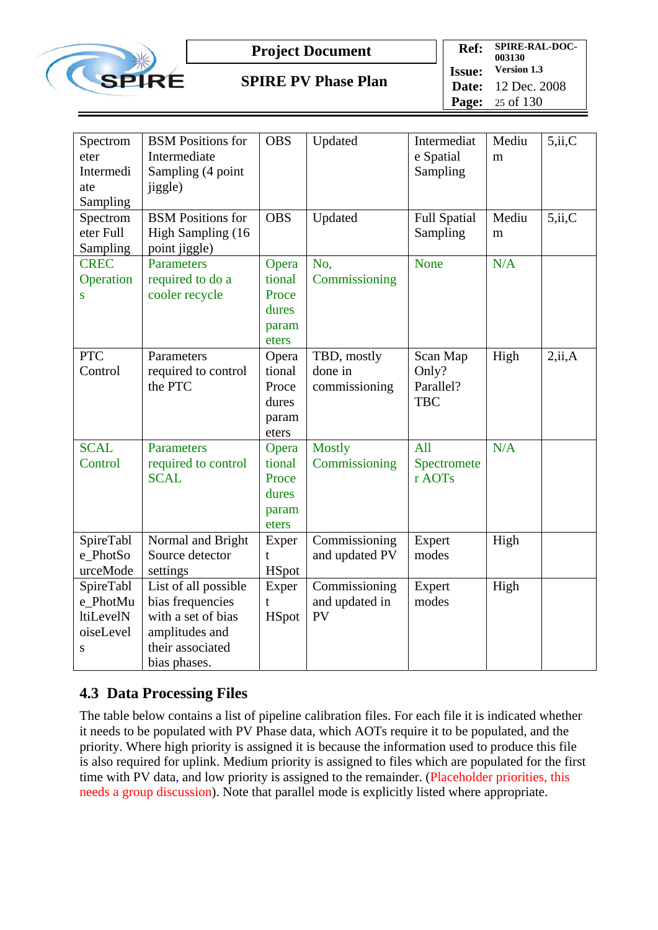

| Spectrom<br>eter<br>Intermedi<br>ate<br>Sampling     | <b>BSM</b> Positions for<br>Intermediate<br>Sampling (4 point<br>jiggle)                                             | <b>OBS</b>                                          | Updated                                 | Intermediat<br>e Spatial<br>Sampling         | Mediu<br>m | 5, ii, C |
|------------------------------------------------------|----------------------------------------------------------------------------------------------------------------------|-----------------------------------------------------|-----------------------------------------|----------------------------------------------|------------|----------|
| Spectrom<br>eter Full<br>Sampling                    | <b>BSM</b> Positions for<br>High Sampling (16)<br>point jiggle)                                                      | <b>OBS</b>                                          | Updated                                 | <b>Full Spatial</b><br>Sampling              | Mediu<br>m | 5, ii, C |
| <b>CREC</b><br>Operation<br>S                        | <b>Parameters</b><br>required to do a<br>cooler recycle                                                              | Opera<br>tional<br>Proce<br>dures<br>param<br>eters | No.<br>Commissioning                    | <b>None</b>                                  | N/A        |          |
| <b>PTC</b><br>Control                                | Parameters<br>required to control<br>the PTC                                                                         | Opera<br>tional<br>Proce<br>dures<br>param<br>eters | TBD, mostly<br>done in<br>commissioning | Scan Map<br>Only?<br>Parallel?<br><b>TBC</b> | High       | 2, ii, A |
| <b>SCAL</b><br>Control                               | <b>Parameters</b><br>required to control<br><b>SCAL</b>                                                              | Opera<br>tional<br>Proce<br>dures<br>param<br>eters | <b>Mostly</b><br>Commissioning          | All<br>Spectromete<br>r AOTs                 | N/A        |          |
| SpireTabl<br>e PhotSo<br>urceMode                    | Normal and Bright<br>Source detector<br>settings                                                                     | Exper<br>t<br><b>HSpot</b>                          | Commissioning<br>and updated PV         | Expert<br>modes                              | High       |          |
| SpireTabl<br>e_PhotMu<br>ltiLevelN<br>oiseLevel<br>S | List of all possible<br>bias frequencies<br>with a set of bias<br>amplitudes and<br>their associated<br>bias phases. | Exper<br>t<br><b>HSpot</b>                          | Commissioning<br>and updated in<br>PV   | Expert<br>modes                              | High       |          |

# **4.3 Data Processing Files**

The table below contains a list of pipeline calibration files. For each file it is indicated whether it needs to be populated with PV Phase data, which AOTs require it to be populated, and the priority. Where high priority is assigned it is because the information used to produce this file is also required for uplink. Medium priority is assigned to files which are populated for the first time with PV data, and low priority is assigned to the remainder. (Placeholder priorities, this needs a group discussion). Note that parallel mode is explicitly listed where appropriate.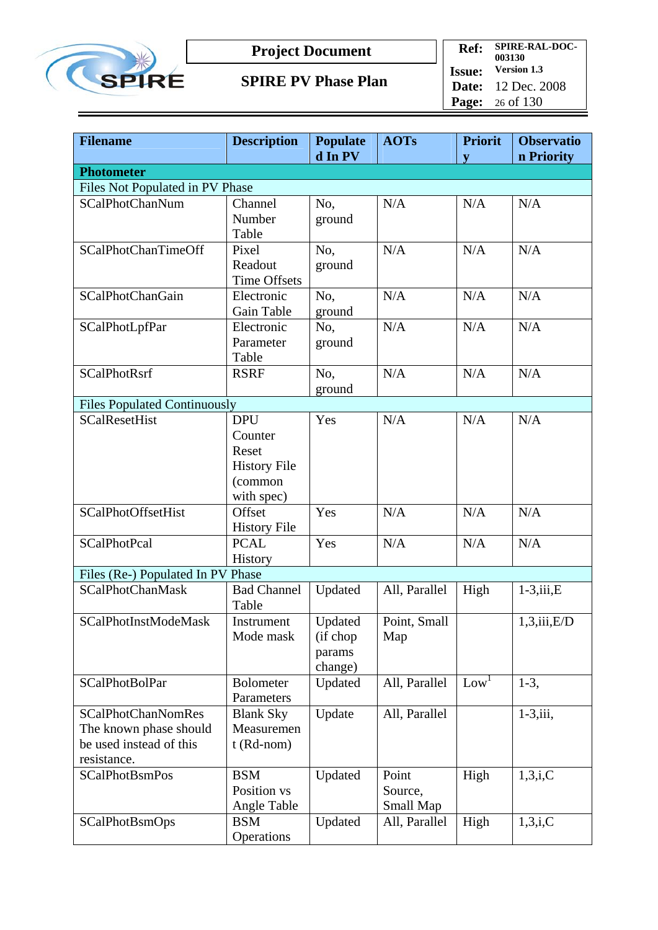

# **SPIRE PV Phase Plan**

**Ref: SPIRE-RAL-DOC-003130 Issue:** Version 1.3<br> **Date:** 12 Dec. 2 **Date:** 12 Dec. 2008<br>**Page:** 26 of 130 **Page:** 26 of 130

| <b>Filename</b>                     | <b>Description</b>  | <b>Populate</b><br>d In PV | <b>AOTs</b>   | <b>Priorit</b><br>${\bf y}$ | <b>Observatio</b><br>n Priority |
|-------------------------------------|---------------------|----------------------------|---------------|-----------------------------|---------------------------------|
| <b>Photometer</b>                   |                     |                            |               |                             |                                 |
| Files Not Populated in PV Phase     |                     |                            |               |                             |                                 |
| <b>SCalPhotChanNum</b>              | Channel             | No,                        | N/A           | N/A                         | N/A                             |
|                                     | Number              | ground                     |               |                             |                                 |
|                                     | Table               |                            |               |                             |                                 |
| <b>SCalPhotChanTimeOff</b>          | Pixel               | No,                        | N/A           | N/A                         | N/A                             |
|                                     | Readout             | ground                     |               |                             |                                 |
|                                     | <b>Time Offsets</b> |                            |               |                             |                                 |
| <b>SCalPhotChanGain</b>             | Electronic          | No,                        | N/A           | N/A                         | N/A                             |
|                                     | Gain Table          | ground                     |               |                             |                                 |
| SCalPhotLpfPar                      | Electronic          | No,                        | N/A           | N/A                         | N/A                             |
|                                     | Parameter           | ground                     |               |                             |                                 |
|                                     | Table               |                            |               |                             |                                 |
| <b>SCalPhotRsrf</b>                 | <b>RSRF</b>         | No,                        | N/A           | N/A                         | N/A                             |
|                                     |                     | ground                     |               |                             |                                 |
| <b>Files Populated Continuously</b> |                     |                            |               |                             |                                 |
| <b>SCalResetHist</b>                | <b>DPU</b>          | Yes                        | N/A           | N/A                         | N/A                             |
|                                     | Counter             |                            |               |                             |                                 |
|                                     | Reset               |                            |               |                             |                                 |
|                                     | <b>History File</b> |                            |               |                             |                                 |
|                                     | (common             |                            |               |                             |                                 |
|                                     | with spec)          |                            |               |                             |                                 |
| <b>SCalPhotOffsetHist</b>           | Offset              | Yes                        | N/A           | N/A                         | N/A                             |
|                                     | <b>History File</b> |                            |               |                             |                                 |
| <b>SCalPhotPcal</b>                 | <b>PCAL</b>         | Yes                        | N/A           | N/A                         | N/A                             |
|                                     | <b>History</b>      |                            |               |                             |                                 |
| Files (Re-) Populated In PV         | Phase               |                            |               |                             |                                 |
| <b>SCalPhotChanMask</b>             | <b>Bad Channel</b>  | Updated                    | All, Parallel | High                        | $1-3$ , iii, E                  |
|                                     | Table               |                            |               |                             |                                 |
| SCalPhotInstModeMask                | Instrument          | Updated                    | Point, Small  |                             | 1,3,iii,E/D                     |
|                                     | Mode mask           | (if chop                   | Map           |                             |                                 |
|                                     |                     | params<br>change)          |               |                             |                                 |
| <b>SCalPhotBolPar</b>               | <b>Bolometer</b>    | Updated                    | All, Parallel | Low <sup>1</sup>            | $1-3,$                          |
|                                     | Parameters          |                            |               |                             |                                 |
| <b>SCalPhotChanNomRes</b>           | <b>Blank Sky</b>    | Update                     | All, Parallel |                             | $1-3$ , iii,                    |
| The known phase should              | Measuremen          |                            |               |                             |                                 |
| be used instead of this             | $t$ (Rd-nom)        |                            |               |                             |                                 |
| resistance.                         |                     |                            |               |                             |                                 |
| <b>SCalPhotBsmPos</b>               | <b>BSM</b>          | Updated                    | Point         | High                        | 1,3,i,C                         |
|                                     | Position vs         |                            | Source,       |                             |                                 |
|                                     | Angle Table         |                            | Small Map     |                             |                                 |
| <b>SCalPhotBsmOps</b>               | <b>BSM</b>          | Updated                    | All, Parallel | High                        | 1,3,i,C                         |
|                                     | Operations          |                            |               |                             |                                 |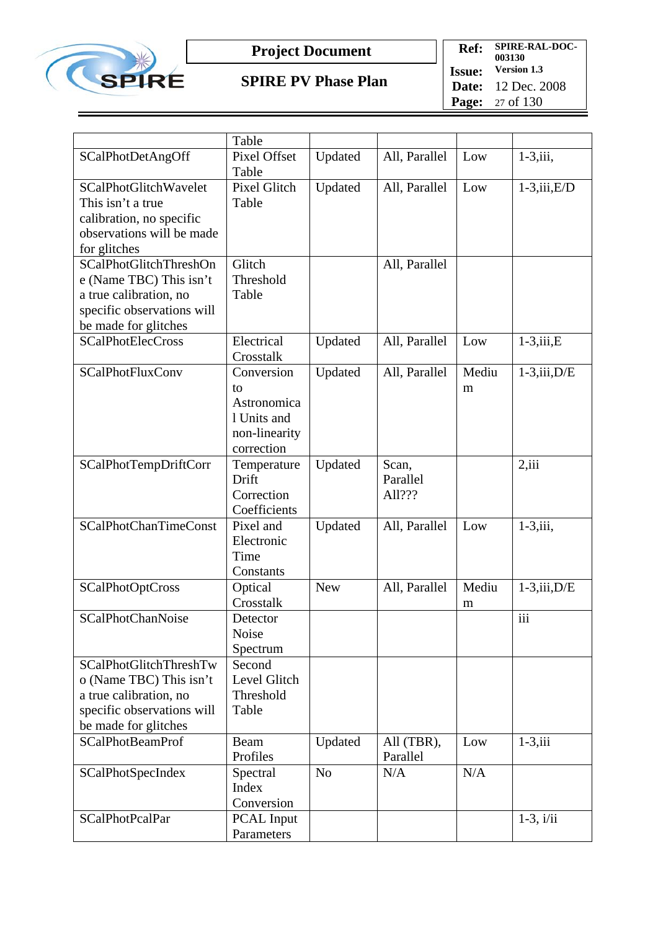

**Ref: SPIRE-RAL-DOC-003130 Issue:** Version 1.3<br> **Date:** 12 Dec. 2 **Date:** 12 Dec. 2008<br>**Page:** 27 of 130 **Page:** 27 of 130

|                                                                                                                                   | Table                                                                         |                |                             |            |                    |
|-----------------------------------------------------------------------------------------------------------------------------------|-------------------------------------------------------------------------------|----------------|-----------------------------|------------|--------------------|
| SCalPhotDetAngOff                                                                                                                 | Pixel Offset<br>Table                                                         | Updated        | All, Parallel               | Low        | $1-3$ , iii,       |
| SCalPhotGlitchWavelet<br>This isn't a true<br>calibration, no specific<br>observations will be made<br>for glitches               | Pixel Glitch<br>Table                                                         | Updated        | All, Parallel               | Low        | $1-3$ , iii, $E/D$ |
| SCalPhotGlitchThreshOn<br>e (Name TBC) This isn't<br>a true calibration, no<br>specific observations will<br>be made for glitches | Glitch<br>Threshold<br>Table                                                  |                | All, Parallel               |            |                    |
| <b>SCalPhotElecCross</b>                                                                                                          | Electrical<br>Crosstalk                                                       | Updated        | All, Parallel               | Low        | $1-3$ , iii, E     |
| <b>SCalPhotFluxConv</b>                                                                                                           | Conversion<br>to<br>Astronomica<br>1 Units and<br>non-linearity<br>correction | Updated        | All, Parallel               | Mediu<br>m | $1-3$ , iii, $D/E$ |
| SCalPhotTempDriftCorr                                                                                                             | Temperature<br>Drift<br>Correction<br>Coefficients                            | Updated        | Scan,<br>Parallel<br>All??? |            | 2,iii              |
| <b>SCalPhotChanTimeConst</b>                                                                                                      | Pixel and<br>Electronic<br>Time<br>Constants                                  | Updated        | All, Parallel               | Low        | $1-3$ , iii,       |
| <b>SCalPhotOptCross</b>                                                                                                           | Optical<br>Crosstalk                                                          | <b>New</b>     | All, Parallel               | Mediu<br>m | $1-3$ , iii, $D/E$ |
| <b>SCalPhotChanNoise</b>                                                                                                          | Detector<br>Noise<br>Spectrum                                                 |                |                             |            | $\overline{iii}$   |
| SCalPhotGlitchThreshTw<br>o (Name TBC) This isn't<br>a true calibration, no<br>specific observations will<br>be made for glitches | Second<br>Level Glitch<br>Threshold<br>Table                                  |                |                             |            |                    |
| <b>SCalPhotBeamProf</b>                                                                                                           | Beam<br>Profiles                                                              | Updated        | All (TBR),<br>Parallel      | Low        | $1-3$ , iii        |
| SCalPhotSpecIndex                                                                                                                 | Spectral<br>Index<br>Conversion                                               | N <sub>o</sub> | N/A                         | N/A        |                    |
| <b>SCalPhotPcalPar</b>                                                                                                            | <b>PCAL</b> Input<br>Parameters                                               |                |                             |            | $1-3$ , $i/ii$     |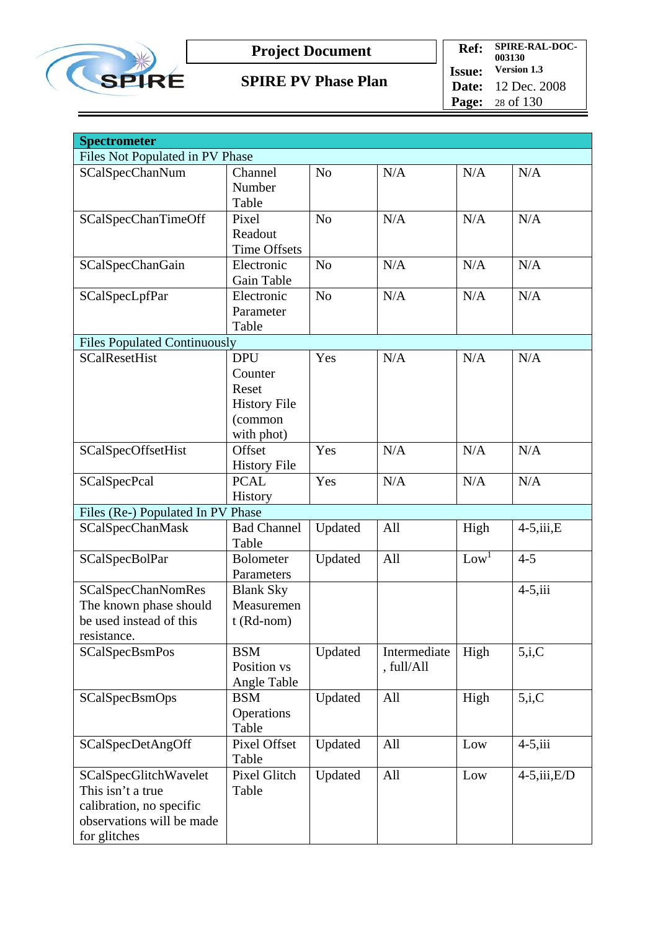

# **SPIRE PV Phase Plan**

**Ref: SPIRE-RAL-DOC-003130 Issue:** Version 1.3<br> **Date:** 12 Dec. 2 **Date:** 12 Dec. 2008<br>**Page:** 28 of 130 **Page:** 28 of 130

| <b>Spectrometer</b>                 |                     |                |              |                  |                    |
|-------------------------------------|---------------------|----------------|--------------|------------------|--------------------|
| Files Not Populated in PV Phase     |                     |                |              |                  |                    |
| SCalSpecChanNum                     | Channel             | N <sub>o</sub> | N/A          | N/A              | N/A                |
|                                     | Number              |                |              |                  |                    |
|                                     | Table               |                |              |                  |                    |
| SCalSpecChanTimeOff                 | Pixel               | N <sub>o</sub> | N/A          | N/A              | N/A                |
|                                     | Readout             |                |              |                  |                    |
|                                     | Time Offsets        |                |              |                  |                    |
| SCalSpecChanGain                    | Electronic          | N <sub>o</sub> | N/A          | N/A              | N/A                |
|                                     | Gain Table          |                |              |                  |                    |
| SCalSpecLpfPar                      | Electronic          | N <sub>o</sub> | N/A          | N/A              | N/A                |
|                                     | Parameter           |                |              |                  |                    |
|                                     | Table               |                |              |                  |                    |
| <b>Files Populated Continuously</b> |                     |                |              |                  |                    |
| <b>SCalResetHist</b>                | <b>DPU</b>          | Yes            | N/A          | N/A              | N/A                |
|                                     | Counter             |                |              |                  |                    |
|                                     | Reset               |                |              |                  |                    |
|                                     | <b>History File</b> |                |              |                  |                    |
|                                     | (common             |                |              |                  |                    |
|                                     | with phot)          |                |              |                  |                    |
| SCalSpecOffsetHist                  | Offset              | Yes            | N/A          | N/A              | N/A                |
|                                     | <b>History File</b> |                |              |                  |                    |
| <b>SCalSpecPcal</b>                 | <b>PCAL</b>         | Yes            | N/A          | N/A              | N/A                |
|                                     | History             |                |              |                  |                    |
| Files (Re-) Populated In PV         | Phase               |                |              |                  |                    |
| <b>SCalSpecChanMask</b>             | <b>Bad Channel</b>  | Updated        | All          | High             | $4-5$ , iii, E     |
|                                     | Table               |                |              |                  |                    |
| <b>SCalSpecBolPar</b>               | <b>Bolometer</b>    | Updated        | All          | Low <sup>1</sup> | $4 - 5$            |
|                                     | Parameters          |                |              |                  |                    |
| <b>SCalSpecChanNomRes</b>           | <b>Blank Sky</b>    |                |              |                  | $4-5$ , iii        |
| The known phase should              | Measuremen          |                |              |                  |                    |
| be used instead of this             | $t(Rd-nom)$         |                |              |                  |                    |
| resistance.                         |                     |                |              |                  |                    |
| <b>SCalSpecBsmPos</b>               | <b>BSM</b>          | Updated        | Intermediate | High             | 5,i,C              |
|                                     | Position vs         |                | , full/All   |                  |                    |
|                                     | Angle Table         |                |              |                  |                    |
| <b>SCalSpecBsmOps</b>               | <b>BSM</b>          | Updated        | All          | High             | 5,i,C              |
|                                     | Operations          |                |              |                  |                    |
|                                     | Table               |                |              |                  |                    |
| <b>SCalSpecDetAngOff</b>            | Pixel Offset        | Updated        | All          | Low              | $4-5$ , iii        |
|                                     | Table               |                |              |                  |                    |
| SCalSpecGlitchWavelet               | Pixel Glitch        | Updated        | All          | Low              | $4-5$ , iii, $E/D$ |
| This isn't a true                   | Table               |                |              |                  |                    |
| calibration, no specific            |                     |                |              |                  |                    |
| observations will be made           |                     |                |              |                  |                    |
| for glitches                        |                     |                |              |                  |                    |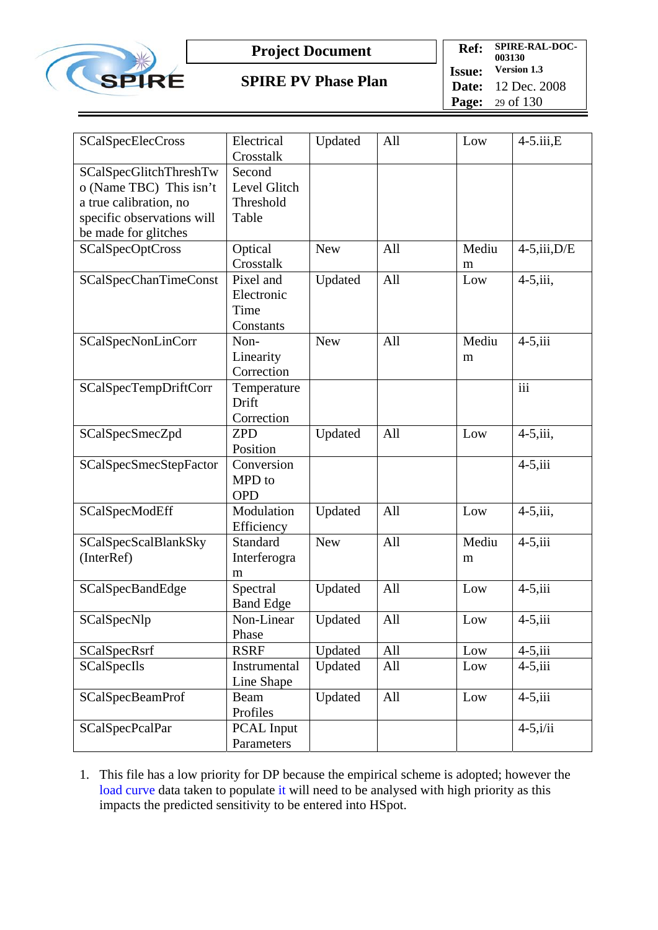

**Ref: SPIRE-RAL-DOC-003130 Issue: Version 1.3 Date:** 12 Dec. 2008 **Page:** 29 of 130

| <b>SCalSpecElecCross</b>                                                                                                          | Electrical<br>Crosstalk                      | Updated    | All | Low        | $4-5$ .iii, $E$    |
|-----------------------------------------------------------------------------------------------------------------------------------|----------------------------------------------|------------|-----|------------|--------------------|
| SCalSpecGlitchThreshTw<br>o (Name TBC) This isn't<br>a true calibration, no<br>specific observations will<br>be made for glitches | Second<br>Level Glitch<br>Threshold<br>Table |            |     |            |                    |
| <b>SCalSpecOptCross</b>                                                                                                           | Optical<br>Crosstalk                         | <b>New</b> | All | Mediu<br>m | $4-5$ , iii, $D/E$ |
| <b>SCalSpecChanTimeConst</b>                                                                                                      | Pixel and<br>Electronic<br>Time<br>Constants | Updated    | All | Low        | $4-5$ , iii,       |
| SCalSpecNonLinCorr                                                                                                                | Non-<br>Linearity<br>Correction              | <b>New</b> | All | Mediu<br>m | $4-5$ , iii        |
| SCalSpecTempDriftCorr                                                                                                             | Temperature<br>Drift<br>Correction           |            |     |            | iii                |
| SCalSpecSmecZpd                                                                                                                   | <b>ZPD</b><br>Position                       | Updated    | All | Low        | $4-5$ , iii,       |
| SCalSpecSmecStepFactor                                                                                                            | Conversion<br>MPD to<br><b>OPD</b>           |            |     |            | $4-5$ , iii        |
| SCalSpecModEff                                                                                                                    | Modulation<br>Efficiency                     | Updated    | All | Low        | $4-5$ , iii,       |
| SCalSpecScalBlankSky<br>(InterRef)                                                                                                | Standard<br>Interferogra<br>m                | <b>New</b> | All | Mediu<br>m | $4-5$ , iii        |
| SCalSpecBandEdge                                                                                                                  | Spectral<br><b>Band Edge</b>                 | Updated    | All | Low        | $4-5$ , iii        |
| SCalSpecNlp                                                                                                                       | Non-Linear<br>Phase                          | Updated    | All | Low        | $4-5$ , iii        |
| <b>SCalSpecRsrf</b>                                                                                                               | <b>RSRF</b>                                  | Updated    | All | Low        | $4-5$ , iii        |
| SCalSpecIls                                                                                                                       | Instrumental<br>Line Shape                   | Updated    | All | Low        | $4-5$ , iii        |
| <b>SCalSpecBeamProf</b>                                                                                                           | Beam<br>Profiles                             | Updated    | All | Low        | $4-5$ , iii        |
| <b>SCalSpecPcalPar</b>                                                                                                            | PCAL Input<br>Parameters                     |            |     |            | $4-5$ , $i/ii$     |

1. This file has a low priority for DP because the empirical scheme is adopted; however the load curve data taken to populate it will need to be analysed with high priority as this impacts the predicted sensitivity to be entered into HSpot.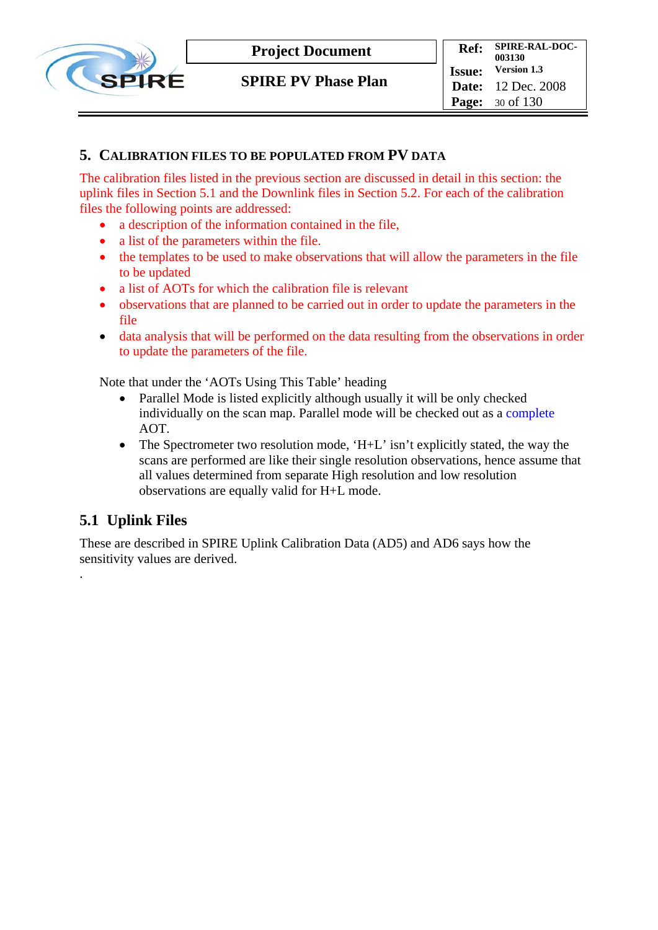

# **5. CALIBRATION FILES TO BE POPULATED FROM PV DATA**

The calibration files listed in the previous section are discussed in detail in this section: the uplink files in Section 5.1 and the Downlink files in Section 5.2. For each of the calibration files the following points are addressed:

- a description of the information contained in the file,
- a list of the parameters within the file.
- the templates to be used to make observations that will allow the parameters in the file to be updated
- a list of AOTs for which the calibration file is relevant
- observations that are planned to be carried out in order to update the parameters in the file
- data analysis that will be performed on the data resulting from the observations in order to update the parameters of the file.

Note that under the 'AOTs Using This Table' heading

- Parallel Mode is listed explicitly although usually it will be only checked individually on the scan map. Parallel mode will be checked out as a complete AOT.
- The Spectrometer two resolution mode, 'H+L' isn't explicitly stated, the way the scans are performed are like their single resolution observations, hence assume that all values determined from separate High resolution and low resolution observations are equally valid for H+L mode.

# **5.1 Uplink Files**

.

These are described in SPIRE Uplink Calibration Data (AD5) and AD6 says how the sensitivity values are derived.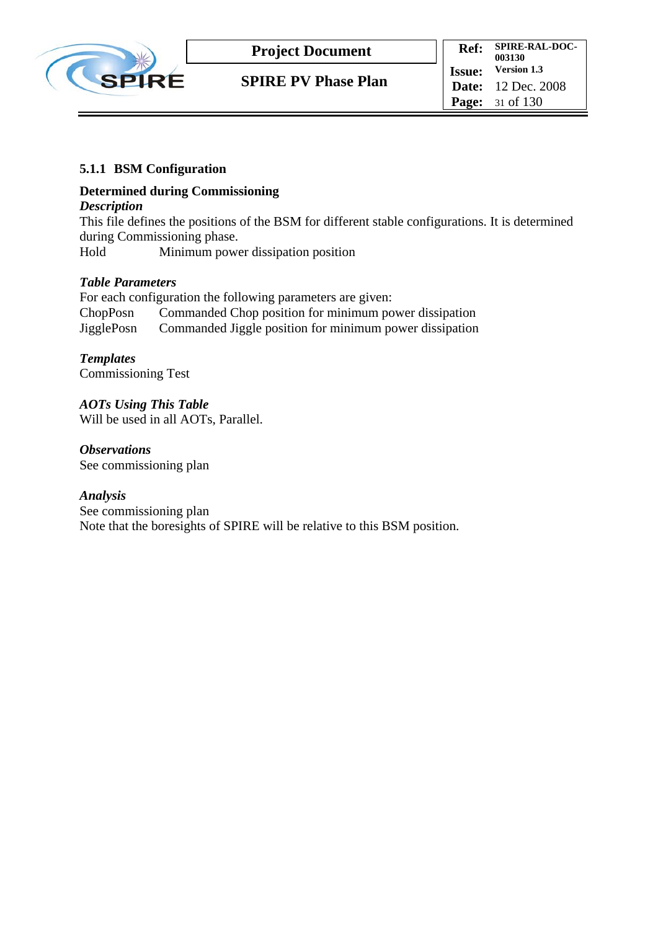

### **5.1.1 BSM Configuration**

#### **Determined during Commissioning**  *Description*

This file defines the positions of the BSM for different stable configurations. It is determined during Commissioning phase.

Hold Minimum power dissipation position

### *Table Parameters*

For each configuration the following parameters are given: ChopPosn Commanded Chop position for minimum power dissipation JigglePosn Commanded Jiggle position for minimum power dissipation

*Templates*  Commissioning Test

*AOTs Using This Table*  Will be used in all AOTs, Parallel.

*Observations*  See commissioning plan

*Analysis* See commissioning plan Note that the boresights of SPIRE will be relative to this BSM position.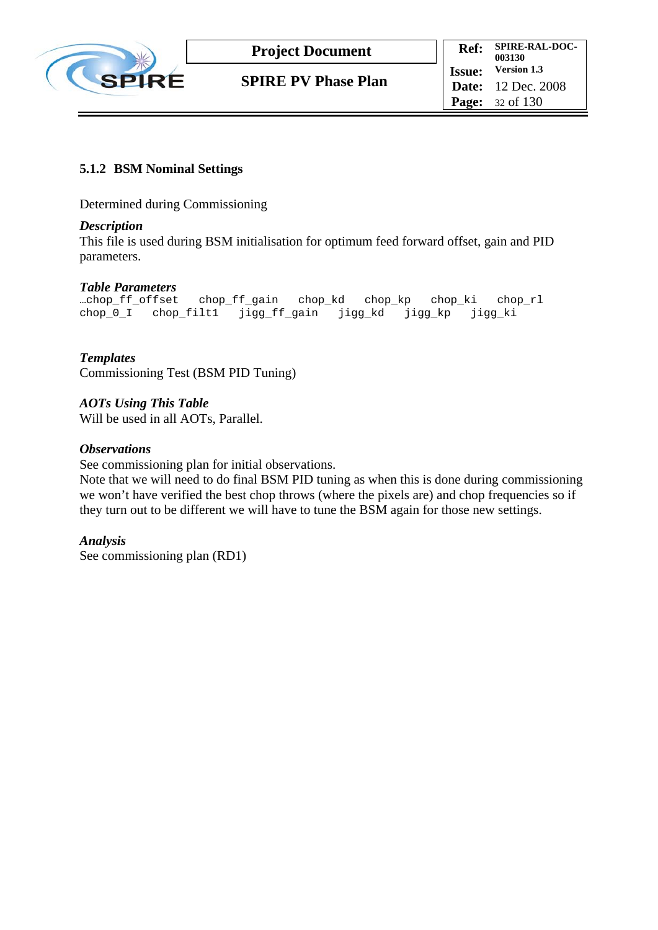

#### **5.1.2 BSM Nominal Settings**

Determined during Commissioning

#### *Description*

This file is used during BSM initialisation for optimum feed forward offset, gain and PID parameters.

#### *Table Parameters*

…chop\_ff\_offset chop\_ff\_gain chop\_kd chop\_kp chop\_ki chop\_rl chop\_0\_I chop\_filt1 jigg\_ff\_gain jigg\_kd jigg\_kp jigg\_ki

#### *Templates*

Commissioning Test (BSM PID Tuning)

*AOTs Using This Table*  Will be used in all AOTs, Parallel.

#### *Observations*

See commissioning plan for initial observations.

Note that we will need to do final BSM PID tuning as when this is done during commissioning we won't have verified the best chop throws (where the pixels are) and chop frequencies so if they turn out to be different we will have to tune the BSM again for those new settings.

#### *Analysis*

See commissioning plan (RD1)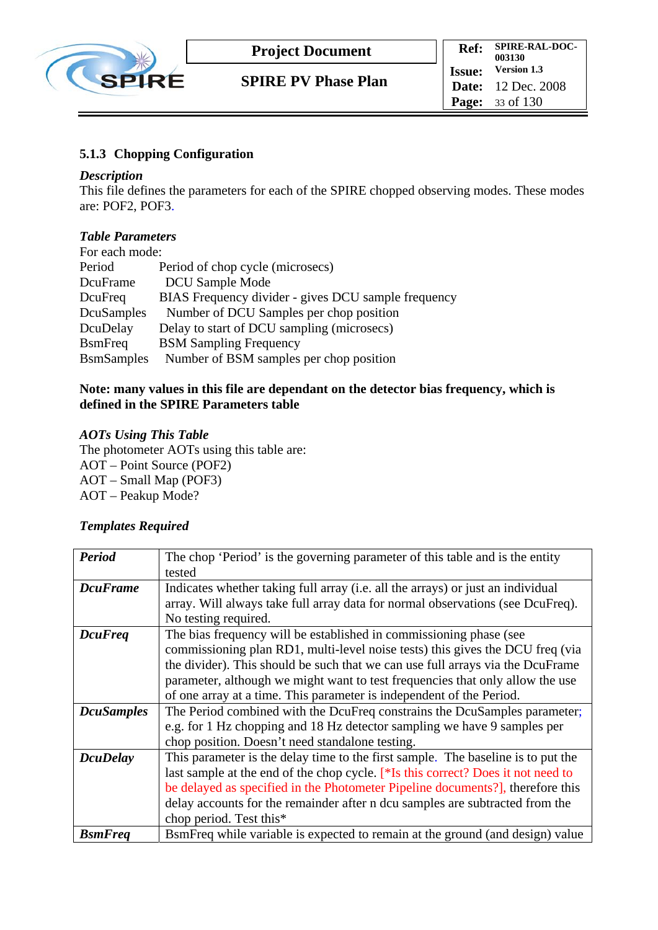

# **5.1.3 Chopping Configuration**

#### *Description*

This file defines the parameters for each of the SPIRE chopped observing modes. These modes are: POF2, POF3.

#### *Table Parameters*

| For each mode:     |                                                     |  |  |
|--------------------|-----------------------------------------------------|--|--|
| Period             | Period of chop cycle (microsecs)                    |  |  |
| DcuFrame           | <b>DCU</b> Sample Mode                              |  |  |
| DcuFreq            | BIAS Frequency divider - gives DCU sample frequency |  |  |
| DcuSamples         | Number of DCU Samples per chop position             |  |  |
| DcuDelay           | Delay to start of DCU sampling (microsecs)          |  |  |
| <b>B</b> smFreq    | <b>BSM Sampling Frequency</b>                       |  |  |
| <b>B</b> smSamples | Number of BSM samples per chop position             |  |  |

#### **Note: many values in this file are dependant on the detector bias frequency, which is defined in the SPIRE Parameters table**

#### *AOTs Using This Table*

The photometer AOTs using this table are: AOT – Point Source (POF2) AOT – Small Map (POF3) AOT – Peakup Mode?

#### *Templates Required*

| <b>Period</b>     | The chop 'Period' is the governing parameter of this table and is the entity     |
|-------------------|----------------------------------------------------------------------------------|
|                   | tested                                                                           |
| <b>DcuFrame</b>   | Indicates whether taking full array (i.e. all the arrays) or just an individual  |
|                   | array. Will always take full array data for normal observations (see DcuFreq).   |
|                   | No testing required.                                                             |
| <b>DcuFreq</b>    | The bias frequency will be established in commissioning phase (see               |
|                   | commissioning plan RD1, multi-level noise tests) this gives the DCU freq (via    |
|                   | the divider). This should be such that we can use full arrays via the DcuFrame   |
|                   | parameter, although we might want to test frequencies that only allow the use    |
|                   | of one array at a time. This parameter is independent of the Period.             |
| <b>DcuSamples</b> | The Period combined with the DcuFreq constrains the DcuSamples parameter;        |
|                   | e.g. for 1 Hz chopping and 18 Hz detector sampling we have 9 samples per         |
|                   | chop position. Doesn't need standalone testing.                                  |
| <b>DcuDelay</b>   | This parameter is the delay time to the first sample. The baseline is to put the |
|                   | last sample at the end of the chop cycle. [*Is this correct? Does it not need to |
|                   | be delayed as specified in the Photometer Pipeline documents?], therefore this   |
|                   | delay accounts for the remainder after n dcu samples are subtracted from the     |
|                   | chop period. Test this*                                                          |
| <b>BsmFreq</b>    | BsmFreq while variable is expected to remain at the ground (and design) value    |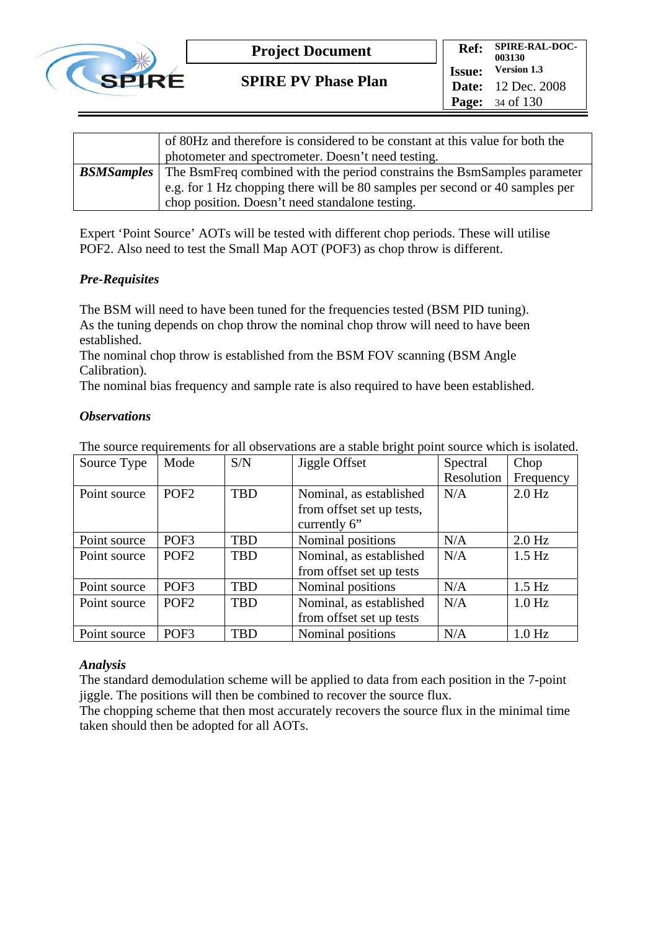

|                   | of 80Hz and therefore is considered to be constant at this value for both the |
|-------------------|-------------------------------------------------------------------------------|
|                   | photometer and spectrometer. Doesn't need testing.                            |
| <b>BSMSamples</b> | The BsmFreq combined with the period constrains the BsmSamples parameter      |
|                   | e.g. for 1 Hz chopping there will be 80 samples per second or 40 samples per  |
|                   | chop position. Doesn't need standalone testing.                               |

Expert 'Point Source' AOTs will be tested with different chop periods. These will utilise POF2. Also need to test the Small Map AOT (POF3) as chop throw is different.

### *Pre-Requisites*

The BSM will need to have been tuned for the frequencies tested (BSM PID tuning). As the tuning depends on chop throw the nominal chop throw will need to have been established.

The nominal chop throw is established from the BSM FOV scanning (BSM Angle Calibration).

The nominal bias frequency and sample rate is also required to have been established.

#### *Observations*

| The source requirements for an observations are a static ongin point source which is notated. |                  |            |                           |            |                   |
|-----------------------------------------------------------------------------------------------|------------------|------------|---------------------------|------------|-------------------|
| Source Type                                                                                   | Mode             | S/N        | Jiggle Offset             | Spectral   | Chop              |
|                                                                                               |                  |            |                           | Resolution | Frequency         |
| Point source                                                                                  | POF <sub>2</sub> | <b>TBD</b> | Nominal, as established   | N/A        | $2.0$ Hz          |
|                                                                                               |                  |            | from offset set up tests, |            |                   |
|                                                                                               |                  |            | currently 6"              |            |                   |
| Point source                                                                                  | POF3             | <b>TBD</b> | Nominal positions         | N/A        | $2.0$ Hz          |
| Point source                                                                                  | POF <sub>2</sub> | <b>TBD</b> | Nominal, as established   | N/A        | $1.5 \text{ Hz}$  |
|                                                                                               |                  |            | from offset set up tests  |            |                   |
| Point source                                                                                  | POF3             | <b>TBD</b> | Nominal positions         | N/A        | $1.5 \text{ Hz}$  |
| Point source                                                                                  | POF <sub>2</sub> | <b>TBD</b> | Nominal, as established   | N/A        | 1.0 Hz            |
|                                                                                               |                  |            | from offset set up tests  |            |                   |
| Point source                                                                                  | POF3             | <b>TBD</b> | Nominal positions         | N/A        | 1.0 <sub>Hz</sub> |

The source requirements for all observations are a stable bright point source which is isolated.

### *Analysis*

The standard demodulation scheme will be applied to data from each position in the 7-point jiggle. The positions will then be combined to recover the source flux.

The chopping scheme that then most accurately recovers the source flux in the minimal time taken should then be adopted for all AOTs.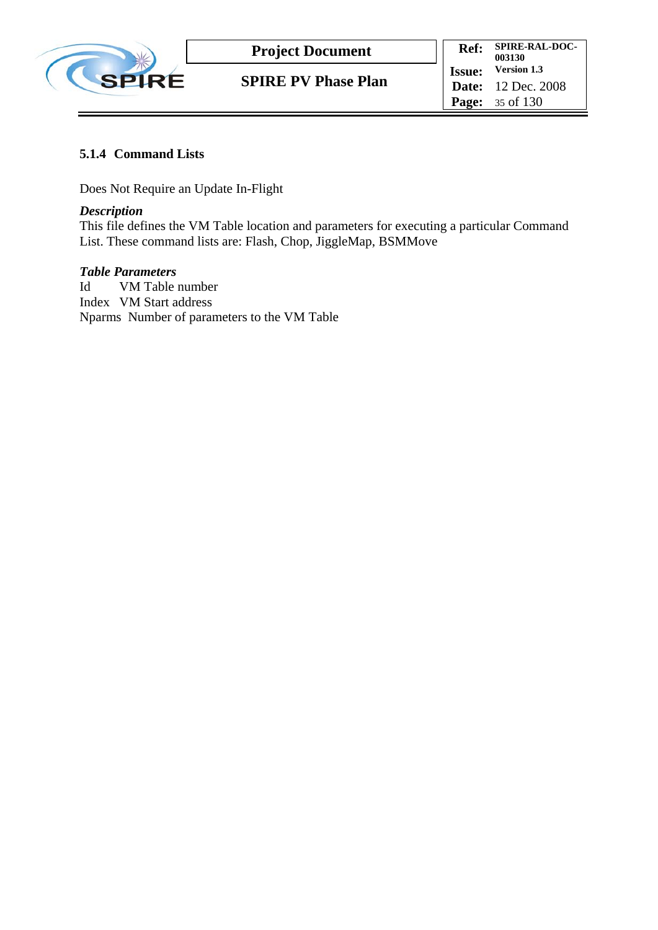

## **5.1.4 Command Lists**

Does Not Require an Update In-Flight

#### *Description*

This file defines the VM Table location and parameters for executing a particular Command List. These command lists are: Flash, Chop, JiggleMap, BSMMove

#### *Table Parameters*

Id VM Table number Index VM Start address Nparms Number of parameters to the VM Table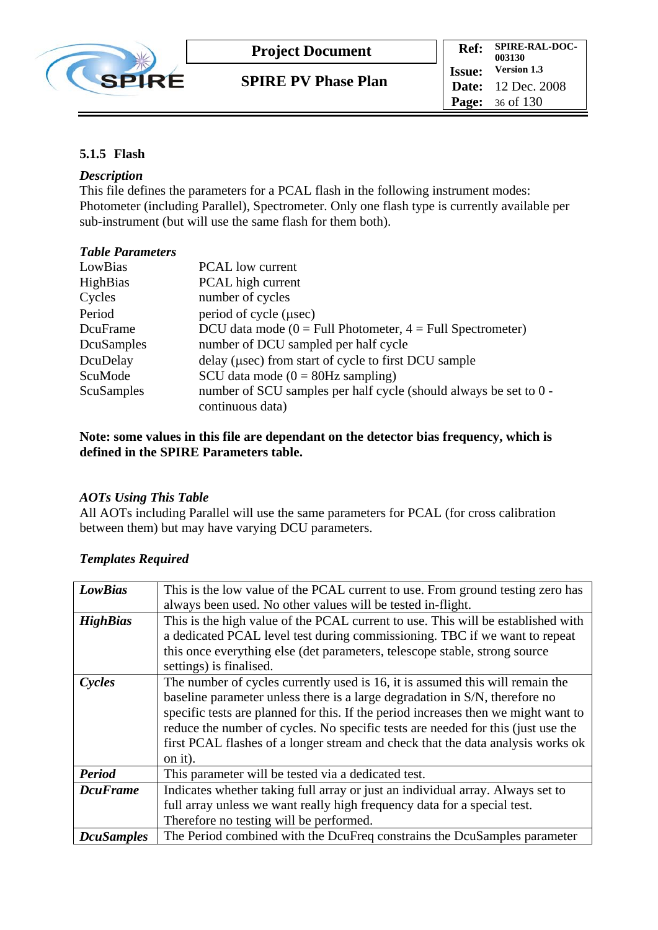

### **5.1.5 Flash**

#### *Description*

This file defines the parameters for a PCAL flash in the following instrument modes: Photometer (including Parallel), Spectrometer. Only one flash type is currently available per sub-instrument (but will use the same flash for them both).

#### *Table Parameters*

| LowBias    | <b>PCAL</b> low current                                           |
|------------|-------------------------------------------------------------------|
| HighBias   | PCAL high current                                                 |
| Cycles     | number of cycles                                                  |
| Period     | period of cycle (usec)                                            |
| DcuFrame   | DCU data mode ( $0 = Full Photometer, 4 = Full Spectrometer)$ )   |
| DcuSamples | number of DCU sampled per half cycle                              |
| DcuDelay   | delay (usec) from start of cycle to first DCU sample              |
| ScuMode    | SCU data mode $(0 = 80Hz$ sampling)                               |
| ScuSamples | number of SCU samples per half cycle (should always be set to 0 - |
|            | continuous data)                                                  |

#### **Note: some values in this file are dependant on the detector bias frequency, which is defined in the SPIRE Parameters table.**

### *AOTs Using This Table*

All AOTs including Parallel will use the same parameters for PCAL (for cross calibration between them) but may have varying DCU parameters.

| <b>LowBias</b>    | This is the low value of the PCAL current to use. From ground testing zero has     |
|-------------------|------------------------------------------------------------------------------------|
|                   | always been used. No other values will be tested in-flight.                        |
| <b>HighBias</b>   | This is the high value of the PCAL current to use. This will be established with   |
|                   | a dedicated PCAL level test during commissioning. TBC if we want to repeat         |
|                   | this once everything else (det parameters, telescope stable, strong source         |
|                   | settings) is finalised.                                                            |
| Cycles            | The number of cycles currently used is 16, it is assumed this will remain the      |
|                   | baseline parameter unless there is a large degradation in S/N, therefore no        |
|                   | specific tests are planned for this. If the period increases then we might want to |
|                   | reduce the number of cycles. No specific tests are needed for this (just use the   |
|                   | first PCAL flashes of a longer stream and check that the data analysis works ok    |
|                   | on it).                                                                            |
| <b>Period</b>     | This parameter will be tested via a dedicated test.                                |
| <b>DcuFrame</b>   | Indicates whether taking full array or just an individual array. Always set to     |
|                   | full array unless we want really high frequency data for a special test.           |
|                   | Therefore no testing will be performed.                                            |
| <b>DcuSamples</b> | The Period combined with the DcuFreq constrains the DcuSamples parameter           |

### *Templates Required*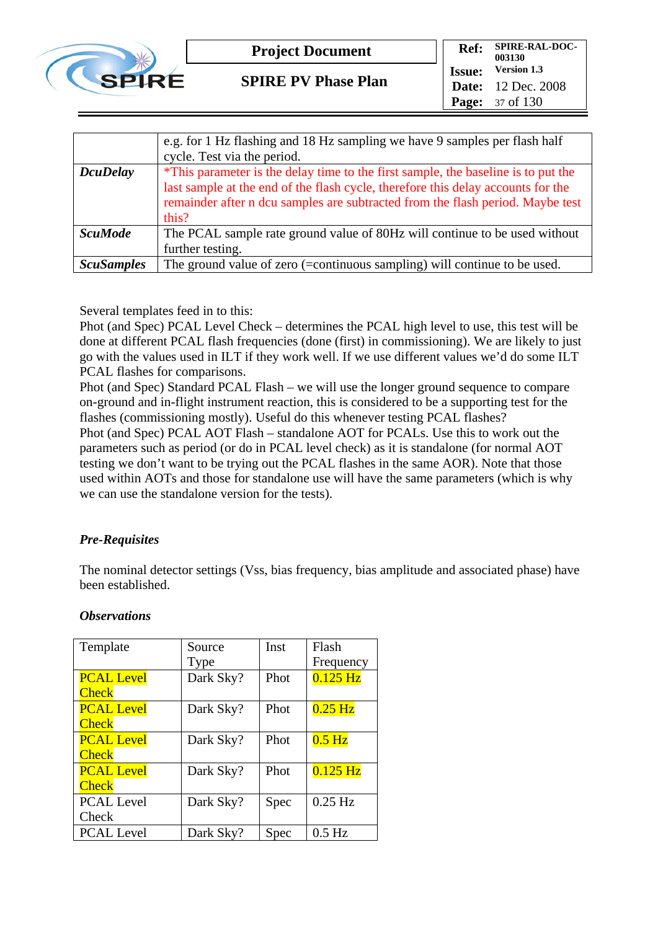

|                   | e.g. for 1 Hz flashing and 18 Hz sampling we have 9 samples per flash half        |
|-------------------|-----------------------------------------------------------------------------------|
|                   | cycle. Test via the period.                                                       |
| <b>DcuDelay</b>   | *This parameter is the delay time to the first sample, the baseline is to put the |
|                   | last sample at the end of the flash cycle, therefore this delay accounts for the  |
|                   | remainder after n dcu samples are subtracted from the flash period. Maybe test    |
|                   | this?                                                                             |
| <b>ScuMode</b>    | The PCAL sample rate ground value of 80Hz will continue to be used without        |
|                   | further testing.                                                                  |
| <b>ScuSamples</b> | The ground value of zero (=continuous sampling) will continue to be used.         |

Several templates feed in to this:

Phot (and Spec) PCAL Level Check – determines the PCAL high level to use, this test will be done at different PCAL flash frequencies (done (first) in commissioning). We are likely to just go with the values used in ILT if they work well. If we use different values we'd do some ILT PCAL flashes for comparisons.

Phot (and Spec) Standard PCAL Flash – we will use the longer ground sequence to compare on-ground and in-flight instrument reaction, this is considered to be a supporting test for the flashes (commissioning mostly). Useful do this whenever testing PCAL flashes? Phot (and Spec) PCAL AOT Flash – standalone AOT for PCALs. Use this to work out the parameters such as period (or do in PCAL level check) as it is standalone (for normal AOT testing we don't want to be trying out the PCAL flashes in the same AOR). Note that those used within AOTs and those for standalone use will have the same parameters (which is why we can use the standalone version for the tests).

## *Pre-Requisites*

The nominal detector settings (Vss, bias frequency, bias amplitude and associated phase) have been established.

| Template          | Source    | Inst | Flash      |
|-------------------|-----------|------|------------|
|                   | Type      |      | Frequency  |
| <b>PCAL Level</b> | Dark Sky? | Phot | $0.125$ Hz |
| <b>Check</b>      |           |      |            |
| <b>PCAL Level</b> | Dark Sky? | Phot | $0.25$ Hz  |
| <b>Check</b>      |           |      |            |
| <b>PCAL Level</b> | Dark Sky? | Phot | $0.5$ Hz   |
| <b>Check</b>      |           |      |            |
| <b>PCAL Level</b> | Dark Sky? | Phot | $0.125$ Hz |
| <b>Check</b>      |           |      |            |
| <b>PCAL Level</b> | Dark Sky? | Spec | $0.25$ Hz  |
| Check             |           |      |            |
| <b>PCAL Level</b> | Dark Sky? | Spec | $0.5$ Hz   |

# *Observations*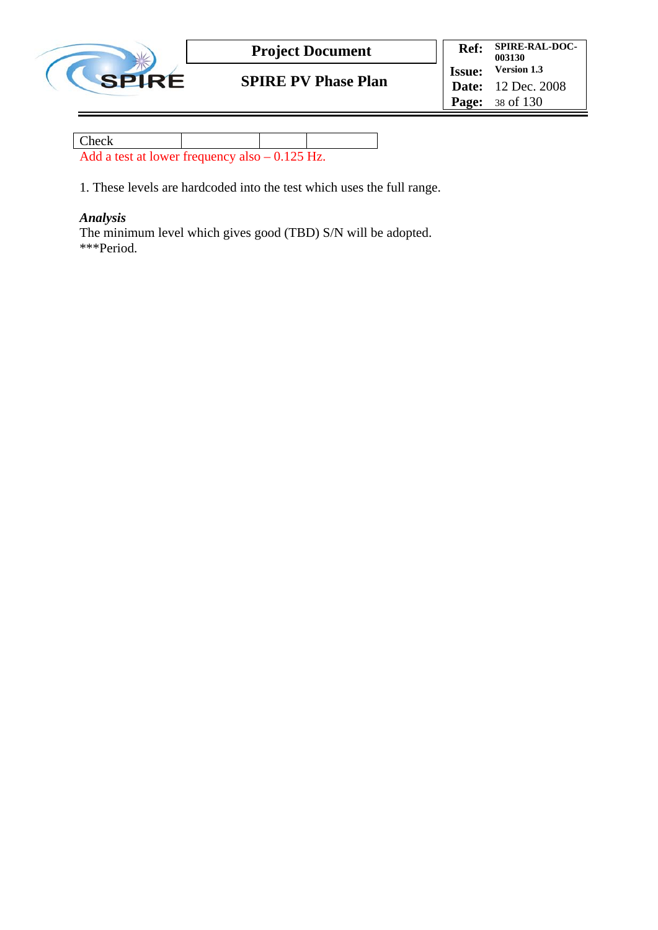

| <b>Check</b>                                    |  |  |
|-------------------------------------------------|--|--|
| Add a test at lower frequency also $-0.125$ Hz. |  |  |

1. These levels are hardcoded into the test which uses the full range.

#### *Analysis*

The minimum level which gives good (TBD) S/N will be adopted. \*\*\*Period.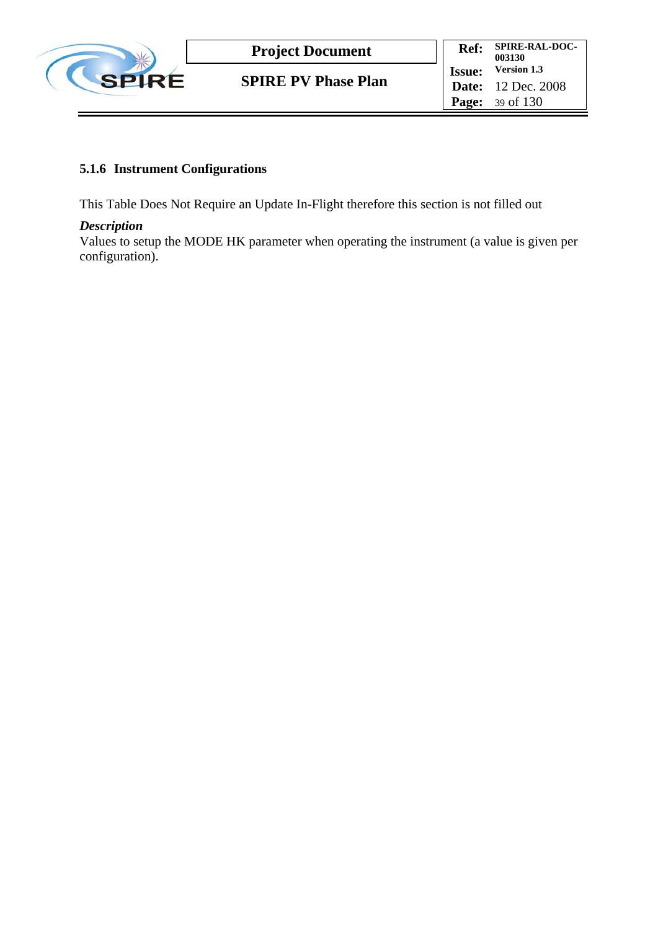

# **5.1.6 Instrument Configurations**

This Table Does Not Require an Update In-Flight therefore this section is not filled out

#### *Description*

Values to setup the MODE HK parameter when operating the instrument (a value is given per configuration).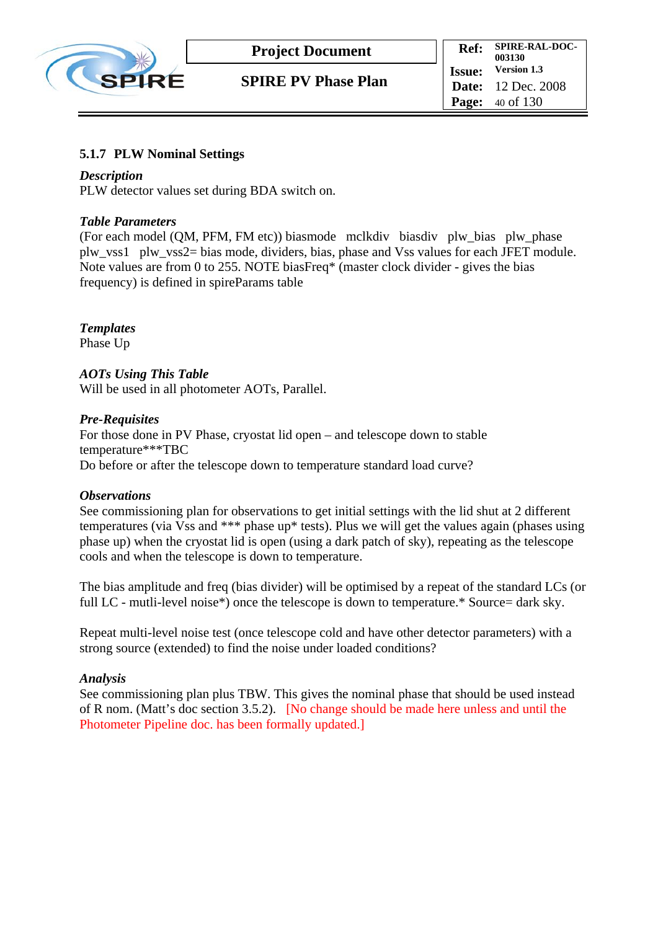

## **5.1.7 PLW Nominal Settings**

#### *Description*

PLW detector values set during BDA switch on.

#### *Table Parameters*

(For each model (OM, PFM, FM etc)) biasmode mclkdiv biasdiv plw bias plw phase plw\_vss1 plw\_vss2= bias mode, dividers, bias, phase and Vss values for each JFET module. Note values are from 0 to 255. NOTE biasFreq\* (master clock divider - gives the bias frequency) is defined in spireParams table

*Templates*  Phase Up

*AOTs Using This Table*  Will be used in all photometer AOTs, Parallel.

#### *Pre-Requisites*

For those done in PV Phase, cryostat lid open – and telescope down to stable temperature\*\*\*TBC Do before or after the telescope down to temperature standard load curve?

#### *Observations*

See commissioning plan for observations to get initial settings with the lid shut at 2 different temperatures (via Vss and \*\*\* phase up\* tests). Plus we will get the values again (phases using phase up) when the cryostat lid is open (using a dark patch of sky), repeating as the telescope cools and when the telescope is down to temperature.

The bias amplitude and freq (bias divider) will be optimised by a repeat of the standard LCs (or full LC - mutli-level noise\*) once the telescope is down to temperature.\* Source= dark sky.

Repeat multi-level noise test (once telescope cold and have other detector parameters) with a strong source (extended) to find the noise under loaded conditions?

#### *Analysis*

See commissioning plan plus TBW. This gives the nominal phase that should be used instead of R nom. (Matt's doc section 3.5.2). [No change should be made here unless and until the Photometer Pipeline doc. has been formally updated.]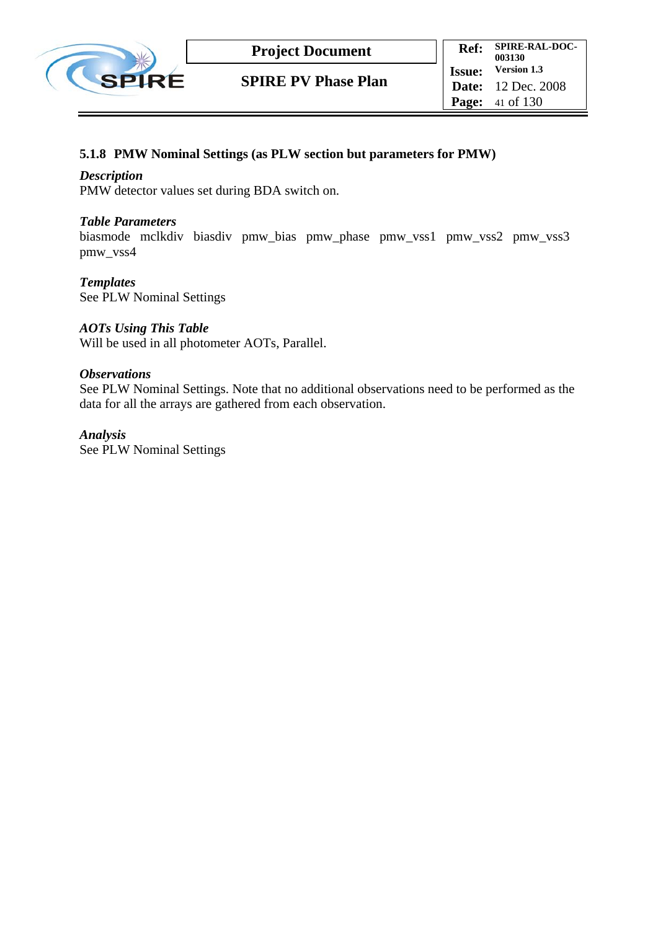

# **5.1.8 PMW Nominal Settings (as PLW section but parameters for PMW)**

#### *Description*

PMW detector values set during BDA switch on.

## *Table Parameters*

biasmode mclkdiv biasdiv pmw\_bias pmw\_phase pmw\_vss1 pmw\_vss2 pmw\_vss3 pmw\_vss4

## *Templates*

See PLW Nominal Settings

# *AOTs Using This Table*

Will be used in all photometer AOTs, Parallel.

## *Observations*

See PLW Nominal Settings. Note that no additional observations need to be performed as the data for all the arrays are gathered from each observation.

## *Analysis*

See PLW Nominal Settings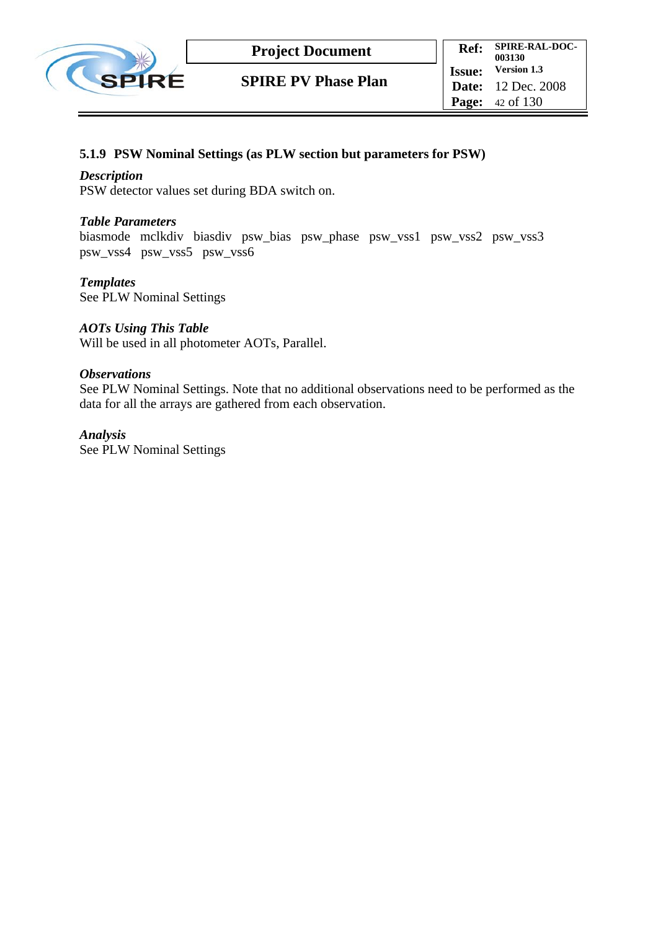

## **5.1.9 PSW Nominal Settings (as PLW section but parameters for PSW)**

#### *Description*

PSW detector values set during BDA switch on.

#### *Table Parameters*

biasmode mclkdiv biasdiv psw\_bias psw\_phase psw\_vss1 psw\_vss2 psw\_vss3 psw\_vss4 psw\_vss5 psw\_vss6

#### *Templates*

See PLW Nominal Settings

## *AOTs Using This Table*

Will be used in all photometer AOTs, Parallel.

#### *Observations*

See PLW Nominal Settings. Note that no additional observations need to be performed as the data for all the arrays are gathered from each observation.

#### *Analysis*

See PLW Nominal Settings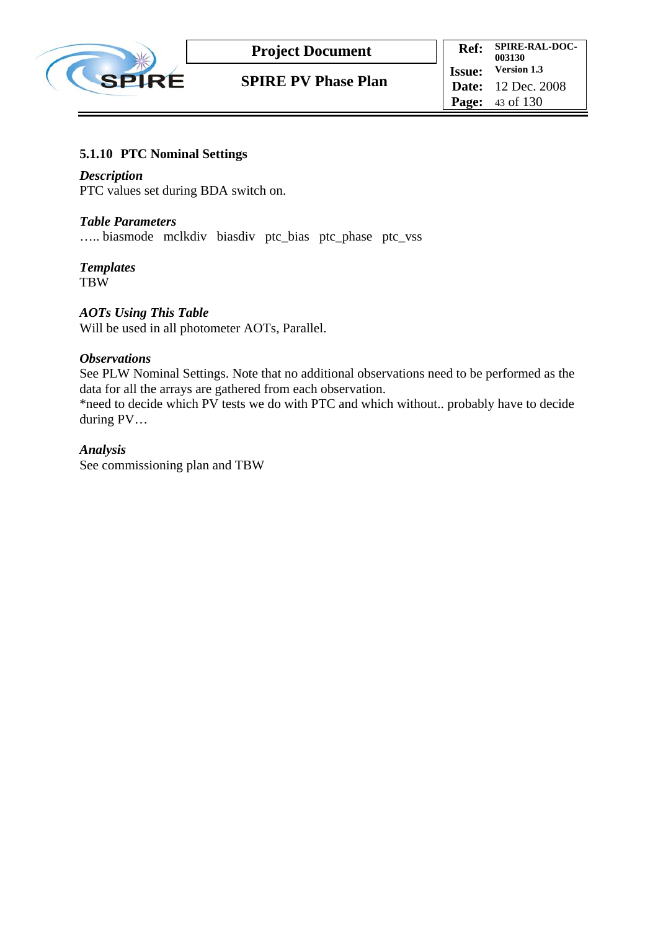

## **5.1.10 PTC Nominal Settings**

#### *Description*

PTC values set during BDA switch on.

# *Table Parameters*

….. biasmode mclkdiv biasdiv ptc\_bias ptc\_phase ptc\_vss

*Templates*  TBW

## *AOTs Using This Table*

Will be used in all photometer AOTs, Parallel.

#### *Observations*

See PLW Nominal Settings. Note that no additional observations need to be performed as the data for all the arrays are gathered from each observation.

\*need to decide which PV tests we do with PTC and which without.. probably have to decide during PV…

#### *Analysis*

See commissioning plan and TBW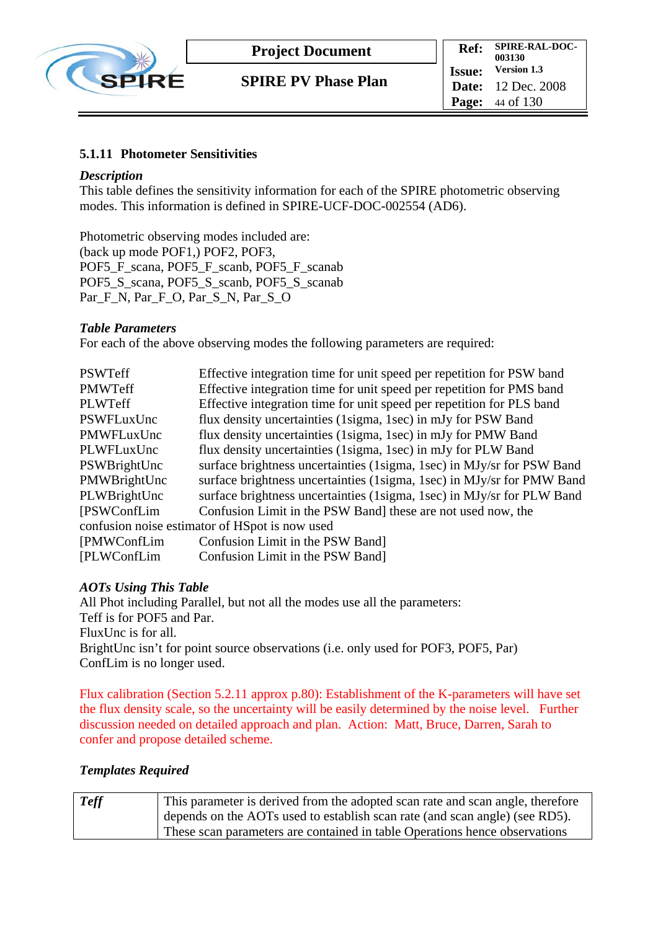

## **5.1.11 Photometer Sensitivities**

#### *Description*

This table defines the sensitivity information for each of the SPIRE photometric observing modes. This information is defined in SPIRE-UCF-DOC-002554 (AD6).

Photometric observing modes included are: (back up mode POF1,) POF2, POF3, POF5\_F\_scana, POF5\_F\_scanb, POF5\_F\_scanab POF5\_S\_scana, POF5\_S\_scanb, POF5\_S\_scanab Par F\_N, Par\_F\_O, Par\_S\_N, Par\_S\_O

#### *Table Parameters*

For each of the above observing modes the following parameters are required:

| PSWTeff      | Effective integration time for unit speed per repetition for PSW band  |
|--------------|------------------------------------------------------------------------|
| PMWTeff      | Effective integration time for unit speed per repetition for PMS band  |
| PLWTeff      | Effective integration time for unit speed per repetition for PLS band  |
| PSWFLuxUnc   | flux density uncertainties (1sigma, 1sec) in mJy for PSW Band          |
| PMWFLuxUnc   | flux density uncertainties (1sigma, 1sec) in mJy for PMW Band          |
| PLWFLuxUnc   | flux density uncertainties (1sigma, 1sec) in mJy for PLW Band          |
| PSWBrightUnc | surface brightness uncertainties (1sigma, 1sec) in MJy/sr for PSW Band |
| PMWBrightUnc | surface brightness uncertainties (1sigma, 1sec) in MJy/sr for PMW Band |
| PLWBrightUnc | surface brightness uncertainties (1sigma, 1sec) in MJy/sr for PLW Band |
| [PSWConfLim] | Confusion Limit in the PSW Band these are not used now, the            |
|              | confusion noise estimator of HSpot is now used                         |
| [PMWConfLim] | Confusion Limit in the PSW Band]                                       |
| [PLWConfLim] | Confusion Limit in the PSW Band]                                       |

#### *AOTs Using This Table*

All Phot including Parallel, but not all the modes use all the parameters: Teff is for POF5 and Par. FluxUnc is for all. BrightUnc isn't for point source observations (i.e. only used for POF3, POF5, Par) ConfLim is no longer used.

Flux calibration (Section 5.2.11 approx p.80): Establishment of the K-parameters will have set the flux density scale, so the uncertainty will be easily determined by the noise level. Further discussion needed on detailed approach and plan. Action: Matt, Bruce, Darren, Sarah to confer and propose detailed scheme.

#### *Templates Required*

| <b>Teff</b> | This parameter is derived from the adopted scan rate and scan angle, therefore |
|-------------|--------------------------------------------------------------------------------|
|             | depends on the AOTs used to establish scan rate (and scan angle) (see RD5).    |
|             | These scan parameters are contained in table Operations hence observations     |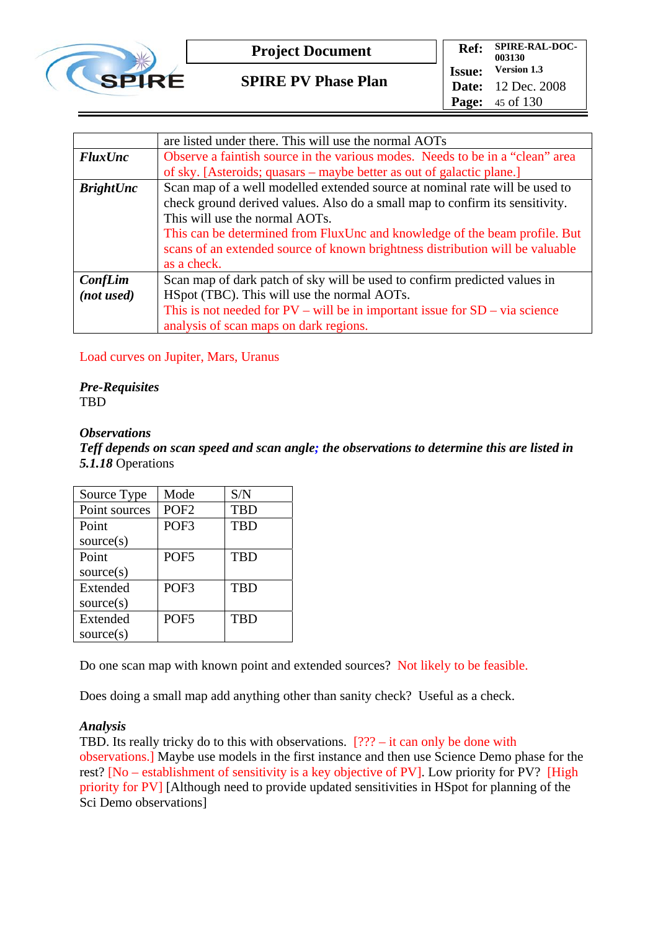

|                  | are listed under there. This will use the normal AOTs                           |
|------------------|---------------------------------------------------------------------------------|
| <b>FluxUnc</b>   | Observe a faintish source in the various modes. Needs to be in a "clean" area   |
|                  | of sky. [Asteroids; quasars – maybe better as out of galactic plane.]           |
| <b>BrightUnc</b> | Scan map of a well modelled extended source at nominal rate will be used to     |
|                  | check ground derived values. Also do a small map to confirm its sensitivity.    |
|                  | This will use the normal AOTs.                                                  |
|                  | This can be determined from FluxUnc and knowledge of the beam profile. But      |
|                  | scans of an extended source of known brightness distribution will be valuable   |
|                  | as a check.                                                                     |
| ConfLim          | Scan map of dark patch of sky will be used to confirm predicted values in       |
| (not used)       | HSpot (TBC). This will use the normal AOTs.                                     |
|                  | This is not needed for $PV$ – will be in important issue for $SD$ – via science |
|                  | analysis of scan maps on dark regions.                                          |

Load curves on Jupiter, Mars, Uranus

*Pre-Requisites*  TBD

#### *Observations*

*Teff depends on scan speed and scan angle; the observations to determine this are listed in 5.1.18* Operations

| Source Type   | Mode             | S/N        |
|---------------|------------------|------------|
| Point sources | POF <sub>2</sub> | <b>TBD</b> |
| Point         | POF3             | <b>TBD</b> |
| source(s)     |                  |            |
| Point         | POF <sub>5</sub> | <b>TBD</b> |
| source(s)     |                  |            |
| Extended      | POF3             | <b>TBD</b> |
| source $(s)$  |                  |            |
| Extended      | POF <sub>5</sub> | <b>TBD</b> |
| source(s)     |                  |            |

Do one scan map with known point and extended sources? Not likely to be feasible.

Does doing a small map add anything other than sanity check? Useful as a check.

#### *Analysis*

TBD. Its really tricky do to this with observations. [??? – it can only be done with observations.] Maybe use models in the first instance and then use Science Demo phase for the rest? [No – establishment of sensitivity is a key objective of PV]. Low priority for PV? [High priority for PV] [Although need to provide updated sensitivities in HSpot for planning of the Sci Demo observations]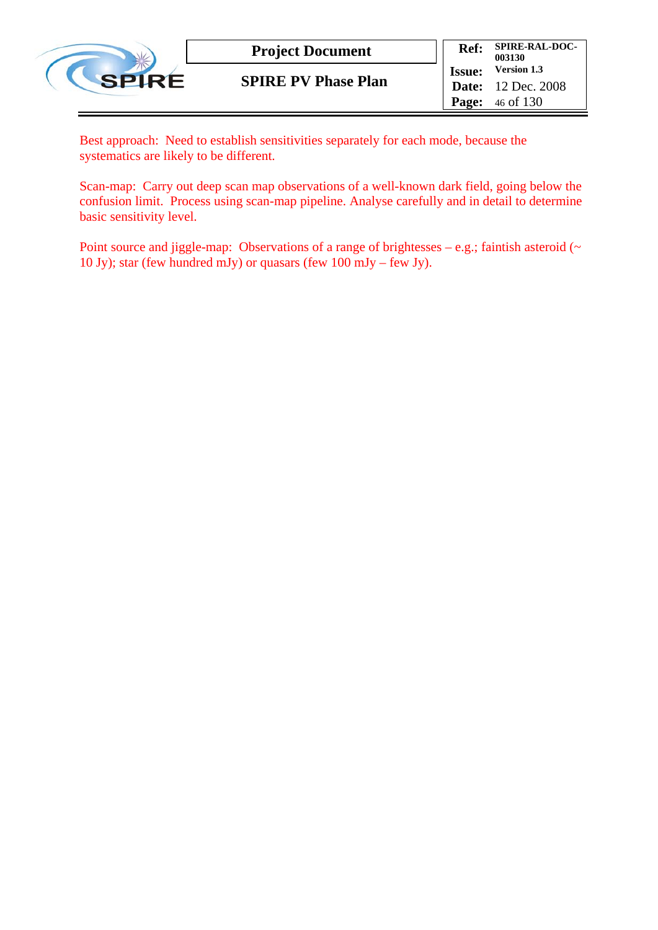

Best approach: Need to establish sensitivities separately for each mode, because the systematics are likely to be different.

Scan-map: Carry out deep scan map observations of a well-known dark field, going below the confusion limit. Process using scan-map pipeline. Analyse carefully and in detail to determine basic sensitivity level.

Point source and jiggle-map: Observations of a range of brightesses – e.g.; faintish asteroid ( $\sim$ 10 Jy); star (few hundred mJy) or quasars (few  $100 \text{ mJy} - \text{few Jy}$ ).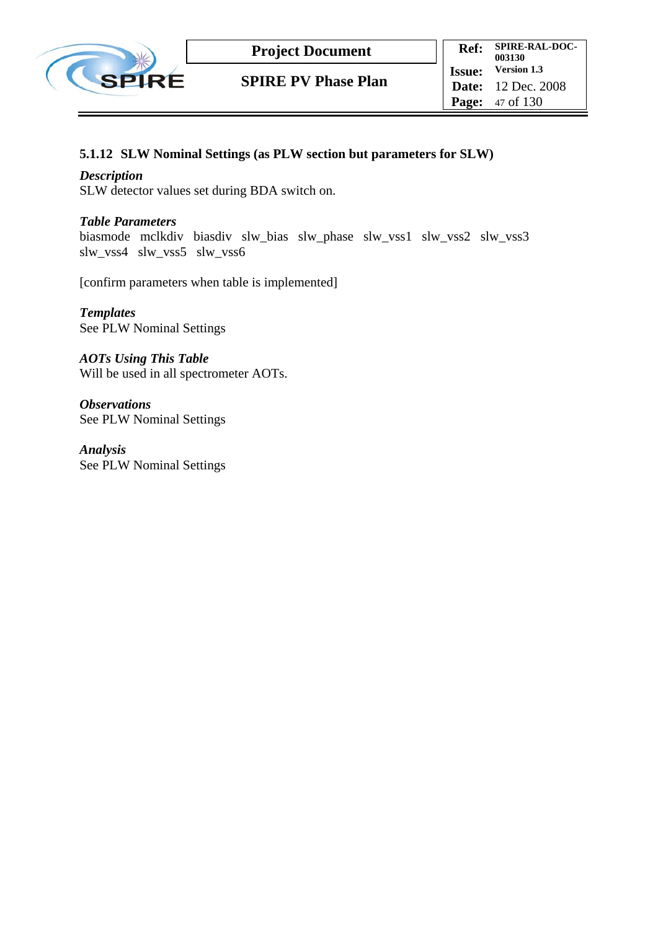

# **5.1.12 SLW Nominal Settings (as PLW section but parameters for SLW)**

*Description*  SLW detector values set during BDA switch on.

# *Table Parameters*

biasmode mclkdiv biasdiv slw\_bias slw\_phase slw\_vss1 slw\_vss2 slw\_vss3 slw\_vss4 slw\_vss5 slw\_vss6

[confirm parameters when table is implemented]

*Templates*  See PLW Nominal Settings

*AOTs Using This Table*  Will be used in all spectrometer AOTs.

*Observations*  See PLW Nominal Settings

*Analysis* See PLW Nominal Settings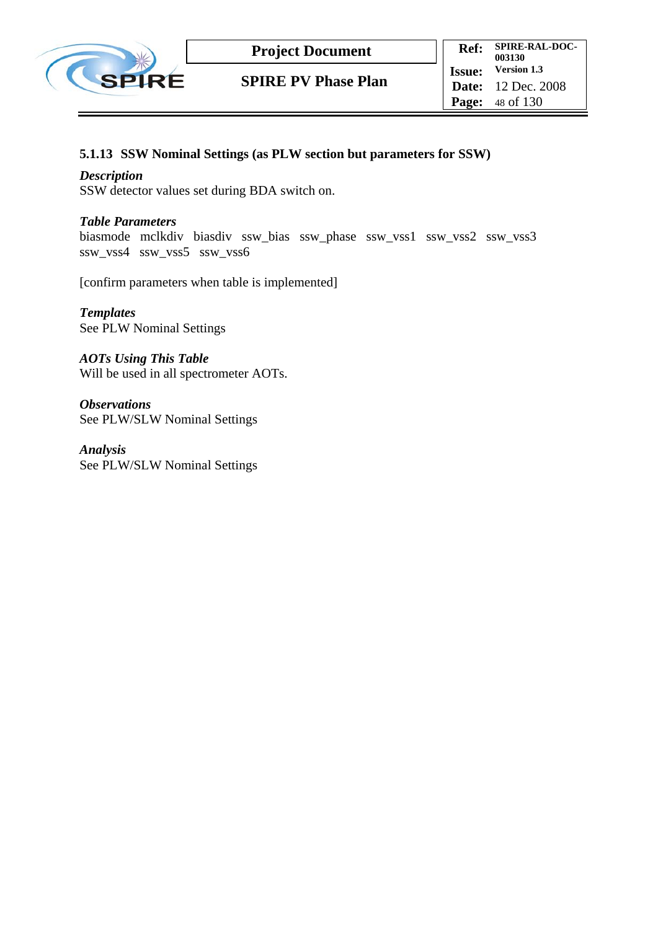

# **5.1.13 SSW Nominal Settings (as PLW section but parameters for SSW)**

*Description* 

SSW detector values set during BDA switch on.

#### *Table Parameters*

biasmode mclkdiv biasdiv ssw\_bias ssw\_phase ssw\_vss1 ssw\_vss2 ssw\_vss3 ssw\_vss4 ssw\_vss5 ssw\_vss6

[confirm parameters when table is implemented]

*Templates*  See PLW Nominal Settings

*AOTs Using This Table*  Will be used in all spectrometer AOTs.

*Observations*  See PLW/SLW Nominal Settings

*Analysis* See PLW/SLW Nominal Settings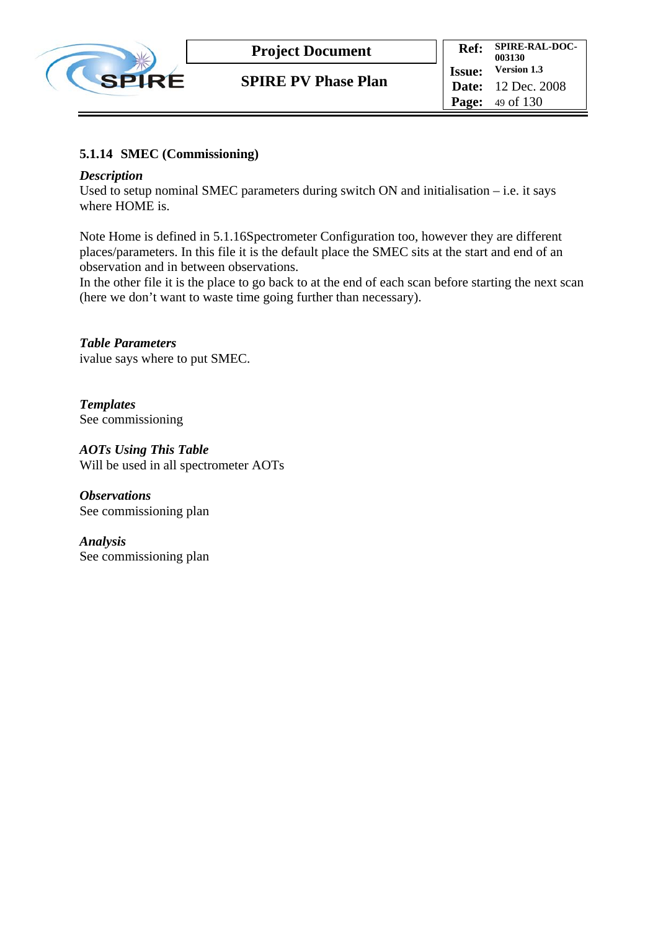

## **5.1.14 SMEC (Commissioning)**

#### *Description*

Used to setup nominal SMEC parameters during switch ON and initialisation  $-$  i.e. it says where HOME is.

Note Home is defined in 5.1.16Spectrometer Configuration too, however they are different places/parameters. In this file it is the default place the SMEC sits at the start and end of an observation and in between observations.

In the other file it is the place to go back to at the end of each scan before starting the next scan (here we don't want to waste time going further than necessary).

*Table Parameters*  ivalue says where to put SMEC.

*Templates*  See commissioning

*AOTs Using This Table*  Will be used in all spectrometer AOTs

*Observations*  See commissioning plan

*Analysis* See commissioning plan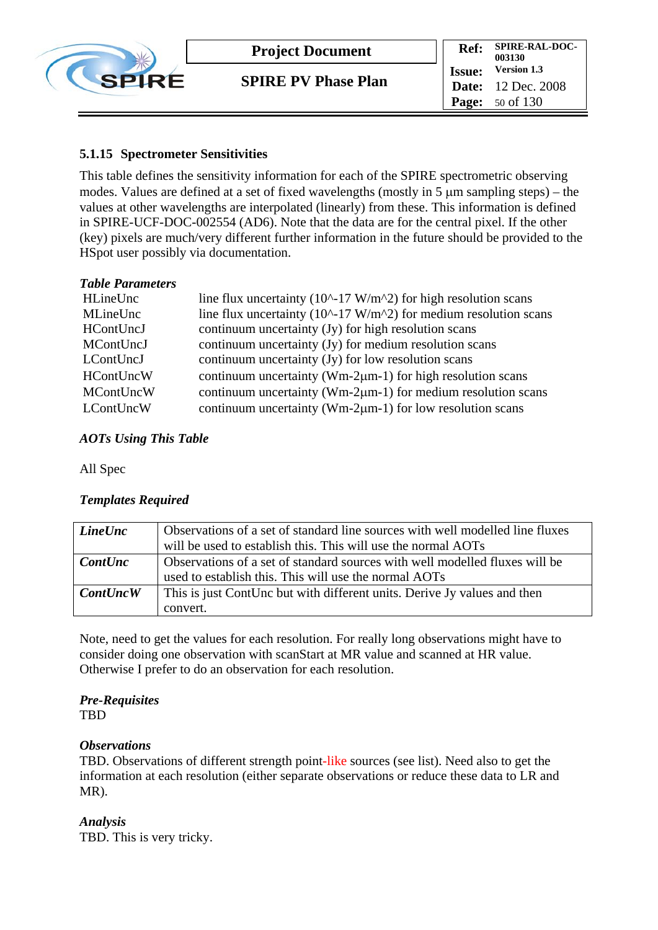

**Ref: SPIRE-RAL-DOC-003130 Issue: Version 1.3 Date:** 12 Dec. 2008 **Page:** 50 of 130

# **5.1.15 Spectrometer Sensitivities**

This table defines the sensitivity information for each of the SPIRE spectrometric observing modes. Values are defined at a set of fixed wavelengths (mostly in 5 μm sampling steps) – the values at other wavelengths are interpolated (linearly) from these. This information is defined in SPIRE-UCF-DOC-002554 (AD6). Note that the data are for the central pixel. If the other (key) pixels are much/very different further information in the future should be provided to the HSpot user possibly via documentation.

#### *Table Parameters*

| HLineUnc         | line flux uncertainty ( $10^{\circ}$ -17 W/m <sup><math>\circ</math></sup> 2) for high resolution scans   |
|------------------|-----------------------------------------------------------------------------------------------------------|
| MLineUnc         | line flux uncertainty ( $10^{\circ}$ -17 W/m <sup><math>\circ</math></sup> 2) for medium resolution scans |
| HContUncJ        | continuum uncertainty (Jy) for high resolution scans                                                      |
| MContUncJ        | continuum uncertainty (Jy) for medium resolution scans                                                    |
| LContUncJ        | continuum uncertainty (Jy) for low resolution scans                                                       |
| <b>HContUncW</b> | continuum uncertainty ( $Wm-2\mu m-1$ ) for high resolution scans                                         |
| MContUncW        | continuum uncertainty ( $Wm-2\mu m-1$ ) for medium resolution scans                                       |
| LContUncW        | continuum uncertainty ( $Wm-2\mu m-1$ ) for low resolution scans                                          |

# *AOTs Using This Table*

All Spec

## *Templates Required*

| <b>LineUnc</b>  | Observations of a set of standard line sources with well modelled line fluxes |
|-----------------|-------------------------------------------------------------------------------|
|                 | will be used to establish this. This will use the normal AOTs                 |
| <b>ContUnc</b>  | Observations of a set of standard sources with well modelled fluxes will be   |
|                 | used to establish this. This will use the normal AOTs                         |
| <b>ContUncW</b> | This is just ContUne but with different units. Derive Jy values and then      |
|                 | convert.                                                                      |

Note, need to get the values for each resolution. For really long observations might have to consider doing one observation with scanStart at MR value and scanned at HR value. Otherwise I prefer to do an observation for each resolution.

#### *Pre-Requisites*  TBD

#### *Observations*

TBD. Observations of different strength point-like sources (see list). Need also to get the information at each resolution (either separate observations or reduce these data to LR and MR).

*Analysis* TBD. This is very tricky.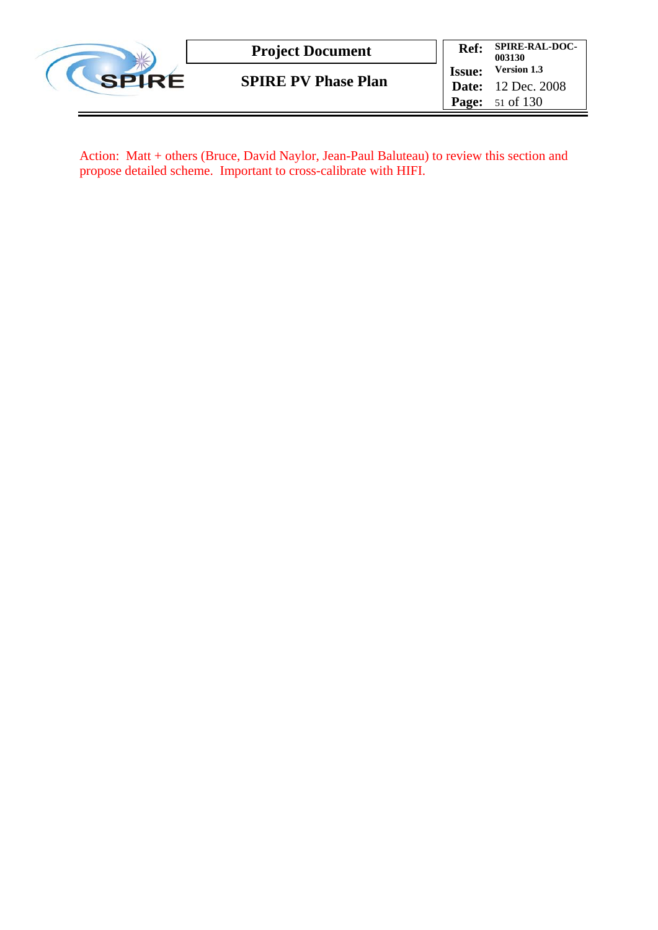

Action: Matt + others (Bruce, David Naylor, Jean-Paul Baluteau) to review this section and propose detailed scheme. Important to cross-calibrate with HIFI.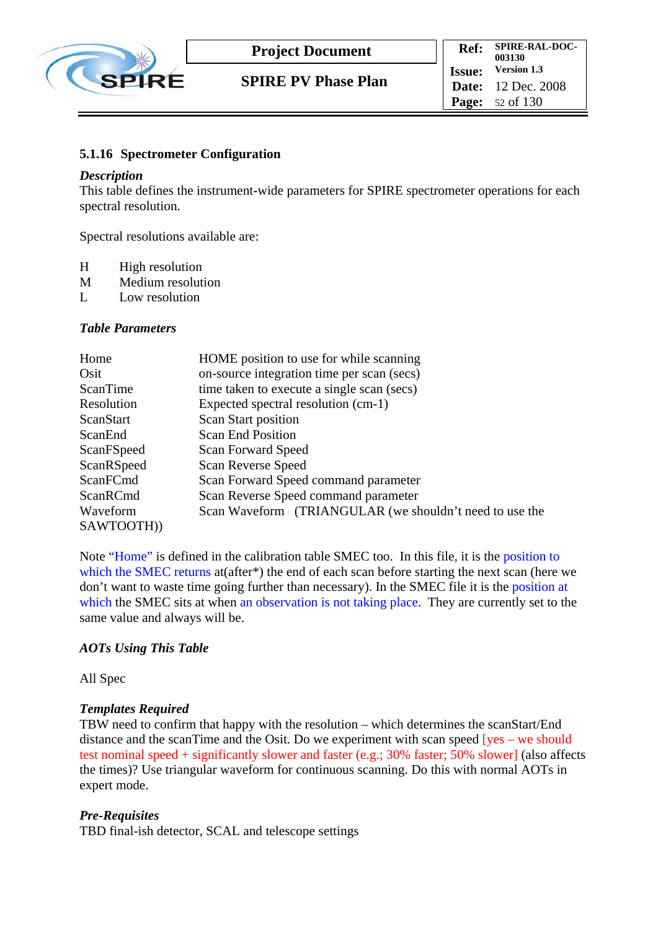

## **5.1.16 Spectrometer Configuration**

#### *Description*

This table defines the instrument-wide parameters for SPIRE spectrometer operations for each spectral resolution.

Spectral resolutions available are:

- H High resolution
- M Medium resolution
- L Low resolution

#### *Table Parameters*

| Home       | HOME position to use for while scanning                 |
|------------|---------------------------------------------------------|
| Osit       | on-source integration time per scan (secs)              |
| ScanTime   | time taken to execute a single scan (secs)              |
| Resolution | Expected spectral resolution (cm-1)                     |
| ScanStart  | <b>Scan Start position</b>                              |
| ScanEnd    | <b>Scan End Position</b>                                |
| ScanFSpeed | <b>Scan Forward Speed</b>                               |
| ScanRSpeed | Scan Reverse Speed                                      |
| ScanFCmd   | Scan Forward Speed command parameter                    |
| ScanRCmd   | Scan Reverse Speed command parameter                    |
| Waveform   | Scan Waveform (TRIANGULAR (we shouldn't need to use the |
| SAWTOOTH)) |                                                         |

Note "Home" is defined in the calibration table SMEC too. In this file, it is the position to which the SMEC returns at (after\*) the end of each scan before starting the next scan (here we don't want to waste time going further than necessary). In the SMEC file it is the position at which the SMEC sits at when an observation is not taking place. They are currently set to the same value and always will be.

#### *AOTs Using This Table*

All Spec

#### *Templates Required*

TBW need to confirm that happy with the resolution – which determines the scanStart/End distance and the scanTime and the Osit. Do we experiment with scan speed [yes – we should test nominal speed + significantly slower and faster (e.g.; 30% faster; 50% slower] (also affects the times)? Use triangular waveform for continuous scanning. Do this with normal AOTs in expert mode.

#### *Pre-Requisites*

TBD final-ish detector, SCAL and telescope settings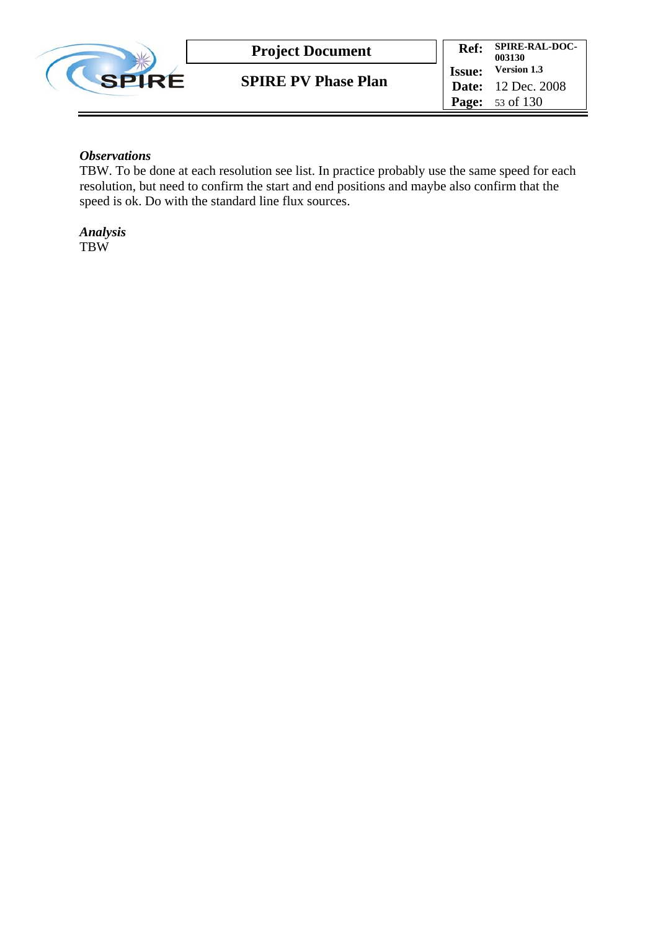

**Ref: SPIRE-RAL-DOC-003130 Issue: Version 1.3 Date:** 12 Dec. 2008 **Page:** 53 of 130

# *Observations*

TBW. To be done at each resolution see list. In practice probably use the same speed for each resolution, but need to confirm the start and end positions and maybe also confirm that the speed is ok. Do with the standard line flux sources.

*Analysis* TBW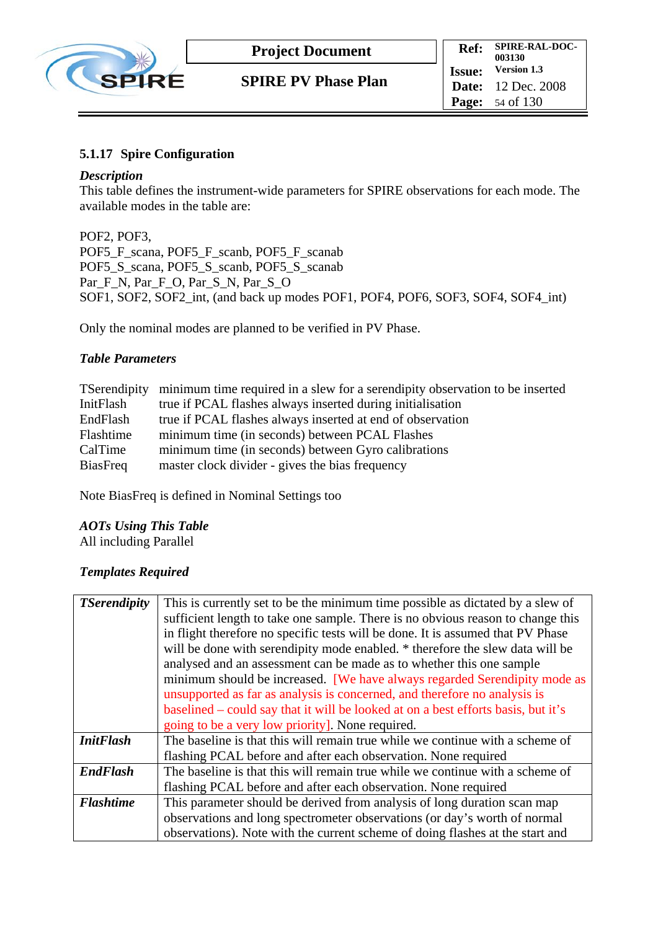

## **5.1.17 Spire Configuration**

#### *Description*

This table defines the instrument-wide parameters for SPIRE observations for each mode. The available modes in the table are:

POF2, POF3, POF5\_F\_scana, POF5\_F\_scanb, POF5\_F\_scanab POF5\_S\_scana, POF5\_S\_scanb, POF5\_S\_scanab Par\_F\_N, Par\_F\_O, Par\_S\_N, Par\_S\_O SOF1, SOF2, SOF2\_int, (and back up modes POF1, POF4, POF6, SOF3, SOF4, SOF4\_int)

Only the nominal modes are planned to be verified in PV Phase.

#### *Table Parameters*

|                 | TSerendipity minimum time required in a slew for a serendipity observation to be inserted |
|-----------------|-------------------------------------------------------------------------------------------|
| InitFlash       | true if PCAL flashes always inserted during initialisation                                |
| EndFlash        | true if PCAL flashes always inserted at end of observation                                |
| Flashtime       | minimum time (in seconds) between PCAL Flashes                                            |
| CalTime         | minimum time (in seconds) between Gyro calibrations                                       |
| <b>BiasFreq</b> | master clock divider - gives the bias frequency                                           |

Note BiasFreq is defined in Nominal Settings too

#### *AOTs Using This Table*  All including Parallel

#### *Templates Required*

| <b>TSerendipity</b> | This is currently set to be the minimum time possible as dictated by a slew of<br>sufficient length to take one sample. There is no obvious reason to change this<br>in flight therefore no specific tests will be done. It is assumed that PV Phase<br>will be done with serendipity mode enabled. * therefore the slew data will be<br>analysed and an assessment can be made as to whether this one sample<br>minimum should be increased. We have always regarded Serendipity mode as<br>unsupported as far as analysis is concerned, and therefore no analysis is<br>baselined – could say that it will be looked at on a best efforts basis, but it's |
|---------------------|-------------------------------------------------------------------------------------------------------------------------------------------------------------------------------------------------------------------------------------------------------------------------------------------------------------------------------------------------------------------------------------------------------------------------------------------------------------------------------------------------------------------------------------------------------------------------------------------------------------------------------------------------------------|
|                     | going to be a very low priority]. None required.                                                                                                                                                                                                                                                                                                                                                                                                                                                                                                                                                                                                            |
| <b>InitFlash</b>    | The baseline is that this will remain true while we continue with a scheme of                                                                                                                                                                                                                                                                                                                                                                                                                                                                                                                                                                               |
|                     | flashing PCAL before and after each observation. None required                                                                                                                                                                                                                                                                                                                                                                                                                                                                                                                                                                                              |
| <b>EndFlash</b>     | The baseline is that this will remain true while we continue with a scheme of                                                                                                                                                                                                                                                                                                                                                                                                                                                                                                                                                                               |
|                     | flashing PCAL before and after each observation. None required                                                                                                                                                                                                                                                                                                                                                                                                                                                                                                                                                                                              |
| <b>Flashtime</b>    | This parameter should be derived from analysis of long duration scan map                                                                                                                                                                                                                                                                                                                                                                                                                                                                                                                                                                                    |
|                     | observations and long spectrometer observations (or day's worth of normal                                                                                                                                                                                                                                                                                                                                                                                                                                                                                                                                                                                   |
|                     | observations). Note with the current scheme of doing flashes at the start and                                                                                                                                                                                                                                                                                                                                                                                                                                                                                                                                                                               |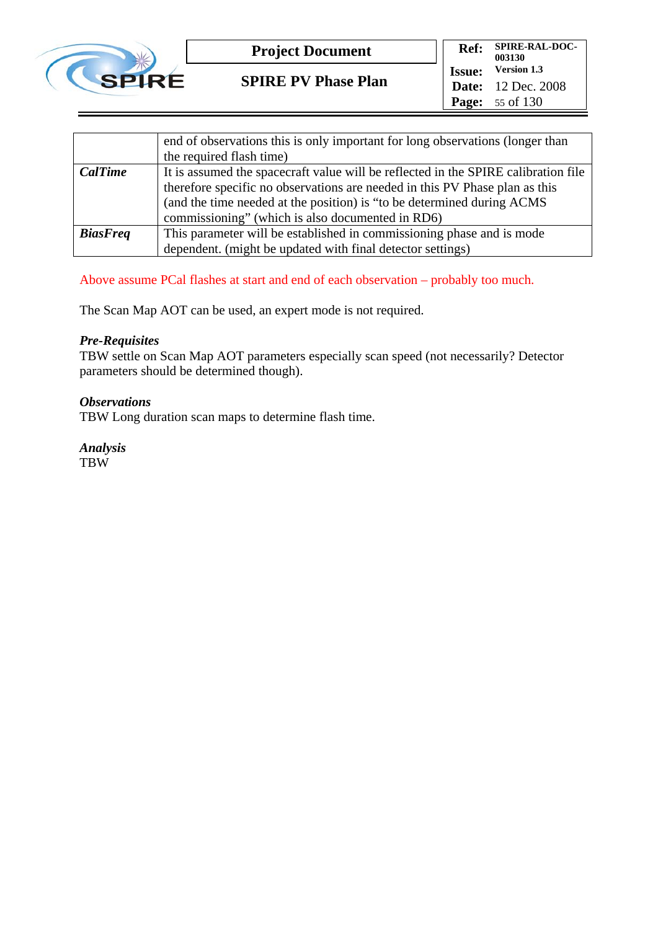

|                 | end of observations this is only important for long observations (longer than      |
|-----------------|------------------------------------------------------------------------------------|
|                 | the required flash time)                                                           |
| <b>CalTime</b>  | It is assumed the spacecraft value will be reflected in the SPIRE calibration file |
|                 | therefore specific no observations are needed in this PV Phase plan as this        |
|                 | (and the time needed at the position) is "to be determined during ACMS             |
|                 | commissioning" (which is also documented in RD6)                                   |
| <b>BiasFreq</b> | This parameter will be established in commissioning phase and is mode              |
|                 | dependent. (might be updated with final detector settings)                         |

Above assume PCal flashes at start and end of each observation – probably too much.

The Scan Map AOT can be used, an expert mode is not required.

#### *Pre-Requisites*

TBW settle on Scan Map AOT parameters especially scan speed (not necessarily? Detector parameters should be determined though).

#### *Observations*

TBW Long duration scan maps to determine flash time.

*Analysis* TBW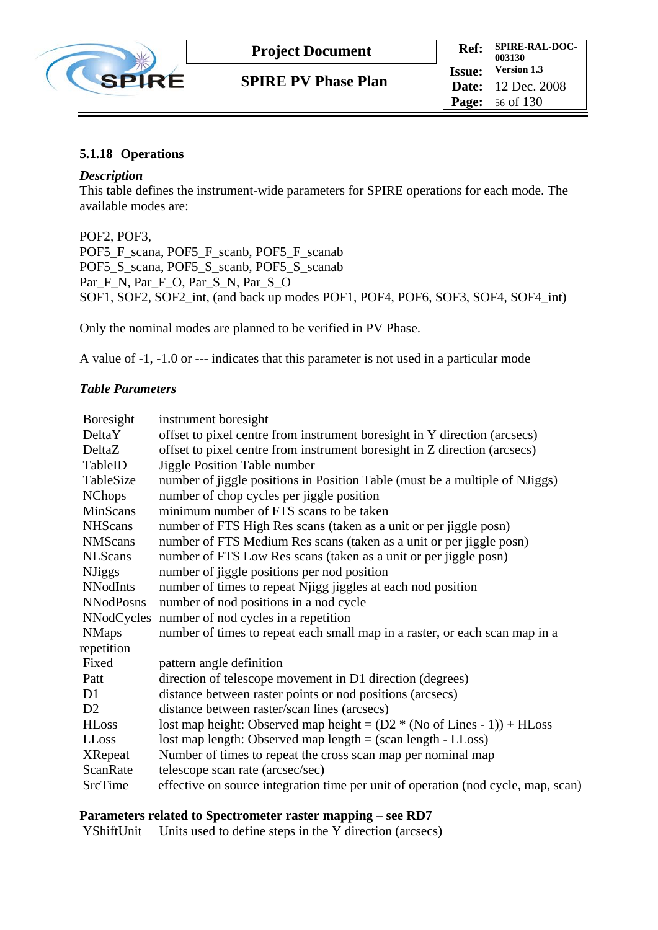

## **5.1.18 Operations**

#### *Description*

This table defines the instrument-wide parameters for SPIRE operations for each mode. The available modes are:

POF2, POF3, POF5\_F\_scana, POF5\_F\_scanb, POF5\_F\_scanab POF5\_S\_scana, POF5\_S\_scanb, POF5\_S\_scanab Par\_F\_N, Par\_F\_O, Par\_S\_N, Par\_S\_O SOF1, SOF2, SOF2\_int, (and back up modes POF1, POF4, POF6, SOF3, SOF4, SOF4\_int)

Only the nominal modes are planned to be verified in PV Phase.

A value of -1, -1.0 or --- indicates that this parameter is not used in a particular mode

#### *Table Parameters*

| Boresight        | instrument boresight                                                              |
|------------------|-----------------------------------------------------------------------------------|
| DeltaY           | offset to pixel centre from instrument boresight in Y direction (arcsecs)         |
| DeltaZ           | offset to pixel centre from instrument boresight in Z direction (arcsecs)         |
| TableID          | <b>Jiggle Position Table number</b>                                               |
| TableSize        | number of jiggle positions in Position Table (must be a multiple of NJiggs)       |
| <b>NChops</b>    | number of chop cycles per jiggle position                                         |
| MinScans         | minimum number of FTS scans to be taken                                           |
| <b>NHScans</b>   | number of FTS High Res scans (taken as a unit or per jiggle posn)                 |
| <b>NMScans</b>   | number of FTS Medium Res scans (taken as a unit or per jiggle posn)               |
| <b>NLScans</b>   | number of FTS Low Res scans (taken as a unit or per jiggle posn)                  |
| <b>NJiggs</b>    | number of jiggle positions per nod position                                       |
| <b>NNodInts</b>  | number of times to repeat Njigg jiggles at each nod position                      |
| <b>NNodPosns</b> | number of nod positions in a nod cycle                                            |
|                  | NNodCycles number of nod cycles in a repetition                                   |
| <b>NMaps</b>     | number of times to repeat each small map in a raster, or each scan map in a       |
| repetition       |                                                                                   |
| Fixed            | pattern angle definition                                                          |
| Patt             | direction of telescope movement in D1 direction (degrees)                         |
| D <sub>1</sub>   | distance between raster points or nod positions (arcsecs)                         |
| D <sub>2</sub>   | distance between raster/scan lines (arcsecs)                                      |
| <b>HLoss</b>     | lost map height: Observed map height = $(D2 * (No of Lines - 1))$ + HLoss         |
| <b>LLoss</b>     | lost map length: Observed map length $=$ (scan length $-$ LLoss)                  |
| <b>XRepeat</b>   | Number of times to repeat the cross scan map per nominal map                      |
| ScanRate         | telescope scan rate (arcsec/sec)                                                  |
| <b>SrcTime</b>   | effective on source integration time per unit of operation (nod cycle, map, scan) |
|                  |                                                                                   |

#### **Parameters related to Spectrometer raster mapping – see RD7**

YShiftUnit Units used to define steps in the Y direction (arcsecs)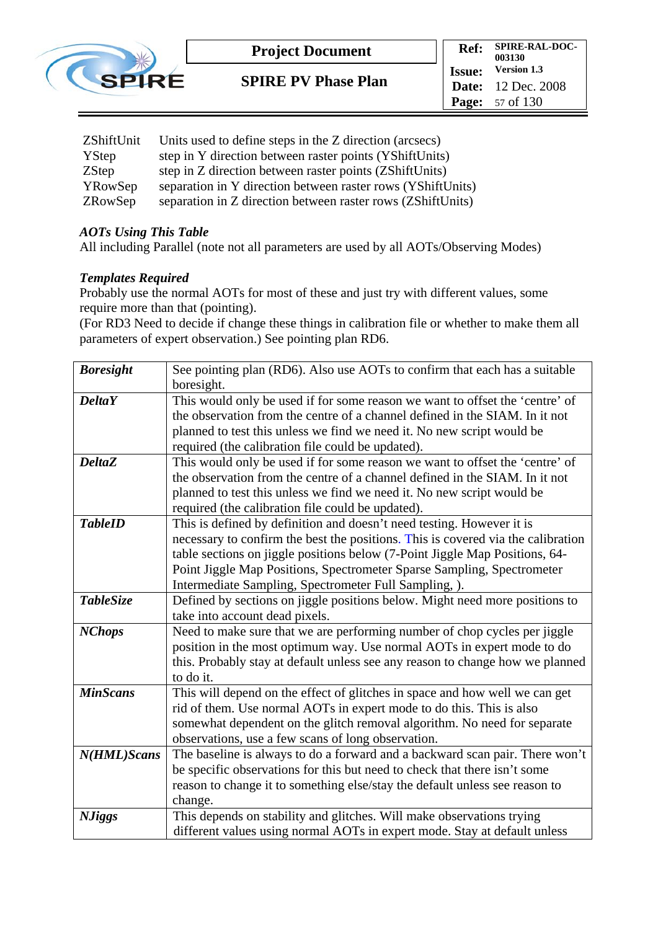

| ZShiftUnit   | Units used to define steps in the Z direction (arcsecs)     |
|--------------|-------------------------------------------------------------|
| YStep        | step in Y direction between raster points (YShiftUnits)     |
| <b>ZStep</b> | step in Z direction between raster points (ZShiftUnits)     |
| YRowSep      | separation in Y direction between raster rows (YShiftUnits) |
| ZRowSep      | separation in Z direction between raster rows (ZShiftUnits) |

# *AOTs Using This Table*

All including Parallel (note not all parameters are used by all AOTs/Observing Modes)

## *Templates Required*

Probably use the normal AOTs for most of these and just try with different values, some require more than that (pointing).

(For RD3 Need to decide if change these things in calibration file or whether to make them all parameters of expert observation.) See pointing plan RD6.

| <b>Boresight</b> | See pointing plan (RD6). Also use AOTs to confirm that each has a suitable       |
|------------------|----------------------------------------------------------------------------------|
|                  | boresight.                                                                       |
| <b>DeltaY</b>    | This would only be used if for some reason we want to offset the 'centre' of     |
|                  | the observation from the centre of a channel defined in the SIAM. In it not      |
|                  | planned to test this unless we find we need it. No new script would be           |
|                  | required (the calibration file could be updated).                                |
| <b>DeltaZ</b>    | This would only be used if for some reason we want to offset the 'centre' of     |
|                  | the observation from the centre of a channel defined in the SIAM. In it not      |
|                  | planned to test this unless we find we need it. No new script would be           |
|                  | required (the calibration file could be updated).                                |
| <b>TableID</b>   | This is defined by definition and doesn't need testing. However it is            |
|                  | necessary to confirm the best the positions. This is covered via the calibration |
|                  | table sections on jiggle positions below (7-Point Jiggle Map Positions, 64-      |
|                  | Point Jiggle Map Positions, Spectrometer Sparse Sampling, Spectrometer           |
|                  | Intermediate Sampling, Spectrometer Full Sampling, ).                            |
| <b>TableSize</b> | Defined by sections on jiggle positions below. Might need more positions to      |
|                  | take into account dead pixels.                                                   |
| <b>NChops</b>    | Need to make sure that we are performing number of chop cycles per jiggle        |
|                  | position in the most optimum way. Use normal AOTs in expert mode to do           |
|                  | this. Probably stay at default unless see any reason to change how we planned    |
|                  | to do it.                                                                        |
| <b>MinScans</b>  | This will depend on the effect of glitches in space and how well we can get      |
|                  | rid of them. Use normal AOTs in expert mode to do this. This is also             |
|                  | somewhat dependent on the glitch removal algorithm. No need for separate         |
|                  | observations, use a few scans of long observation.                               |
| N(HML)Scans      | The baseline is always to do a forward and a backward scan pair. There won't     |
|                  | be specific observations for this but need to check that there isn't some        |
|                  | reason to change it to something else/stay the default unless see reason to      |
|                  | change.                                                                          |
| <b>NJiggs</b>    | This depends on stability and glitches. Will make observations trying            |
|                  | different values using normal AOTs in expert mode. Stay at default unless        |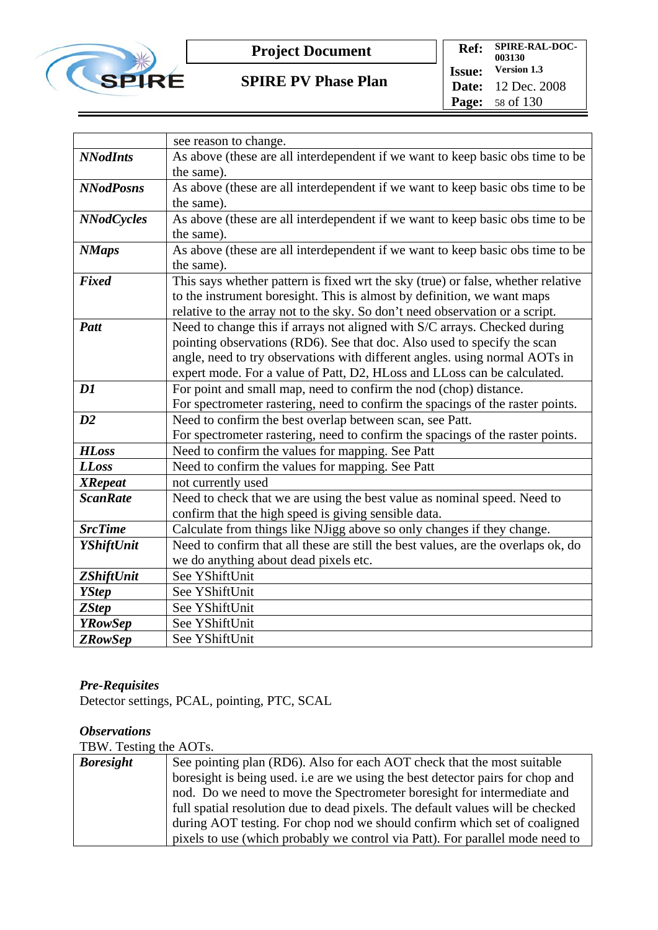

**Ref: SPIRE-RAL-DOC-003130 Issue: Version 1.3 Date:** 12 Dec. 2008 **Page:** 58 of 130

|                   | see reason to change.                                                             |
|-------------------|-----------------------------------------------------------------------------------|
| <b>NNodInts</b>   | As above (these are all interdependent if we want to keep basic obs time to be    |
|                   | the same).                                                                        |
| <b>NNodPosns</b>  | As above (these are all interdependent if we want to keep basic obs time to be    |
|                   | the same).                                                                        |
| <b>NNodCycles</b> | As above (these are all interdependent if we want to keep basic obs time to be    |
|                   | the same).                                                                        |
| <b>NMaps</b>      | As above (these are all interdependent if we want to keep basic obs time to be    |
|                   | the same).                                                                        |
| Fixed             | This says whether pattern is fixed wrt the sky (true) or false, whether relative  |
|                   | to the instrument boresight. This is almost by definition, we want maps           |
|                   | relative to the array not to the sky. So don't need observation or a script.      |
| <b>Patt</b>       | Need to change this if arrays not aligned with S/C arrays. Checked during         |
|                   | pointing observations (RD6). See that doc. Also used to specify the scan          |
|                   | angle, need to try observations with different angles. using normal AOTs in       |
|                   | expert mode. For a value of Patt, D2, HLoss and LLoss can be calculated.          |
| DI                | For point and small map, need to confirm the nod (chop) distance.                 |
|                   | For spectrometer rastering, need to confirm the spacings of the raster points.    |
| D2                | Need to confirm the best overlap between scan, see Patt.                          |
|                   | For spectrometer rastering, need to confirm the spacings of the raster points.    |
| <b>HLoss</b>      | Need to confirm the values for mapping. See Patt                                  |
| <b>LLoss</b>      | Need to confirm the values for mapping. See Patt                                  |
| <b>XRepeat</b>    | not currently used                                                                |
| <b>ScanRate</b>   | Need to check that we are using the best value as nominal speed. Need to          |
|                   | confirm that the high speed is giving sensible data.                              |
| <b>SrcTime</b>    | Calculate from things like NJigg above so only changes if they change.            |
| <b>YShiftUnit</b> | Need to confirm that all these are still the best values, are the overlaps ok, do |
|                   | we do anything about dead pixels etc.                                             |
| <b>ZShiftUnit</b> | See YShiftUnit                                                                    |
| <b>YStep</b>      | See YShiftUnit                                                                    |
| <b>ZStep</b>      | See YShiftUnit                                                                    |
| <b>YRowSep</b>    | See YShiftUnit                                                                    |
| <b>ZRowSep</b>    | See YShiftUnit                                                                    |

# *Pre-Requisites*

Detector settings, PCAL, pointing, PTC, SCAL

#### *Observations*

TBW. Testing the AOTs.

| <b>Boresight</b> | See pointing plan (RD6). Also for each AOT check that the most suitable        |
|------------------|--------------------------------------------------------------------------------|
|                  | boresight is being used, i.e are we using the best detector pairs for chop and |
|                  | nod. Do we need to move the Spectrometer boresight for intermediate and        |
|                  | full spatial resolution due to dead pixels. The default values will be checked |
|                  | during AOT testing. For chop nod we should confirm which set of coaligned      |
|                  | pixels to use (which probably we control via Patt). For parallel mode need to  |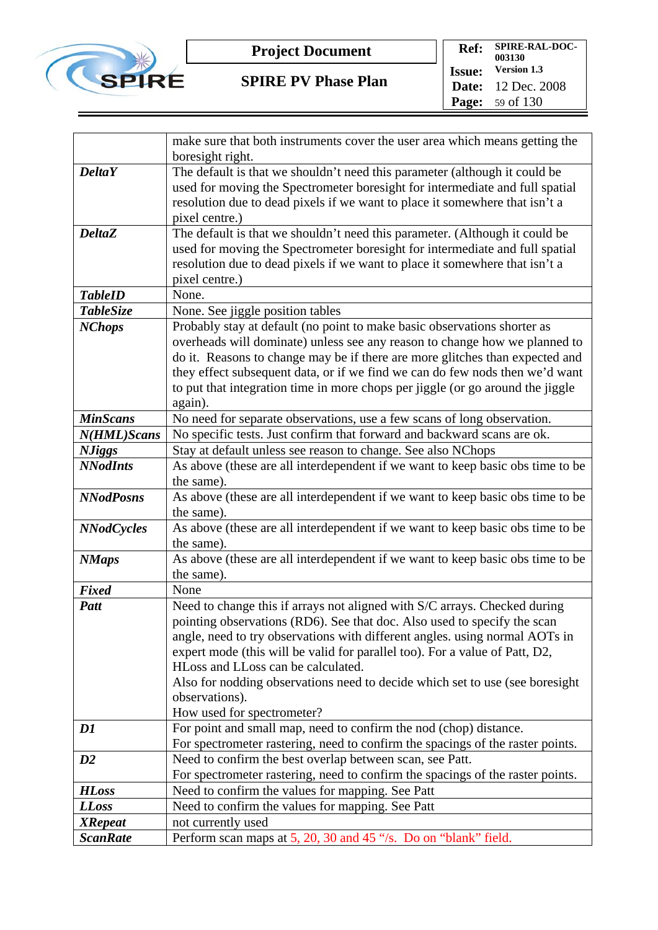

|                   | make sure that both instruments cover the user area which means getting the    |
|-------------------|--------------------------------------------------------------------------------|
| <b>DeltaY</b>     | boresight right.                                                               |
|                   | The default is that we shouldn't need this parameter (although it could be     |
|                   | used for moving the Spectrometer boresight for intermediate and full spatial   |
|                   | resolution due to dead pixels if we want to place it somewhere that isn't a    |
|                   | pixel centre.)                                                                 |
| <b>DeltaZ</b>     | The default is that we shouldn't need this parameter. (Although it could be    |
|                   | used for moving the Spectrometer boresight for intermediate and full spatial   |
|                   | resolution due to dead pixels if we want to place it somewhere that isn't a    |
|                   | pixel centre.)                                                                 |
| <b>TableID</b>    | None.                                                                          |
| <b>TableSize</b>  | None. See jiggle position tables                                               |
| <b>NChops</b>     | Probably stay at default (no point to make basic observations shorter as       |
|                   | overheads will dominate) unless see any reason to change how we planned to     |
|                   | do it. Reasons to change may be if there are more glitches than expected and   |
|                   | they effect subsequent data, or if we find we can do few nods then we'd want   |
|                   | to put that integration time in more chops per jiggle (or go around the jiggle |
|                   | again).                                                                        |
| <b>MinScans</b>   | No need for separate observations, use a few scans of long observation.        |
| N(HML)Scans       | No specific tests. Just confirm that forward and backward scans are ok.        |
| <b>NJiggs</b>     | Stay at default unless see reason to change. See also NChops                   |
| <b>NNodInts</b>   | As above (these are all interdependent if we want to keep basic obs time to be |
|                   | the same).                                                                     |
| <b>NNodPosns</b>  | As above (these are all interdependent if we want to keep basic obs time to be |
|                   | the same).                                                                     |
| <b>NNodCycles</b> | As above (these are all interdependent if we want to keep basic obs time to be |
|                   | the same).                                                                     |
| <b>NMaps</b>      | As above (these are all interdependent if we want to keep basic obs time to be |
|                   | the same).                                                                     |
| Fixed             | None                                                                           |
| <b>Patt</b>       | Need to change this if arrays not aligned with S/C arrays. Checked during      |
|                   | pointing observations (RD6). See that doc. Also used to specify the scan       |
|                   | angle, need to try observations with different angles. using normal AOTs in    |
|                   | expert mode (this will be valid for parallel too). For a value of Patt, D2,    |
|                   | HLoss and LLoss can be calculated.                                             |
|                   | Also for nodding observations need to decide which set to use (see boresight   |
|                   | observations).                                                                 |
|                   | How used for spectrometer?                                                     |
| D1                | For point and small map, need to confirm the nod (chop) distance.              |
|                   | For spectrometer rastering, need to confirm the spacings of the raster points. |
| D2                | Need to confirm the best overlap between scan, see Patt.                       |
|                   | For spectrometer rastering, need to confirm the spacings of the raster points. |
| <b>HLoss</b>      | Need to confirm the values for mapping. See Patt                               |
| <b>LLoss</b>      | Need to confirm the values for mapping. See Patt                               |
| <b>XRepeat</b>    | not currently used                                                             |
| <b>ScanRate</b>   | Perform scan maps at 5, 20, 30 and 45 "/s. Do on "blank" field.                |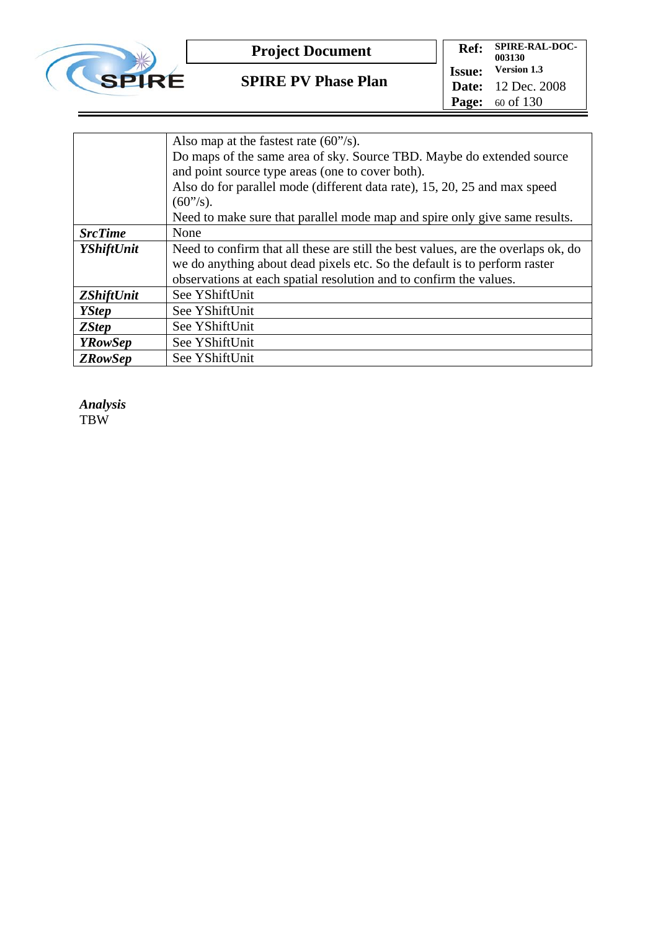

**Ref: SPIRE-RAL-DOC-003130 Issue:** Version 1.3<br>**Date:** 12 Dec. 2 **Date:** 12 Dec. 2008<br>**Page:** 60 of 130 **Page:** 60 of 130

|                   | Also map at the fastest rate $(60\degree/\text{s})$ .                             |
|-------------------|-----------------------------------------------------------------------------------|
|                   | Do maps of the same area of sky. Source TBD. Maybe do extended source             |
|                   | and point source type areas (one to cover both).                                  |
|                   | Also do for parallel mode (different data rate), 15, 20, 25 and max speed         |
|                   | $(60^{\prime\prime}/s)$ .                                                         |
|                   | Need to make sure that parallel mode map and spire only give same results.        |
| <b>SrcTime</b>    | None                                                                              |
| <b>YShiftUnit</b> | Need to confirm that all these are still the best values, are the overlaps ok, do |
|                   | we do anything about dead pixels etc. So the default is to perform raster         |
|                   | observations at each spatial resolution and to confirm the values.                |
| <b>ZShiftUnit</b> | See YShiftUnit                                                                    |
| <b>YStep</b>      | See YShiftUnit                                                                    |
| <b>ZStep</b>      | See YShiftUnit                                                                    |
| <b>YRowSep</b>    | See YShiftUnit                                                                    |
| <b>ZRowSep</b>    | See YShiftUnit                                                                    |

*Analysis* TBW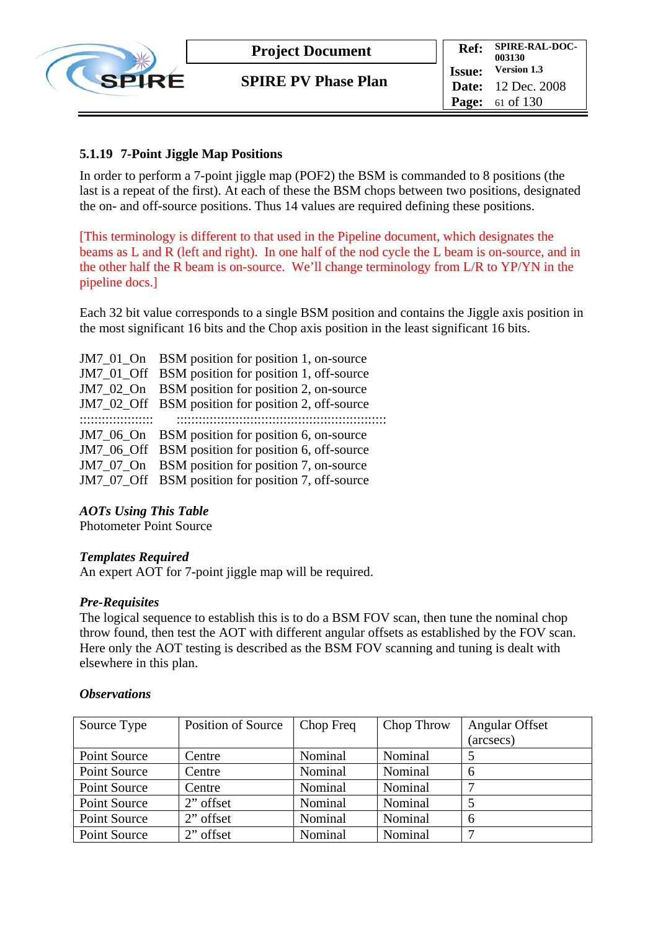

# **5.1.19 7-Point Jiggle Map Positions**

In order to perform a 7-point jiggle map (POF2) the BSM is commanded to 8 positions (the last is a repeat of the first). At each of these the BSM chops between two positions, designated the on- and off-source positions. Thus 14 values are required defining these positions.

[This terminology is different to that used in the Pipeline document, which designates the beams as L and R (left and right). In one half of the nod cycle the L beam is on-source, and in the other half the R beam is on-source. We'll change terminology from L/R to YP/YN in the pipeline docs.]

Each 32 bit value corresponds to a single BSM position and contains the Jiggle axis position in the most significant 16 bits and the Chop axis position in the least significant 16 bits.

JM7\_01\_On BSM position for position 1, on-source JM7\_01\_Off BSM position for position 1, off-source JM7\_02\_On BSM position for position 2, on-source JM7\_02\_Off BSM position for position 2, off-source :::::::::::::::::::: ::::::::::::::::::::::::::::::::::::::::::::::::::::::::: JM7\_06\_On BSM position for position 6, on-source JM7\_06\_Off BSM position for position 6, off-source JM7\_07\_On BSM position for position 7, on-source JM7\_07\_Off BSM position for position 7, off-source

## *AOTs Using This Table*

Photometer Point Source

#### *Templates Required*

An expert AOT for 7-point jiggle map will be required.

#### *Pre-Requisites*

The logical sequence to establish this is to do a BSM FOV scan, then tune the nominal chop throw found, then test the AOT with different angular offsets as established by the FOV scan. Here only the AOT testing is described as the BSM FOV scanning and tuning is dealt with elsewhere in this plan.

#### *Observations*

| Source Type  | Position of Source | Chop Freq | Chop Throw | Angular Offset |
|--------------|--------------------|-----------|------------|----------------|
|              |                    |           |            | (arcsecs)      |
| Point Source | Centre             | Nominal   | Nominal    |                |
| Point Source | Centre             | Nominal   | Nominal    | 6              |
| Point Source | Centre             | Nominal   | Nominal    |                |
| Point Source | 2" offset          | Nominal   | Nominal    |                |
| Point Source | 2" offset          | Nominal   | Nominal    | 6              |
| Point Source | 2" offset          | Nominal   | Nominal    |                |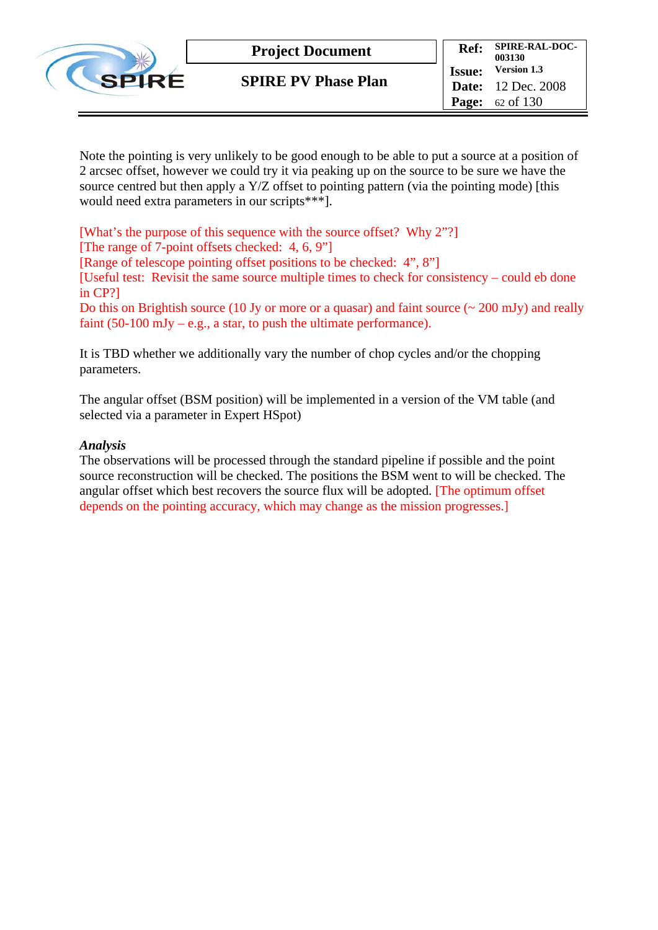

Note the pointing is very unlikely to be good enough to be able to put a source at a position of 2 arcsec offset, however we could try it via peaking up on the source to be sure we have the source centred but then apply a Y/Z offset to pointing pattern (via the pointing mode) [this would need extra parameters in our scripts\*\*\*].

[What's the purpose of this sequence with the source offset? Why 2"?] [The range of 7-point offsets checked: 4, 6, 9"] [Range of telescope pointing offset positions to be checked: 4", 8"] [Useful test: Revisit the same source multiple times to check for consistency – could eb done in CP?]

Do this on Brightish source (10 Jy or more or a quasar) and faint source ( $\sim$  200 mJy) and really faint  $(50-100 \text{ mJy} - e.g.,$  a star, to push the ultimate performance).

It is TBD whether we additionally vary the number of chop cycles and/or the chopping parameters.

The angular offset (BSM position) will be implemented in a version of the VM table (and selected via a parameter in Expert HSpot)

#### *Analysis*

The observations will be processed through the standard pipeline if possible and the point source reconstruction will be checked. The positions the BSM went to will be checked. The angular offset which best recovers the source flux will be adopted. [The optimum offset depends on the pointing accuracy, which may change as the mission progresses.]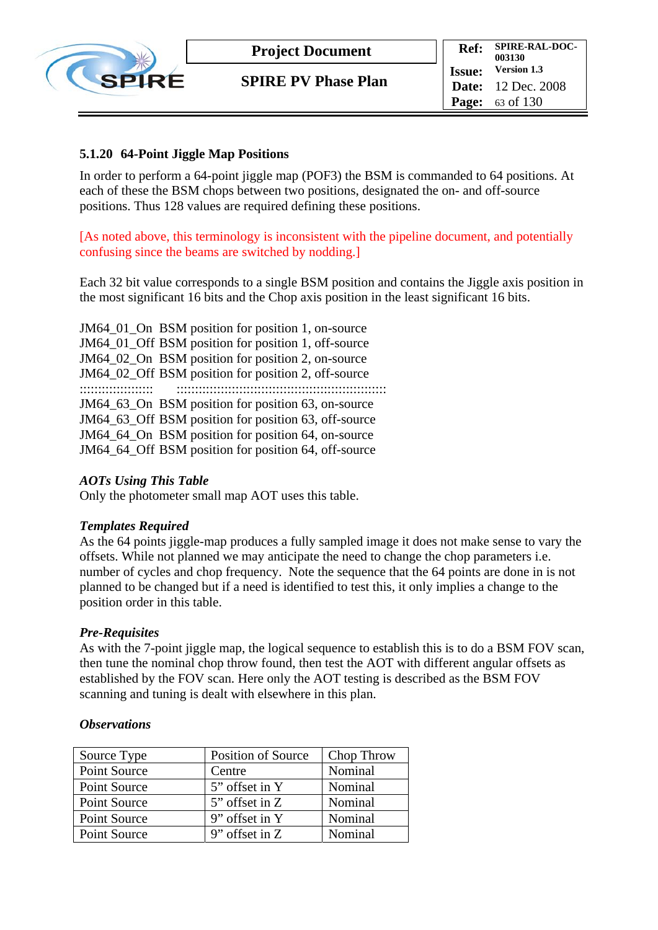

# **5.1.20 64-Point Jiggle Map Positions**

In order to perform a 64-point jiggle map (POF3) the BSM is commanded to 64 positions. At each of these the BSM chops between two positions, designated the on- and off-source positions. Thus 128 values are required defining these positions.

[As noted above, this terminology is inconsistent with the pipeline document, and potentially confusing since the beams are switched by nodding.]

Each 32 bit value corresponds to a single BSM position and contains the Jiggle axis position in the most significant 16 bits and the Chop axis position in the least significant 16 bits.

JM64\_01\_On BSM position for position 1, on-source JM64\_01\_Off BSM position for position 1, off-source JM64\_02\_On BSM position for position 2, on-source JM64\_02\_Off BSM position for position 2, off-source :::::::::::::::::::: ::::::::::::::::::::::::::::::::::::::::::::::::::::::::: JM64\_63\_On BSM position for position 63, on-source JM64\_63\_Off BSM position for position 63, off-source JM64\_64\_On BSM position for position 64, on-source JM64\_64\_Off BSM position for position 64, off-source

## *AOTs Using This Table*

Only the photometer small map AOT uses this table.

#### *Templates Required*

As the 64 points jiggle-map produces a fully sampled image it does not make sense to vary the offsets. While not planned we may anticipate the need to change the chop parameters i.e. number of cycles and chop frequency. Note the sequence that the 64 points are done in is not planned to be changed but if a need is identified to test this, it only implies a change to the position order in this table.

#### *Pre-Requisites*

As with the 7-point jiggle map, the logical sequence to establish this is to do a BSM FOV scan, then tune the nominal chop throw found, then test the AOT with different angular offsets as established by the FOV scan. Here only the AOT testing is described as the BSM FOV scanning and tuning is dealt with elsewhere in this plan.

| Source Type  | <b>Position of Source</b> | Chop Throw |
|--------------|---------------------------|------------|
| Point Source | Centre                    | Nominal    |
| Point Source | 5" offset in Y            | Nominal    |
| Point Source | 5" offset in Z            | Nominal    |
| Point Source | 9" offset in Y            | Nominal    |
| Point Source | $9"$ offset in Z          | Nominal    |

## *Observations*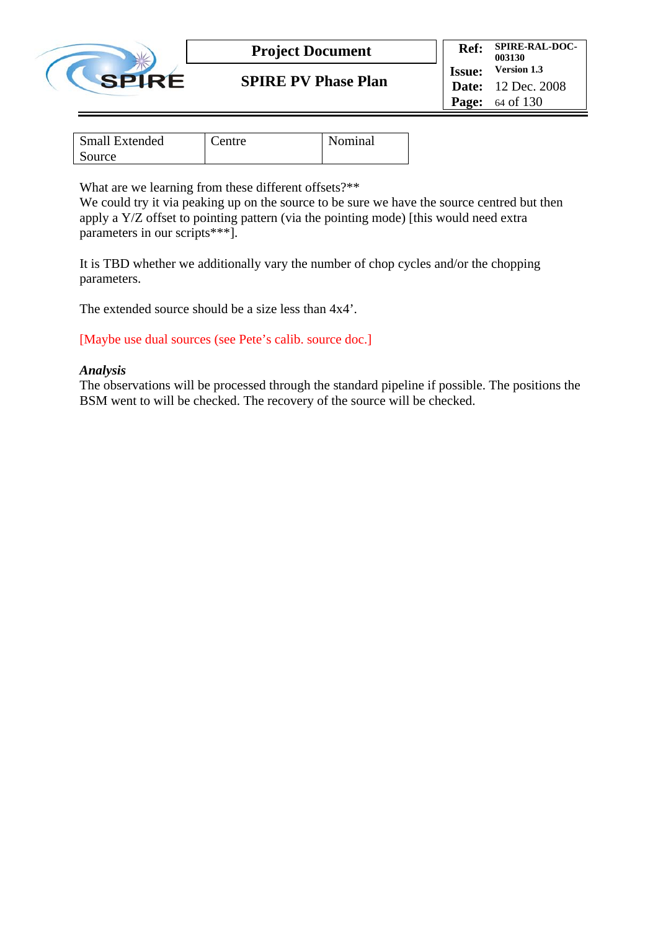

| <b>Small Extended</b> | Centre | Nominal |
|-----------------------|--------|---------|
| Source                |        |         |

What are we learning from these different offsets?\*\*

We could try it via peaking up on the source to be sure we have the source centred but then apply a Y/Z offset to pointing pattern (via the pointing mode) [this would need extra parameters in our scripts\*\*\*].

It is TBD whether we additionally vary the number of chop cycles and/or the chopping parameters.

The extended source should be a size less than 4x4'.

[Maybe use dual sources (see Pete's calib. source doc.]

#### *Analysis*

The observations will be processed through the standard pipeline if possible. The positions the BSM went to will be checked. The recovery of the source will be checked.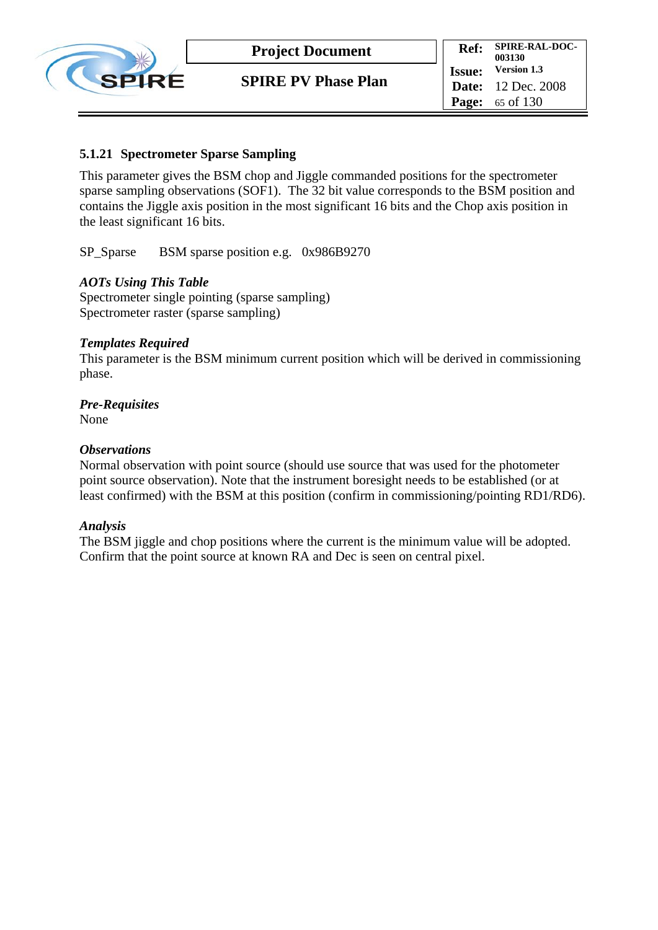

**Ref: SPIRE-RAL-DOC-003130 Issue: Version 1.3 Date:** 12 Dec. 2008 **Page:** 65 of 130

# **5.1.21 Spectrometer Sparse Sampling**

This parameter gives the BSM chop and Jiggle commanded positions for the spectrometer sparse sampling observations (SOF1). The 32 bit value corresponds to the BSM position and contains the Jiggle axis position in the most significant 16 bits and the Chop axis position in the least significant 16 bits.

SP\_Sparse BSM sparse position e.g. 0x986B9270

## *AOTs Using This Table*

Spectrometer single pointing (sparse sampling) Spectrometer raster (sparse sampling)

#### *Templates Required*

This parameter is the BSM minimum current position which will be derived in commissioning phase.

# *Pre-Requisites*

None

#### *Observations*

Normal observation with point source (should use source that was used for the photometer point source observation). Note that the instrument boresight needs to be established (or at least confirmed) with the BSM at this position (confirm in commissioning/pointing RD1/RD6).

#### *Analysis*

The BSM jiggle and chop positions where the current is the minimum value will be adopted. Confirm that the point source at known RA and Dec is seen on central pixel.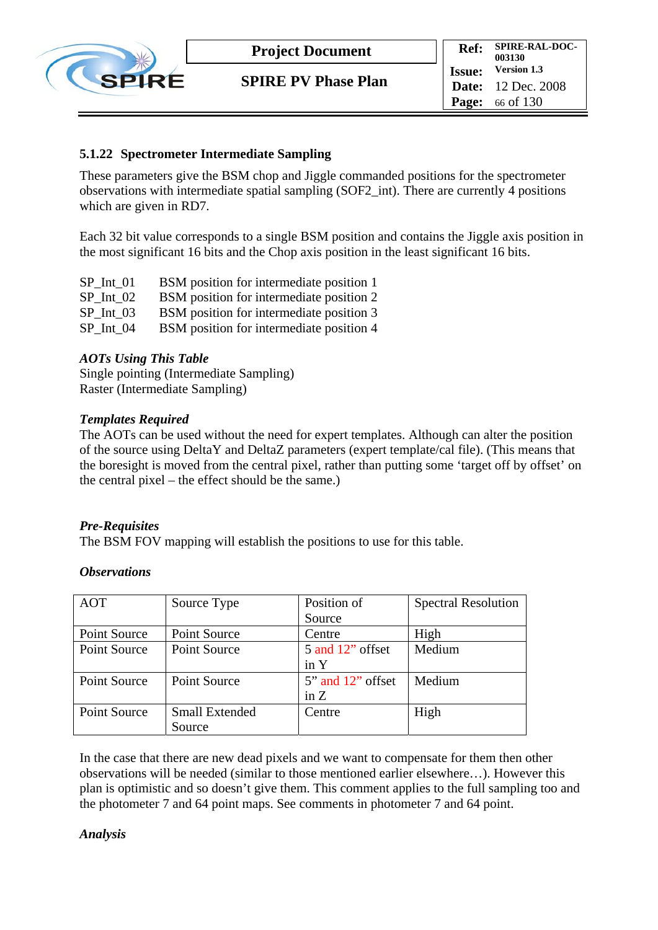

# **5.1.22 Spectrometer Intermediate Sampling**

These parameters give the BSM chop and Jiggle commanded positions for the spectrometer observations with intermediate spatial sampling (SOF2\_int). There are currently 4 positions which are given in RD7.

Each 32 bit value corresponds to a single BSM position and contains the Jiggle axis position in the most significant 16 bits and the Chop axis position in the least significant 16 bits.

| $SP$ Int 01 | BSM position for intermediate position 1 |
|-------------|------------------------------------------|
| $SP$ Int 02 | BSM position for intermediate position 2 |
| $SP$ Int 03 | BSM position for intermediate position 3 |
| SP Int 04   | BSM position for intermediate position 4 |

#### *AOTs Using This Table*

Single pointing (Intermediate Sampling) Raster (Intermediate Sampling)

#### *Templates Required*

The AOTs can be used without the need for expert templates. Although can alter the position of the source using DeltaY and DeltaZ parameters (expert template/cal file). (This means that the boresight is moved from the central pixel, rather than putting some 'target off by offset' on the central pixel – the effect should be the same.)

#### *Pre-Requisites*

The BSM FOV mapping will establish the positions to use for this table.

| <b>AOT</b>          | Source Type           | Position of       | <b>Spectral Resolution</b> |
|---------------------|-----------------------|-------------------|----------------------------|
|                     |                       | Source            |                            |
| Point Source        | Point Source          | Centre            | High                       |
| <b>Point Source</b> | Point Source          | 5 and 12" offset  | Medium                     |
|                     |                       | in Y              |                            |
| <b>Point Source</b> | Point Source          | 5" and 12" offset | Medium                     |
|                     |                       | in Z              |                            |
| <b>Point Source</b> | <b>Small Extended</b> | Centre            | High                       |
|                     | Source                |                   |                            |

#### *Observations*

In the case that there are new dead pixels and we want to compensate for them then other observations will be needed (similar to those mentioned earlier elsewhere…). However this plan is optimistic and so doesn't give them. This comment applies to the full sampling too and the photometer 7 and 64 point maps. See comments in photometer 7 and 64 point.

## *Analysis*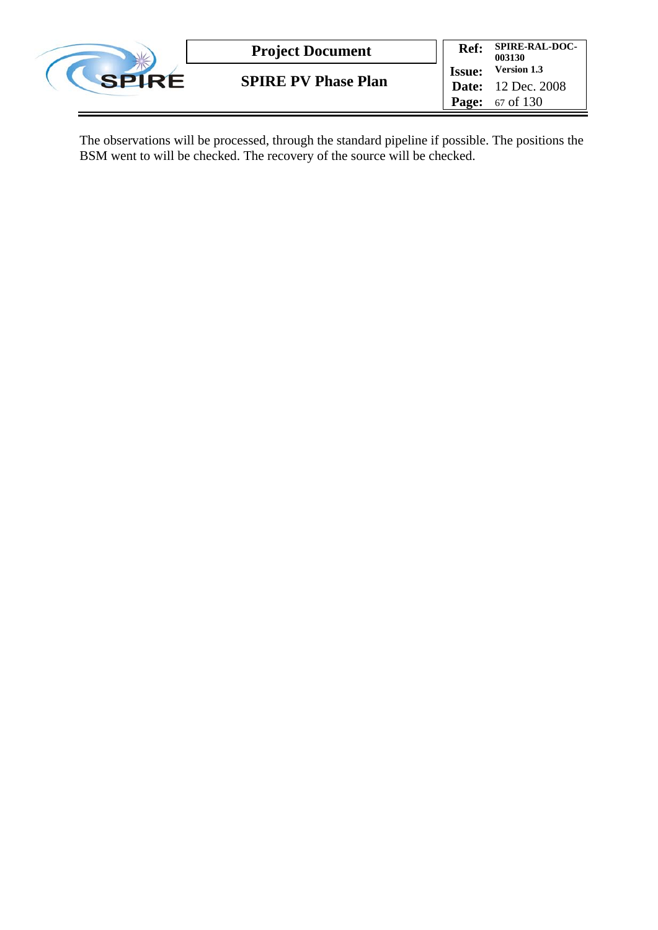

The observations will be processed, through the standard pipeline if possible. The positions the BSM went to will be checked. The recovery of the source will be checked.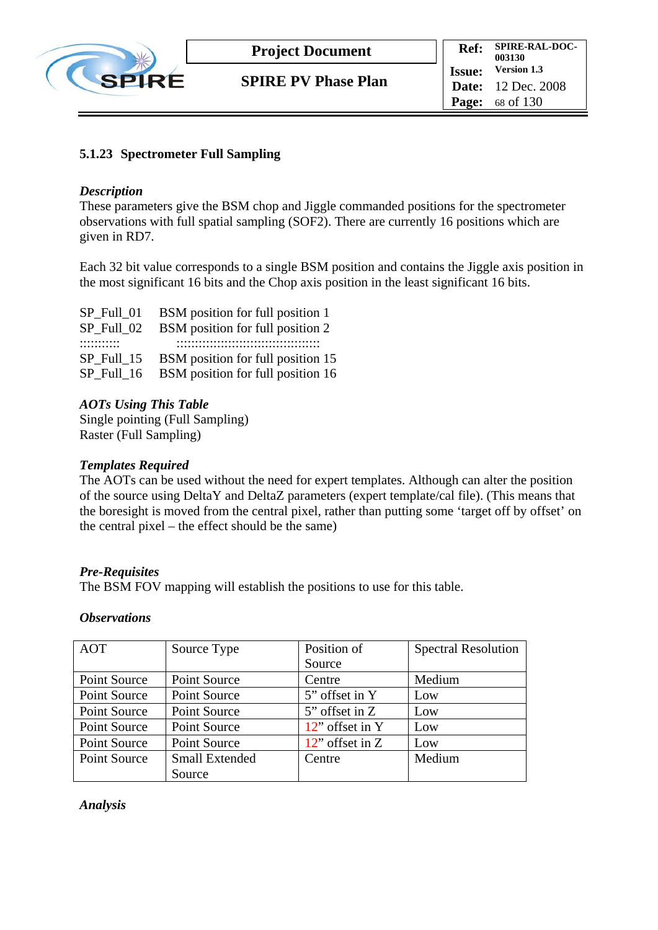

# **5.1.23 Spectrometer Full Sampling**

#### *Description*

These parameters give the BSM chop and Jiggle commanded positions for the spectrometer observations with full spatial sampling (SOF2). There are currently 16 positions which are given in RD7.

Each 32 bit value corresponds to a single BSM position and contains the Jiggle axis position in the most significant 16 bits and the Chop axis position in the least significant 16 bits.

| SP Full 01 | BSM position for full position 1  |
|------------|-----------------------------------|
| SP Full 02 | BSM position for full position 2  |
| <br>.      |                                   |
| SP Full 15 | BSM position for full position 15 |
| SP Full 16 | BSM position for full position 16 |

#### *AOTs Using This Table*

Single pointing (Full Sampling) Raster (Full Sampling)

#### *Templates Required*

The AOTs can be used without the need for expert templates. Although can alter the position of the source using DeltaY and DeltaZ parameters (expert template/cal file). (This means that the boresight is moved from the central pixel, rather than putting some 'target off by offset' on the central pixel – the effect should be the same)

## *Pre-Requisites*

The BSM FOV mapping will establish the positions to use for this table.

#### *Observations*

| <b>AOT</b>   | Source Type           | Position of        | <b>Spectral Resolution</b> |
|--------------|-----------------------|--------------------|----------------------------|
|              |                       | Source             |                            |
| Point Source | Point Source          | Centre             | Medium                     |
| Point Source | Point Source          | 5" offset in Y     | Low                        |
| Point Source | Point Source          | 5" offset in Z     | Low                        |
| Point Source | Point Source          | 12" offset in Y    | Low                        |
| Point Source | Point Source          | $12$ " offset in Z | Low                        |
| Point Source | <b>Small Extended</b> | Centre             | Medium                     |
|              | Source                |                    |                            |

#### *Analysis*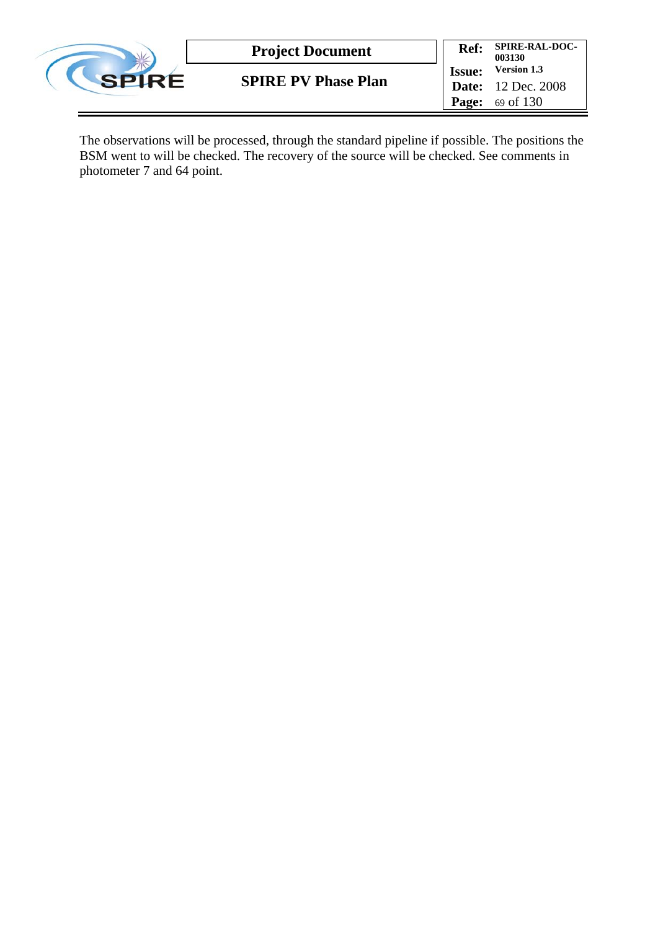

The observations will be processed, through the standard pipeline if possible. The positions the BSM went to will be checked. The recovery of the source will be checked. See comments in photometer 7 and 64 point.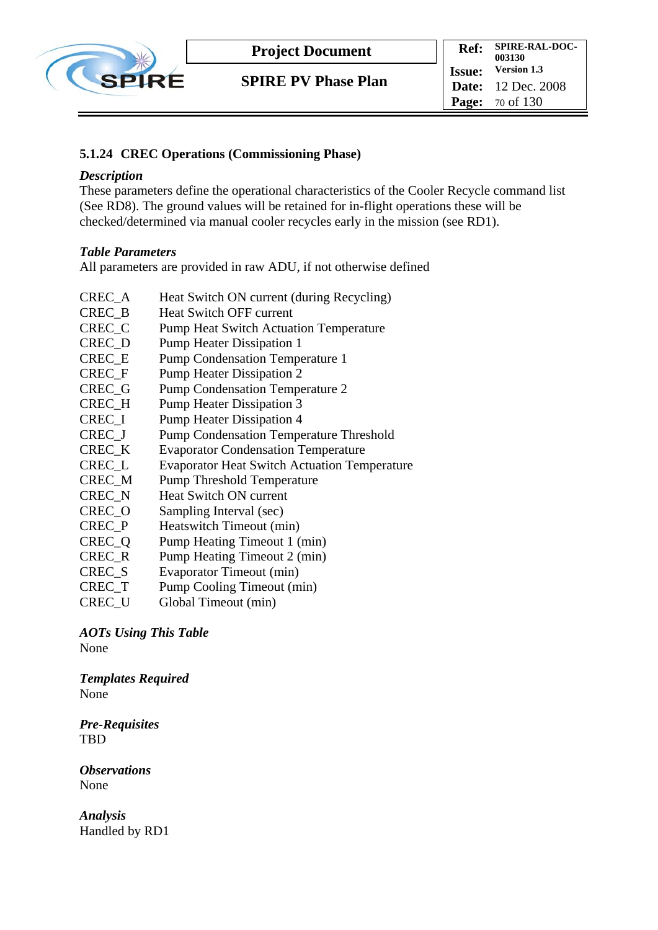

## **5.1.24 CREC Operations (Commissioning Phase)**

#### *Description*

These parameters define the operational characteristics of the Cooler Recycle command list (See RD8). The ground values will be retained for in-flight operations these will be checked/determined via manual cooler recycles early in the mission (see RD1).

#### *Table Parameters*

All parameters are provided in raw ADU, if not otherwise defined

- CREC\_A Heat Switch ON current (during Recycling)
- CREC\_B Heat Switch OFF current
- CREC\_C Pump Heat Switch Actuation Temperature
- CREC\_D Pump Heater Dissipation 1
- CREC\_E Pump Condensation Temperature 1
- CREC<sub>F</sub> Pump Heater Dissipation 2
- CREC\_G Pump Condensation Temperature 2
- CREC\_H Pump Heater Dissipation 3
- CREC\_I Pump Heater Dissipation 4
- CREC\_J Pump Condensation Temperature Threshold
- CREC\_K Evaporator Condensation Temperature
- CREC\_L Evaporator Heat Switch Actuation Temperature
- CREC\_M Pump Threshold Temperature
- CREC\_N Heat Switch ON current
- CREC\_O Sampling Interval (sec)
- CREC\_P Heatswitch Timeout (min)
- CREC\_Q Pump Heating Timeout 1 (min)
- CREC R Pump Heating Timeout 2 (min)
- CREC\_S Evaporator Timeout (min)
- CREC\_T Pump Cooling Timeout (min)
- CREC\_U Global Timeout (min)

*AOTs Using This Table*  None

*Templates Required*  None

*Pre-Requisites*  TBD

*Observations*  None

*Analysis* Handled by RD1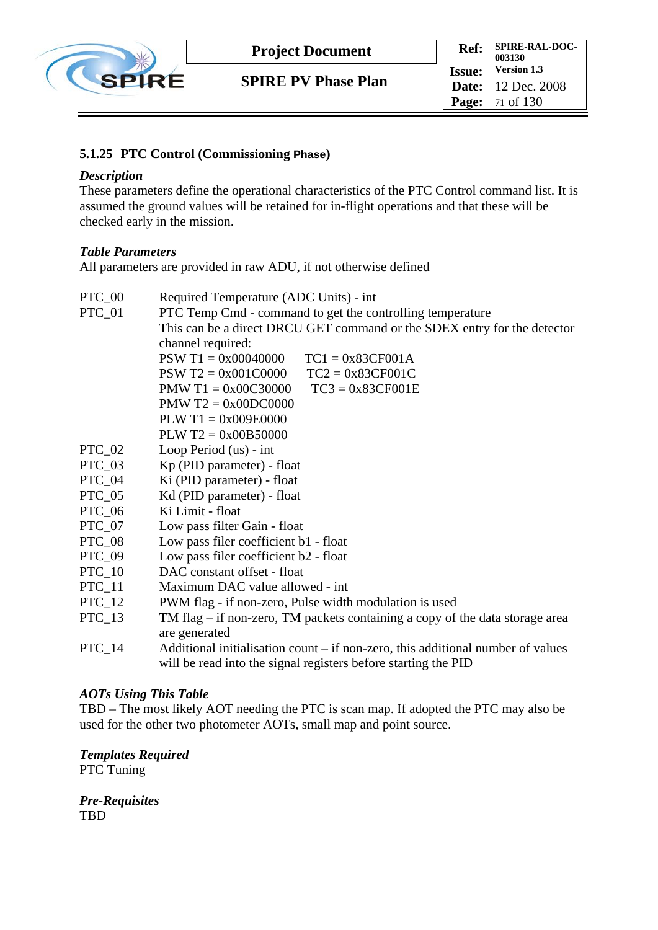

## **5.1.25 PTC Control (Commissioning Phase)**

#### *Description*

These parameters define the operational characteristics of the PTC Control command list. It is assumed the ground values will be retained for in-flight operations and that these will be checked early in the mission.

#### *Table Parameters*

All parameters are provided in raw ADU, if not otherwise defined

| $PTC_0$       | Required Temperature (ADC Units) - int                                            |  |  |
|---------------|-----------------------------------------------------------------------------------|--|--|
| $PTC_01$      | PTC Temp Cmd - command to get the controlling temperature                         |  |  |
|               | This can be a direct DRCU GET command or the SDEX entry for the detector          |  |  |
|               | channel required:                                                                 |  |  |
|               | $PSW T1 = 0x00040000$<br>$TC1 = 0x83CF001A$                                       |  |  |
|               | $PSW T2 = 0x001C0000$<br>$TC2 = 0x83CF001C$                                       |  |  |
|               | $PMW T1 = 0x00C30000$<br>$TC3 = 0x83CF001E$                                       |  |  |
|               | $PMW T2 = 0x00DC0000$                                                             |  |  |
|               | $PLW T1 = 0x009E0000$                                                             |  |  |
|               | $PLW T2 = 0x00B50000$                                                             |  |  |
| $PTC_02$      | Loop Period (us) - int                                                            |  |  |
| $PTC_03$      | Kp (PID parameter) - float                                                        |  |  |
| PTC 04        | Ki (PID parameter) - float                                                        |  |  |
| <b>PTC</b> 05 | Kd (PID parameter) - float                                                        |  |  |
| $PTC_06$      | Ki Limit - float                                                                  |  |  |
| $PTC_07$      | Low pass filter Gain - float                                                      |  |  |
| $PTC_08$      | Low pass filer coefficient b1 - float                                             |  |  |
| $PTC_09$      | Low pass filer coefficient b2 - float                                             |  |  |
| $PTC_10$      | DAC constant offset - float                                                       |  |  |
| $PTC_11$      | Maximum DAC value allowed - int                                                   |  |  |
| $PTC_12$      | PWM flag - if non-zero, Pulse width modulation is used                            |  |  |
| $PTC_13$      | TM flag $-$ if non-zero, TM packets containing a copy of the data storage area    |  |  |
|               | are generated                                                                     |  |  |
| $PTC_14$      | Additional initialisation count $-$ if non-zero, this additional number of values |  |  |
|               | will be read into the signal registers before starting the PID                    |  |  |

#### *AOTs Using This Table*

TBD – The most likely AOT needing the PTC is scan map. If adopted the PTC may also be used for the other two photometer AOTs, small map and point source.

*Templates Required*  PTC Tuning

*Pre-Requisites*  TBD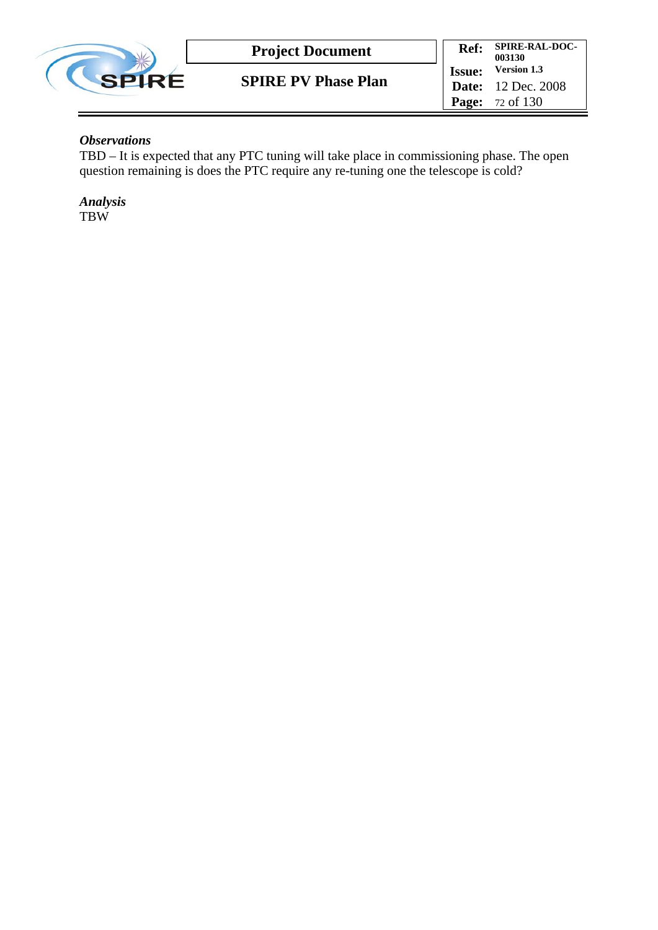

**Ref: SPIRE-RAL-DOC-003130 Issue:** Version 1.3<br>**Date:** 12 Dec. 2 **Date:** 12 Dec. 2008 **Page:** 72 of 130

# *Observations*

TBD – It is expected that any PTC tuning will take place in commissioning phase. The open question remaining is does the PTC require any re-tuning one the telescope is cold?

*Analysis* TBW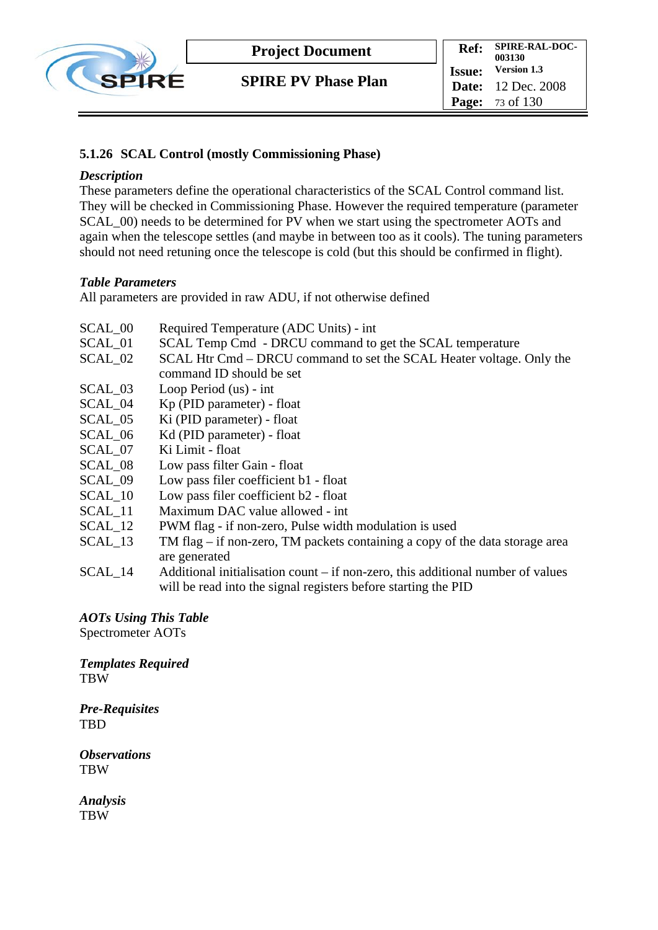

### **5.1.26 SCAL Control (mostly Commissioning Phase)**

#### *Description*

These parameters define the operational characteristics of the SCAL Control command list. They will be checked in Commissioning Phase. However the required temperature (parameter SCAL\_00) needs to be determined for PV when we start using the spectrometer AOTs and again when the telescope settles (and maybe in between too as it cools). The tuning parameters should not need retuning once the telescope is cold (but this should be confirmed in flight).

### *Table Parameters*

All parameters are provided in raw ADU, if not otherwise defined

| SCAL 00   | Required Temperature (ADC Units) - int                                            |
|-----------|-----------------------------------------------------------------------------------|
| SCAL 01   | SCAL Temp Cmd - DRCU command to get the SCAL temperature                          |
| SCAL 02   | SCAL Htr Cmd – DRCU command to set the SCAL Heater voltage. Only the              |
|           | command ID should be set                                                          |
| SCAL 03   | Loop Period (us) - int                                                            |
| SCAL 04   | Kp (PID parameter) - float                                                        |
| SCAL 05   | Ki (PID parameter) - float                                                        |
| SCAL 06   | Kd (PID parameter) - float                                                        |
| SCAL_07   | Ki Limit - float                                                                  |
| SCAL 08   | Low pass filter Gain - float                                                      |
| SCAL 09   | Low pass filer coefficient b1 - float                                             |
| SCAL 10   | Low pass filer coefficient b2 - float                                             |
| SCAL 11   | Maximum DAC value allowed - int                                                   |
| $SCAL_12$ | PWM flag - if non-zero, Pulse width modulation is used                            |
| SCAL 13   | TM flag $-$ if non-zero, TM packets containing a copy of the data storage area    |
|           | are generated                                                                     |
| SCAL 14   | Additional initialisation count $-$ if non-zero, this additional number of values |
|           | will be read into the signal registers before starting the PID                    |
|           |                                                                                   |

*AOTs Using This Table*  Spectrometer AOTs

*Templates Required*  TBW

*Pre-Requisites*  TBD

*Observations*  TBW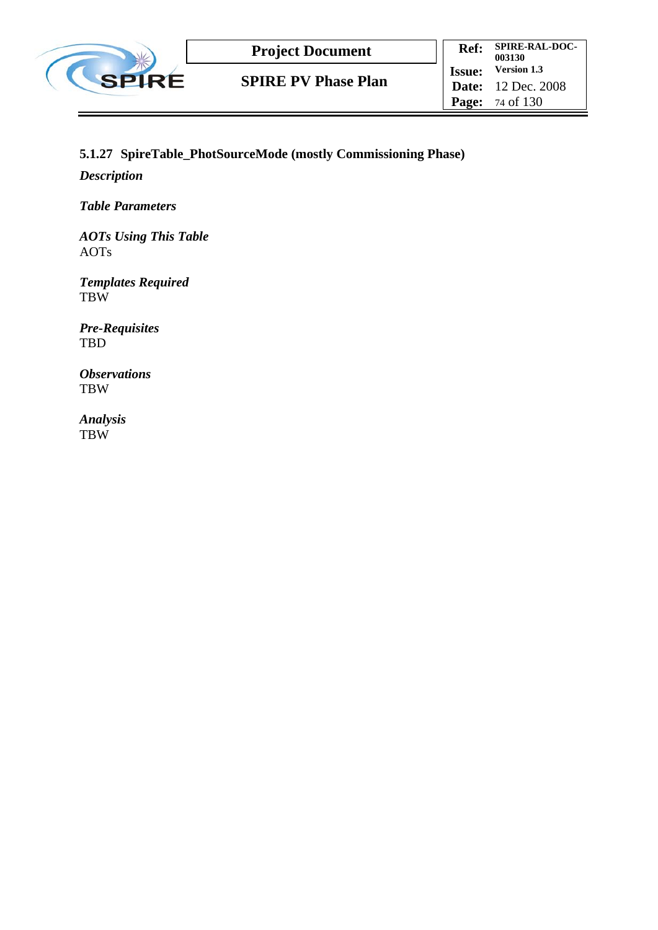

# **5.1.27 SpireTable\_PhotSourceMode (mostly Commissioning Phase)**

*Description* 

*Table Parameters* 

*AOTs Using This Table*  AOTs

*Templates Required*  TBW

*Pre-Requisites*  TBD

*Observations*  TBW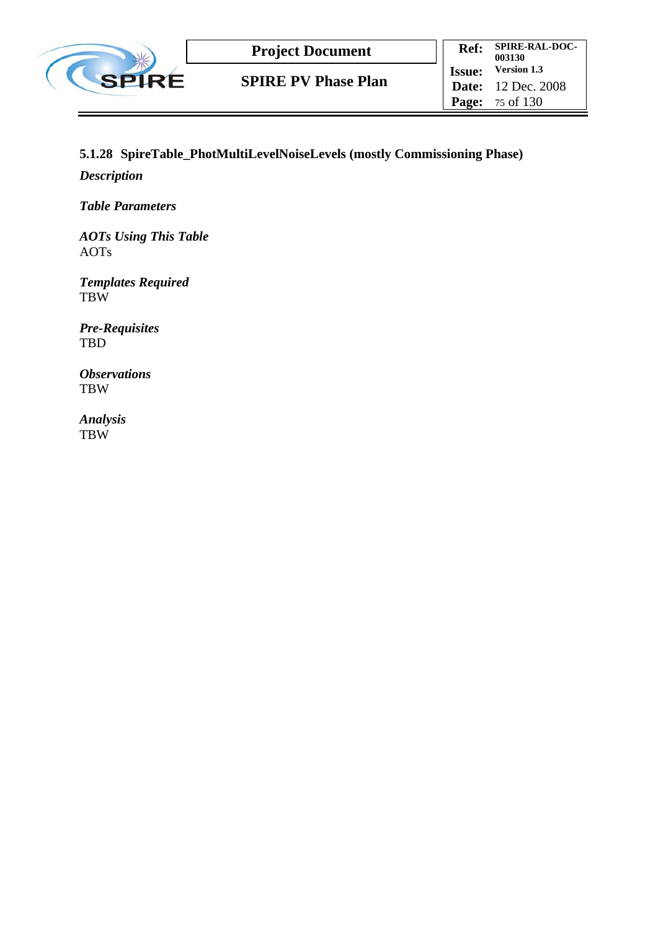

## **5.1.28 SpireTable\_PhotMultiLevelNoiseLevels (mostly Commissioning Phase)**

*Description* 

*Table Parameters* 

*AOTs Using This Table*  AOTs

*Templates Required*  TBW

*Pre-Requisites*  TBD

*Observations*  TBW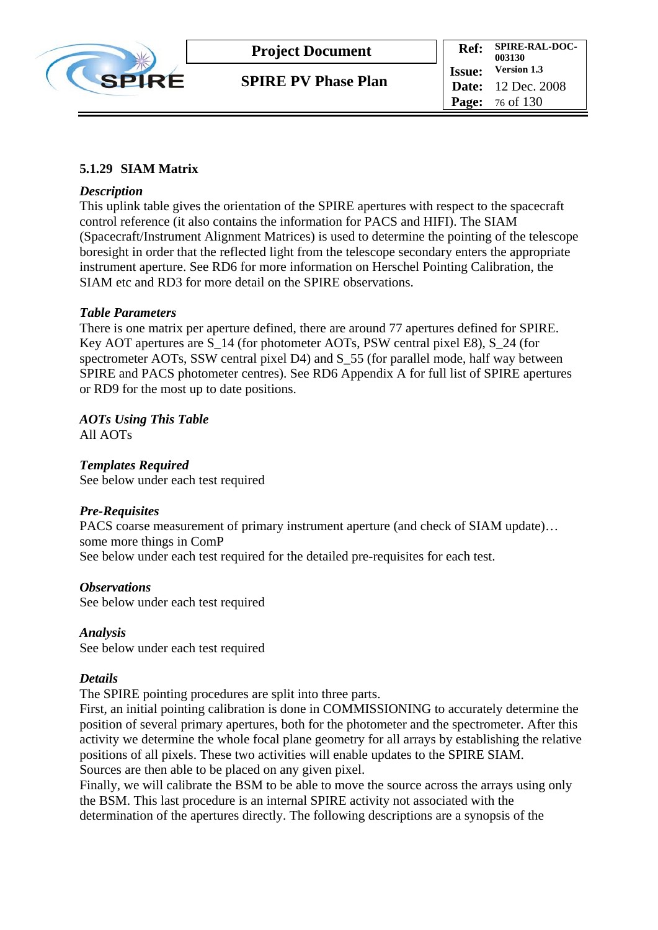

### **5.1.29 SIAM Matrix**

#### *Description*

This uplink table gives the orientation of the SPIRE apertures with respect to the spacecraft control reference (it also contains the information for PACS and HIFI). The SIAM (Spacecraft/Instrument Alignment Matrices) is used to determine the pointing of the telescope boresight in order that the reflected light from the telescope secondary enters the appropriate instrument aperture. See RD6 for more information on Herschel Pointing Calibration, the SIAM etc and RD3 for more detail on the SPIRE observations.

### *Table Parameters*

There is one matrix per aperture defined, there are around 77 apertures defined for SPIRE. Key AOT apertures are S\_14 (for photometer AOTs, PSW central pixel E8), S\_24 (for spectrometer AOTs, SSW central pixel D4) and S 55 (for parallel mode, half way between SPIRE and PACS photometer centres). See RD6 Appendix A for full list of SPIRE apertures or RD9 for the most up to date positions.

# *AOTs Using This Table*

All AOTs

### *Templates Required*

See below under each test required

#### *Pre-Requisites*

PACS coarse measurement of primary instrument aperture (and check of SIAM update)… some more things in ComP See below under each test required for the detailed pre-requisites for each test.

#### *Observations*

See below under each test required

#### *Analysis*

See below under each test required

#### *Details*

The SPIRE pointing procedures are split into three parts.

First, an initial pointing calibration is done in COMMISSIONING to accurately determine the position of several primary apertures, both for the photometer and the spectrometer. After this activity we determine the whole focal plane geometry for all arrays by establishing the relative positions of all pixels. These two activities will enable updates to the SPIRE SIAM. Sources are then able to be placed on any given pixel.

Finally, we will calibrate the BSM to be able to move the source across the arrays using only the BSM. This last procedure is an internal SPIRE activity not associated with the determination of the apertures directly. The following descriptions are a synopsis of the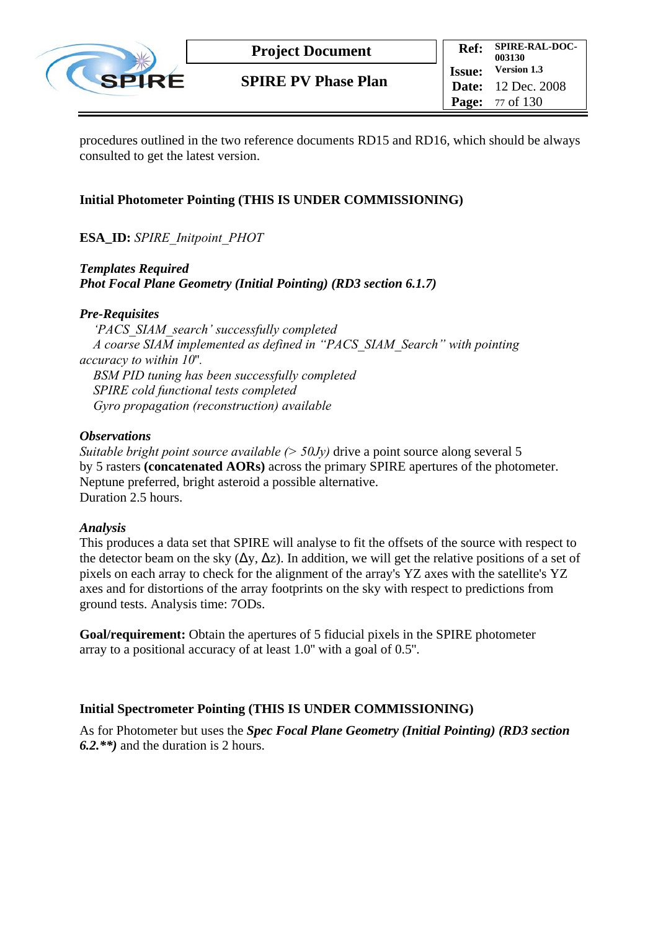

procedures outlined in the two reference documents RD15 and RD16, which should be always consulted to get the latest version.

### **Initial Photometer Pointing (THIS IS UNDER COMMISSIONING)**

**ESA\_ID:** *SPIRE\_Initpoint\_PHOT* 

*Templates Required Phot Focal Plane Geometry (Initial Pointing) (RD3 section 6.1.7)* 

### *Pre-Requisites*

 *'PACS\_SIAM\_search' successfully completed A coarse SIAM implemented as defined in "PACS\_SIAM\_Search" with pointing accuracy to within 10*''*. BSM PID tuning has been successfully completed SPIRE cold functional tests completed Gyro propagation (reconstruction) available* 

#### *Observations*

*Suitable bright point source available (> 50Jy)* drive a point source along several 5 by 5 rasters **(concatenated AORs)** across the primary SPIRE apertures of the photometer. Neptune preferred, bright asteroid a possible alternative. Duration 2.5 hours.

#### *Analysis*

This produces a data set that SPIRE will analyse to fit the offsets of the source with respect to the detector beam on the sky  $(\Delta y, \Delta z)$ . In addition, we will get the relative positions of a set of pixels on each array to check for the alignment of the array's YZ axes with the satellite's YZ axes and for distortions of the array footprints on the sky with respect to predictions from ground tests. Analysis time: 7ODs.

**Goal/requirement:** Obtain the apertures of 5 fiducial pixels in the SPIRE photometer array to a positional accuracy of at least 1.0'' with a goal of 0.5''.

### **Initial Spectrometer Pointing (THIS IS UNDER COMMISSIONING)**

As for Photometer but uses the *Spec Focal Plane Geometry (Initial Pointing) (RD3 section 6.2.\*\*)* and the duration is 2 hours.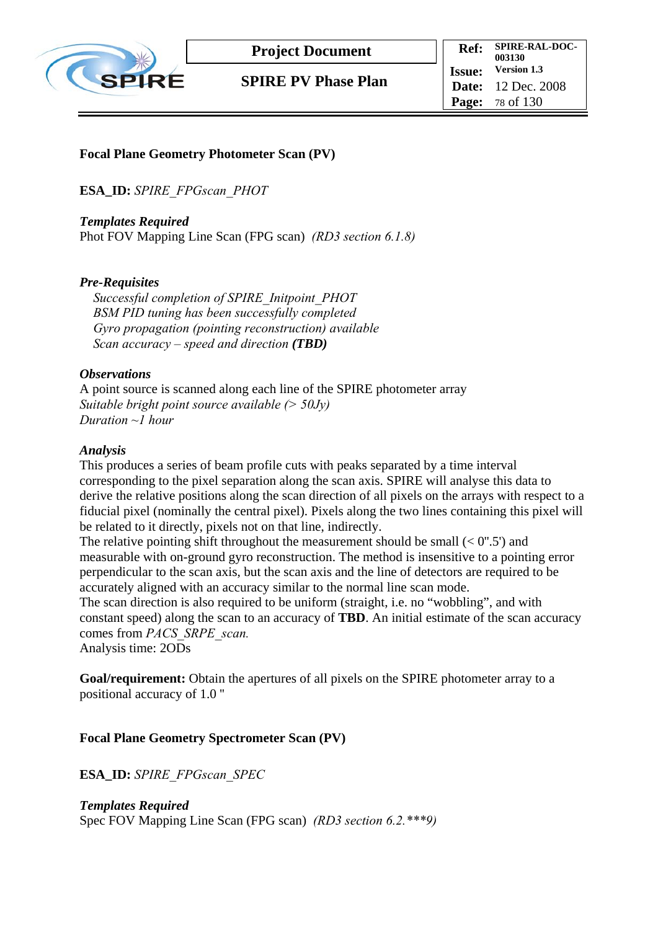

### **Focal Plane Geometry Photometer Scan (PV)**

**ESA\_ID:** *SPIRE\_FPGscan\_PHOT* 

*Templates Required*  Phot FOV Mapping Line Scan (FPG scan) *(RD3 section 6.1.8)* 

### *Pre-Requisites*

 *Successful completion of SPIRE\_Initpoint\_PHOT BSM PID tuning has been successfully completed Gyro propagation (pointing reconstruction) available Scan accuracy – speed and direction (TBD)* 

#### *Observations*

A point source is scanned along each line of the SPIRE photometer array *Suitable bright point source available (> 50Jy) Duration ~1 hour* 

#### *Analysis*

This produces a series of beam profile cuts with peaks separated by a time interval corresponding to the pixel separation along the scan axis. SPIRE will analyse this data to derive the relative positions along the scan direction of all pixels on the arrays with respect to a fiducial pixel (nominally the central pixel). Pixels along the two lines containing this pixel will be related to it directly, pixels not on that line, indirectly.

The relative pointing shift throughout the measurement should be small  $( $0$ ".5")$  and measurable with on-ground gyro reconstruction. The method is insensitive to a pointing error perpendicular to the scan axis, but the scan axis and the line of detectors are required to be accurately aligned with an accuracy similar to the normal line scan mode.

The scan direction is also required to be uniform (straight, i.e. no "wobbling", and with constant speed) along the scan to an accuracy of **TBD**. An initial estimate of the scan accuracy comes from *PACS\_SRPE\_scan.* 

Analysis time: 2ODs

Goal/requirement: Obtain the apertures of all pixels on the SPIRE photometer array to a positional accuracy of 1.0 ''

#### **Focal Plane Geometry Spectrometer Scan (PV)**

**ESA\_ID:** *SPIRE\_FPGscan\_SPEC* 

*Templates Required* 

Spec FOV Mapping Line Scan (FPG scan) *(RD3 section 6.2.\*\*\*9)*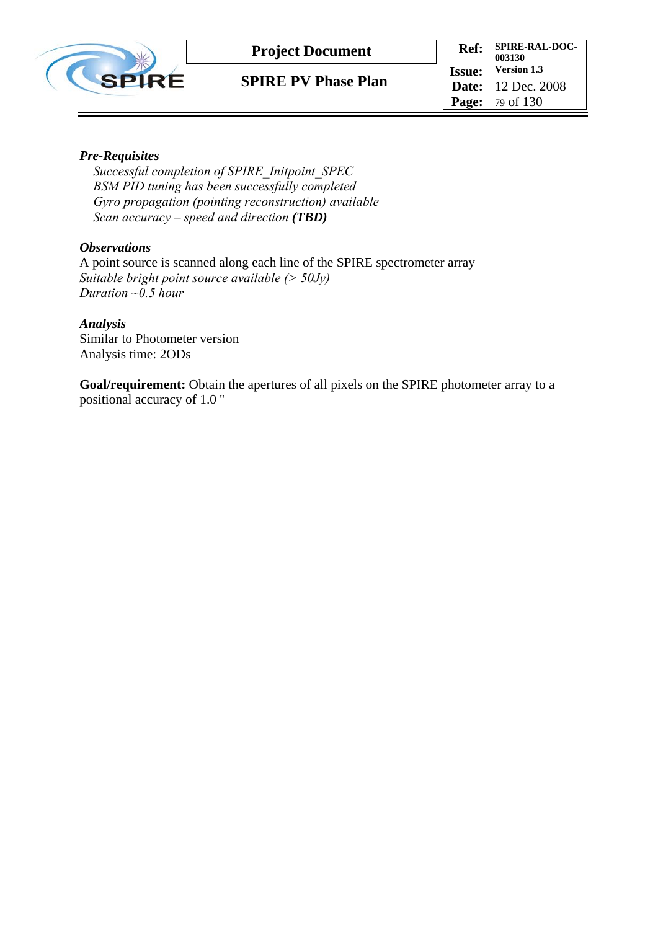

#### *Pre-Requisites*

 *Successful completion of SPIRE\_Initpoint\_SPEC BSM PID tuning has been successfully completed Gyro propagation (pointing reconstruction) available Scan accuracy – speed and direction (TBD)* 

### *Observations*

A point source is scanned along each line of the SPIRE spectrometer array *Suitable bright point source available (> 50Jy) Duration ~0.5 hour* 

*Analysis* Similar to Photometer version Analysis time: 2ODs

**Goal/requirement:** Obtain the apertures of all pixels on the SPIRE photometer array to a positional accuracy of 1.0 ''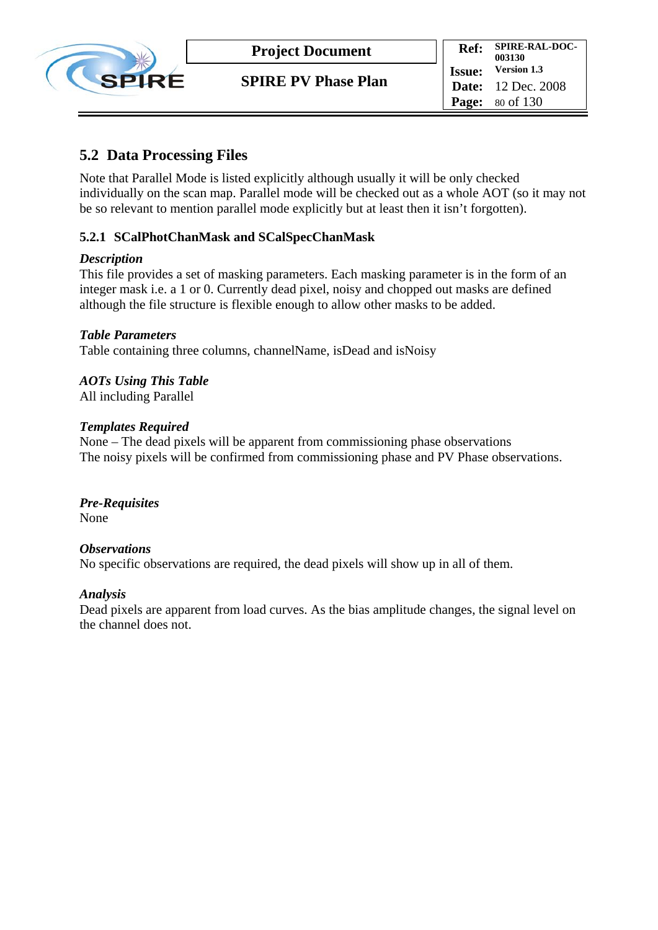

# **5.2 Data Processing Files**

Note that Parallel Mode is listed explicitly although usually it will be only checked individually on the scan map. Parallel mode will be checked out as a whole AOT (so it may not be so relevant to mention parallel mode explicitly but at least then it isn't forgotten).

### **5.2.1 SCalPhotChanMask and SCalSpecChanMask**

### *Description*

This file provides a set of masking parameters. Each masking parameter is in the form of an integer mask i.e. a 1 or 0. Currently dead pixel, noisy and chopped out masks are defined although the file structure is flexible enough to allow other masks to be added.

### *Table Parameters*

Table containing three columns, channelName, isDead and isNoisy

### *AOTs Using This Table*

All including Parallel

### *Templates Required*

None – The dead pixels will be apparent from commissioning phase observations The noisy pixels will be confirmed from commissioning phase and PV Phase observations.

#### *Pre-Requisites*  None

### *Observations*

No specific observations are required, the dead pixels will show up in all of them.

#### *Analysis*

Dead pixels are apparent from load curves. As the bias amplitude changes, the signal level on the channel does not.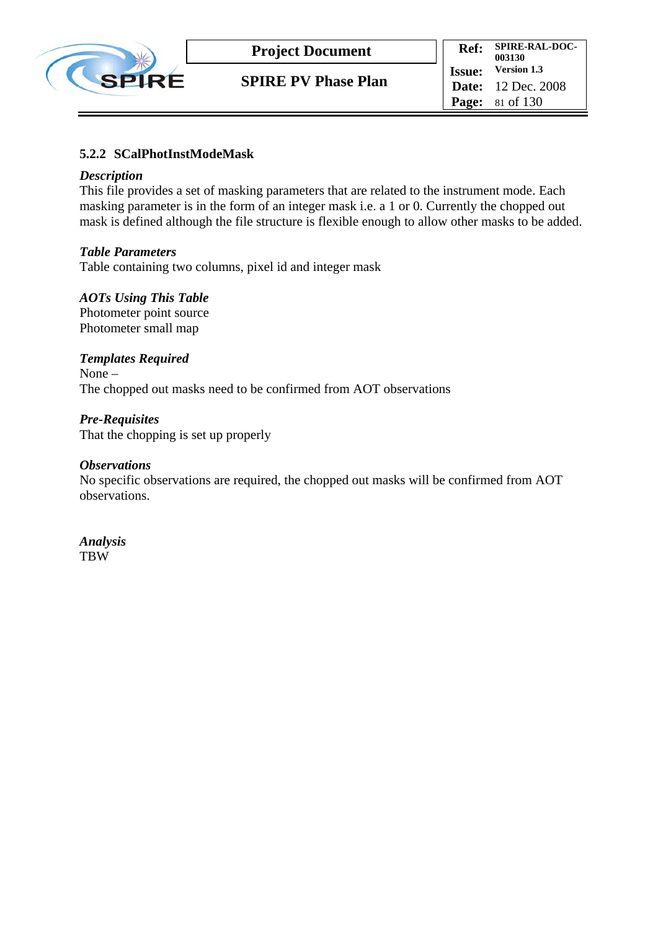

**Ref: SPIRE-RAL-DOC-003130 Issue: Version 1.3 Date:** 12 Dec. 2008 **Page:** 81 of 130

### **5.2.2 SCalPhotInstModeMask**

#### *Description*

This file provides a set of masking parameters that are related to the instrument mode. Each masking parameter is in the form of an integer mask i.e. a 1 or 0. Currently the chopped out mask is defined although the file structure is flexible enough to allow other masks to be added.

#### *Table Parameters*

Table containing two columns, pixel id and integer mask

#### *AOTs Using This Table*

Photometer point source Photometer small map

### *Templates Required*

None – The chopped out masks need to be confirmed from AOT observations

### *Pre-Requisites*

That the chopping is set up properly

#### *Observations*

No specific observations are required, the chopped out masks will be confirmed from AOT observations.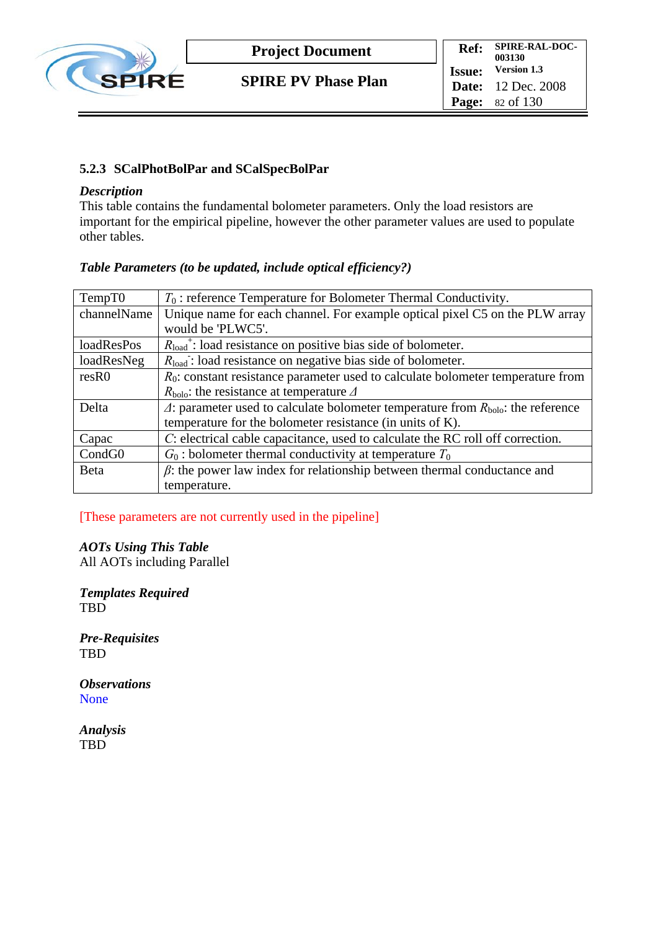

### **5.2.3 SCalPhotBolPar and SCalSpecBolPar**

#### *Description*

This table contains the fundamental bolometer parameters. Only the load resistors are important for the empirical pipeline, however the other parameter values are used to populate other tables.

#### *Table Parameters (to be updated, include optical efficiency?)*

| TempT0       | $T_0$ : reference Temperature for Bolometer Thermal Conductivity.                                   |
|--------------|-----------------------------------------------------------------------------------------------------|
| channelName  | Unique name for each channel. For example optical pixel C5 on the PLW array                         |
|              | would be 'PLWC5'.                                                                                   |
| loadResPos   | $R_{load}$ <sup>+</sup> : load resistance on positive bias side of bolometer.                       |
| loadResNeg   | $R_{load}$ : load resistance on negative bias side of bolometer.                                    |
| resR0        | $R_0$ : constant resistance parameter used to calculate bolometer temperature from                  |
|              | $R_{\text{bolo}}$ : the resistance at temperature $\Delta$                                          |
| Delta        | $\Delta$ : parameter used to calculate bolometer temperature from $R_{\text{bolo}}$ : the reference |
|              | temperature for the bolometer resistance (in units of K).                                           |
| Capac        | C: electrical cable capacitance, used to calculate the RC roll off correction.                      |
| CondG0       | $G_0$ : bolometer thermal conductivity at temperature $T_0$                                         |
| <b>B</b> eta | $\beta$ : the power law index for relationship between thermal conductance and                      |
|              | temperature.                                                                                        |

[These parameters are not currently used in the pipeline]

*AOTs Using This Table*  All AOTs including Parallel

*Templates Required*  TBD

*Pre-Requisites*  TBD

*Observations*  None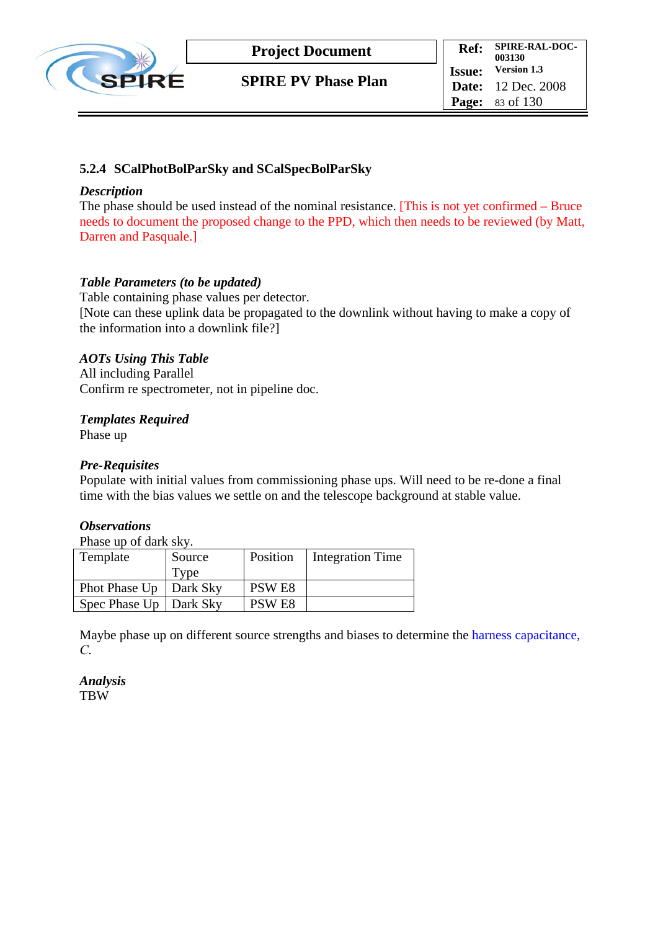

### **5.2.4 SCalPhotBolParSky and SCalSpecBolParSky**

### *Description*

The phase should be used instead of the nominal resistance. [This is not yet confirmed – Bruce needs to document the proposed change to the PPD, which then needs to be reviewed (by Matt, Darren and Pasquale.]

### *Table Parameters (to be updated)*

Table containing phase values per detector. [Note can these uplink data be propagated to the downlink without having to make a copy of the information into a downlink file?]

### *AOTs Using This Table*

All including Parallel Confirm re spectrometer, not in pipeline doc.

#### *Templates Required*

Phase up

#### *Pre-Requisites*

Populate with initial values from commissioning phase ups. Will need to be re-done a final time with the bias values we settle on and the telescope background at stable value.

#### *Observations*

Phase up of dark sky.

| Template                 | Source   | Position      | <b>Integration Time</b> |
|--------------------------|----------|---------------|-------------------------|
|                          | Type     |               |                         |
| Phot Phase Up            | Dark Sky | <b>PSW E8</b> |                         |
| Spec Phase Up   Dark Sky |          | <b>PSWE8</b>  |                         |

Maybe phase up on different source strengths and biases to determine the harness capacitance, *C*.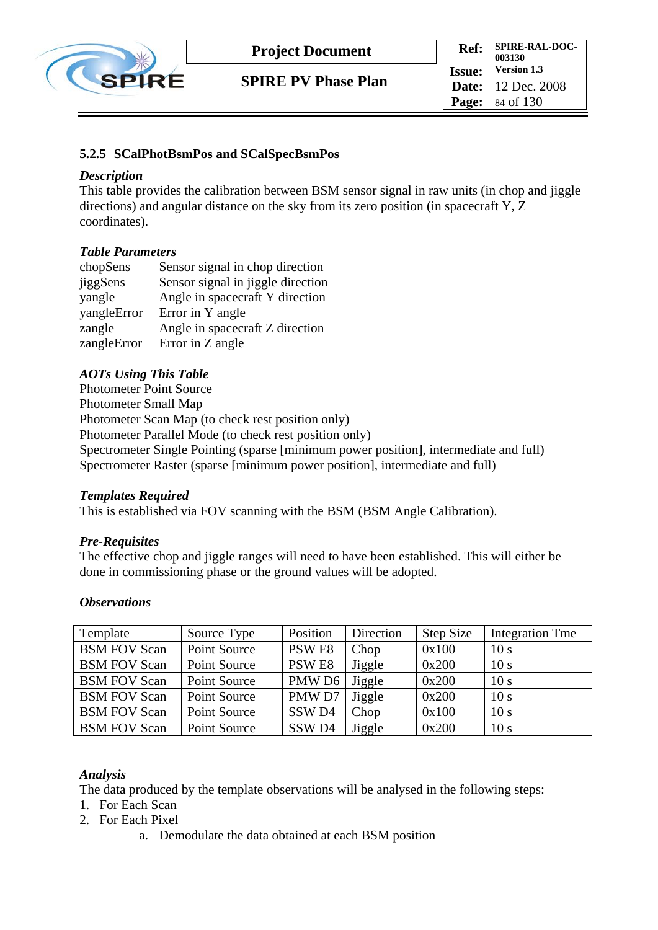

### **5.2.5 SCalPhotBsmPos and SCalSpecBsmPos**

#### *Description*

This table provides the calibration between BSM sensor signal in raw units (in chop and jiggle directions) and angular distance on the sky from its zero position (in spacecraft Y, Z coordinates).

#### *Table Parameters*

| chopSens    | Sensor signal in chop direction   |
|-------------|-----------------------------------|
| jiggSens    | Sensor signal in jiggle direction |
| yangle      | Angle in spacecraft Y direction   |
| yangleError | Error in Y angle                  |
| zangle      | Angle in spacecraft Z direction   |
| zangleError | Error in Z angle                  |

### *AOTs Using This Table*

Photometer Point Source Photometer Small Map Photometer Scan Map (to check rest position only) Photometer Parallel Mode (to check rest position only) Spectrometer Single Pointing (sparse [minimum power position], intermediate and full) Spectrometer Raster (sparse [minimum power position], intermediate and full)

#### *Templates Required*

This is established via FOV scanning with the BSM (BSM Angle Calibration).

#### *Pre-Requisites*

The effective chop and jiggle ranges will need to have been established. This will either be done in commissioning phase or the ground values will be adopted.

| Template            | Source Type         | Position          | Direction | Step Size | <b>Integration Tme</b> |
|---------------------|---------------------|-------------------|-----------|-----------|------------------------|
| <b>BSM FOV Scan</b> | Point Source        | PSW <sub>E8</sub> | Chop      | 0x100     | 10 <sub>s</sub>        |
| <b>BSM FOV Scan</b> | Point Source        | PSW <sub>E8</sub> | Jiggle    | 0x200     | 10 <sub>s</sub>        |
| <b>BSM FOV Scan</b> | Point Source        | PMW D6            | Jiggle    | 0x200     | 10 <sub>s</sub>        |
| <b>BSM FOV Scan</b> | Point Source        | PMW D7            | Jiggle    | 0x200     | 10 <sub>s</sub>        |
| <b>BSM FOV Scan</b> | <b>Point Source</b> | SSW <sub>D4</sub> | Chop      | 0x100     | 10 <sub>s</sub>        |
| <b>BSM FOV Scan</b> | Point Source        | SSW D4            | Jiggle    | 0x200     | 10 <sub>s</sub>        |

#### *Observations*

#### *Analysis*

The data produced by the template observations will be analysed in the following steps:

- 1. For Each Scan
- 2. For Each Pixel
	- a. Demodulate the data obtained at each BSM position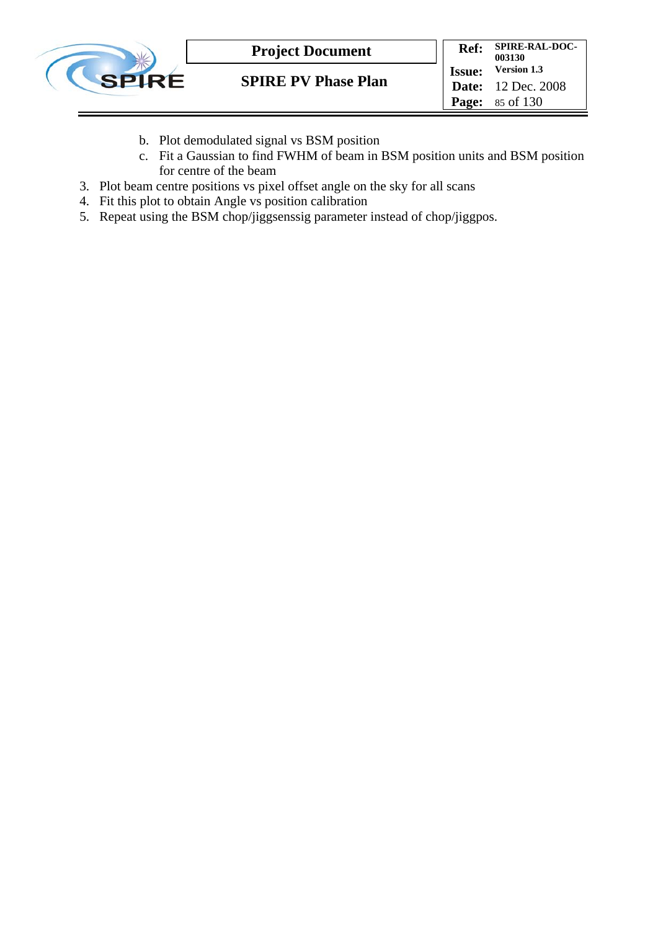

- **SPIRE PV Phase Plan**
- b. Plot demodulated signal vs BSM position
- c. Fit a Gaussian to find FWHM of beam in BSM position units and BSM position for centre of the beam
- 3. Plot beam centre positions vs pixel offset angle on the sky for all scans
- 4. Fit this plot to obtain Angle vs position calibration
- 5. Repeat using the BSM chop/jiggsenssig parameter instead of chop/jiggpos.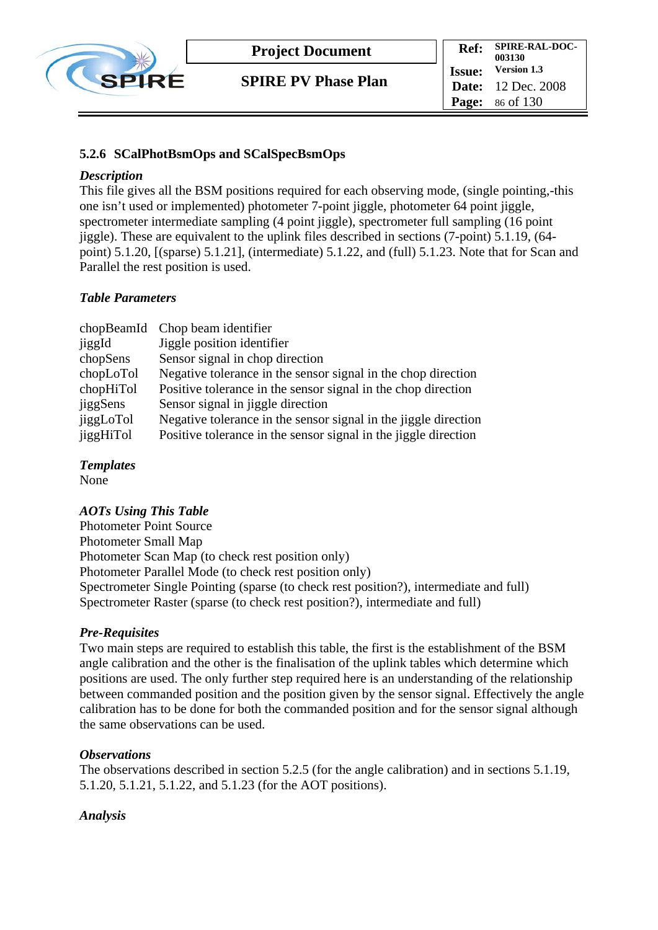

### **5.2.6 SCalPhotBsmOps and SCalSpecBsmOps**

#### *Description*

This file gives all the BSM positions required for each observing mode, (single pointing,-this one isn't used or implemented) photometer 7-point jiggle, photometer 64 point jiggle, spectrometer intermediate sampling (4 point jiggle), spectrometer full sampling (16 point jiggle). These are equivalent to the uplink files described in sections (7-point) 5.1.19, (64 point) 5.1.20, [(sparse) 5.1.21], (intermediate) 5.1.22, and (full) 5.1.23. Note that for Scan and Parallel the rest position is used.

### *Table Parameters*

| chopBeamId | Chop beam identifier                                            |
|------------|-----------------------------------------------------------------|
| jiggId     | Jiggle position identifier                                      |
| chopSens   | Sensor signal in chop direction                                 |
| chopLoTol  | Negative tolerance in the sensor signal in the chop direction   |
| chopHiTol  | Positive tolerance in the sensor signal in the chop direction   |
| jiggSens   | Sensor signal in jiggle direction                               |
| jiggLoTol  | Negative tolerance in the sensor signal in the jiggle direction |
| jiggHiTol  | Positive tolerance in the sensor signal in the jiggle direction |

*Templates* 

None

### *AOTs Using This Table*

Photometer Point Source Photometer Small Map Photometer Scan Map (to check rest position only) Photometer Parallel Mode (to check rest position only) Spectrometer Single Pointing (sparse (to check rest position?), intermediate and full) Spectrometer Raster (sparse (to check rest position?), intermediate and full)

### *Pre-Requisites*

Two main steps are required to establish this table, the first is the establishment of the BSM angle calibration and the other is the finalisation of the uplink tables which determine which positions are used. The only further step required here is an understanding of the relationship between commanded position and the position given by the sensor signal. Effectively the angle calibration has to be done for both the commanded position and for the sensor signal although the same observations can be used.

#### *Observations*

The observations described in section 5.2.5 (for the angle calibration) and in sections 5.1.19, 5.1.20, 5.1.21, 5.1.22, and 5.1.23 (for the AOT positions).

### *Analysis*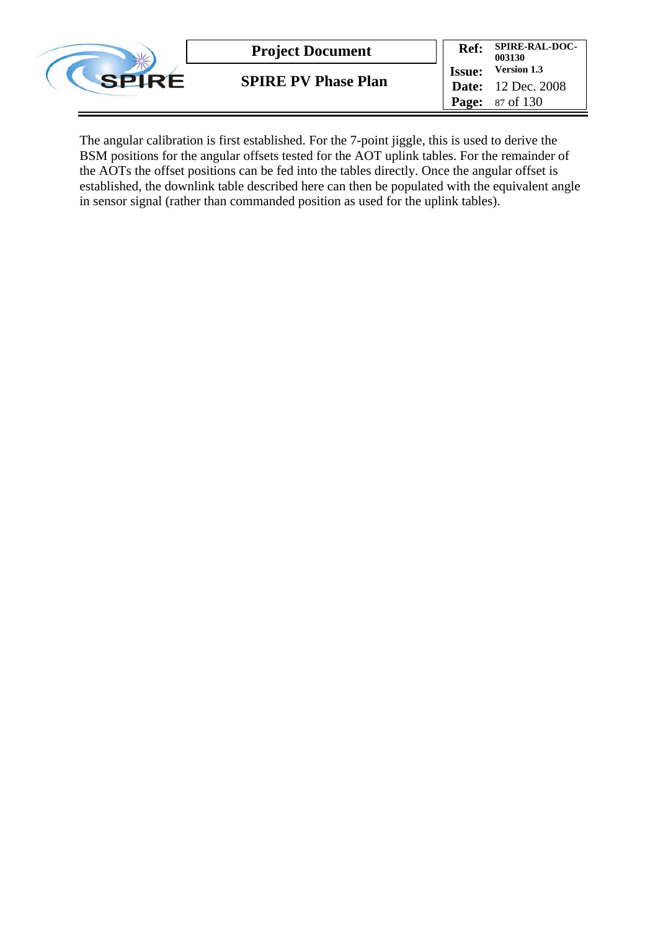

**Project Document**

**SPIRE PV Phase Plan**

**Ref: SPIRE-RAL-DOC-003130 Issue: Version 1.3 Date:** 12 Dec. 2008 **Page:** 87 of 130

The angular calibration is first established. For the 7-point jiggle, this is used to derive the BSM positions for the angular offsets tested for the AOT uplink tables. For the remainder of the AOTs the offset positions can be fed into the tables directly. Once the angular offset is established, the downlink table described here can then be populated with the equivalent angle in sensor signal (rather than commanded position as used for the uplink tables).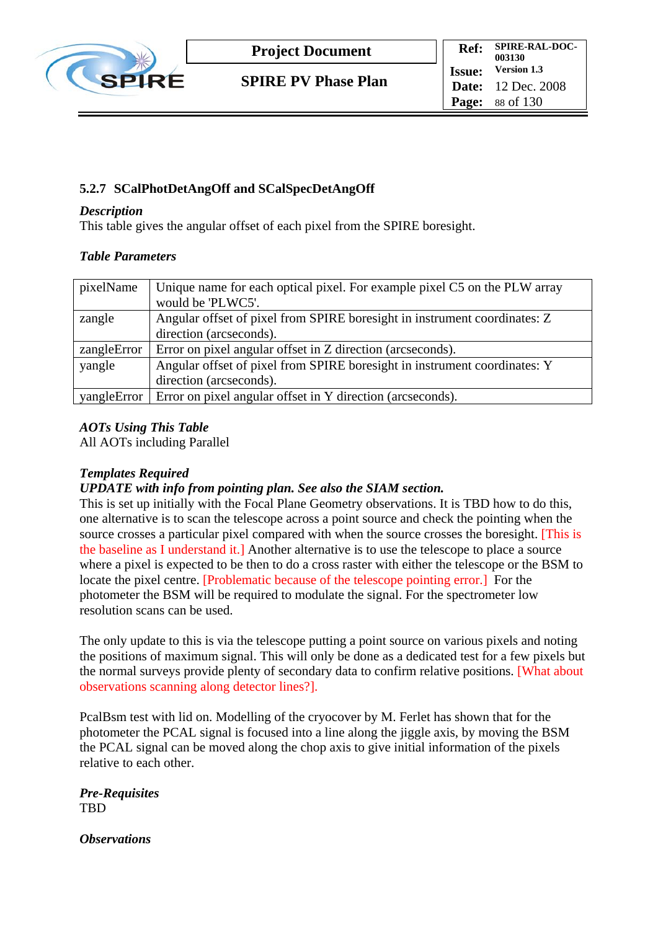

### **5.2.7 SCalPhotDetAngOff and SCalSpecDetAngOff**

#### *Description*

This table gives the angular offset of each pixel from the SPIRE boresight.

### *Table Parameters*

| pixelName   | Unique name for each optical pixel. For example pixel C5 on the PLW array<br>would be 'PLWC5'. |
|-------------|------------------------------------------------------------------------------------------------|
| zangle      | Angular offset of pixel from SPIRE boresight in instrument coordinates: Z                      |
|             | direction (arcseconds).                                                                        |
| zangleError | Error on pixel angular offset in Z direction (arcseconds).                                     |
| yangle      | Angular offset of pixel from SPIRE boresight in instrument coordinates: Y                      |
|             | direction (arcseconds).                                                                        |
| yangleError | Error on pixel angular offset in Y direction (arcseconds).                                     |

### *AOTs Using This Table*

All AOTs including Parallel

### *Templates Required*

### *UPDATE with info from pointing plan. See also the SIAM section.*

This is set up initially with the Focal Plane Geometry observations. It is TBD how to do this, one alternative is to scan the telescope across a point source and check the pointing when the source crosses a particular pixel compared with when the source crosses the boresight. [This is the baseline as I understand it.] Another alternative is to use the telescope to place a source where a pixel is expected to be then to do a cross raster with either the telescope or the BSM to locate the pixel centre. [Problematic because of the telescope pointing error.] For the photometer the BSM will be required to modulate the signal. For the spectrometer low resolution scans can be used.

The only update to this is via the telescope putting a point source on various pixels and noting the positions of maximum signal. This will only be done as a dedicated test for a few pixels but the normal surveys provide plenty of secondary data to confirm relative positions. [What about observations scanning along detector lines?].

PcalBsm test with lid on. Modelling of the cryocover by M. Ferlet has shown that for the photometer the PCAL signal is focused into a line along the jiggle axis, by moving the BSM the PCAL signal can be moved along the chop axis to give initial information of the pixels relative to each other.

*Pre-Requisites*  TBD

*Observations*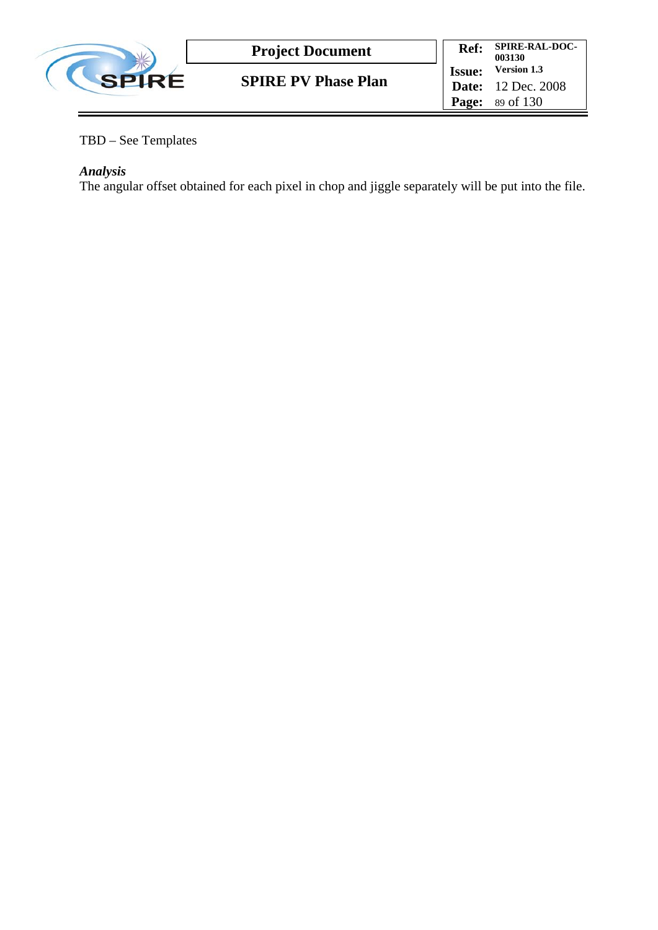

# TBD – See Templates

#### *Analysis*

The angular offset obtained for each pixel in chop and jiggle separately will be put into the file.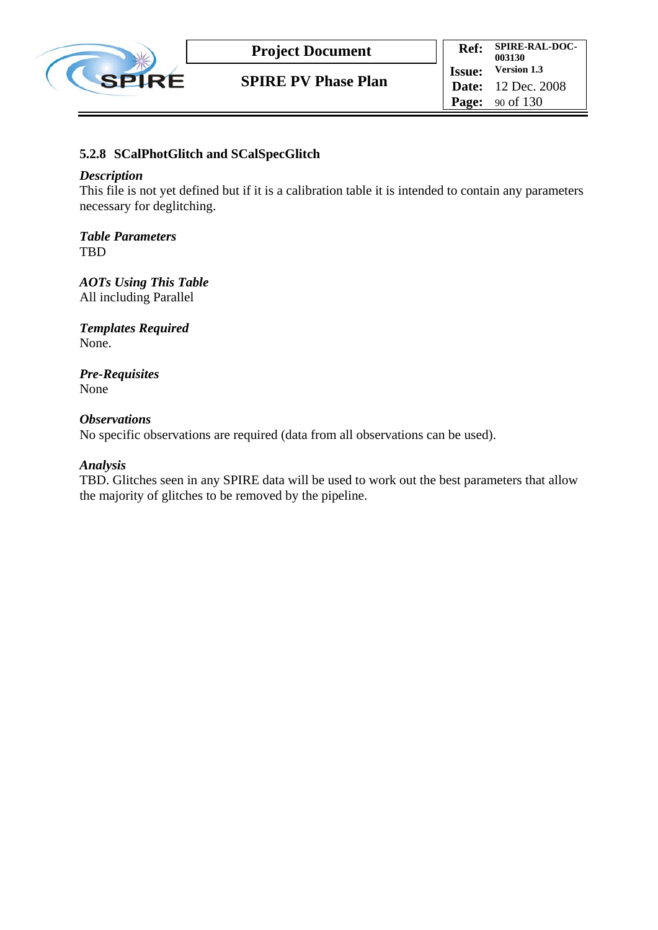

### **5.2.8 SCalPhotGlitch and SCalSpecGlitch**

#### *Description*

This file is not yet defined but if it is a calibration table it is intended to contain any parameters necessary for deglitching.

*Table Parameters*  TBD

*AOTs Using This Table*  All including Parallel

*Templates Required*  None.

*Pre-Requisites*  None

#### *Observations*

No specific observations are required (data from all observations can be used).

#### *Analysis*

TBD. Glitches seen in any SPIRE data will be used to work out the best parameters that allow the majority of glitches to be removed by the pipeline.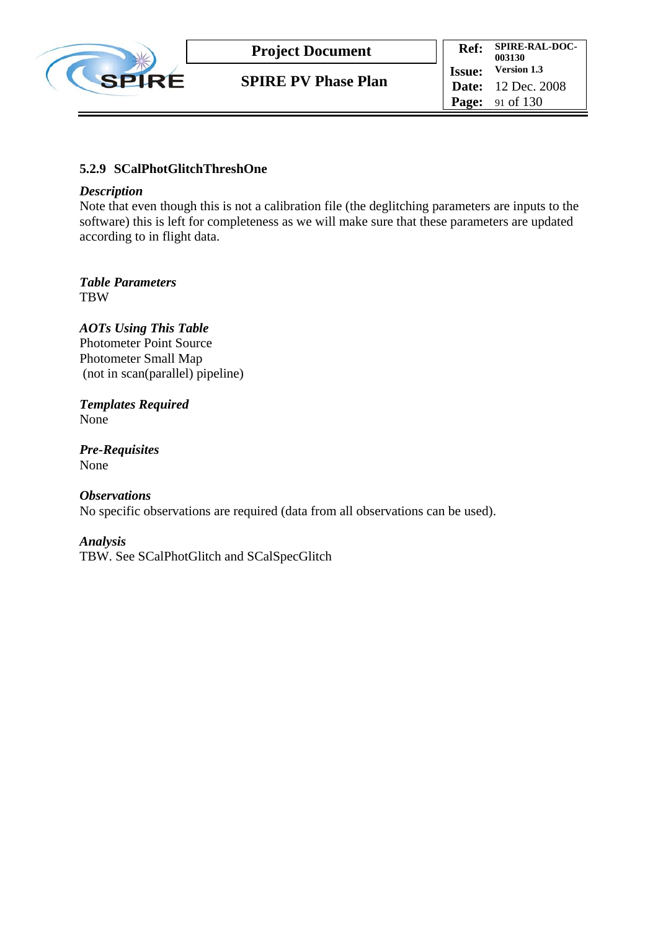

**Ref: SPIRE-RAL-DOC-003130 Issue: Version 1.3 Date:** 12 Dec. 2008 **Page:** 91 of 130

### **5.2.9 SCalPhotGlitchThreshOne**

#### *Description*

Note that even though this is not a calibration file (the deglitching parameters are inputs to the software) this is left for completeness as we will make sure that these parameters are updated according to in flight data.

*Table Parameters*  TBW

*AOTs Using This Table*  Photometer Point Source Photometer Small Map (not in scan(parallel) pipeline)

*Templates Required*  None

*Pre-Requisites*  None

*Observations*  No specific observations are required (data from all observations can be used).

*Analysis* TBW. See SCalPhotGlitch and SCalSpecGlitch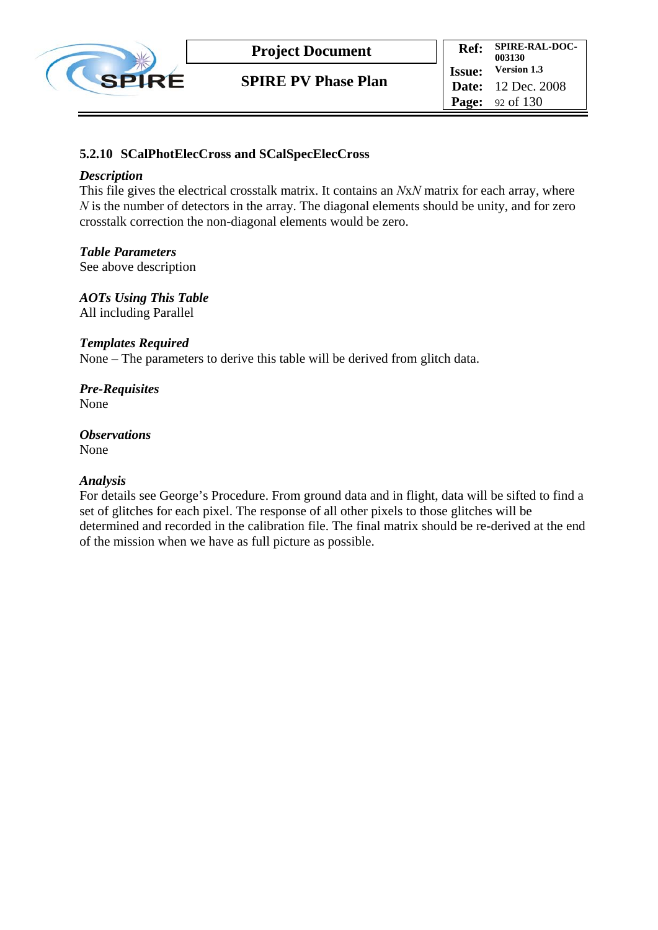

**Ref: SPIRE-RAL-DOC-003130 Issue: Version 1.3 Date:** 12 Dec. 2008 **Page:** 92 of 130

### **5.2.10 SCalPhotElecCross and SCalSpecElecCross**

#### *Description*

This file gives the electrical crosstalk matrix. It contains an *N*x*N* matrix for each array, where *N* is the number of detectors in the array. The diagonal elements should be unity, and for zero crosstalk correction the non-diagonal elements would be zero.

*Table Parameters*  See above description

*AOTs Using This Table*  All including Parallel

### *Templates Required*

None – The parameters to derive this table will be derived from glitch data.

*Pre-Requisites*  None

*Observations*  None

#### *Analysis*

For details see George's Procedure. From ground data and in flight, data will be sifted to find a set of glitches for each pixel. The response of all other pixels to those glitches will be determined and recorded in the calibration file. The final matrix should be re-derived at the end of the mission when we have as full picture as possible.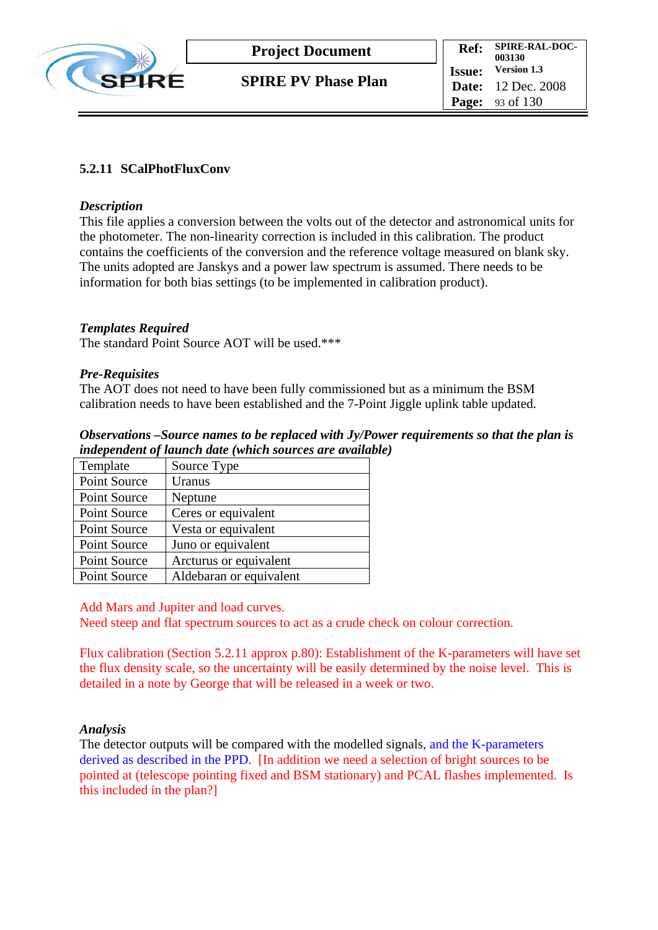

### **5.2.11 SCalPhotFluxConv**

#### *Description*

This file applies a conversion between the volts out of the detector and astronomical units for the photometer. The non-linearity correction is included in this calibration. The product contains the coefficients of the conversion and the reference voltage measured on blank sky. The units adopted are Janskys and a power law spectrum is assumed. There needs to be information for both bias settings (to be implemented in calibration product).

#### *Templates Required*

The standard Point Source AOT will be used.\*\*\*

#### *Pre-Requisites*

The AOT does not need to have been fully commissioned but as a minimum the BSM calibration needs to have been established and the 7-Point Jiggle uplink table updated.

| Observations –Source names to be replaced with Jy/Power requirements so that the plan is |  |
|------------------------------------------------------------------------------------------|--|
| <i>independent of launch date (which sources are available)</i>                          |  |

| Template     | Source Type             |
|--------------|-------------------------|
| Point Source | Uranus                  |
| Point Source | Neptune                 |
| Point Source | Ceres or equivalent     |
| Point Source | Vesta or equivalent     |
| Point Source | Juno or equivalent      |
| Point Source | Arcturus or equivalent  |
| Point Source | Aldebaran or equivalent |

#### Add Mars and Jupiter and load curves.

Need steep and flat spectrum sources to act as a crude check on colour correction.

Flux calibration (Section 5.2.11 approx p.80): Establishment of the K-parameters will have set the flux density scale, so the uncertainty will be easily determined by the noise level. This is detailed in a note by George that will be released in a week or two.

#### *Analysis*

The detector outputs will be compared with the modelled signals, and the K-parameters derived as described in the PPD. [In addition we need a selection of bright sources to be pointed at (telescope pointing fixed and BSM stationary) and PCAL flashes implemented. Is this included in the plan?]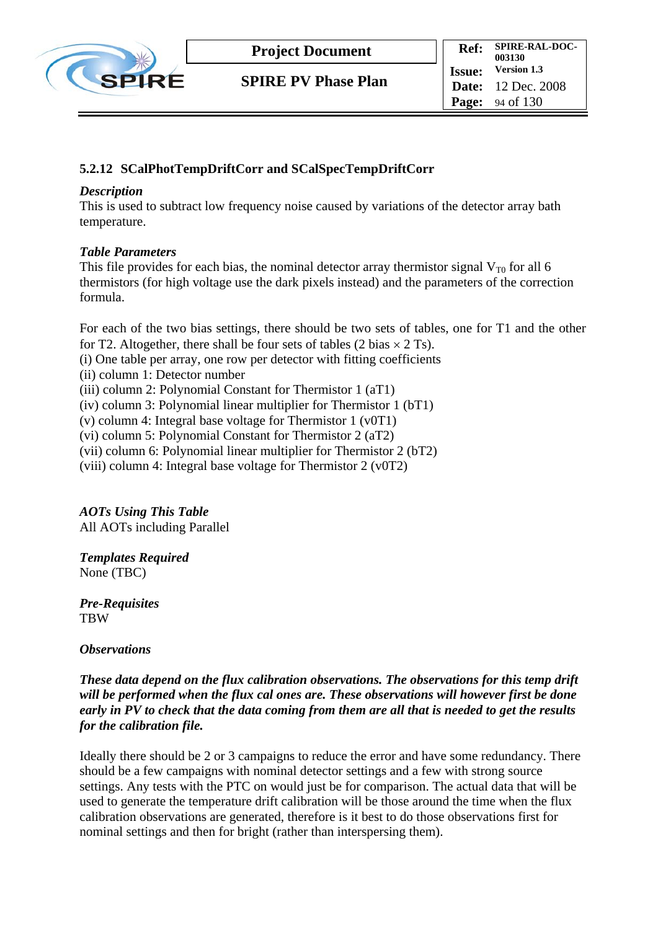

### **5.2.12 SCalPhotTempDriftCorr and SCalSpecTempDriftCorr**

#### *Description*

This is used to subtract low frequency noise caused by variations of the detector array bath temperature.

### *Table Parameters*

This file provides for each bias, the nominal detector array thermistor signal  $V_{\text{TO}}$  for all 6 thermistors (for high voltage use the dark pixels instead) and the parameters of the correction formula.

For each of the two bias settings, there should be two sets of tables, one for T1 and the other for T2. Altogether, there shall be four sets of tables (2 bias  $\times$  2 Ts).

(i) One table per array, one row per detector with fitting coefficients

(ii) column 1: Detector number

(iii) column 2: Polynomial Constant for Thermistor 1 (aT1)

(iv) column 3: Polynomial linear multiplier for Thermistor 1 (bT1)

(v) column 4: Integral base voltage for Thermistor 1 (v0T1)

(vi) column 5: Polynomial Constant for Thermistor 2 (aT2)

(vii) column 6: Polynomial linear multiplier for Thermistor 2 (bT2)

(viii) column 4: Integral base voltage for Thermistor 2 (v0T2)

*AOTs Using This Table*  All AOTs including Parallel

*Templates Required*  None (TBC)

*Pre-Requisites*  TBW

*Observations* 

*These data depend on the flux calibration observations. The observations for this temp drift will be performed when the flux cal ones are. These observations will however first be done early in PV to check that the data coming from them are all that is needed to get the results for the calibration file.* 

Ideally there should be 2 or 3 campaigns to reduce the error and have some redundancy. There should be a few campaigns with nominal detector settings and a few with strong source settings. Any tests with the PTC on would just be for comparison. The actual data that will be used to generate the temperature drift calibration will be those around the time when the flux calibration observations are generated, therefore is it best to do those observations first for nominal settings and then for bright (rather than interspersing them).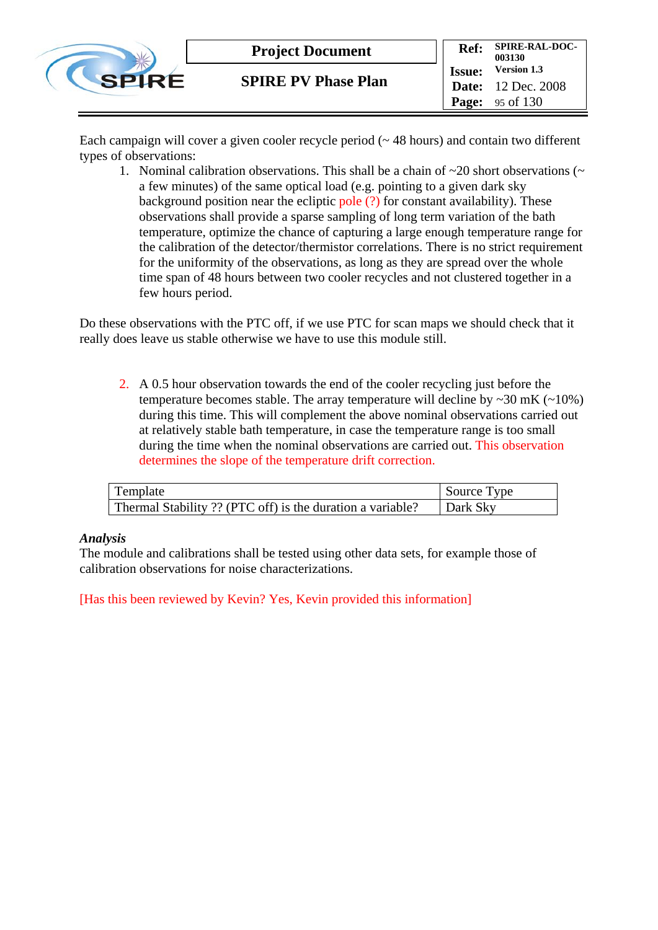

Each campaign will cover a given cooler recycle period ( $\sim$  48 hours) and contain two different types of observations:

1. Nominal calibration observations. This shall be a chain of  $\sim$ 20 short observations ( $\sim$ a few minutes) of the same optical load (e.g. pointing to a given dark sky background position near the ecliptic pole (?) for constant availability). These observations shall provide a sparse sampling of long term variation of the bath temperature, optimize the chance of capturing a large enough temperature range for the calibration of the detector/thermistor correlations. There is no strict requirement for the uniformity of the observations, as long as they are spread over the whole time span of 48 hours between two cooler recycles and not clustered together in a few hours period.

Do these observations with the PTC off, if we use PTC for scan maps we should check that it really does leave us stable otherwise we have to use this module still.

2. A 0.5 hour observation towards the end of the cooler recycling just before the temperature becomes stable. The array temperature will decline by  $\sim$  30 mK ( $\sim$ 10%) during this time. This will complement the above nominal observations carried out at relatively stable bath temperature, in case the temperature range is too small during the time when the nominal observations are carried out. This observation determines the slope of the temperature drift correction.

| l Template                                                 | Source Type |
|------------------------------------------------------------|-------------|
| Thermal Stability ?? (PTC off) is the duration a variable? | Dark Sky    |

### *Analysis*

The module and calibrations shall be tested using other data sets, for example those of calibration observations for noise characterizations.

[Has this been reviewed by Kevin? Yes, Kevin provided this information]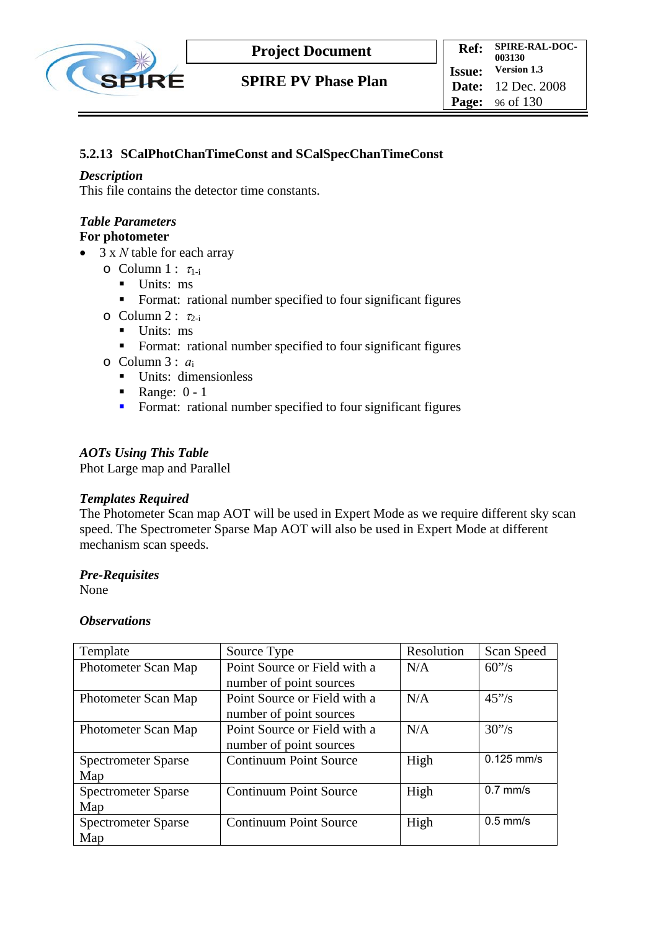

### **5.2.13 SCalPhotChanTimeConst and SCalSpecChanTimeConst**

#### *Description*

This file contains the detector time constants.

#### *Table Parameters*  **For photometer**

- 3 x *N* table for each array
	- o Column 1 :  $\tau_{1-i}$ 
		- Units: ms
		- Format: rational number specified to four significant figures
	- o Column 2 :  $\tau_{2-i}$ 
		- Units: ms
		- Format: rational number specified to four significant figures
	- o Column 3 : *a*<sup>i</sup>
		- **Units:** dimensionless
		- Range:  $0 1$
		- Format: rational number specified to four significant figures

### *AOTs Using This Table*

Phot Large map and Parallel

#### *Templates Required*

The Photometer Scan map AOT will be used in Expert Mode as we require different sky scan speed. The Spectrometer Sparse Map AOT will also be used in Expert Mode at different mechanism scan speeds.

#### *Pre-Requisites*

None

#### *Observations*

| Template                   | Source Type                   | Resolution | Scan Speed   |
|----------------------------|-------------------------------|------------|--------------|
| Photometer Scan Map        | Point Source or Field with a  | N/A        | 60''/s       |
|                            | number of point sources       |            |              |
| Photometer Scan Map        | Point Source or Field with a  | N/A        | 45''/s       |
|                            | number of point sources       |            |              |
| Photometer Scan Map        | Point Source or Field with a  | N/A        | 30''/s       |
|                            | number of point sources       |            |              |
| <b>Spectrometer Sparse</b> | <b>Continuum Point Source</b> | High       | $0.125$ mm/s |
| Map                        |                               |            |              |
| <b>Spectrometer Sparse</b> | <b>Continuum Point Source</b> | High       | $0.7$ mm/s   |
| Map                        |                               |            |              |
| <b>Spectrometer Sparse</b> | <b>Continuum Point Source</b> | High       | $0.5$ mm/s   |
| Map                        |                               |            |              |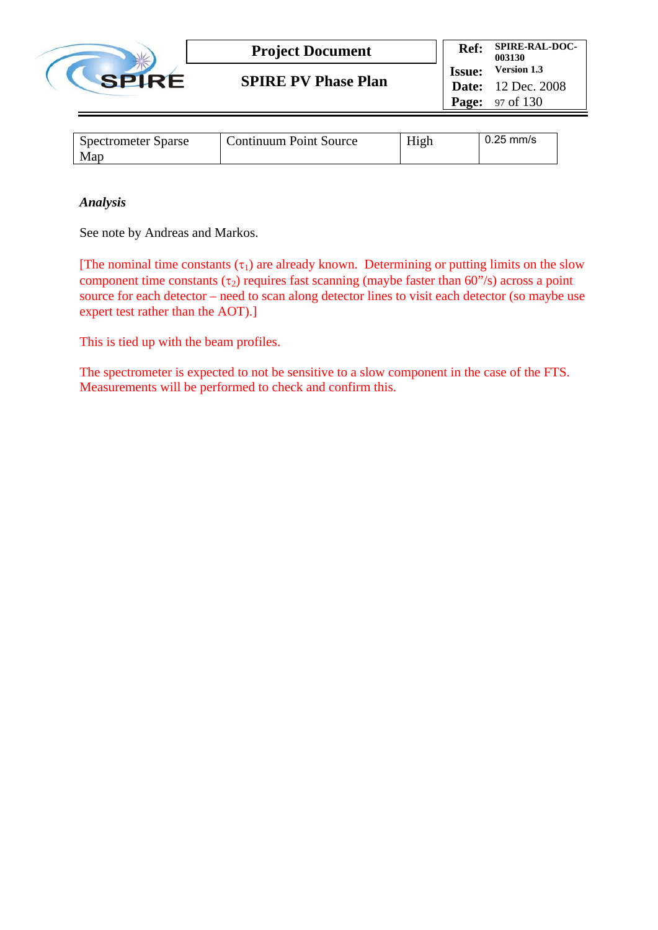

| <b>Spectrometer Sparse</b> | <b>Continuum Point Source</b> | H <sub>1</sub> gh | $0.25$ mm/s |
|----------------------------|-------------------------------|-------------------|-------------|
| Map                        |                               |                   |             |

#### *Analysis*

See note by Andreas and Markos.

[The nominal time constants  $(\tau_1)$  are already known. Determining or putting limits on the slow component time constants  $(\tau_2)$  requires fast scanning (maybe faster than 60"/s) across a point source for each detector – need to scan along detector lines to visit each detector (so maybe use expert test rather than the AOT).]

This is tied up with the beam profiles.

The spectrometer is expected to not be sensitive to a slow component in the case of the FTS. Measurements will be performed to check and confirm this.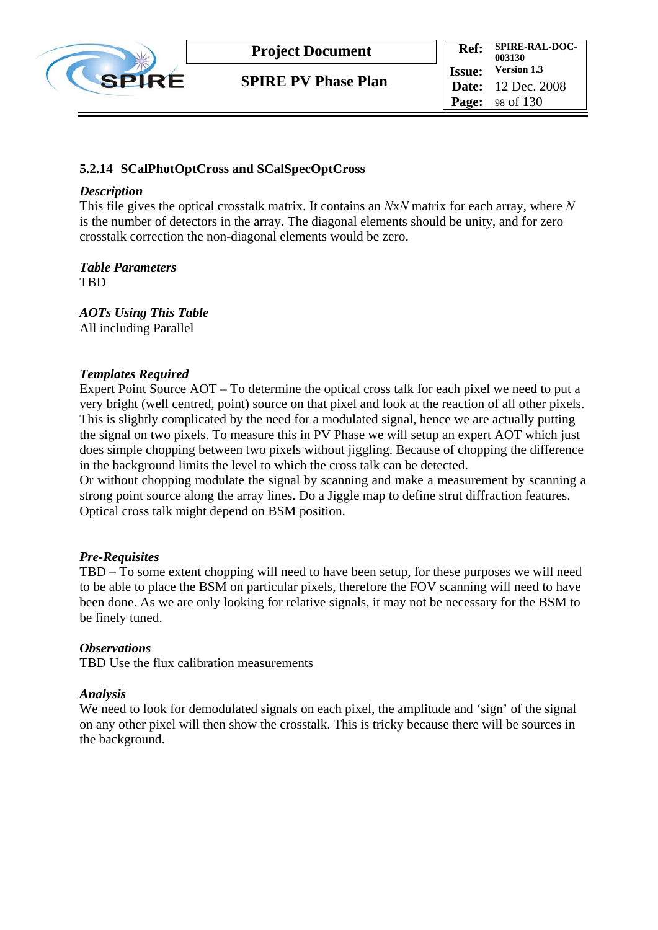

### **5.2.14 SCalPhotOptCross and SCalSpecOptCross**

#### *Description*

This file gives the optical crosstalk matrix. It contains an *N*x*N* matrix for each array, where *N* is the number of detectors in the array. The diagonal elements should be unity, and for zero crosstalk correction the non-diagonal elements would be zero.

*Table Parameters*  TBD

*AOTs Using This Table* 

All including Parallel

#### *Templates Required*

Expert Point Source AOT – To determine the optical cross talk for each pixel we need to put a very bright (well centred, point) source on that pixel and look at the reaction of all other pixels. This is slightly complicated by the need for a modulated signal, hence we are actually putting the signal on two pixels. To measure this in PV Phase we will setup an expert AOT which just does simple chopping between two pixels without jiggling. Because of chopping the difference in the background limits the level to which the cross talk can be detected.

Or without chopping modulate the signal by scanning and make a measurement by scanning a strong point source along the array lines. Do a Jiggle map to define strut diffraction features. Optical cross talk might depend on BSM position.

#### *Pre-Requisites*

TBD – To some extent chopping will need to have been setup, for these purposes we will need to be able to place the BSM on particular pixels, therefore the FOV scanning will need to have been done. As we are only looking for relative signals, it may not be necessary for the BSM to be finely tuned.

#### *Observations*

TBD Use the flux calibration measurements

#### *Analysis*

We need to look for demodulated signals on each pixel, the amplitude and 'sign' of the signal on any other pixel will then show the crosstalk. This is tricky because there will be sources in the background.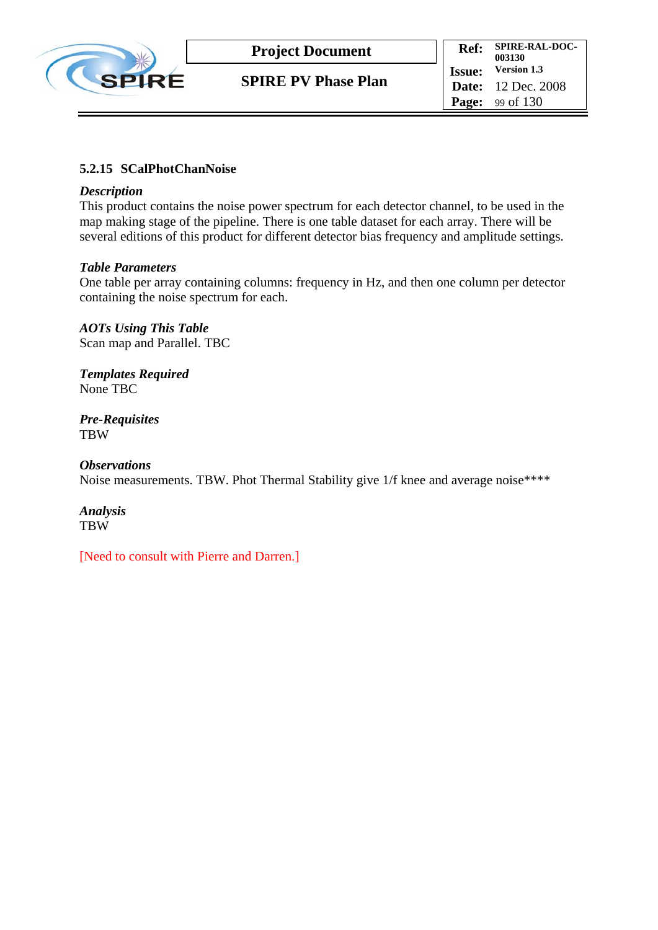

#### **5.2.15 SCalPhotChanNoise**

#### *Description*

This product contains the noise power spectrum for each detector channel, to be used in the map making stage of the pipeline. There is one table dataset for each array. There will be several editions of this product for different detector bias frequency and amplitude settings.

### *Table Parameters*

One table per array containing columns: frequency in Hz, and then one column per detector containing the noise spectrum for each.

*AOTs Using This Table*  Scan map and Parallel. TBC

*Templates Required*  None TBC

*Pre-Requisites*  TBW

#### *Observations*

Noise measurements. TBW. Phot Thermal Stability give 1/f knee and average noise\*\*\*\*

*Analysis* TBW

[Need to consult with Pierre and Darren.]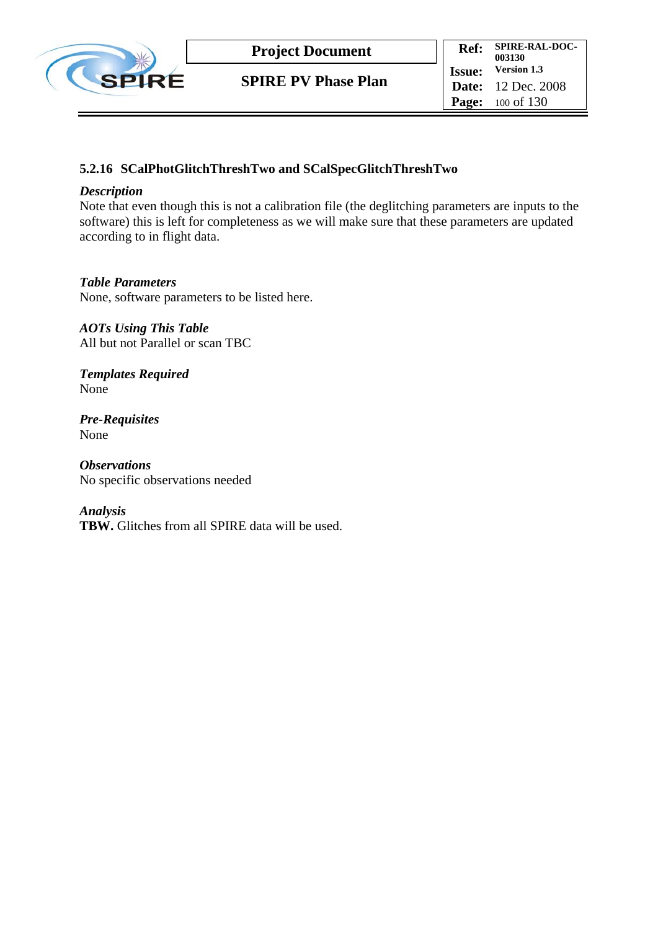

### **5.2.16 SCalPhotGlitchThreshTwo and SCalSpecGlitchThreshTwo**

### *Description*

Note that even though this is not a calibration file (the deglitching parameters are inputs to the software) this is left for completeness as we will make sure that these parameters are updated according to in flight data.

### *Table Parameters*

None, software parameters to be listed here.

*AOTs Using This Table*  All but not Parallel or scan TBC

*Templates Required*  None

*Pre-Requisites*  None

*Observations*  No specific observations needed

*Analysis*  **TBW.** Glitches from all SPIRE data will be used.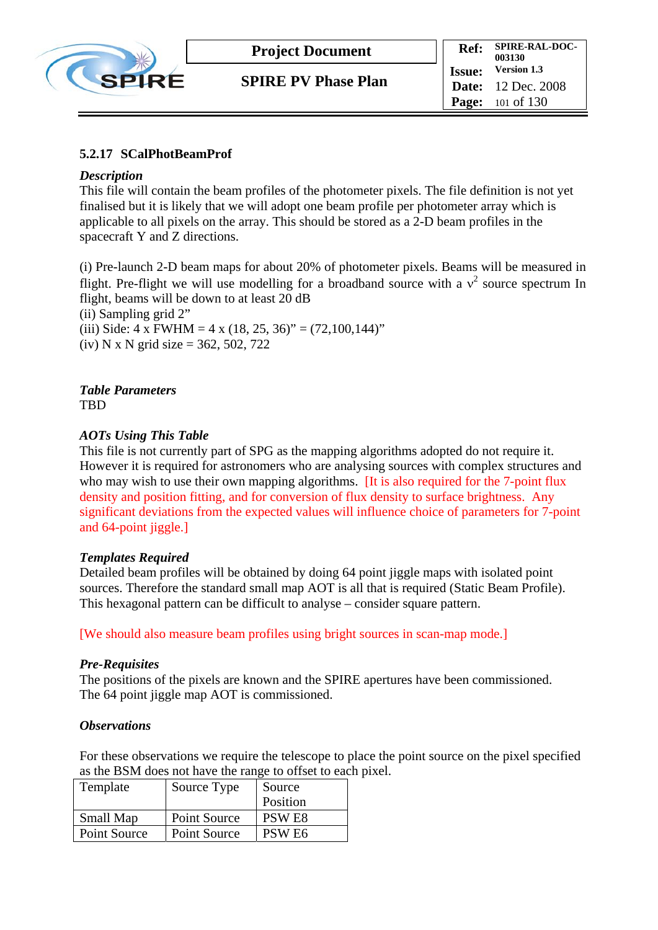

### **5.2.17 SCalPhotBeamProf**

#### *Description*

This file will contain the beam profiles of the photometer pixels. The file definition is not yet finalised but it is likely that we will adopt one beam profile per photometer array which is applicable to all pixels on the array. This should be stored as a 2-D beam profiles in the spacecraft Y and Z directions.

(i) Pre-launch 2-D beam maps for about 20% of photometer pixels. Beams will be measured in flight. Pre-flight we will use modelling for a broadband source with a  $v^2$  source spectrum In flight, beams will be down to at least 20 dB (ii) Sampling grid 2" (iii) Side:  $4 \times$  FWHM =  $4 \times (18, 25, 36)^{\prime\prime} = (72,100,144)^{\prime\prime}$ (iv) N x N grid size =  $362, 502, 722$ 

*Table Parameters*  TBD

#### *AOTs Using This Table*

This file is not currently part of SPG as the mapping algorithms adopted do not require it. However it is required for astronomers who are analysing sources with complex structures and who may wish to use their own mapping algorithms. It is also required for the 7-point flux density and position fitting, and for conversion of flux density to surface brightness. Any significant deviations from the expected values will influence choice of parameters for 7-point and 64-point jiggle.]

#### *Templates Required*

Detailed beam profiles will be obtained by doing 64 point jiggle maps with isolated point sources. Therefore the standard small map AOT is all that is required (Static Beam Profile). This hexagonal pattern can be difficult to analyse – consider square pattern.

[We should also measure beam profiles using bright sources in scan-map mode.]

#### *Pre-Requisites*

The positions of the pixels are known and the SPIRE apertures have been commissioned. The 64 point jiggle map AOT is commissioned.

#### *Observations*

For these observations we require the telescope to place the point source on the pixel specified as the BSM does not have the range to offset to each pixel.

| Template     | Source Type         | Source            |
|--------------|---------------------|-------------------|
|              |                     | Position          |
| Small Map    | Point Source        | <b>PSWE8</b>      |
| Point Source | <b>Point Source</b> | PSW <sub>E6</sub> |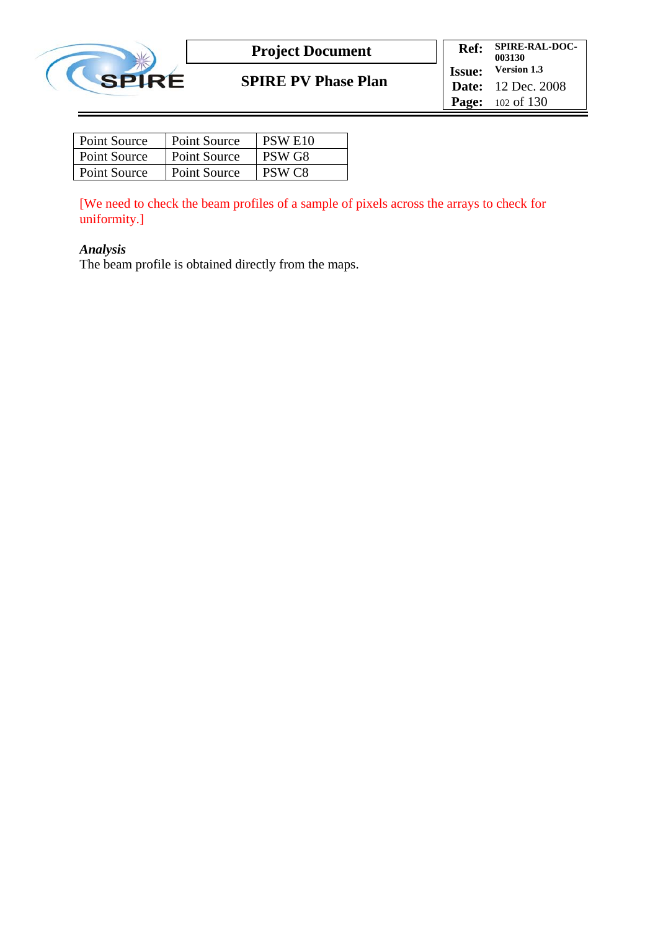

**Ref: SPIRE-RAL-DOC-003130 Issue: Version 1.3 Date:** 12 Dec. 2008 **Page:** 102 of 130

| <b>Point Source</b> | <b>Point Source</b> | PSW <sub>E10</sub> |
|---------------------|---------------------|--------------------|
| Point Source        | Point Source        | PSW <sub>G8</sub>  |
| <b>Point Source</b> | Point Source        | PSW <sub>C8</sub>  |

[We need to check the beam profiles of a sample of pixels across the arrays to check for uniformity.]

### *Analysis*

The beam profile is obtained directly from the maps.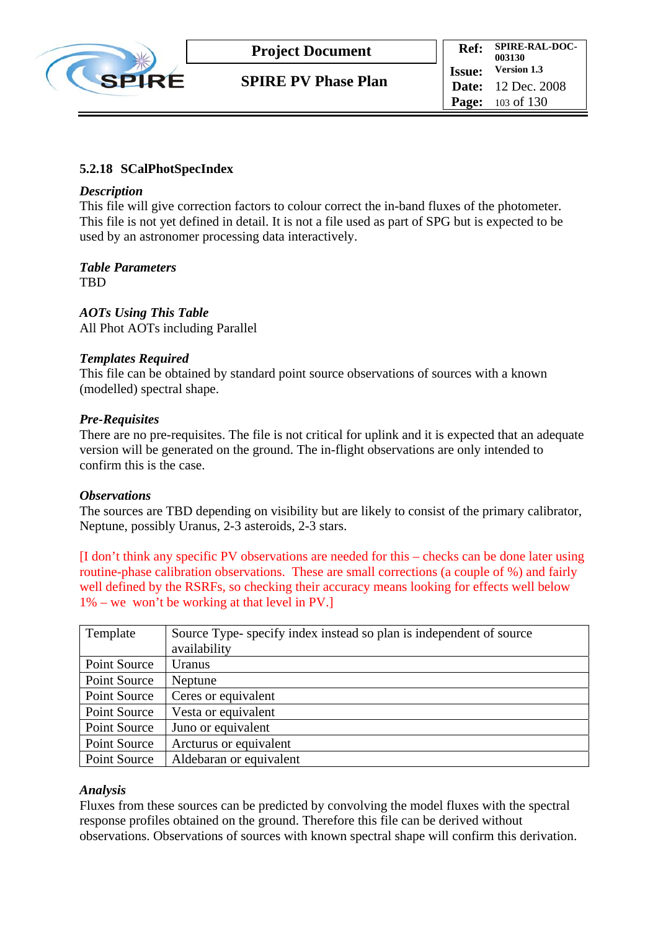

### **5.2.18 SCalPhotSpecIndex**

#### *Description*

This file will give correction factors to colour correct the in-band fluxes of the photometer. This file is not yet defined in detail. It is not a file used as part of SPG but is expected to be used by an astronomer processing data interactively.

#### *Table Parameters*  TBD

*AOTs Using This Table*  All Phot AOTs including Parallel

#### *Templates Required*

This file can be obtained by standard point source observations of sources with a known (modelled) spectral shape.

#### *Pre-Requisites*

There are no pre-requisites. The file is not critical for uplink and it is expected that an adequate version will be generated on the ground. The in-flight observations are only intended to confirm this is the case.

#### *Observations*

The sources are TBD depending on visibility but are likely to consist of the primary calibrator, Neptune, possibly Uranus, 2-3 asteroids, 2-3 stars.

[I don't think any specific PV observations are needed for this – checks can be done later using routine-phase calibration observations. These are small corrections (a couple of %) and fairly well defined by the RSRFs, so checking their accuracy means looking for effects well below 1% – we won't be working at that level in PV.]

| Template     | Source Type-specify index instead so plan is independent of source |
|--------------|--------------------------------------------------------------------|
|              | availability                                                       |
| Point Source | <b>Uranus</b>                                                      |
| Point Source | Neptune                                                            |
| Point Source | Ceres or equivalent                                                |
| Point Source | Vesta or equivalent                                                |
| Point Source | Juno or equivalent                                                 |
| Point Source | Arcturus or equivalent                                             |
| Point Source | Aldebaran or equivalent                                            |

#### *Analysis*

Fluxes from these sources can be predicted by convolving the model fluxes with the spectral response profiles obtained on the ground. Therefore this file can be derived without observations. Observations of sources with known spectral shape will confirm this derivation.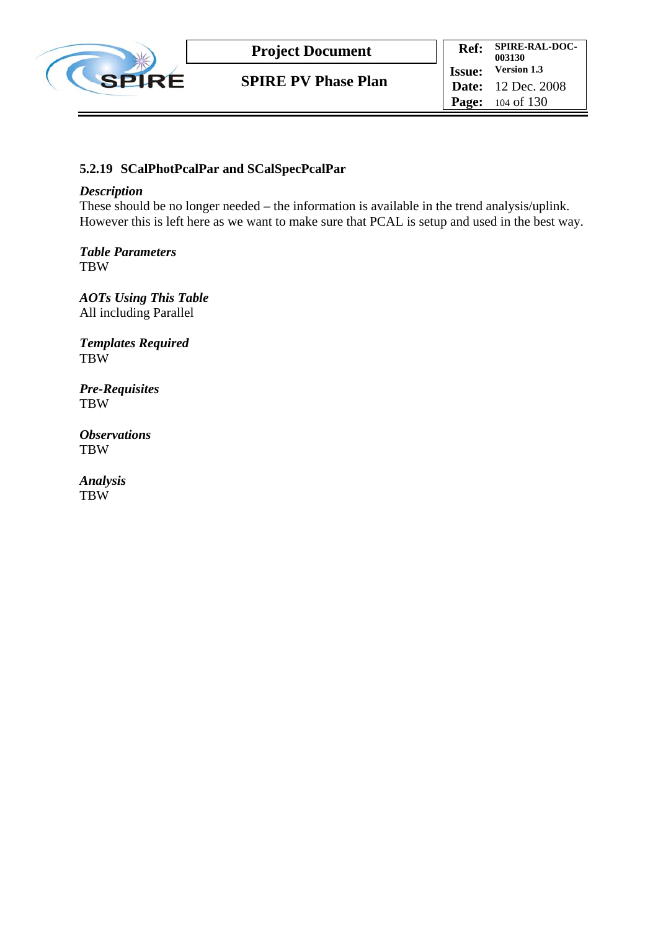

### **5.2.19 SCalPhotPcalPar and SCalSpecPcalPar**

#### *Description*

These should be no longer needed – the information is available in the trend analysis/uplink. However this is left here as we want to make sure that PCAL is setup and used in the best way.

*Table Parameters*  TBW

*AOTs Using This Table*  All including Parallel

*Templates Required*  TBW

*Pre-Requisites*  TBW

*Observations*  TBW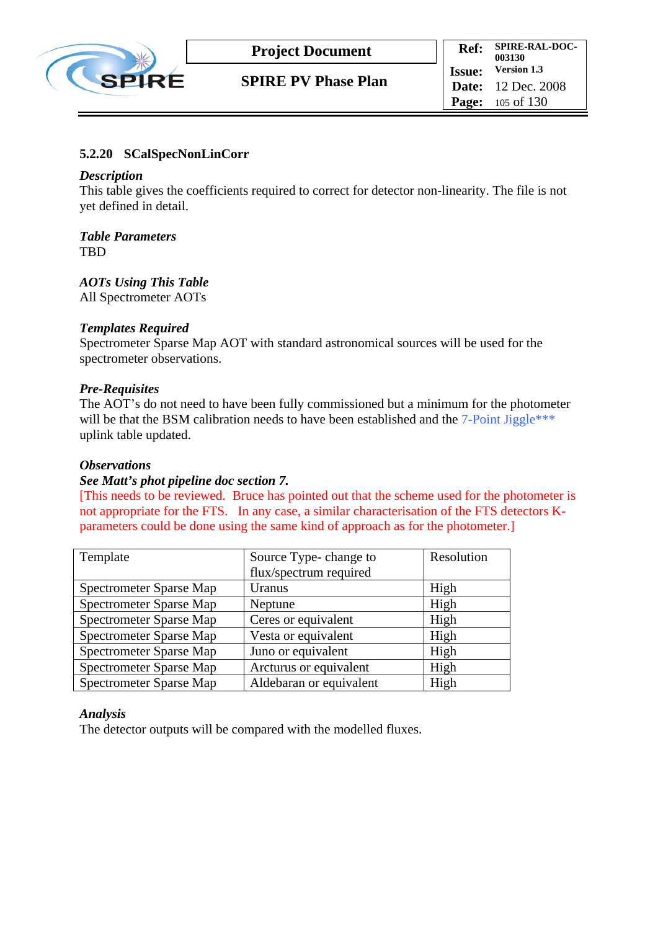

### **5.2.20 SCalSpecNonLinCorr**

#### *Description*

This table gives the coefficients required to correct for detector non-linearity. The file is not yet defined in detail.

*Table Parameters*  **TRD** 

*AOTs Using This Table*  All Spectrometer AOTs

### *Templates Required*

Spectrometer Sparse Map AOT with standard astronomical sources will be used for the spectrometer observations.

#### *Pre-Requisites*

The AOT's do not need to have been fully commissioned but a minimum for the photometer will be that the BSM calibration needs to have been established and the 7-Point Jiggle\*\*\* uplink table updated.

#### *Observations*

#### *See Matt's phot pipeline doc section 7.*

[This needs to be reviewed. Bruce has pointed out that the scheme used for the photometer is not appropriate for the FTS. In any case, a similar characterisation of the FTS detectors Kparameters could be done using the same kind of approach as for the photometer.]

| Template                | Source Type-change to   | Resolution |
|-------------------------|-------------------------|------------|
|                         | flux/spectrum required  |            |
| Spectrometer Sparse Map | Uranus                  | High       |
| Spectrometer Sparse Map | Neptune                 | High       |
| Spectrometer Sparse Map | Ceres or equivalent     | High       |
| Spectrometer Sparse Map | Vesta or equivalent     | High       |
| Spectrometer Sparse Map | Juno or equivalent      | High       |
| Spectrometer Sparse Map | Arcturus or equivalent  | High       |
| Spectrometer Sparse Map | Aldebaran or equivalent | High       |

#### *Analysis*

The detector outputs will be compared with the modelled fluxes.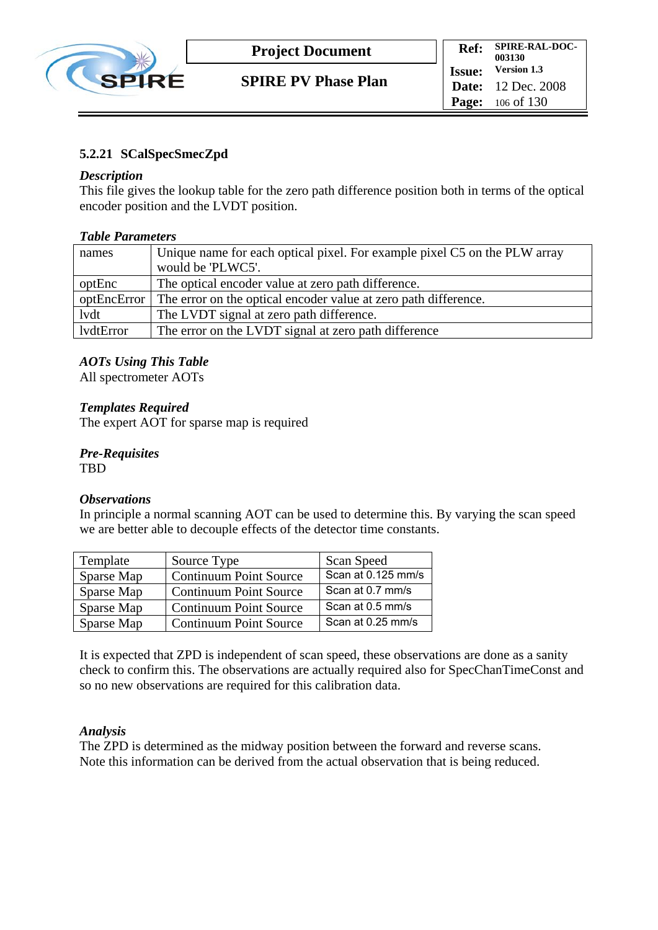

### **5.2.21 SCalSpecSmecZpd**

#### *Description*

This file gives the lookup table for the zero path difference position both in terms of the optical encoder position and the LVDT position.

#### *Table Parameters*

| names            | Unique name for each optical pixel. For example pixel C5 on the PLW array |
|------------------|---------------------------------------------------------------------------|
|                  | would be 'PLWC5'.                                                         |
| optEnc           | The optical encoder value at zero path difference.                        |
| optEncError      | The error on the optical encoder value at zero path difference.           |
| lvdt             | The LVDT signal at zero path difference.                                  |
| <b>lvdtError</b> | The error on the LVDT signal at zero path difference                      |

#### *AOTs Using This Table*

All spectrometer AOTs

#### *Templates Required*

The expert AOT for sparse map is required

### *Pre-Requisites*

TBD

#### *Observations*

In principle a normal scanning AOT can be used to determine this. By varying the scan speed we are better able to decouple effects of the detector time constants.

| Template   | Source Type                   | Scan Speed         |
|------------|-------------------------------|--------------------|
| Sparse Map | <b>Continuum Point Source</b> | Scan at 0.125 mm/s |
| Sparse Map | <b>Continuum Point Source</b> | Scan at 0.7 mm/s   |
| Sparse Map | <b>Continuum Point Source</b> | Scan at 0.5 mm/s   |
| Sparse Map | <b>Continuum Point Source</b> | Scan at 0.25 mm/s  |

It is expected that ZPD is independent of scan speed, these observations are done as a sanity check to confirm this. The observations are actually required also for SpecChanTimeConst and so no new observations are required for this calibration data.

#### *Analysis*

The ZPD is determined as the midway position between the forward and reverse scans. Note this information can be derived from the actual observation that is being reduced.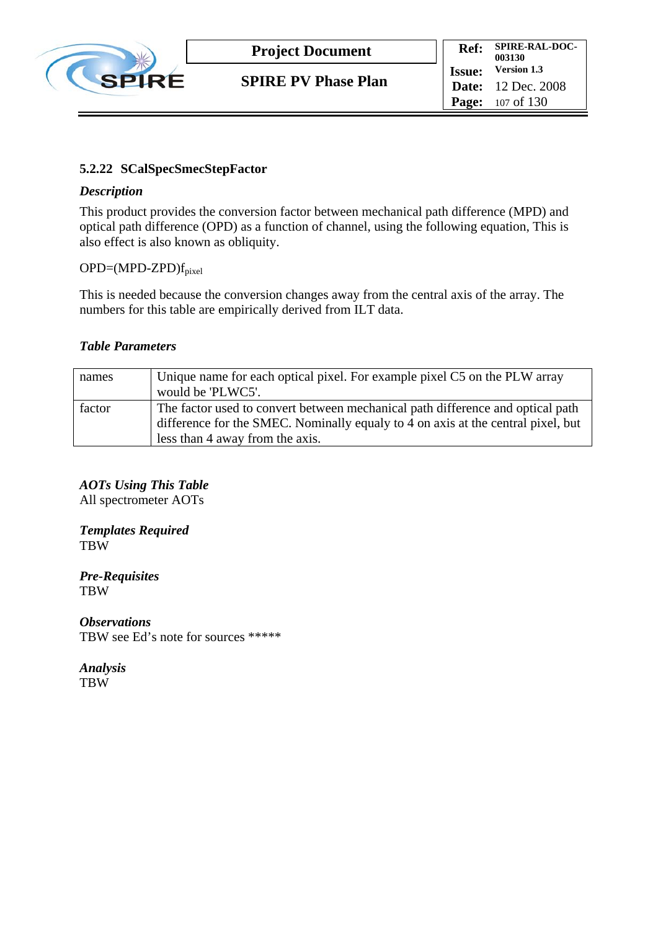

### **5.2.22 SCalSpecSmecStepFactor**

#### *Description*

This product provides the conversion factor between mechanical path difference (MPD) and optical path difference (OPD) as a function of channel, using the following equation, This is also effect is also known as obliquity.

### $OPD=(MPD-ZPD)f_{pixel}$

This is needed because the conversion changes away from the central axis of the array. The numbers for this table are empirically derived from ILT data.

#### *Table Parameters*

| names  | Unique name for each optical pixel. For example pixel C5 on the PLW array        |
|--------|----------------------------------------------------------------------------------|
|        | would be 'PLWC5'.                                                                |
| factor | The factor used to convert between mechanical path difference and optical path   |
|        | difference for the SMEC. Nominally equaly to 4 on axis at the central pixel, but |
|        | less than 4 away from the axis.                                                  |

*AOTs Using This Table*  All spectrometer AOTs

*Templates Required*  TBW

*Pre-Requisites*  TBW

*Observations*  TBW see Ed's note for sources \*\*\*\*\*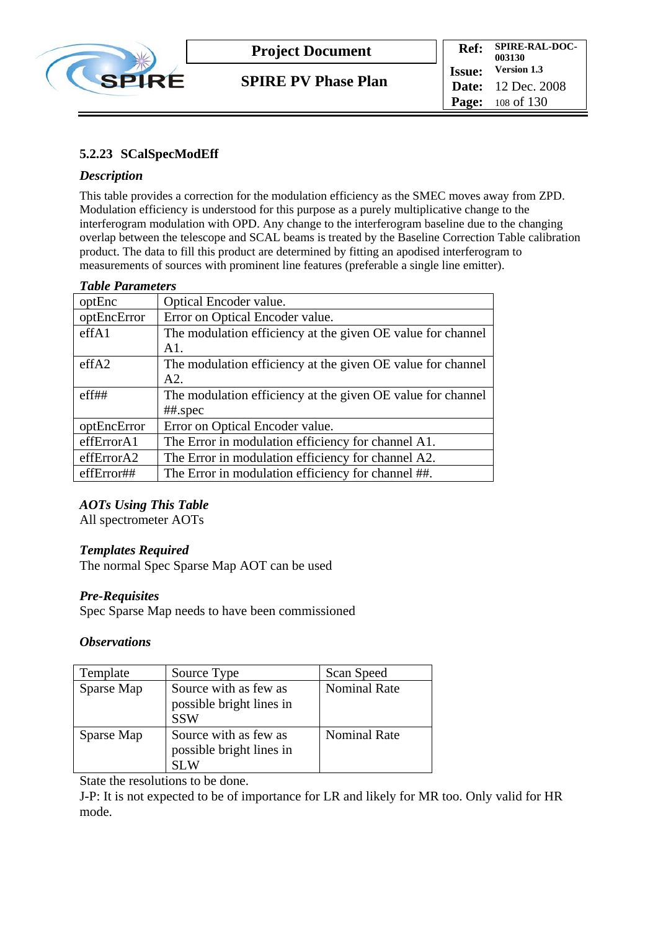

**Ref: SPIRE-RAL-DOC-003130 Issue: Version 1.3 Date:** 12 Dec. 2008 **Page:** 108 of 130

### **5.2.23 SCalSpecModEff**

#### *Description*

This table provides a correction for the modulation efficiency as the SMEC moves away from ZPD. Modulation efficiency is understood for this purpose as a purely multiplicative change to the interferogram modulation with OPD. Any change to the interferogram baseline due to the changing overlap between the telescope and SCAL beams is treated by the Baseline Correction Table calibration product. The data to fill this product are determined by fitting an apodised interferogram to measurements of sources with prominent line features (preferable a single line emitter).

#### *Table Parameters*

| optEnc      | Optical Encoder value.                                      |
|-------------|-------------------------------------------------------------|
| optEncError | Error on Optical Encoder value.                             |
| effA1       | The modulation efficiency at the given OE value for channel |
|             | A1.                                                         |
| effA2       | The modulation efficiency at the given OE value for channel |
|             | A2.                                                         |
| eff##       | The modulation efficiency at the given OE value for channel |
|             | ##.spec                                                     |
| optEncError | Error on Optical Encoder value.                             |
| effErrorA1  | The Error in modulation efficiency for channel A1.          |
| effErrorA2  | The Error in modulation efficiency for channel A2.          |
| effError##  | The Error in modulation efficiency for channel ##.          |

### *AOTs Using This Table*

All spectrometer AOTs

### *Templates Required*

The normal Spec Sparse Map AOT can be used

### *Pre-Requisites*

Spec Sparse Map needs to have been commissioned

#### *Observations*

| Template   | Source Type                                                     | Scan Speed          |
|------------|-----------------------------------------------------------------|---------------------|
| Sparse Map | Source with as few as<br>possible bright lines in<br><b>SSW</b> | <b>Nominal Rate</b> |
| Sparse Map | Source with as few as<br>possible bright lines in<br>SI .W      | <b>Nominal Rate</b> |

State the resolutions to be done.

J-P: It is not expected to be of importance for LR and likely for MR too. Only valid for HR mode.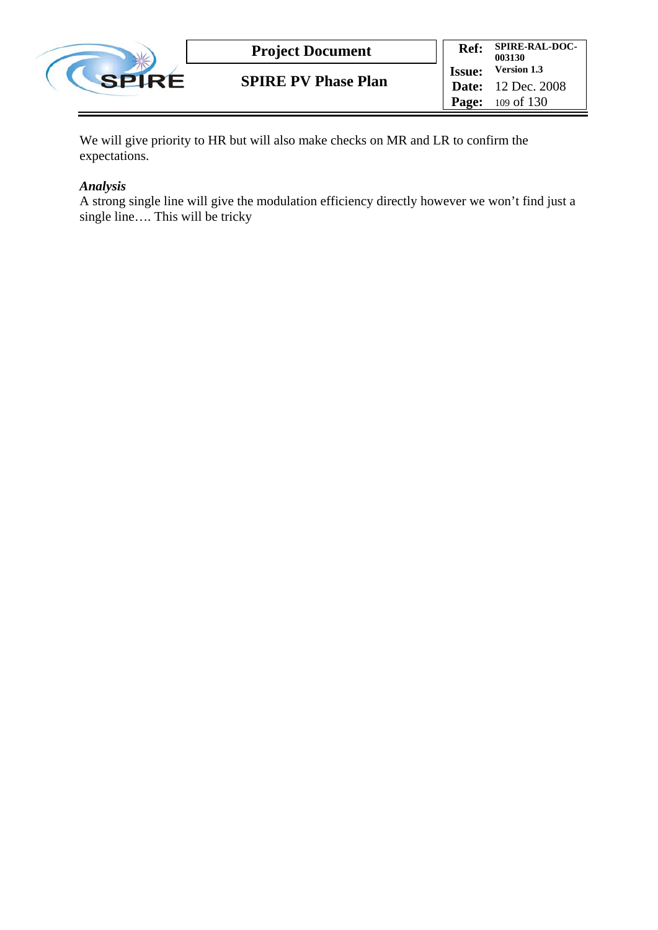

We will give priority to HR but will also make checks on MR and LR to confirm the expectations.

# *Analysis*

A strong single line will give the modulation efficiency directly however we won't find just a single line…. This will be tricky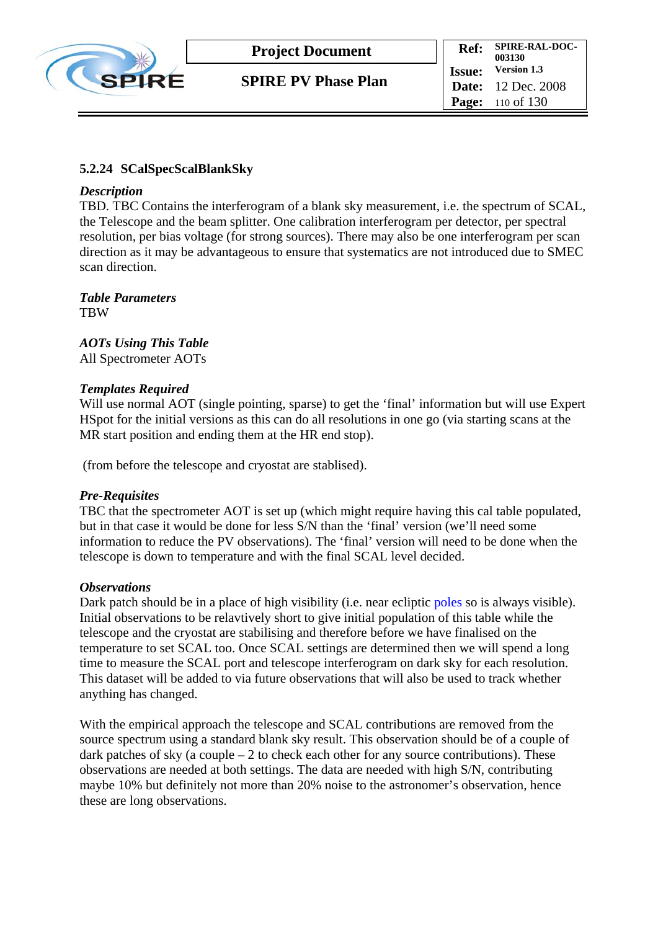

# **5.2.24 SCalSpecScalBlankSky**

#### *Description*

TBD. TBC Contains the interferogram of a blank sky measurement, i.e. the spectrum of SCAL, the Telescope and the beam splitter. One calibration interferogram per detector, per spectral resolution, per bias voltage (for strong sources). There may also be one interferogram per scan direction as it may be advantageous to ensure that systematics are not introduced due to SMEC scan direction.

*Table Parameters*  TBW

*AOTs Using This Table*  All Spectrometer AOTs

#### *Templates Required*

Will use normal AOT (single pointing, sparse) to get the 'final' information but will use Expert HSpot for the initial versions as this can do all resolutions in one go (via starting scans at the MR start position and ending them at the HR end stop).

(from before the telescope and cryostat are stablised).

#### *Pre-Requisites*

TBC that the spectrometer AOT is set up (which might require having this cal table populated, but in that case it would be done for less S/N than the 'final' version (we'll need some information to reduce the PV observations). The 'final' version will need to be done when the telescope is down to temperature and with the final SCAL level decided.

#### *Observations*

Dark patch should be in a place of high visibility (i.e. near ecliptic poles so is always visible). Initial observations to be relavtively short to give initial population of this table while the telescope and the cryostat are stabilising and therefore before we have finalised on the temperature to set SCAL too. Once SCAL settings are determined then we will spend a long time to measure the SCAL port and telescope interferogram on dark sky for each resolution. This dataset will be added to via future observations that will also be used to track whether anything has changed.

With the empirical approach the telescope and SCAL contributions are removed from the source spectrum using a standard blank sky result. This observation should be of a couple of dark patches of sky (a couple  $-2$  to check each other for any source contributions). These observations are needed at both settings. The data are needed with high S/N, contributing maybe 10% but definitely not more than 20% noise to the astronomer's observation, hence these are long observations.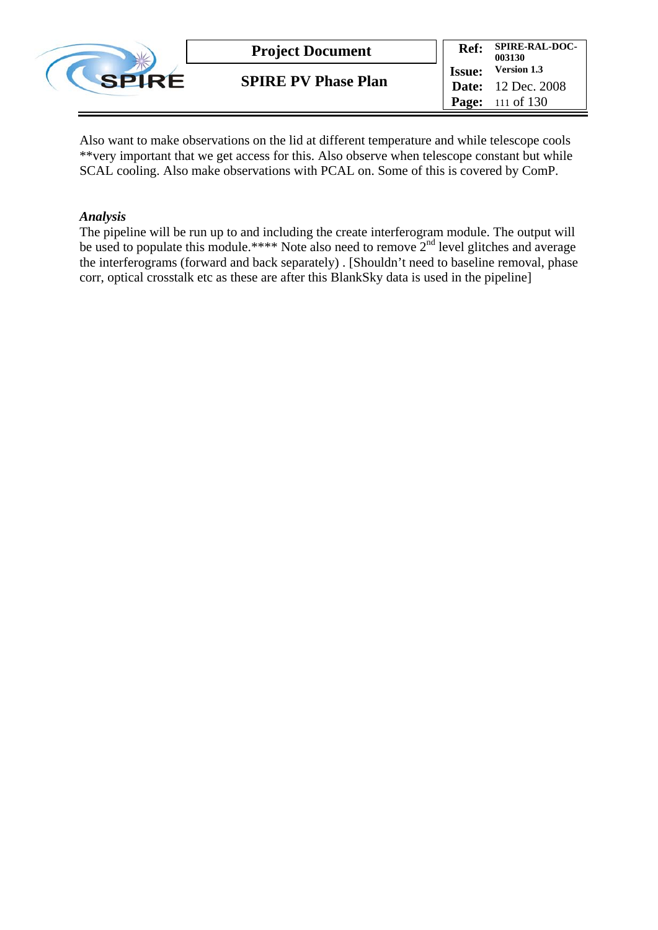

Also want to make observations on the lid at different temperature and while telescope cools \*\*very important that we get access for this. Also observe when telescope constant but while SCAL cooling. Also make observations with PCAL on. Some of this is covered by ComP.

# *Analysis*

The pipeline will be run up to and including the create interferogram module. The output will be used to populate this module.\*\*\*\* Note also need to remove 2<sup>nd</sup> level glitches and average the interferograms (forward and back separately) . [Shouldn't need to baseline removal, phase corr, optical crosstalk etc as these are after this BlankSky data is used in the pipeline]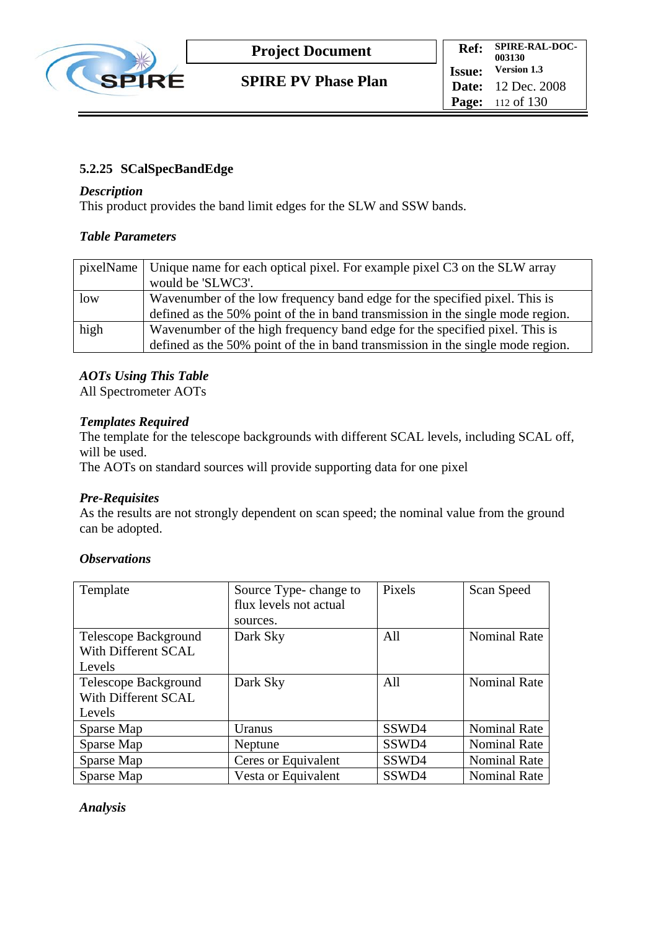

# **5.2.25 SCalSpecBandEdge**

#### *Description*

This product provides the band limit edges for the SLW and SSW bands.

### *Table Parameters*

|      | pixelName   Unique name for each optical pixel. For example pixel C3 on the SLW array |  |  |  |
|------|---------------------------------------------------------------------------------------|--|--|--|
|      | would be 'SLWC3'.                                                                     |  |  |  |
| low  | Wavenumber of the low frequency band edge for the specified pixel. This is            |  |  |  |
|      | defined as the 50% point of the in band transmission in the single mode region.       |  |  |  |
| high | Wavenumber of the high frequency band edge for the specified pixel. This is           |  |  |  |
|      | defined as the 50% point of the in band transmission in the single mode region.       |  |  |  |

# *AOTs Using This Table*

All Spectrometer AOTs

#### *Templates Required*

The template for the telescope backgrounds with different SCAL levels, including SCAL off, will be used.

The AOTs on standard sources will provide supporting data for one pixel

#### *Pre-Requisites*

As the results are not strongly dependent on scan speed; the nominal value from the ground can be adopted.

#### *Observations*

| Template             | Source Type-change to  | Pixels | Scan Speed          |
|----------------------|------------------------|--------|---------------------|
|                      | flux levels not actual |        |                     |
|                      | sources.               |        |                     |
| Telescope Background | Dark Sky               | All    | <b>Nominal Rate</b> |
| With Different SCAL  |                        |        |                     |
| Levels               |                        |        |                     |
| Telescope Background | Dark Sky               | All    | <b>Nominal Rate</b> |
| With Different SCAL  |                        |        |                     |
| Levels               |                        |        |                     |
| Sparse Map           | Uranus                 | SSWD4  | <b>Nominal Rate</b> |
| Sparse Map           | Neptune                | SSWD4  | <b>Nominal Rate</b> |
| Sparse Map           | Ceres or Equivalent    | SSWD4  | <b>Nominal Rate</b> |
| Sparse Map           | Vesta or Equivalent    | SSWD4  | <b>Nominal Rate</b> |

*Analysis*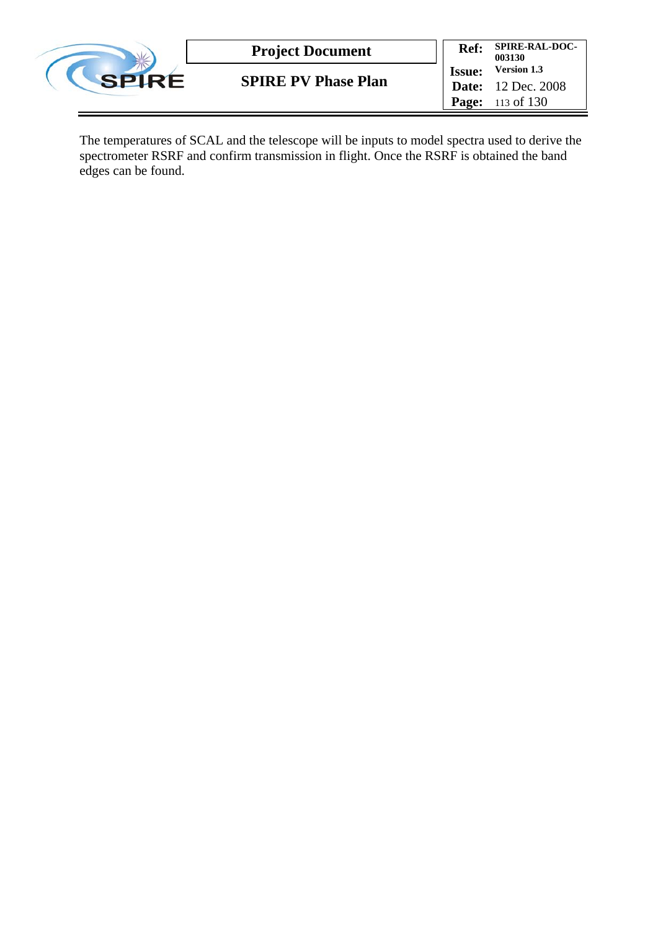

**Ref: SPIRE-RAL-DOC-003130 Issue: Version 1.3 Date:** 12 Dec. 2008 **Page:** 113 of 130

The temperatures of SCAL and the telescope will be inputs to model spectra used to derive the spectrometer RSRF and confirm transmission in flight. Once the RSRF is obtained the band edges can be found.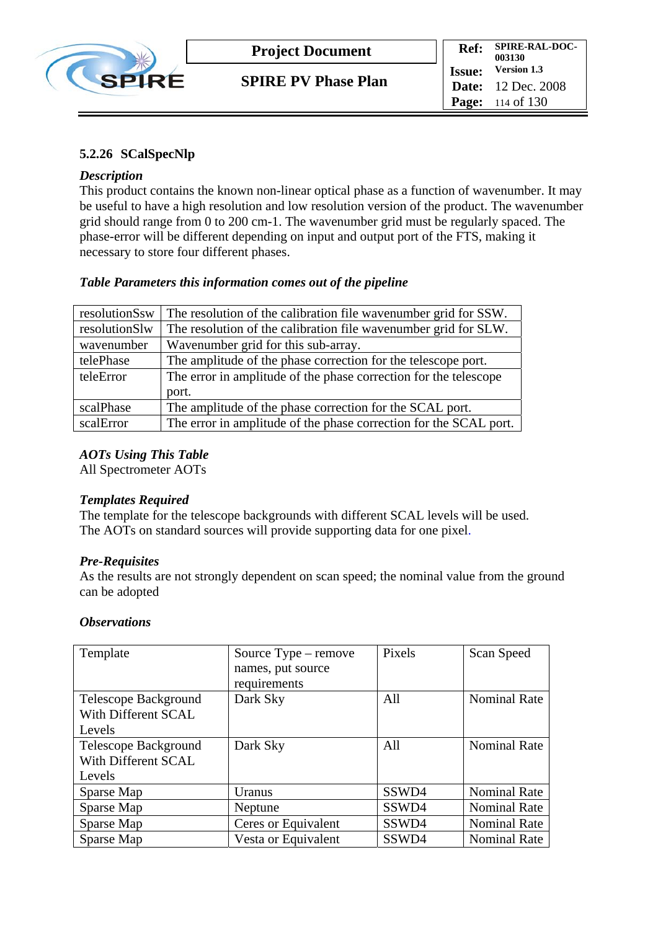

# **5.2.26 SCalSpecNlp**

#### *Description*

This product contains the known non-linear optical phase as a function of wavenumber. It may be useful to have a high resolution and low resolution version of the product. The wavenumber grid should range from 0 to 200 cm-1. The wavenumber grid must be regularly spaced. The phase-error will be different depending on input and output port of the FTS, making it necessary to store four different phases.

#### *Table Parameters this information comes out of the pipeline*

| resolutionSsw | The resolution of the calibration file wavenumber grid for SSW.   |
|---------------|-------------------------------------------------------------------|
| resolutionSlw | The resolution of the calibration file wavenumber grid for SLW.   |
| wavenumber    | Wavenumber grid for this sub-array.                               |
| telePhase     | The amplitude of the phase correction for the telescope port.     |
| teleError     | The error in amplitude of the phase correction for the telescope  |
|               | port.                                                             |
| scalPhase     | The amplitude of the phase correction for the SCAL port.          |
| scalError     | The error in amplitude of the phase correction for the SCAL port. |

#### *AOTs Using This Table*

All Spectrometer AOTs

#### *Templates Required*

The template for the telescope backgrounds with different SCAL levels will be used. The AOTs on standard sources will provide supporting data for one pixel.

#### *Pre-Requisites*

As the results are not strongly dependent on scan speed; the nominal value from the ground can be adopted

#### *Observations*

| Template             | Source Type – remove | Pixels | Scan Speed          |
|----------------------|----------------------|--------|---------------------|
|                      | names, put source    |        |                     |
|                      | requirements         |        |                     |
| Telescope Background | Dark Sky             | All    | <b>Nominal Rate</b> |
| With Different SCAL  |                      |        |                     |
| Levels               |                      |        |                     |
| Telescope Background | Dark Sky             | All    | <b>Nominal Rate</b> |
| With Different SCAL  |                      |        |                     |
| Levels               |                      |        |                     |
| Sparse Map           | Uranus               | SSWD4  | <b>Nominal Rate</b> |
| Sparse Map           | Neptune              | SSWD4  | <b>Nominal Rate</b> |
| Sparse Map           | Ceres or Equivalent  | SSWD4  | <b>Nominal Rate</b> |
| Sparse Map           | Vesta or Equivalent  | SSWD4  | <b>Nominal Rate</b> |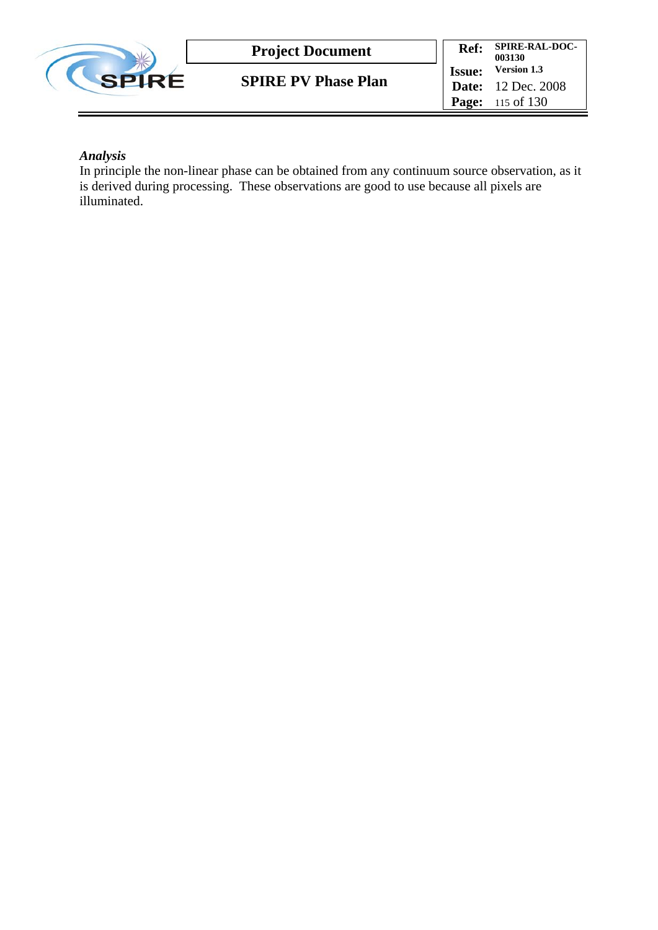

**Ref: SPIRE-RAL-DOC-003130 Issue: Version 1.3 Date:** 12 Dec. 2008 **Page:** 115 of 130

# *Analysis*

In principle the non-linear phase can be obtained from any continuum source observation, as it is derived during processing. These observations are good to use because all pixels are illuminated.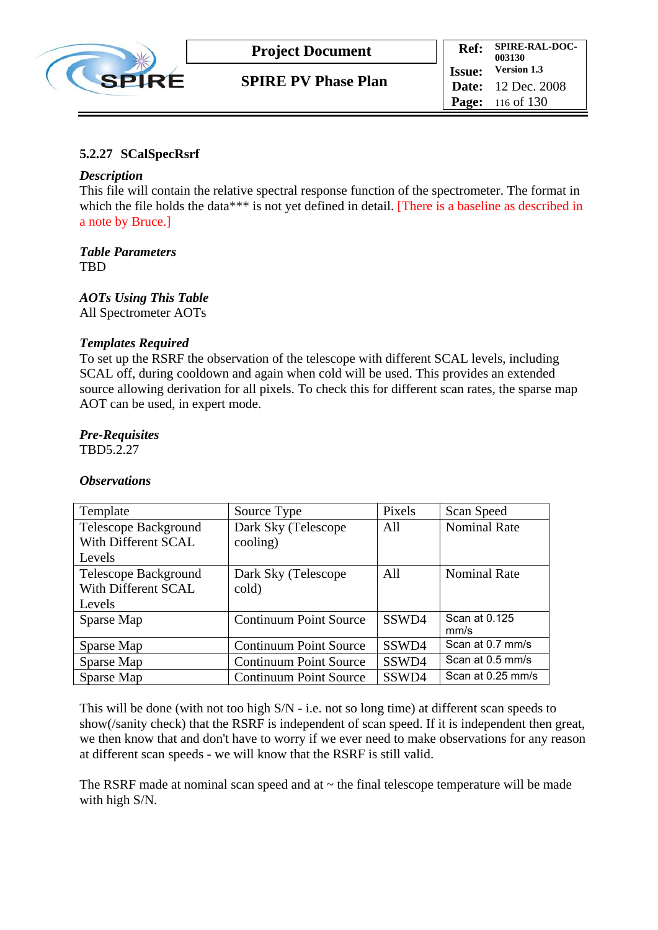

# **5.2.27 SCalSpecRsrf**

#### *Description*

This file will contain the relative spectral response function of the spectrometer. The format in which the file holds the data\*\*\* is not yet defined in detail. There is a baseline as described in a note by Bruce.]

*Table Parameters*  TBD

*AOTs Using This Table*  All Spectrometer AOTs

#### *Templates Required*

To set up the RSRF the observation of the telescope with different SCAL levels, including SCAL off, during cooldown and again when cold will be used. This provides an extended source allowing derivation for all pixels. To check this for different scan rates, the sparse map AOT can be used, in expert mode.

#### *Pre-Requisites*

TBD5.2.27

#### *Observations*

| Template             | Source Type                   | Pixels | Scan Speed          |
|----------------------|-------------------------------|--------|---------------------|
| Telescope Background | Dark Sky (Telescope           | All    | <b>Nominal Rate</b> |
| With Different SCAL  | cooling)                      |        |                     |
| Levels               |                               |        |                     |
| Telescope Background | Dark Sky (Telescope           | All    | <b>Nominal Rate</b> |
| With Different SCAL  | cold)                         |        |                     |
| Levels               |                               |        |                     |
| Sparse Map           | <b>Continuum Point Source</b> | SSWD4  | Scan at 0.125       |
|                      |                               |        | mm/s                |
| Sparse Map           | <b>Continuum Point Source</b> | SSWD4  | Scan at 0.7 mm/s    |
| Sparse Map           | <b>Continuum Point Source</b> | SSWD4  | Scan at 0.5 mm/s    |
| Sparse Map           | <b>Continuum Point Source</b> | SSWD4  | Scan at 0.25 mm/s   |

This will be done (with not too high S/N - i.e. not so long time) at different scan speeds to show(/sanity check) that the RSRF is independent of scan speed. If it is independent then great, we then know that and don't have to worry if we ever need to make observations for any reason at different scan speeds - we will know that the RSRF is still valid.

The RSRF made at nominal scan speed and at  $\sim$  the final telescope temperature will be made with high S/N.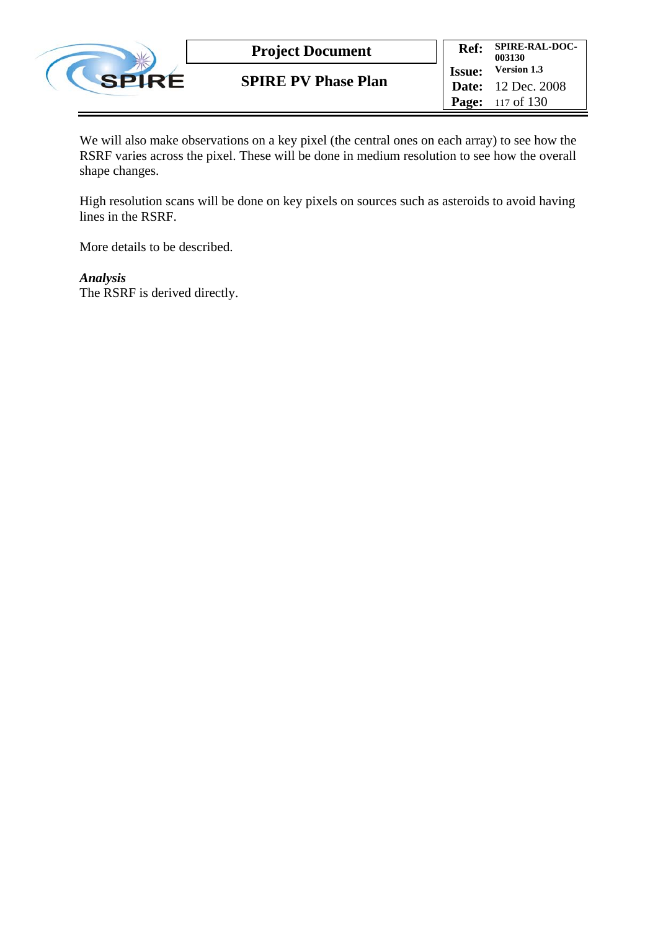

We will also make observations on a key pixel (the central ones on each array) to see how the RSRF varies across the pixel. These will be done in medium resolution to see how the overall shape changes.

High resolution scans will be done on key pixels on sources such as asteroids to avoid having lines in the RSRF.

More details to be described.

#### *Analysis*

The RSRF is derived directly.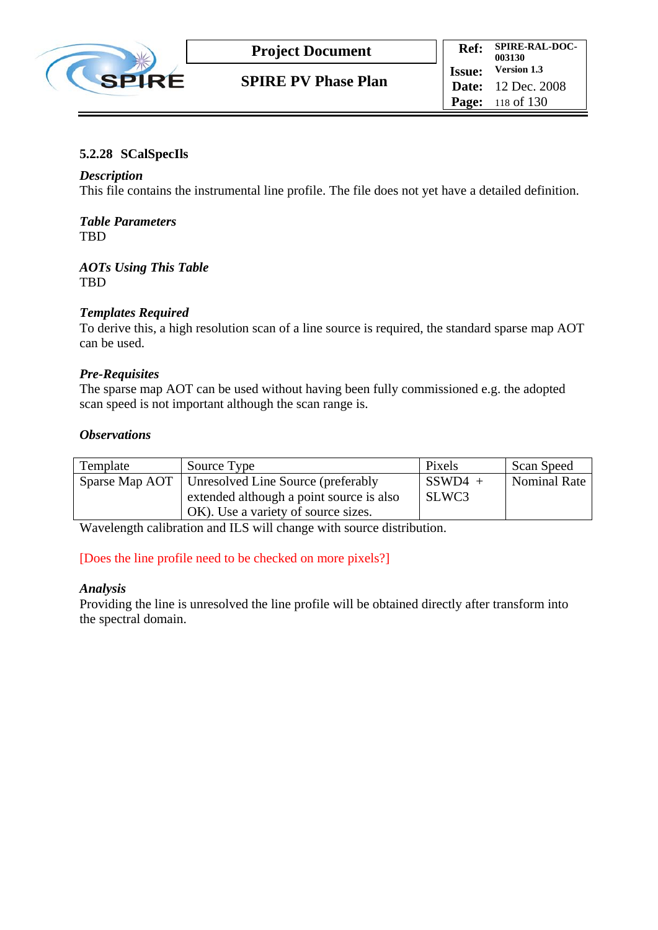

### **5.2.28 SCalSpecIls**

#### *Description*

This file contains the instrumental line profile. The file does not yet have a detailed definition.

#### *Table Parameters*  TBD

*AOTs Using This Table*  TBD

#### *Templates Required*

To derive this, a high resolution scan of a line source is required, the standard sparse map AOT can be used.

#### *Pre-Requisites*

The sparse map AOT can be used without having been fully commissioned e.g. the adopted scan speed is not important although the scan range is.

#### *Observations*

| Template | Source Type                                         | Pixels    | <b>Scan Speed</b> |
|----------|-----------------------------------------------------|-----------|-------------------|
|          | Sparse Map AOT   Unresolved Line Source (preferably | $SSWD4 +$ | Nominal Rate      |
|          | extended although a point source is also            | SLWC3     |                   |
|          | OK). Use a variety of source sizes.                 |           |                   |

Wavelength calibration and ILS will change with source distribution.

#### [Does the line profile need to be checked on more pixels?]

#### *Analysis*

Providing the line is unresolved the line profile will be obtained directly after transform into the spectral domain.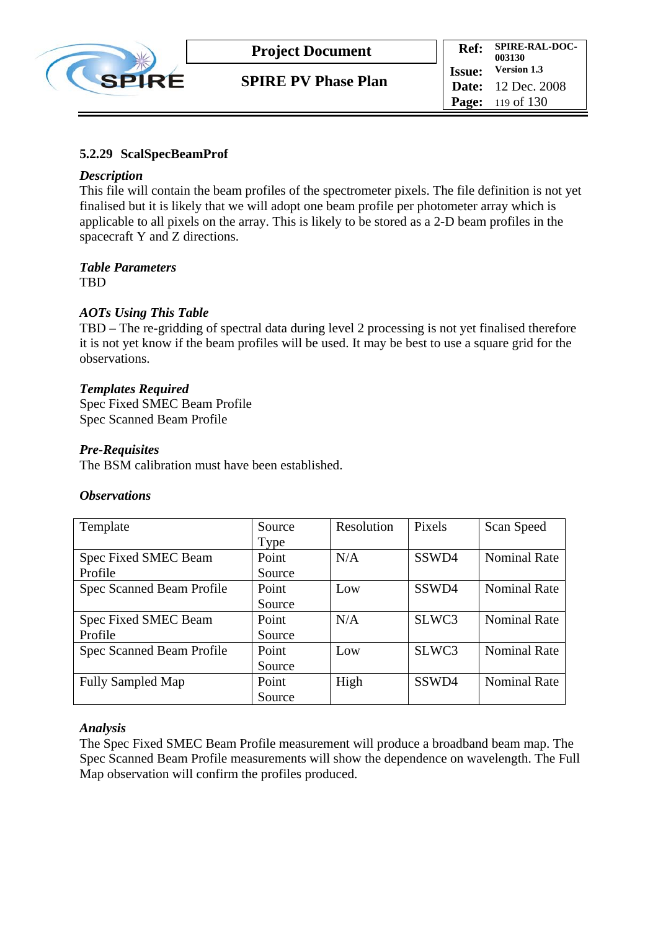

**Ref: SPIRE-RAL-DOC-003130 Issue: Version 1.3 Date:** 12 Dec. 2008 **Page:** 119 of 130

# **5.2.29 ScalSpecBeamProf**

#### *Description*

This file will contain the beam profiles of the spectrometer pixels. The file definition is not yet finalised but it is likely that we will adopt one beam profile per photometer array which is applicable to all pixels on the array. This is likely to be stored as a 2-D beam profiles in the spacecraft Y and Z directions.

#### *Table Parameters*  TBD

#### *AOTs Using This Table*

TBD – The re-gridding of spectral data during level 2 processing is not yet finalised therefore it is not yet know if the beam profiles will be used. It may be best to use a square grid for the observations.

#### *Templates Required*

Spec Fixed SMEC Beam Profile Spec Scanned Beam Profile

#### *Pre-Requisites*

The BSM calibration must have been established.

#### *Observations*

| Template                  | Source | Resolution | Pixels | Scan Speed          |
|---------------------------|--------|------------|--------|---------------------|
|                           | Type   |            |        |                     |
| Spec Fixed SMEC Beam      | Point  | N/A        | SSWD4  | <b>Nominal Rate</b> |
| Profile                   | Source |            |        |                     |
| Spec Scanned Beam Profile | Point  | Low        | SSWD4  | <b>Nominal Rate</b> |
|                           | Source |            |        |                     |
| Spec Fixed SMEC Beam      | Point  | N/A        | SLWC3  | <b>Nominal Rate</b> |
| Profile                   | Source |            |        |                     |
| Spec Scanned Beam Profile | Point  | Low        | SLWC3  | <b>Nominal Rate</b> |
|                           | Source |            |        |                     |
| <b>Fully Sampled Map</b>  | Point  | High       | SSWD4  | <b>Nominal Rate</b> |
|                           | Source |            |        |                     |

#### *Analysis*

The Spec Fixed SMEC Beam Profile measurement will produce a broadband beam map. The Spec Scanned Beam Profile measurements will show the dependence on wavelength. The Full Map observation will confirm the profiles produced.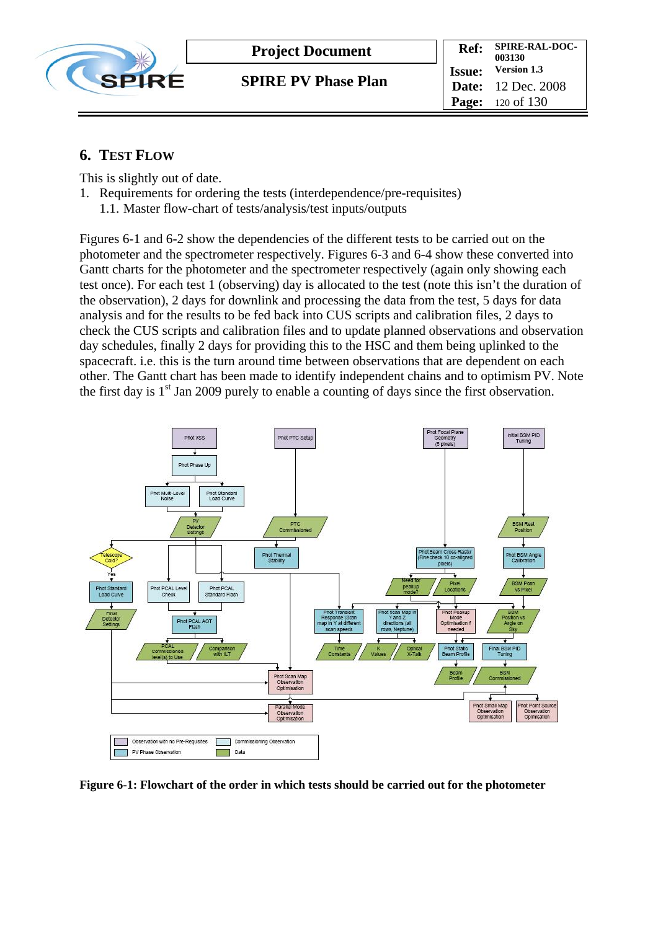

**SPIRE PV Phase Plan**

**Ref: SPIRE-RAL-DOC-003130 Issue: Version 1.3 Date:** 12 Dec. 2008 **Page:** 120 of 130

# **6. TEST FLOW**

This is slightly out of date.

- 1. Requirements for ordering the tests (interdependence/pre-requisites)
	- 1.1. Master flow-chart of tests/analysis/test inputs/outputs

Figures 6-1 and 6-2 show the dependencies of the different tests to be carried out on the photometer and the spectrometer respectively. Figures 6-3 and 6-4 show these converted into Gantt charts for the photometer and the spectrometer respectively (again only showing each test once). For each test 1 (observing) day is allocated to the test (note this isn't the duration of the observation), 2 days for downlink and processing the data from the test, 5 days for data analysis and for the results to be fed back into CUS scripts and calibration files, 2 days to check the CUS scripts and calibration files and to update planned observations and observation day schedules, finally 2 days for providing this to the HSC and them being uplinked to the spacecraft. i.e. this is the turn around time between observations that are dependent on each other. The Gantt chart has been made to identify independent chains and to optimism PV. Note the first day is  $1<sup>st</sup>$  Jan 2009 purely to enable a counting of days since the first observation.



**Figure 6-1: Flowchart of the order in which tests should be carried out for the photometer**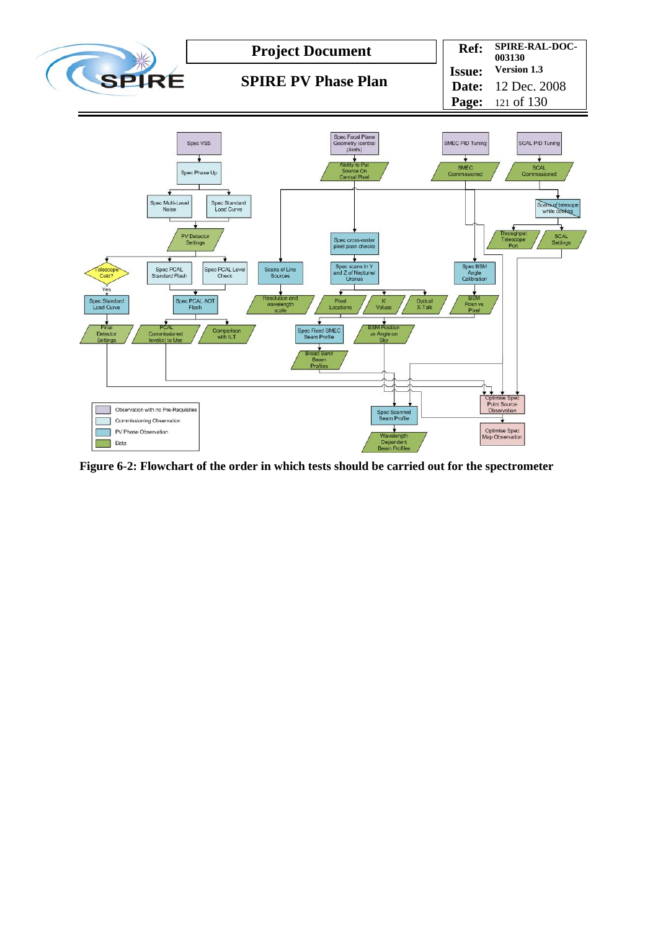

**Figure 6-2: Flowchart of the order in which tests should be carried out for the spectrometer**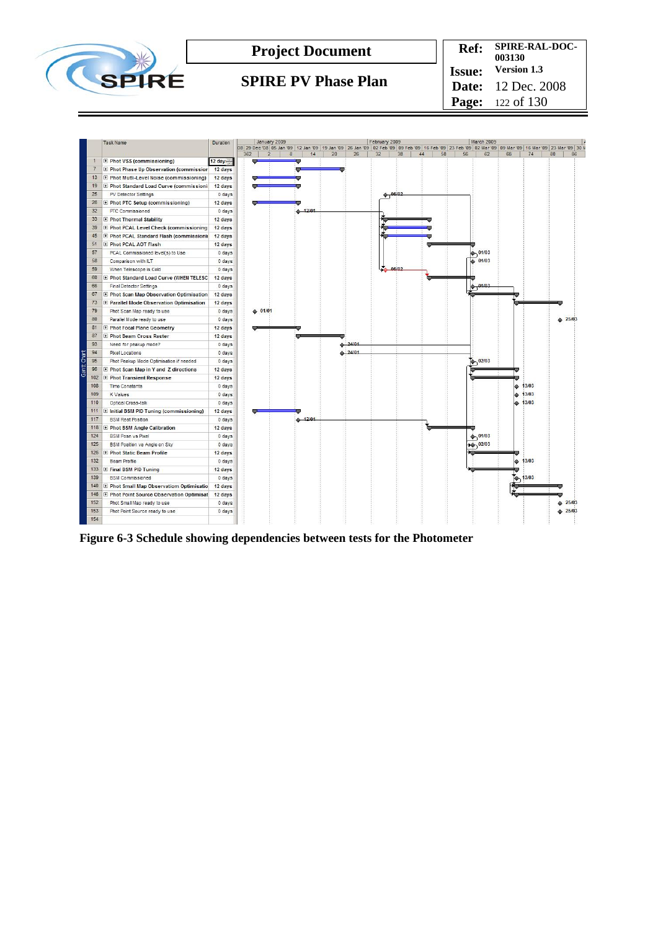

**SPIRE PV Phase Plan**

**Ref: SPIRE-RAL-DOC-003130 Issue: Version 1.3 Date:** 12 Dec. 2008 **Page:** 122 of 130



**Figure 6-3 Schedule showing dependencies between tests for the Photometer**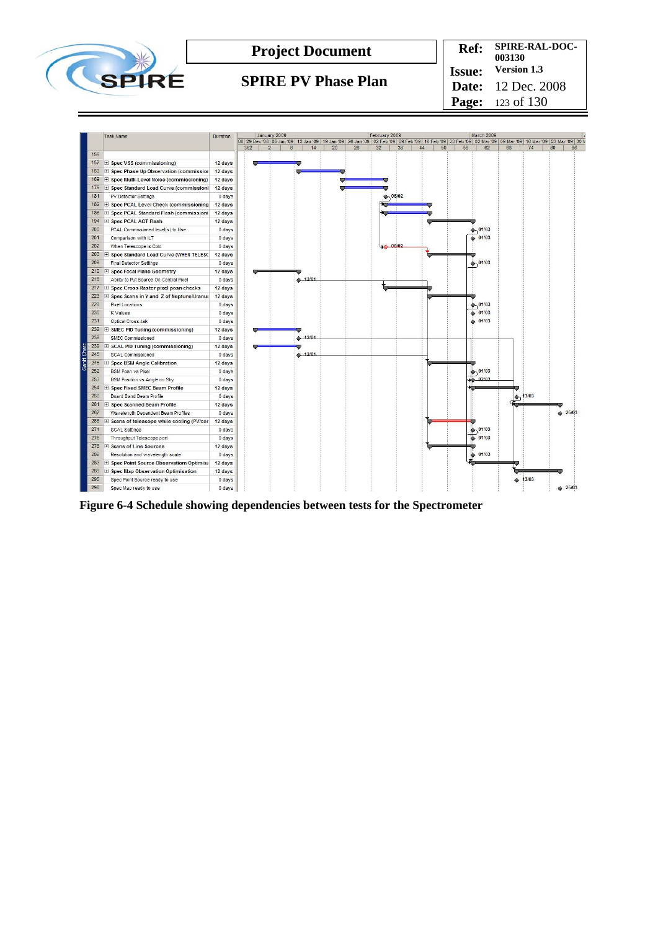

# **SPIRE PV Phase Plan**

**Ref: SPIRE-RAL-DOC-003130 Issue: Version 1.3 Date:** 12 Dec. 2008 **Page:** 123 of 130



**Figure 6-4 Schedule showing dependencies between tests for the Spectrometer**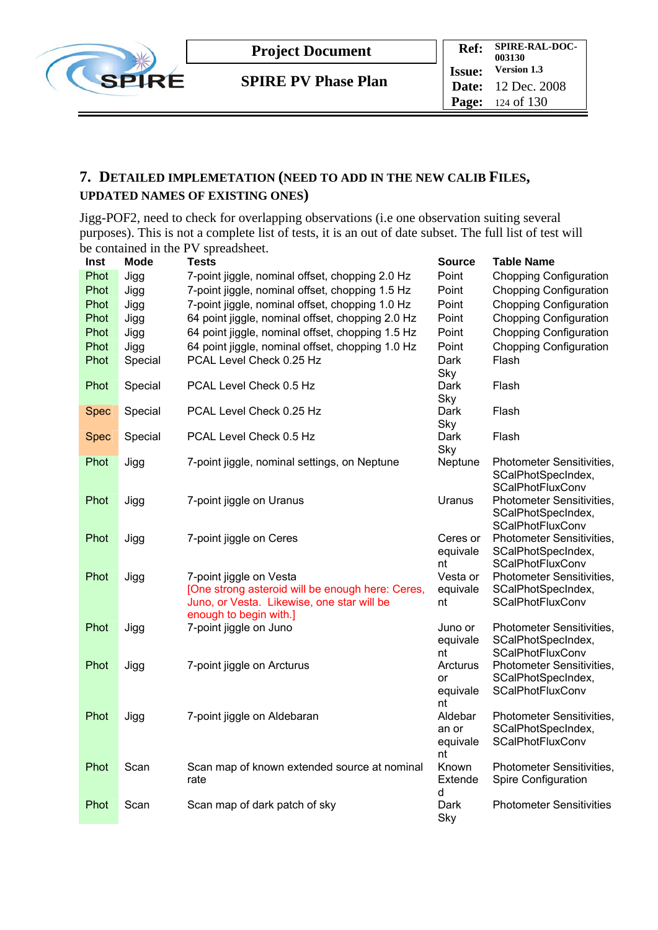

**SPIRE PV Phase Plan**

**Ref: SPIRE-RAL-DOC-003130 Issue: Version 1.3 Date:** 12 Dec. 2008 **Page:** 124 of 130

# **7. DETAILED IMPLEMETATION (NEED TO ADD IN THE NEW CALIB FILES, UPDATED NAMES OF EXISTING ONES)**

Jigg-POF2, need to check for overlapping observations (i.e one observation suiting several purposes). This is not a complete list of tests, it is an out of date subset. The full list of test will be contained in the PV spreadsheet.

| Inst        | <b>Mode</b> | <b>Tests</b>                                     | <b>Source</b>  | <b>Table Name</b>                               |
|-------------|-------------|--------------------------------------------------|----------------|-------------------------------------------------|
| Phot        | Jigg        | 7-point jiggle, nominal offset, chopping 2.0 Hz  | Point          | <b>Chopping Configuration</b>                   |
| Phot        | Jigg        | 7-point jiggle, nominal offset, chopping 1.5 Hz  | Point          | <b>Chopping Configuration</b>                   |
| Phot        | Jigg        | 7-point jiggle, nominal offset, chopping 1.0 Hz  | Point          | <b>Chopping Configuration</b>                   |
| Phot        | Jigg        | 64 point jiggle, nominal offset, chopping 2.0 Hz | Point          | <b>Chopping Configuration</b>                   |
| Phot        | Jigg        | 64 point jiggle, nominal offset, chopping 1.5 Hz | Point          | <b>Chopping Configuration</b>                   |
| Phot        | Jigg        | 64 point jiggle, nominal offset, chopping 1.0 Hz | Point          | <b>Chopping Configuration</b>                   |
| Phot        | Special     | PCAL Level Check 0.25 Hz                         | Dark           | Flash                                           |
|             |             |                                                  | Sky            |                                                 |
| Phot        | Special     | PCAL Level Check 0.5 Hz                          | Dark           | Flash                                           |
|             |             |                                                  | Sky            |                                                 |
| <b>Spec</b> | Special     | PCAL Level Check 0.25 Hz                         | Dark           | Flash                                           |
| <b>Spec</b> | Special     | PCAL Level Check 0.5 Hz                          | Sky<br>Dark    | Flash                                           |
|             |             |                                                  | Sky            |                                                 |
| Phot        | Jigg        | 7-point jiggle, nominal settings, on Neptune     | Neptune        | Photometer Sensitivities,                       |
|             |             |                                                  |                | SCalPhotSpecIndex,                              |
|             |             |                                                  |                | <b>SCalPhotFluxConv</b>                         |
| Phot        | Jigg        | 7-point jiggle on Uranus                         | Uranus         | Photometer Sensitivities,                       |
|             |             |                                                  |                | SCalPhotSpecIndex,                              |
|             |             |                                                  |                | <b>SCalPhotFluxConv</b>                         |
| Phot        | Jigg        | 7-point jiggle on Ceres                          | Ceres or       | Photometer Sensitivities,                       |
|             |             |                                                  | equivale<br>nt | SCalPhotSpecIndex,<br>SCalPhotFluxConv          |
| Phot        | Jigg        | 7-point jiggle on Vesta                          | Vesta or       | Photometer Sensitivities,                       |
|             |             | [One strong asteroid will be enough here: Ceres, | equivale       | SCalPhotSpecIndex,                              |
|             |             | Juno, or Vesta. Likewise, one star will be       | nt             | <b>SCalPhotFluxConv</b>                         |
|             |             | enough to begin with.]                           |                |                                                 |
| Phot        | Jigg        | 7-point jiggle on Juno                           | Juno or        | Photometer Sensitivities,                       |
|             |             |                                                  | equivale       | SCalPhotSpecIndex,                              |
|             |             |                                                  | nt             | SCalPhotFluxConv                                |
| Phot        | Jigg        | 7-point jiggle on Arcturus                       | Arcturus       | Photometer Sensitivities,<br>SCalPhotSpecIndex, |
|             |             |                                                  | or<br>equivale | SCalPhotFluxConv                                |
|             |             |                                                  | nt             |                                                 |
| Phot        | Jigg        | 7-point jiggle on Aldebaran                      | Aldebar        | Photometer Sensitivities,                       |
|             |             |                                                  | an or          | SCalPhotSpecIndex,                              |
|             |             |                                                  | equivale       | SCalPhotFluxConv                                |
|             |             |                                                  | nt             |                                                 |
| Phot        | Scan        | Scan map of known extended source at nominal     | Known          | Photometer Sensitivities,                       |
|             |             | rate                                             | Extende        | Spire Configuration                             |
| Phot        | Scan        |                                                  | d<br>Dark      | <b>Photometer Sensitivities</b>                 |
|             |             | Scan map of dark patch of sky                    | Sky            |                                                 |
|             |             |                                                  |                |                                                 |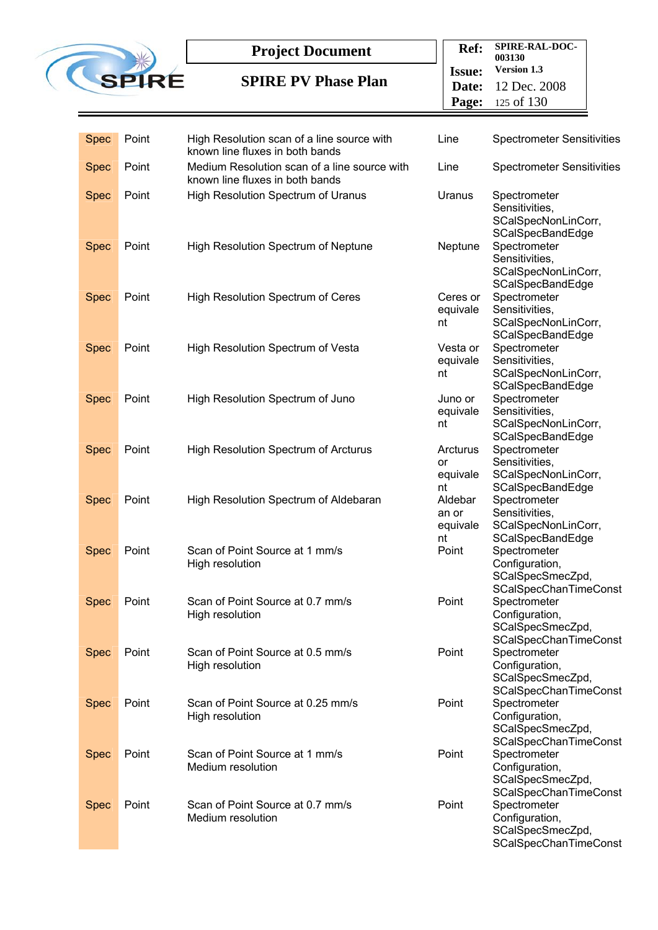

# **SPIRE PV Phase Plan**

**Ref: SPIRE-RAL-DOC-003130 Issue:** Version 1.3<br> **Date:** 12 Dec. 2 **Date:** 12 Dec. 2008<br>**Page:** 125 of 130 **Page:** 125 of 130

| <b>Spec</b> | Point | High Resolution scan of a line source with<br>known line fluxes in both bands   | Line                               | <b>Spectrometer Sensitivities</b>                                           |
|-------------|-------|---------------------------------------------------------------------------------|------------------------------------|-----------------------------------------------------------------------------|
| <b>Spec</b> | Point | Medium Resolution scan of a line source with<br>known line fluxes in both bands | Line                               | <b>Spectrometer Sensitivities</b>                                           |
| <b>Spec</b> | Point | High Resolution Spectrum of Uranus                                              | Uranus                             | Spectrometer<br>Sensitivities,<br>SCalSpecNonLinCorr,<br>SCalSpecBandEdge   |
| <b>Spec</b> | Point | <b>High Resolution Spectrum of Neptune</b>                                      | Neptune                            | Spectrometer<br>Sensitivities,<br>SCalSpecNonLinCorr,<br>SCalSpecBandEdge   |
| <b>Spec</b> | Point | <b>High Resolution Spectrum of Ceres</b>                                        | Ceres or<br>equivale<br>nt         | Spectrometer<br>Sensitivities,<br>SCalSpecNonLinCorr,<br>SCalSpecBandEdge   |
| <b>Spec</b> | Point | <b>High Resolution Spectrum of Vesta</b>                                        | Vesta or<br>equivale<br>nt         | Spectrometer<br>Sensitivities,<br>SCalSpecNonLinCorr,<br>SCalSpecBandEdge   |
| <b>Spec</b> | Point | High Resolution Spectrum of Juno                                                | Juno or<br>equivale<br>nt          | Spectrometer<br>Sensitivities,<br>SCalSpecNonLinCorr,<br>SCalSpecBandEdge   |
| <b>Spec</b> | Point | <b>High Resolution Spectrum of Arcturus</b>                                     | Arcturus<br>or<br>equivale<br>nt   | Spectrometer<br>Sensitivities,<br>SCalSpecNonLinCorr,<br>SCalSpecBandEdge   |
| <b>Spec</b> | Point | High Resolution Spectrum of Aldebaran                                           | Aldebar<br>an or<br>equivale<br>nt | Spectrometer<br>Sensitivities,<br>SCalSpecNonLinCorr,<br>SCalSpecBandEdge   |
| <b>Spec</b> | Point | Scan of Point Source at 1 mm/s<br>High resolution                               | Point                              | Spectrometer<br>Configuration,<br>SCalSpecSmecZpd,<br>SCalSpecChanTimeConst |
| <b>Spec</b> | Point | Scan of Point Source at 0.7 mm/s<br>High resolution                             | Point                              | Spectrometer<br>Configuration,<br>SCalSpecSmecZpd,<br>SCalSpecChanTimeConst |
| <b>Spec</b> | Point | Scan of Point Source at 0.5 mm/s<br>High resolution                             | Point                              | Spectrometer<br>Configuration,<br>SCalSpecSmecZpd,<br>SCalSpecChanTimeConst |
| <b>Spec</b> | Point | Scan of Point Source at 0.25 mm/s<br>High resolution                            | Point                              | Spectrometer<br>Configuration,<br>SCalSpecSmecZpd,<br>SCalSpecChanTimeConst |
| <b>Spec</b> | Point | Scan of Point Source at 1 mm/s<br>Medium resolution                             | Point                              | Spectrometer<br>Configuration,<br>SCalSpecSmecZpd,<br>SCalSpecChanTimeConst |
| <b>Spec</b> | Point | Scan of Point Source at 0.7 mm/s<br>Medium resolution                           | Point                              | Spectrometer<br>Configuration,<br>SCalSpecSmecZpd,<br>SCalSpecChanTimeConst |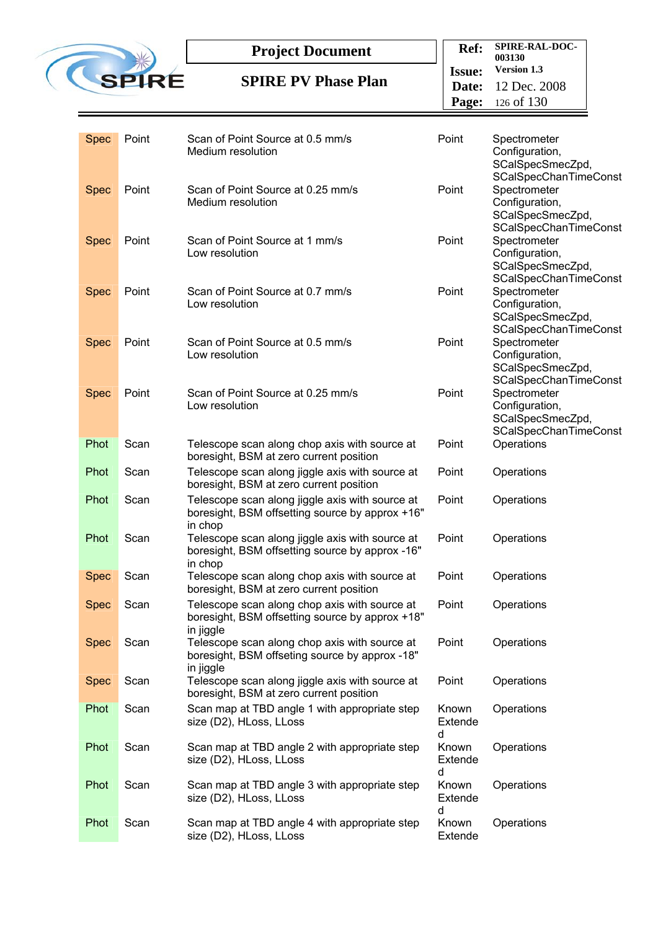

**Ref: SPIRE-RAL-DOC-003130 Issue:** Version 1.3<br>**Date:** 12 Dec. 2 **Date:** 12 Dec. 2008<br>**Page:** 126 of 130 **Page:** 126 of 130

| <b>Spec</b> | Point | Scan of Point Source at 0.5 mm/s<br>Medium resolution                                                         | Point                 | Spectrometer<br>Configuration,<br>SCalSpecSmecZpd,                                                   |
|-------------|-------|---------------------------------------------------------------------------------------------------------------|-----------------------|------------------------------------------------------------------------------------------------------|
| <b>Spec</b> | Point | Scan of Point Source at 0.25 mm/s<br>Medium resolution                                                        | Point                 | SCalSpecChanTimeConst<br>Spectrometer<br>Configuration,<br>SCalSpecSmecZpd,                          |
| <b>Spec</b> | Point | Scan of Point Source at 1 mm/s<br>Low resolution                                                              | Point                 | SCalSpecChanTimeConst<br>Spectrometer<br>Configuration,<br>SCalSpecSmecZpd,                          |
| <b>Spec</b> | Point | Scan of Point Source at 0.7 mm/s<br>Low resolution                                                            | Point                 | SCalSpecChanTimeConst<br>Spectrometer<br>Configuration,<br>SCalSpecSmecZpd,<br>SCalSpecChanTimeConst |
| <b>Spec</b> | Point | Scan of Point Source at 0.5 mm/s<br>Low resolution                                                            | Point                 | Spectrometer<br>Configuration,<br>SCalSpecSmecZpd,<br>SCalSpecChanTimeConst                          |
| <b>Spec</b> | Point | Scan of Point Source at 0.25 mm/s<br>Low resolution                                                           | Point                 | Spectrometer<br>Configuration,<br>SCalSpecSmecZpd,<br>SCalSpecChanTimeConst                          |
| Phot        | Scan  | Telescope scan along chop axis with source at<br>boresight, BSM at zero current position                      | Point                 | Operations                                                                                           |
| Phot        | Scan  | Telescope scan along jiggle axis with source at<br>boresight, BSM at zero current position                    | Point                 | Operations                                                                                           |
| Phot        | Scan  | Telescope scan along jiggle axis with source at<br>boresight, BSM offsetting source by approx +16"<br>in chop | Point                 | Operations                                                                                           |
| Phot        | Scan  | Telescope scan along jiggle axis with source at<br>boresight, BSM offsetting source by approx -16"<br>in chop | Point                 | Operations                                                                                           |
| <b>Spec</b> | Scan  | Telescope scan along chop axis with source at<br>boresight, BSM at zero current position                      | Point                 | Operations                                                                                           |
| <b>Spec</b> | Scan  | Telescope scan along chop axis with source at<br>boresight, BSM offsetting source by approx +18"<br>in jiggle | Point                 | Operations                                                                                           |
| <b>Spec</b> | Scan  | Telescope scan along chop axis with source at<br>boresight, BSM offseting source by approx -18"<br>in jiggle  | Point                 | Operations                                                                                           |
| <b>Spec</b> | Scan  | Telescope scan along jiggle axis with source at<br>boresight, BSM at zero current position                    | Point                 | Operations                                                                                           |
| Phot        | Scan  | Scan map at TBD angle 1 with appropriate step<br>size (D2), HLoss, LLoss                                      | Known<br>Extende<br>d | Operations                                                                                           |
| Phot        | Scan  | Scan map at TBD angle 2 with appropriate step<br>size (D2), HLoss, LLoss                                      | Known<br>Extende<br>d | Operations                                                                                           |
| Phot        | Scan  | Scan map at TBD angle 3 with appropriate step<br>size (D2), HLoss, LLoss                                      | Known<br>Extende<br>d | Operations                                                                                           |
| Phot        | Scan  | Scan map at TBD angle 4 with appropriate step<br>size (D2), HLoss, LLoss                                      | Known<br>Extende      | Operations                                                                                           |
|             |       |                                                                                                               |                       |                                                                                                      |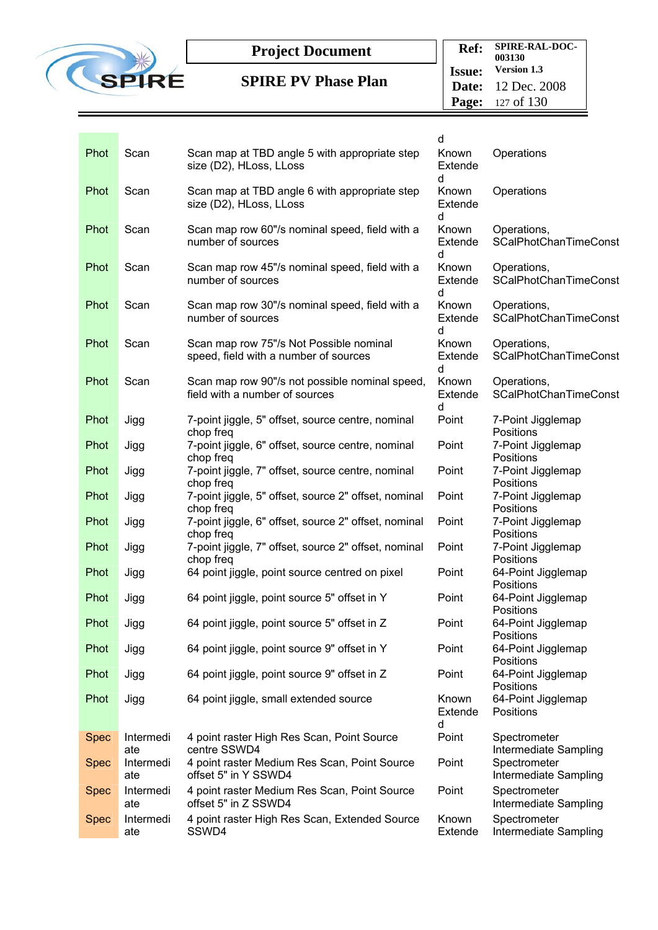

**SPIRE PV Phase Plan**

**Ref: SPIRE-RAL-DOC-003130 Issue: Version 1.3 Date:** 12 Dec. 2008 **Page:** 127 of 130

|             |                         |                                                                                      | d                     |                                                                |
|-------------|-------------------------|--------------------------------------------------------------------------------------|-----------------------|----------------------------------------------------------------|
| Phot        | Scan                    | Scan map at TBD angle 5 with appropriate step<br>size (D2), HLoss, LLoss             | Known<br>Extende<br>d | Operations                                                     |
| Phot        | Scan                    | Scan map at TBD angle 6 with appropriate step<br>size (D2), HLoss, LLoss             | Known<br>Extende<br>d | Operations                                                     |
| Phot        | Scan                    | Scan map row 60"/s nominal speed, field with a<br>number of sources                  | Known<br>Extende<br>d | Operations,<br>SCalPhotChanTimeConst                           |
| Phot        | Scan                    | Scan map row 45"/s nominal speed, field with a<br>number of sources                  | Known<br>Extende<br>d | Operations,<br>SCalPhotChanTimeConst                           |
| Phot        | Scan                    | Scan map row 30"/s nominal speed, field with a<br>number of sources                  | Known<br>Extende<br>d | Operations,<br>SCalPhotChanTimeConst                           |
| Phot        | Scan                    | Scan map row 75"/s Not Possible nominal<br>speed, field with a number of sources     | Known<br>Extende<br>d | Operations,<br>SCalPhotChanTimeConst                           |
| Phot        | Scan                    | Scan map row 90"/s not possible nominal speed,<br>field with a number of sources     | Known<br>Extende<br>d | Operations,<br>SCalPhotChanTimeConst                           |
| Phot        | Jigg                    | 7-point jiggle, 5" offset, source centre, nominal<br>chop freq                       | Point                 | 7-Point Jigglemap<br>Positions                                 |
| Phot        | Jigg                    | 7-point jiggle, 6" offset, source centre, nominal<br>chop freq                       | Point                 | 7-Point Jigglemap<br>Positions                                 |
| Phot        | Jigg                    | 7-point jiggle, 7" offset, source centre, nominal                                    | Point                 | 7-Point Jigglemap<br>Positions                                 |
| Phot        | Jigg                    | chop freq<br>7-point jiggle, 5" offset, source 2" offset, nominal<br>chop freq       | Point                 | 7-Point Jigglemap<br>Positions                                 |
| Phot        | Jigg                    | 7-point jiggle, 6" offset, source 2" offset, nominal<br>chop freq                    | Point                 | 7-Point Jigglemap<br>Positions                                 |
| Phot        | Jigg                    | 7-point jiggle, 7" offset, source 2" offset, nominal<br>chop freq                    | Point                 | 7-Point Jigglemap<br>Positions                                 |
| Phot        | Jigg                    | 64 point jiggle, point source centred on pixel                                       | Point                 | 64-Point Jigglemap<br>Positions                                |
| Phot        | Jigg                    | 64 point jiggle, point source 5" offset in Y                                         | Point                 | 64-Point Jigglemap<br>Positions                                |
| Phot        | Jigg                    | 64 point jiggle, point source 5" offset in Z                                         | Point                 | 64-Point Jigglemap<br>Positions                                |
| Phot        | Jigg                    | 64 point jiggle, point source 9" offset in Y                                         | Point                 | 64-Point Jigglemap<br>Positions                                |
| Phot        | Jigg                    | 64 point jiggle, point source 9" offset in Z                                         | Point                 | 64-Point Jigglemap<br>Positions                                |
| Phot        | Jigg                    | 64 point jiggle, small extended source                                               | Known<br>Extende<br>d | 64-Point Jigglemap<br>Positions                                |
| <b>Spec</b> | Intermedi               | 4 point raster High Res Scan, Point Source                                           | Point                 | Spectrometer                                                   |
| <b>Spec</b> | ate<br>Intermedi<br>ate | centre SSWD4<br>4 point raster Medium Res Scan, Point Source<br>offset 5" in Y SSWD4 | Point                 | Intermediate Sampling<br>Spectrometer<br>Intermediate Sampling |
| <b>Spec</b> | Intermedi<br>ate        | 4 point raster Medium Res Scan, Point Source<br>offset 5" in Z SSWD4                 | Point                 | Spectrometer<br>Intermediate Sampling                          |
| <b>Spec</b> | Intermedi<br>ate        | 4 point raster High Res Scan, Extended Source<br>SSWD4                               | Known<br>Extende      | Spectrometer<br>Intermediate Sampling                          |
|             |                         |                                                                                      |                       |                                                                |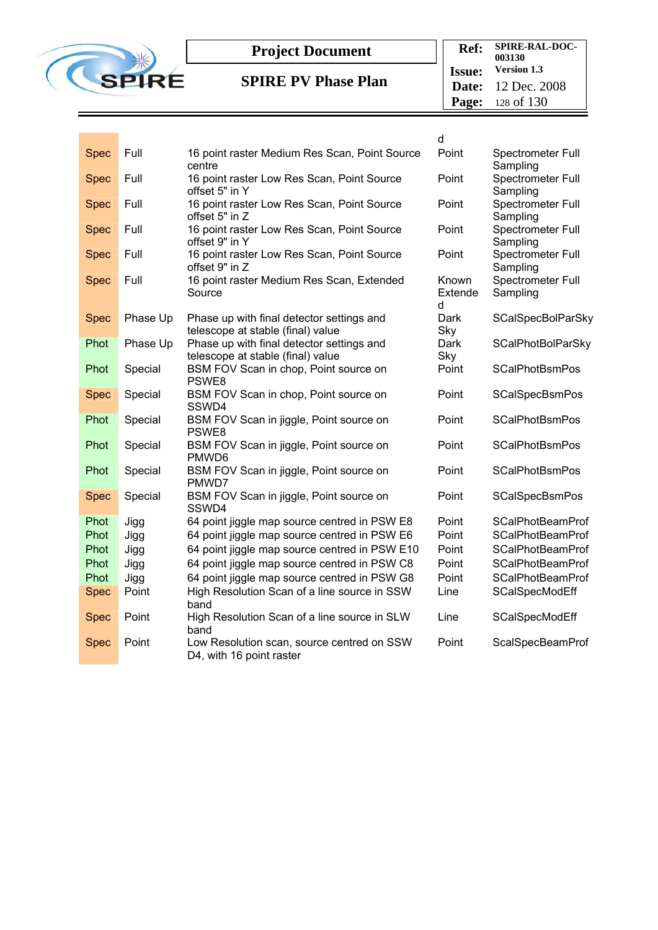

۰

**Project Document**

# **SPIRE PV Phase Plan**

**Ref: SPIRE-RAL-DOC-003130 Issue:** Version 1.3<br>**Date:** 12 Dec. 2 **Date:** 12 Dec. 2008<br>**Page:** 128 of 130 **Page:** 128 of 130

|             |          |                                                                                | d                     |                               |
|-------------|----------|--------------------------------------------------------------------------------|-----------------------|-------------------------------|
| <b>Spec</b> | Full     | 16 point raster Medium Res Scan, Point Source<br>centre                        | Point                 | Spectrometer Full<br>Sampling |
| <b>Spec</b> | Full     | 16 point raster Low Res Scan, Point Source<br>offset 5" in Y                   | Point                 | Spectrometer Full<br>Sampling |
| <b>Spec</b> | Full     | 16 point raster Low Res Scan, Point Source<br>offset 5" in Z                   | Point                 | Spectrometer Full<br>Sampling |
| <b>Spec</b> | Full     | 16 point raster Low Res Scan, Point Source<br>offset 9" in Y                   | Point                 | Spectrometer Full<br>Sampling |
| <b>Spec</b> | Full     | 16 point raster Low Res Scan, Point Source<br>offset 9" in Z                   | Point                 | Spectrometer Full<br>Sampling |
| <b>Spec</b> | Full     | 16 point raster Medium Res Scan, Extended<br>Source                            | Known<br>Extende<br>d | Spectrometer Full<br>Sampling |
| <b>Spec</b> | Phase Up | Phase up with final detector settings and<br>telescope at stable (final) value | Dark<br>Sky           | <b>SCalSpecBolParSky</b>      |
| Phot        | Phase Up | Phase up with final detector settings and<br>telescope at stable (final) value | Dark<br>Sky           | <b>SCalPhotBolParSky</b>      |
| Phot        | Special  | BSM FOV Scan in chop, Point source on<br>PSWE8                                 | Point                 | <b>SCalPhotBsmPos</b>         |
| <b>Spec</b> | Special  | BSM FOV Scan in chop, Point source on<br>SSWD4                                 | Point                 | SCalSpecBsmPos                |
| Phot        | Special  | BSM FOV Scan in jiggle, Point source on<br>PSWE8                               | Point                 | <b>SCalPhotBsmPos</b>         |
| Phot        | Special  | BSM FOV Scan in jiggle, Point source on<br>PMWD6                               | Point                 | <b>SCalPhotBsmPos</b>         |
| Phot        | Special  | BSM FOV Scan in jiggle, Point source on<br>PMWD7                               | Point                 | <b>SCalPhotBsmPos</b>         |
| <b>Spec</b> | Special  | BSM FOV Scan in jiggle, Point source on<br>SSWD4                               | Point                 | SCalSpecBsmPos                |
| Phot        | Jigg     | 64 point jiggle map source centred in PSW E8                                   | Point                 | <b>SCalPhotBeamProf</b>       |
| Phot        | Jigg     | 64 point jiggle map source centred in PSW E6                                   | Point                 | <b>SCalPhotBeamProf</b>       |
| Phot        | Jigg     | 64 point jiggle map source centred in PSW E10                                  | Point                 | <b>SCalPhotBeamProf</b>       |
| Phot        | Jigg     | 64 point jiggle map source centred in PSW C8                                   | Point                 | <b>SCalPhotBeamProf</b>       |
| Phot        | Jigg     | 64 point jiggle map source centred in PSW G8                                   | Point                 | <b>SCalPhotBeamProf</b>       |
| <b>Spec</b> | Point    | High Resolution Scan of a line source in SSW<br>band                           | Line                  | SCalSpecModEff                |
| <b>Spec</b> | Point    | High Resolution Scan of a line source in SLW<br>band                           | Line                  | SCalSpecModEff                |
| <b>Spec</b> | Point    | Low Resolution scan, source centred on SSW<br>D4, with 16 point raster         | Point                 | ScalSpecBeamProf              |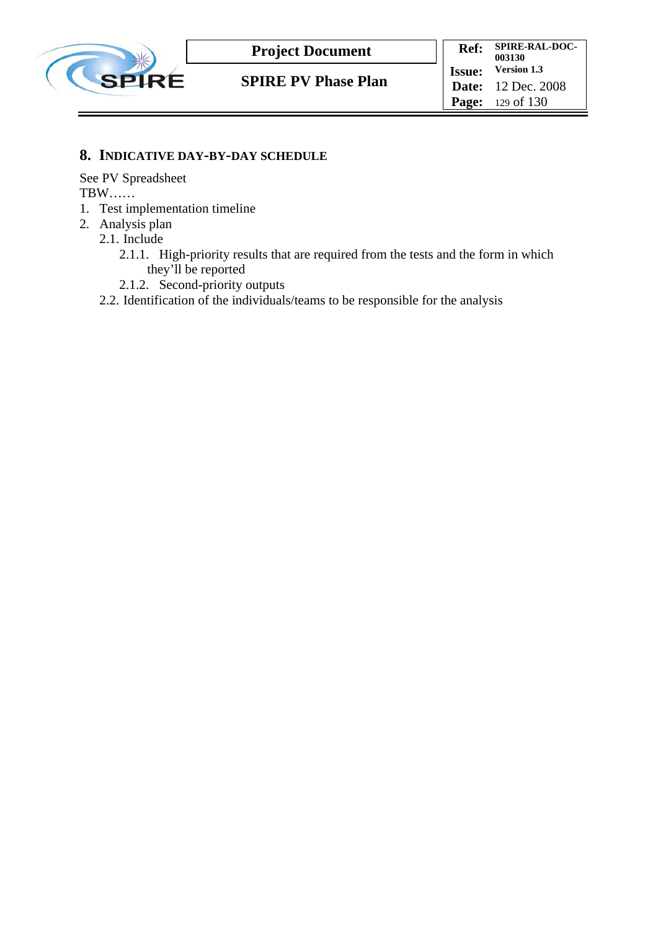

# **8. INDICATIVE DAY-BY-DAY SCHEDULE**

See PV Spreadsheet

TBW……

- 1. Test implementation timeline
- 2. Analysis plan
	- 2.1. Include
		- 2.1.1. High-priority results that are required from the tests and the form in which they'll be reported
		- 2.1.2. Second-priority outputs
	- 2.2. Identification of the individuals/teams to be responsible for the analysis